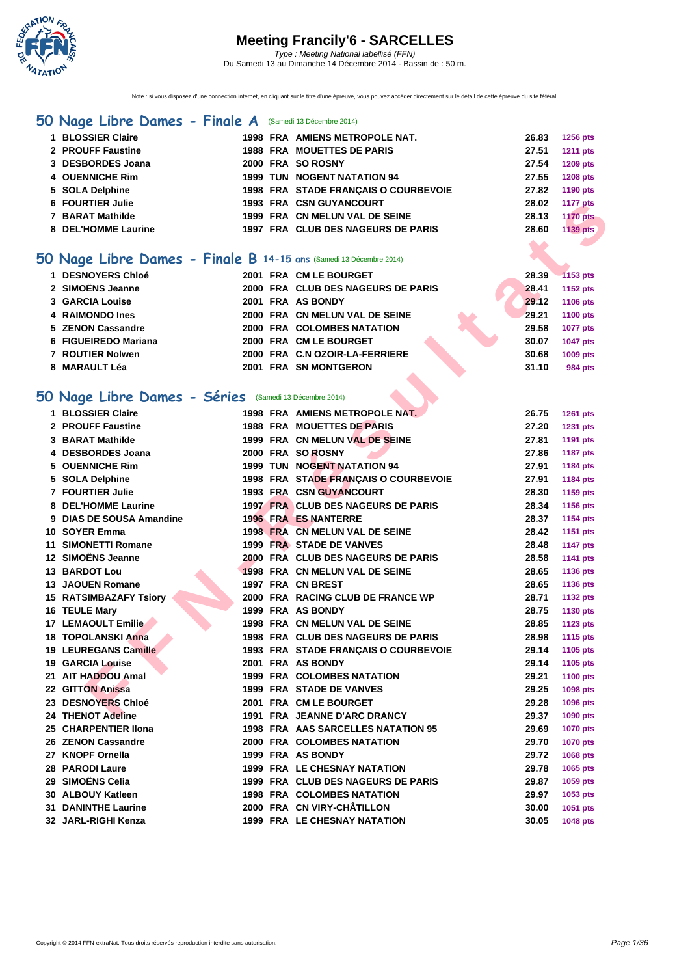

Note : si vous disposez d'une connection internet, en cliquant sur le titre d'une épreuve, vous pouvez accéder directement sur le détail de cette épreuve du site féféral.

#### **[50 Na](http://www.ffnatation.fr/webffn/index.php)ge Libre Dames - Finale A** (Samedi 13 Décembre 2014)

| 1 BLOSSIER Claire   |  | 1998 FRA AMIENS METROPOLE NAT.       | 26.83 | <b>1256 pts</b> |
|---------------------|--|--------------------------------------|-------|-----------------|
| 2 PROUFF Faustine   |  | <b>1988 FRA MOUETTES DE PARIS</b>    | 27.51 | <b>1211 pts</b> |
| 3 DESBORDES Joana   |  | 2000 FRA SO ROSNY                    | 27.54 | 1209 pts        |
| 4 OUENNICHE Rim     |  | <b>1999 TUN NOGENT NATATION 94</b>   | 27.55 | <b>1208 pts</b> |
| 5 SOLA Delphine     |  | 1998 FRA STADE FRANCAIS O COURBEVOIE | 27.82 | 1190 pts        |
| 6 FOURTIER Julie    |  | <b>1993 FRA CSN GUYANCOURT</b>       | 28.02 | <b>1177 pts</b> |
| 7 BARAT Mathilde    |  | 1999 FRA CN MELUN VAL DE SEINE       | 28.13 | <b>1170 pts</b> |
| 8 DEL'HOMME Laurine |  | 1997 FRA CLUB DES NAGEURS DE PARIS   | 28.60 | 1139 pts        |
|                     |  |                                      |       |                 |

### **50 Nage Libre Dames - Finale B 14-15 ans** (Samedi 13 Décembre 2014)

| 1 DESNOYERS Chloé    |  | 2001 FRA CM LE BOURGET             | 28.39 | $-1153$ pts     |
|----------------------|--|------------------------------------|-------|-----------------|
| 2 SIMOËNS Jeanne     |  | 2000 FRA CLUB DES NAGEURS DE PARIS | 28.41 | 1152 pts        |
| 3 GARCIA Louise      |  | 2001 FRA AS BONDY                  | 29.12 | 1106 pts        |
| 4 RAIMONDO Ines      |  | 2000 FRA CN MELUN VAL DE SEINE     | 29.21 | 1100 pts        |
| 5 ZENON Cassandre    |  | 2000 FRA COLOMBES NATATION         | 29.58 | <b>1077 pts</b> |
| 6 FIGUEIREDO Mariana |  | 2000 FRA CM LE BOURGET             | 30.07 | <b>1047 pts</b> |
| 7 ROUTIER Nolwen     |  | 2000 FRA C.N OZOIR-LA-FERRIERE     | 30.68 | 1009 pts        |
| 8 MARAULT Léa        |  | 2001 FRA SN MONTGERON              | 31.10 | 984 pts         |
|                      |  |                                    |       |                 |

#### **50 Nage Libre Dames - Séries** (Samedi 13 Décembre 2014)

| 6 FOURTIER Julie                                                  |  | 1993 FRA CSN GUYANCOURT                                                 | 28.02 | <b>1177 pts</b> |
|-------------------------------------------------------------------|--|-------------------------------------------------------------------------|-------|-----------------|
| 7 BARAT Mathilde                                                  |  | 1999 FRA CN MELUN VAL DE SEINE                                          | 28.13 | <b>1170 pts</b> |
| 8 DEL'HOMME Laurine                                               |  | 1997 FRA CLUB DES NAGEURS DE PARIS                                      | 28.60 | <b>1139 pts</b> |
|                                                                   |  |                                                                         |       |                 |
| O Nage Libre Dames - Finale B 14-15 ans (Samedi 13 Décembre 2014) |  |                                                                         |       |                 |
| 1 DESNOYERS Chloé                                                 |  | 2001 FRA CM LE BOURGET                                                  | 28.39 | 1153 pts        |
| 2 SIMOËNS Jeanne                                                  |  | 2000 FRA CLUB DES NAGEURS DE PARIS                                      | 28.41 | 1152 pts        |
| <b>3 GARCIA Louise</b>                                            |  | 2001 FRA AS BONDY                                                       | 29.12 | 1106 pts        |
| 4 RAIMONDO Ines                                                   |  | 2000 FRA CN MELUN VAL DE SEINE                                          | 29.21 | <b>1100 pts</b> |
| 5 ZENON Cassandre                                                 |  | 2000 FRA COLOMBES NATATION                                              | 29.58 | <b>1077 pts</b> |
| 6 FIGUEIREDO Mariana                                              |  | 2000 FRA CM LE BOURGET                                                  | 30.07 | 1047 pts        |
| 7 ROUTIER Nolwen                                                  |  | 2000 FRA C.N OZOIR-LA-FERRIERE                                          | 30.68 | 1009 pts        |
| 8 MARAULT Léa                                                     |  | 2001 FRA SN MONTGERON                                                   | 31.10 | <b>984 pts</b>  |
|                                                                   |  |                                                                         |       |                 |
| O Nage Libre Dames - Séries (Samedi 13 Décembre 2014)             |  |                                                                         |       |                 |
| 1 BLOSSIER Claire                                                 |  | 1998 FRA AMIENS METROPOLE NAT.                                          | 26.75 | 1261 pts        |
| 2 PROUFF Faustine                                                 |  | <b>1988 FRA MOUETTES DE PARIS</b>                                       | 27.20 | 1231 pts        |
| 3 BARAT Mathilde                                                  |  | 1999 FRA CN MELUN VAL DE SEINE                                          | 27.81 | 1191 pts        |
| 4 DESBORDES Joana                                                 |  | 2000 FRA SO ROSNY                                                       | 27.86 | <b>1187 pts</b> |
| 5 OUENNICHE Rim                                                   |  | <b>1999 TUN NOGENT NATATION 94</b>                                      | 27.91 | 1184 pts        |
| 5 SOLA Delphine                                                   |  | 1998 FRA STADE FRANCAIS O COURBEVOIE                                    | 27.91 | 1184 pts        |
| 7 FOURTIER Julie                                                  |  | 1993 FRA CSN GUYANCOURT                                                 | 28.30 | <b>1159 pts</b> |
| 8 DEL'HOMME Laurine                                               |  | 1997 FRA CLUB DES NAGEURS DE PARIS                                      | 28.34 | 1156 pts        |
| 9 DIAS DE SOUSA Amandine                                          |  | <b>1996 FRA ES NANTERRE</b>                                             | 28.37 | 1154 pts        |
| 10 SOYER Emma                                                     |  | 1998 FRA CN MELUN VAL DE SEINE                                          | 28.42 | 1151 pts        |
| <b>11 SIMONETTI Romane</b>                                        |  | 1999 FRA STADE DE VANVES                                                | 28.48 | <b>1147 pts</b> |
| 12 SIMOËNS Jeanne                                                 |  | 2000 FRA CLUB DES NAGEURS DE PARIS                                      | 28.58 | 1141 pts        |
| <b>13 BARDOT Lou</b>                                              |  | 1998 FRA CN MELUN VAL DE SEINE                                          | 28.65 | 1136 pts        |
| <b>13 JAOUEN Romane</b>                                           |  | 1997 FRA CN BREST                                                       | 28.65 | 1136 pts        |
| <b>15 RATSIMBAZAFY Tsiory</b>                                     |  | 2000 FRA RACING CLUB DE FRANCE WP                                       | 28.71 | <b>1132 pts</b> |
| 16 TEULE Mary                                                     |  | 1999 FRA AS BONDY                                                       | 28.75 | 1130 pts        |
| 17 LEMAOULT Emilie                                                |  | 1998 FRA CN MELUN VAL DE SEINE                                          | 28.85 | 1123 pts        |
| <b>18 TOPOLANSKI Anna</b>                                         |  | 1998 FRA CLUB DES NAGEURS DE PARIS                                      | 28.98 | <b>1115 pts</b> |
| <b>19 LEUREGANS Camille</b>                                       |  | 1993 FRA STADE FRANÇAIS O COURBEVOIE                                    | 29.14 | 1105 pts        |
| <b>19 GARCIA Louise</b>                                           |  | 2001 FRA AS BONDY                                                       | 29.14 | 1105 pts        |
| 21 AIT HADDOU Amal                                                |  | <b>1999 FRA COLOMBES NATATION</b>                                       | 29.21 | <b>1100 pts</b> |
| 22 GITTON Anissa                                                  |  | 1999 FRA STADE DE VANVES                                                | 29.25 | 1098 pts        |
| 23 DESNOYERS Chloé                                                |  | 2001 FRA CM LE BOURGET                                                  | 29.28 | 1096 pts        |
| 24 THENOT Adeline                                                 |  | 1991 FRA JEANNE D'ARC DRANCY                                            | 29.37 | 1090 pts        |
| 25 CHARPENTIER IIona                                              |  | 1998 FRA AAS SARCELLES NATATION 95                                      |       |                 |
|                                                                   |  |                                                                         | 29.69 | <b>1070 pts</b> |
| 26 ZENON Cassandre                                                |  | 2000 FRA COLOMBES NATATION                                              | 29.70 | <b>1070 pts</b> |
| 27 KNOPF Ornella                                                  |  | 1999 FRA AS BONDY<br><b>1999 FRA LE CHESNAY NATATION</b>                | 29.72 | 1068 pts        |
| 28 PARODI Laure<br>29 SIMOËNS Celia                               |  |                                                                         | 29.78 | 1065 pts        |
|                                                                   |  | 1999 FRA CLUB DES NAGEURS DE PARIS<br><b>1998 FRA COLOMBES NATATION</b> | 29.87 | 1059 pts        |
| 30 ALBOUY Katleen                                                 |  |                                                                         | 29.97 | 1053 pts        |
| <b>31 DANINTHE Laurine</b>                                        |  | 2000 FRA CN VIRY-CHÂTILLON                                              | 30.00 | 1051 pts        |
| 32 JARL-RIGHI Kenza                                               |  | 1999 FRA LE CHESNAY NATATION                                            | 30.05 | 1048 pts        |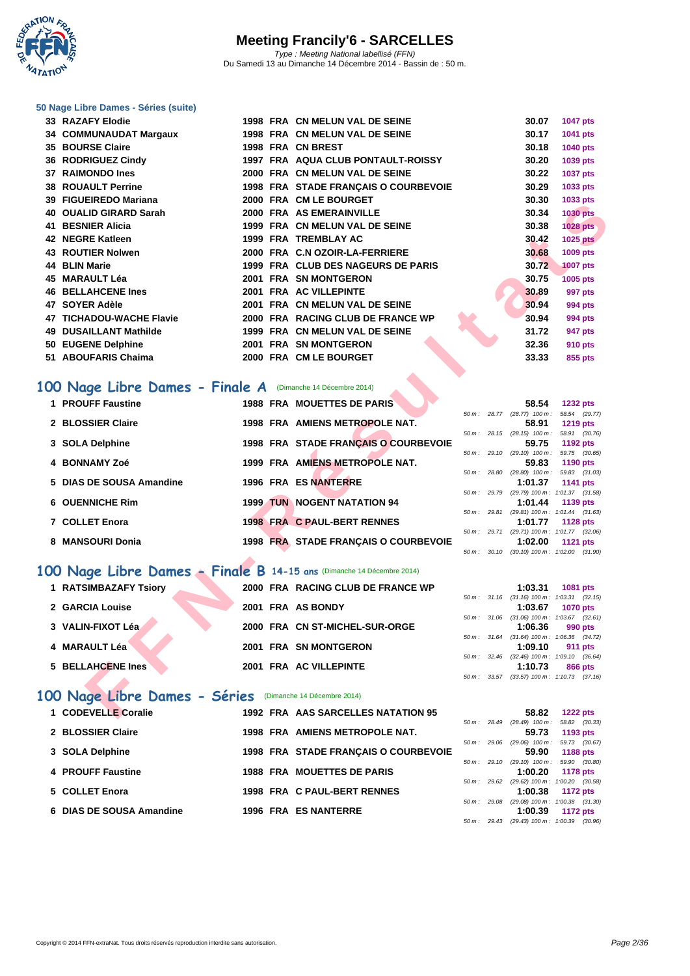**WATATION**  $^{\prime}$ 

#### **[50 Nage L](http://www.ffnatation.fr/webffn/index.php)ibre Dames - Séries (suite)**

| <b>33 RAZAFY Elodie</b>   |                                                                                                                                                        |  |                                                                                                                                                                                                                                                                                                                                                                                                                                                                                                                                                                                                                                                                                                                                                                                                                                                                                                                                                                                                                                                                                                                                                                                                                                                                                           | 30.07   | 1047 pts                                                                                                                                                                                                                                                                                                                                                                                                                                                                                                                                                                           |
|---------------------------|--------------------------------------------------------------------------------------------------------------------------------------------------------|--|-------------------------------------------------------------------------------------------------------------------------------------------------------------------------------------------------------------------------------------------------------------------------------------------------------------------------------------------------------------------------------------------------------------------------------------------------------------------------------------------------------------------------------------------------------------------------------------------------------------------------------------------------------------------------------------------------------------------------------------------------------------------------------------------------------------------------------------------------------------------------------------------------------------------------------------------------------------------------------------------------------------------------------------------------------------------------------------------------------------------------------------------------------------------------------------------------------------------------------------------------------------------------------------------|---------|------------------------------------------------------------------------------------------------------------------------------------------------------------------------------------------------------------------------------------------------------------------------------------------------------------------------------------------------------------------------------------------------------------------------------------------------------------------------------------------------------------------------------------------------------------------------------------|
| 34 COMMUNAUDAT Margaux    |                                                                                                                                                        |  |                                                                                                                                                                                                                                                                                                                                                                                                                                                                                                                                                                                                                                                                                                                                                                                                                                                                                                                                                                                                                                                                                                                                                                                                                                                                                           | 30.17   | 1041 pts                                                                                                                                                                                                                                                                                                                                                                                                                                                                                                                                                                           |
| <b>35 BOURSE Claire</b>   |                                                                                                                                                        |  |                                                                                                                                                                                                                                                                                                                                                                                                                                                                                                                                                                                                                                                                                                                                                                                                                                                                                                                                                                                                                                                                                                                                                                                                                                                                                           | 30.18   | <b>1040 pts</b>                                                                                                                                                                                                                                                                                                                                                                                                                                                                                                                                                                    |
| 36 RODRIGUEZ Cindy        |                                                                                                                                                        |  |                                                                                                                                                                                                                                                                                                                                                                                                                                                                                                                                                                                                                                                                                                                                                                                                                                                                                                                                                                                                                                                                                                                                                                                                                                                                                           | 30.20   | 1039 pts                                                                                                                                                                                                                                                                                                                                                                                                                                                                                                                                                                           |
| 37 RAIMONDO Ines          |                                                                                                                                                        |  |                                                                                                                                                                                                                                                                                                                                                                                                                                                                                                                                                                                                                                                                                                                                                                                                                                                                                                                                                                                                                                                                                                                                                                                                                                                                                           | 30.22   | <b>1037 pts</b>                                                                                                                                                                                                                                                                                                                                                                                                                                                                                                                                                                    |
| <b>38 ROUAULT Perrine</b> |                                                                                                                                                        |  |                                                                                                                                                                                                                                                                                                                                                                                                                                                                                                                                                                                                                                                                                                                                                                                                                                                                                                                                                                                                                                                                                                                                                                                                                                                                                           | 30.29   | 1033 pts                                                                                                                                                                                                                                                                                                                                                                                                                                                                                                                                                                           |
| 39 FIGUEIREDO Mariana     |                                                                                                                                                        |  |                                                                                                                                                                                                                                                                                                                                                                                                                                                                                                                                                                                                                                                                                                                                                                                                                                                                                                                                                                                                                                                                                                                                                                                                                                                                                           | 30.30   | 1033 pts                                                                                                                                                                                                                                                                                                                                                                                                                                                                                                                                                                           |
| 40 OUALID GIRARD Sarah    |                                                                                                                                                        |  |                                                                                                                                                                                                                                                                                                                                                                                                                                                                                                                                                                                                                                                                                                                                                                                                                                                                                                                                                                                                                                                                                                                                                                                                                                                                                           | 30.34   | <b>1030 pts</b>                                                                                                                                                                                                                                                                                                                                                                                                                                                                                                                                                                    |
| 41 BESNIER Alicia         |                                                                                                                                                        |  |                                                                                                                                                                                                                                                                                                                                                                                                                                                                                                                                                                                                                                                                                                                                                                                                                                                                                                                                                                                                                                                                                                                                                                                                                                                                                           | 30.38   | 1028 pts                                                                                                                                                                                                                                                                                                                                                                                                                                                                                                                                                                           |
| 42 NEGRE Katleen          |                                                                                                                                                        |  |                                                                                                                                                                                                                                                                                                                                                                                                                                                                                                                                                                                                                                                                                                                                                                                                                                                                                                                                                                                                                                                                                                                                                                                                                                                                                           | 30.42   | <b>1025 pts</b>                                                                                                                                                                                                                                                                                                                                                                                                                                                                                                                                                                    |
| <b>43 ROUTIER Nolwen</b>  |                                                                                                                                                        |  |                                                                                                                                                                                                                                                                                                                                                                                                                                                                                                                                                                                                                                                                                                                                                                                                                                                                                                                                                                                                                                                                                                                                                                                                                                                                                           | 30.68   | 1009 pts                                                                                                                                                                                                                                                                                                                                                                                                                                                                                                                                                                           |
| 44 BLIN Marie             |                                                                                                                                                        |  |                                                                                                                                                                                                                                                                                                                                                                                                                                                                                                                                                                                                                                                                                                                                                                                                                                                                                                                                                                                                                                                                                                                                                                                                                                                                                           | 30.72   | <b>1007 pts</b>                                                                                                                                                                                                                                                                                                                                                                                                                                                                                                                                                                    |
| 45 MARAULT Léa            |                                                                                                                                                        |  |                                                                                                                                                                                                                                                                                                                                                                                                                                                                                                                                                                                                                                                                                                                                                                                                                                                                                                                                                                                                                                                                                                                                                                                                                                                                                           | 30.75   | 1005 pts                                                                                                                                                                                                                                                                                                                                                                                                                                                                                                                                                                           |
| <b>46 BELLAHCENE Ines</b> |                                                                                                                                                        |  |                                                                                                                                                                                                                                                                                                                                                                                                                                                                                                                                                                                                                                                                                                                                                                                                                                                                                                                                                                                                                                                                                                                                                                                                                                                                                           | 30.89   | 997 pts                                                                                                                                                                                                                                                                                                                                                                                                                                                                                                                                                                            |
| 47 SOYER Adèle            |                                                                                                                                                        |  |                                                                                                                                                                                                                                                                                                                                                                                                                                                                                                                                                                                                                                                                                                                                                                                                                                                                                                                                                                                                                                                                                                                                                                                                                                                                                           | 30.94   | 994 pts                                                                                                                                                                                                                                                                                                                                                                                                                                                                                                                                                                            |
| 47 TICHADOU-WACHE Flavie  |                                                                                                                                                        |  |                                                                                                                                                                                                                                                                                                                                                                                                                                                                                                                                                                                                                                                                                                                                                                                                                                                                                                                                                                                                                                                                                                                                                                                                                                                                                           | 30.94   | 994 pts                                                                                                                                                                                                                                                                                                                                                                                                                                                                                                                                                                            |
| 49 DUSAILLANT Mathilde    |                                                                                                                                                        |  |                                                                                                                                                                                                                                                                                                                                                                                                                                                                                                                                                                                                                                                                                                                                                                                                                                                                                                                                                                                                                                                                                                                                                                                                                                                                                           | 31.72   | 947 pts                                                                                                                                                                                                                                                                                                                                                                                                                                                                                                                                                                            |
| 50 EUGENE Delphine        |                                                                                                                                                        |  |                                                                                                                                                                                                                                                                                                                                                                                                                                                                                                                                                                                                                                                                                                                                                                                                                                                                                                                                                                                                                                                                                                                                                                                                                                                                                           | 32.36   | <b>910 pts</b>                                                                                                                                                                                                                                                                                                                                                                                                                                                                                                                                                                     |
| 51 ABOUFARIS Chaima       |                                                                                                                                                        |  |                                                                                                                                                                                                                                                                                                                                                                                                                                                                                                                                                                                                                                                                                                                                                                                                                                                                                                                                                                                                                                                                                                                                                                                                                                                                                           | 33.33   | 855 pts                                                                                                                                                                                                                                                                                                                                                                                                                                                                                                                                                                            |
| 2 BLOSSIER Claire         |                                                                                                                                                        |  |                                                                                                                                                                                                                                                                                                                                                                                                                                                                                                                                                                                                                                                                                                                                                                                                                                                                                                                                                                                                                                                                                                                                                                                                                                                                                           | 58.91   | <b>1219 pts</b>                                                                                                                                                                                                                                                                                                                                                                                                                                                                                                                                                                    |
|                           |                                                                                                                                                        |  |                                                                                                                                                                                                                                                                                                                                                                                                                                                                                                                                                                                                                                                                                                                                                                                                                                                                                                                                                                                                                                                                                                                                                                                                                                                                                           |         | <b>1232 pts</b>                                                                                                                                                                                                                                                                                                                                                                                                                                                                                                                                                                    |
|                           |                                                                                                                                                        |  |                                                                                                                                                                                                                                                                                                                                                                                                                                                                                                                                                                                                                                                                                                                                                                                                                                                                                                                                                                                                                                                                                                                                                                                                                                                                                           |         |                                                                                                                                                                                                                                                                                                                                                                                                                                                                                                                                                                                    |
|                           |                                                                                                                                                        |  |                                                                                                                                                                                                                                                                                                                                                                                                                                                                                                                                                                                                                                                                                                                                                                                                                                                                                                                                                                                                                                                                                                                                                                                                                                                                                           |         | 1192 pts<br>59.75 (30.65)                                                                                                                                                                                                                                                                                                                                                                                                                                                                                                                                                          |
| 4 BONNAMY Zoé             |                                                                                                                                                        |  |                                                                                                                                                                                                                                                                                                                                                                                                                                                                                                                                                                                                                                                                                                                                                                                                                                                                                                                                                                                                                                                                                                                                                                                                                                                                                           | 59.83   | 1190 pts                                                                                                                                                                                                                                                                                                                                                                                                                                                                                                                                                                           |
|                           |                                                                                                                                                        |  |                                                                                                                                                                                                                                                                                                                                                                                                                                                                                                                                                                                                                                                                                                                                                                                                                                                                                                                                                                                                                                                                                                                                                                                                                                                                                           |         | $(28.80)$ 100 m : 59.83 $(31.03)$                                                                                                                                                                                                                                                                                                                                                                                                                                                                                                                                                  |
|                           |                                                                                                                                                        |  |                                                                                                                                                                                                                                                                                                                                                                                                                                                                                                                                                                                                                                                                                                                                                                                                                                                                                                                                                                                                                                                                                                                                                                                                                                                                                           |         | 1141 pts                                                                                                                                                                                                                                                                                                                                                                                                                                                                                                                                                                           |
| 6 OUENNICHE Rim           |                                                                                                                                                        |  |                                                                                                                                                                                                                                                                                                                                                                                                                                                                                                                                                                                                                                                                                                                                                                                                                                                                                                                                                                                                                                                                                                                                                                                                                                                                                           | 1:01.44 | 1139 pts                                                                                                                                                                                                                                                                                                                                                                                                                                                                                                                                                                           |
|                           |                                                                                                                                                        |  |                                                                                                                                                                                                                                                                                                                                                                                                                                                                                                                                                                                                                                                                                                                                                                                                                                                                                                                                                                                                                                                                                                                                                                                                                                                                                           |         | (29.81) 100 m: 1:01.44 (31.63)                                                                                                                                                                                                                                                                                                                                                                                                                                                                                                                                                     |
|                           |                                                                                                                                                        |  |                                                                                                                                                                                                                                                                                                                                                                                                                                                                                                                                                                                                                                                                                                                                                                                                                                                                                                                                                                                                                                                                                                                                                                                                                                                                                           |         | <b>1128 pts</b>                                                                                                                                                                                                                                                                                                                                                                                                                                                                                                                                                                    |
| 8 MANSOURI Donia          |                                                                                                                                                        |  |                                                                                                                                                                                                                                                                                                                                                                                                                                                                                                                                                                                                                                                                                                                                                                                                                                                                                                                                                                                                                                                                                                                                                                                                                                                                                           | 1:02.00 | <b>1121 pts</b>                                                                                                                                                                                                                                                                                                                                                                                                                                                                                                                                                                    |
|                           |                                                                                                                                                        |  |                                                                                                                                                                                                                                                                                                                                                                                                                                                                                                                                                                                                                                                                                                                                                                                                                                                                                                                                                                                                                                                                                                                                                                                                                                                                                           |         |                                                                                                                                                                                                                                                                                                                                                                                                                                                                                                                                                                                    |
|                           |                                                                                                                                                        |  |                                                                                                                                                                                                                                                                                                                                                                                                                                                                                                                                                                                                                                                                                                                                                                                                                                                                                                                                                                                                                                                                                                                                                                                                                                                                                           |         |                                                                                                                                                                                                                                                                                                                                                                                                                                                                                                                                                                                    |
| 1 RATSIMBAZAFY Tsiory     |                                                                                                                                                        |  |                                                                                                                                                                                                                                                                                                                                                                                                                                                                                                                                                                                                                                                                                                                                                                                                                                                                                                                                                                                                                                                                                                                                                                                                                                                                                           | 1:03.31 | 1081 pts                                                                                                                                                                                                                                                                                                                                                                                                                                                                                                                                                                           |
|                           |                                                                                                                                                        |  |                                                                                                                                                                                                                                                                                                                                                                                                                                                                                                                                                                                                                                                                                                                                                                                                                                                                                                                                                                                                                                                                                                                                                                                                                                                                                           |         |                                                                                                                                                                                                                                                                                                                                                                                                                                                                                                                                                                                    |
|                           |                                                                                                                                                        |  |                                                                                                                                                                                                                                                                                                                                                                                                                                                                                                                                                                                                                                                                                                                                                                                                                                                                                                                                                                                                                                                                                                                                                                                                                                                                                           | 1:03.67 | <b>1070 pts</b>                                                                                                                                                                                                                                                                                                                                                                                                                                                                                                                                                                    |
|                           |                                                                                                                                                        |  |                                                                                                                                                                                                                                                                                                                                                                                                                                                                                                                                                                                                                                                                                                                                                                                                                                                                                                                                                                                                                                                                                                                                                                                                                                                                                           |         | 990 pts                                                                                                                                                                                                                                                                                                                                                                                                                                                                                                                                                                            |
|                           |                                                                                                                                                        |  |                                                                                                                                                                                                                                                                                                                                                                                                                                                                                                                                                                                                                                                                                                                                                                                                                                                                                                                                                                                                                                                                                                                                                                                                                                                                                           |         |                                                                                                                                                                                                                                                                                                                                                                                                                                                                                                                                                                                    |
| 4 MARAULT Léa             |                                                                                                                                                        |  |                                                                                                                                                                                                                                                                                                                                                                                                                                                                                                                                                                                                                                                                                                                                                                                                                                                                                                                                                                                                                                                                                                                                                                                                                                                                                           | 1:09.10 | <b>911 pts</b>                                                                                                                                                                                                                                                                                                                                                                                                                                                                                                                                                                     |
|                           |                                                                                                                                                        |  |                                                                                                                                                                                                                                                                                                                                                                                                                                                                                                                                                                                                                                                                                                                                                                                                                                                                                                                                                                                                                                                                                                                                                                                                                                                                                           |         | 866 pts                                                                                                                                                                                                                                                                                                                                                                                                                                                                                                                                                                            |
|                           |                                                                                                                                                        |  |                                                                                                                                                                                                                                                                                                                                                                                                                                                                                                                                                                                                                                                                                                                                                                                                                                                                                                                                                                                                                                                                                                                                                                                                                                                                                           |         | $(33.57)$ 100 m : 1:10.73 $(37.16)$                                                                                                                                                                                                                                                                                                                                                                                                                                                                                                                                                |
|                           |                                                                                                                                                        |  |                                                                                                                                                                                                                                                                                                                                                                                                                                                                                                                                                                                                                                                                                                                                                                                                                                                                                                                                                                                                                                                                                                                                                                                                                                                                                           |         |                                                                                                                                                                                                                                                                                                                                                                                                                                                                                                                                                                                    |
|                           |                                                                                                                                                        |  |                                                                                                                                                                                                                                                                                                                                                                                                                                                                                                                                                                                                                                                                                                                                                                                                                                                                                                                                                                                                                                                                                                                                                                                                                                                                                           |         |                                                                                                                                                                                                                                                                                                                                                                                                                                                                                                                                                                                    |
| 1 CODEVELLE Coralie       |                                                                                                                                                        |  |                                                                                                                                                                                                                                                                                                                                                                                                                                                                                                                                                                                                                                                                                                                                                                                                                                                                                                                                                                                                                                                                                                                                                                                                                                                                                           | 58.82   | <b>1222 pts</b>                                                                                                                                                                                                                                                                                                                                                                                                                                                                                                                                                                    |
|                           | 1 PROUFF Faustine<br>3 SOLA Delphine<br>5 DIAS DE SOUSA Amandine<br><b>7 COLLET Enora</b><br>2 GARCIA Louise<br>3 VALIN-FIXOT Léa<br>5 BELLAHCENE Ines |  | 1998 FRA CN MELUN VAL DE SEINE<br>1998 FRA CN MELUN VAL DE SEINE<br>1998 FRA CN BREST<br>1997 FRA AQUA CLUB PONTAULT-ROISSY<br>2000 FRA CN MELUN VAL DE SEINE<br>1998 FRA STADE FRANÇAIS O COURBEVOIE<br>2000 FRA CM LE BOURGET<br>2000 FRA AS EMERAINVILLE<br>1999 FRA CN MELUN VAL DE SEINE<br>1999 FRA TREMBLAY AC<br>2000 FRA C.N OZOIR-LA-FERRIERE<br>1999 FRA CLUB DES NAGEURS DE PARIS<br>2001 FRA SN MONTGERON<br>2001 FRA AC VILLEPINTE<br>2001 FRA CN MELUN VAL DE SEINE<br>2000 FRA RACING CLUB DE FRANCE WP<br>1999 FRA CN MELUN VAL DE SEINE<br>2001 FRA SN MONTGERON<br>2000 FRA CM LE BOURGET<br>00 Nage Libre Dames - Finale A (Dimanche 14 Décembre 2014)<br><b>1988 FRA MOUETTES DE PARIS</b><br>1998 FRA AMIENS METROPOLE NAT.<br>1998 FRA STADE FRANÇAIS O COURBEVOIE<br>1999 FRA AMIENS METROPOLE NAT.<br>1996 FRA ES NANTERRE<br><b>1999 TUN NOGENT NATATION 94</b><br>1998 FRA C PAUL-BERT RENNES<br>1998 FRA STADE FRANÇAIS O COURBEVOIE<br>00 Nage Libre Dames - Finale B 14-15 ans (Dimanche 14 Décembre 2014)<br>2000 FRA RACING CLUB DE FRANCE WP<br>2001 FRA AS BONDY<br>2000 FRA CN ST-MICHEL-SUR-ORGE<br>2001 FRA SN MONTGERON<br>2001 FRA AC VILLEPINTE<br>00 Nage Libre Dames - Séries (Dimanche 14 Décembre 2014)<br>1992 FRA AAS SARCELLES NATATION 95 |         | 58.54<br>50 m: 28.77 (28.77) 100 m: 58.54 (29.77)<br>50 m: 28.15 (28.15) 100 m: 58.91 (30.76)<br>59.75<br>$(29.10)$ 100 m :<br>$50 m$ : 29.10<br>50 m: 28.80<br>1:01.37<br>(29.79) 100 m: 1:01.37 (31.58)<br>50 m : 29.79<br>50 m: 29.81<br>1:01.77<br>50 m: 29.71<br>(29.71) 100 m: 1:01.77 (32.06)<br>50 m: 30.10 (30.10) 100 m: 1:02.00 (31.90)<br>50 m: 31.16 (31.16) 100 m: 1:03.31 (32.15)<br>50 m: 31.06 (31.06) 100 m: 1:03.67 (32.61)<br>1:06.36<br>50 m: 31.64 (31.64) 100 m: 1:06.36 (34.72)<br>50 m: 32.46 (32.46) 100 m: 1:09.10 (36.64)<br>1:10.73<br>$50 m$ : 33.57 |

#### 100 Nage Libre Dames - Finale A (Dimanche 14 Décembre 2014)

| 1 PROUFF Faustine        | <b>1988 FRA MOUETTES DE PARIS</b>    |                        | 58.54             | <b>1232 pts</b>                |
|--------------------------|--------------------------------------|------------------------|-------------------|--------------------------------|
|                          |                                      | $50 m$ : 28.77         | $(28.77)$ 100 m : | 58.54 (29.77)                  |
| 2 BLOSSIER Claire        | 1998 FRA AMIENS METROPOLE NAT.       |                        | 58.91             | <b>1219 pts</b>                |
|                          |                                      | 50 m: 28.15            | $(28.15)$ 100 m : | 58.91 (30.76)                  |
| 3 SOLA Delphine          | 1998 FRA STADE FRANCAIS O COURBEVOIE |                        | 59.75             | 1192 pts                       |
|                          |                                      | 50 m: 29.10            | $(29.10)$ 100 m : | 59.75 (30.65)                  |
| 4 BONNAMY Zoé            | 1999 FRA AMIENS METROPOLE NAT.       |                        | 59.83             | 1190 $pts$                     |
|                          |                                      | 50 m: 28.80            | $(28.80)$ 100 m : | 59.83 (31.03)                  |
| 5 DIAS DE SOUSA Amandine | 1996 FRA ES NANTERRE                 |                        | 1:01.37           | 1141 pts                       |
|                          |                                      | $50 m$ : 29.79         |                   | (29.79) 100 m: 1:01.37 (31.58) |
| 6 OUENNICHE Rim          | <b>1999 TUN NOGENT NATATION 94</b>   |                        | 1:01.44           | 1139 pts                       |
|                          |                                      | $50 \text{ m}$ : 29.81 |                   | (29.81) 100 m: 1:01.44 (31.63) |
| 7 COLLET Enora           | 1998 FRA C PAUL-BERT RENNES          |                        | 1:01.77           | <b>1128 pts</b>                |
| 8 MANSOURI Donia         | 1998 FRA STADE FRANCAIS O COURBEVOIE | $50 \text{ m}$ : 29.71 | 1:02.00           | (29.71) 100 m: 1:01.77 (32.06) |
|                          |                                      |                        |                   | 1121 $pts$                     |

### **100 Nage Libre Dames - Finale B 14-15 ans** (Dimanche 14 Décembre 2014)

| 1 RATSIMBAZAFY Tsiory |  | 2000 FRA RACING CLUB DE FRANCE WP |  | 1:03.31                                                    | 1081 pts        |  |
|-----------------------|--|-----------------------------------|--|------------------------------------------------------------|-----------------|--|
|                       |  |                                   |  | 50 m: 31.16 (31.16) 100 m: 1:03.31 (32.                    |                 |  |
| 2 GARCIA Louise       |  | 2001 FRA AS BONDY                 |  | 1:03.67                                                    | <b>1070 pts</b> |  |
|                       |  |                                   |  | 50 m: 31.06 (31.06) 100 m: 1:03.67 (32.                    |                 |  |
| 3 VALIN-FIXOT Léa     |  | 2000 FRA CN ST-MICHEL-SUR-ORGE    |  | 1:06.36                                                    | 990 pts         |  |
|                       |  |                                   |  | 50 m: 31.64 (31.64) 100 m: 1:06.36 (34.                    |                 |  |
| 4 MARAULT Léa         |  | 2001 FRA SN MONTGERON             |  | 1:09.10                                                    | 911 pts         |  |
|                       |  |                                   |  | 50 m: 32.46 (32.46) 100 m: 1:09.10 (36.                    |                 |  |
| 5 BELLAHCENE Ines     |  | 2001 FRA AC VILLEPINTE            |  | 1:10.73                                                    | <b>866 pts</b>  |  |
|                       |  |                                   |  | $F0 \rightarrow 0057$ (00.57) 400 $\rightarrow 44070$ (07) |                 |  |

### **100 Nage Libre Dames - Séries** (Dimanche 14 Décembre 2014)

| 1 CODEVELLE Coralie      |  | 1992 FRA AAS SARCELLES NATATION 95    |  | 58.82                                   | <b>1222 pts</b> |  |
|--------------------------|--|---------------------------------------|--|-----------------------------------------|-----------------|--|
|                          |  |                                       |  | 50 m: 28.49 (28.49) 100 m: 58.82 (30.   |                 |  |
| 2 BLOSSIER Claire        |  | <b>1998 FRA AMIENS METROPOLE NAT.</b> |  | 59.73                                   | 1193 pts        |  |
|                          |  |                                       |  | 50 m: 29.06 (29.06) 100 m: 59.73 (30.   |                 |  |
| 3 SOLA Delphine          |  | 1998 FRA STADE FRANÇAIS O COURBEVOIE  |  | 59.90                                   | 1188 pts        |  |
|                          |  |                                       |  | 50 m: 29.10 (29.10) 100 m: 59.90 (30.   |                 |  |
| 4 PROUFF Faustine        |  | <b>1988 FRA MOUETTES DE PARIS</b>     |  | 1:00.20                                 | 1178 pts        |  |
|                          |  |                                       |  | 50 m: 29.62 (29.62) 100 m: 1:00.20 (30. |                 |  |
| 5 COLLET Enora           |  | 1998 FRA C PAUL-BERT RENNES           |  | 1:00.38                                 | <b>1172 pts</b> |  |
|                          |  |                                       |  | 50 m: 29.08 (29.08) 100 m: 1:00.38 (31. |                 |  |
| 6 DIAS DE SOUSA Amandine |  | 1996 FRA ES NANTERRE                  |  | 1:00.39                                 | <b>1172 pts</b> |  |
|                          |  |                                       |  |                                         |                 |  |

|              | <i>JU III. 20.13</i> (20.13) <i>IUU III.</i> |                                            |  |
|--------------|----------------------------------------------|--------------------------------------------|--|
|              |                                              | 59.75 1192 pts                             |  |
|              |                                              | 50 m: 29.10 (29.10) 100 m: 59.75 (30.65)   |  |
|              |                                              | 59.83 1190 pts                             |  |
|              |                                              | 50 m: 28.80 (28.80) 100 m: 59.83 (31.03)   |  |
|              |                                              | $1:01.37$ 1141 pts                         |  |
| 50 m : 29.79 |                                              | (29.79) 100 m: 1:01.37 (31.58)             |  |
|              |                                              | $1:01.44$ 1139 pts                         |  |
| 50 m : 29.81 |                                              | (29.81) 100 m: 1:01.44 (31.63)             |  |
|              |                                              | 1:01.77 1128 pts                           |  |
|              |                                              | 50 m: 29.71 (29.71) 100 m: 1:01.77 (32.06) |  |
|              |                                              | $1:02.00$ 1121 pts                         |  |
|              |                                              | 50 m: 30.10 (30.10) 100 m: 1:02.00 (31.90) |  |
|              |                                              |                                            |  |
|              |                                              |                                            |  |
|              |                                              |                                            |  |

|  | 50 m: 31.16 (31.16) 100 m: 1:03.31 (32.15) |
|--|--------------------------------------------|
|  | 1:03.67 1070 pts                           |
|  | 50 m: 31.06 (31.06) 100 m: 1:03.67 (32.61) |
|  | $1:06.36$ 990 pts                          |
|  | 50 m: 31.64 (31.64) 100 m: 1:06.36 (34.72) |
|  | $1:09.10$ 911 pts                          |
|  | 50 m: 32.46 (32.46) 100 m: 1:09.10 (36.64) |
|  | $1:10.73$ 866 pts                          |
|  | 50 m: 33.57 (33.57) 100 m: 1:10.73 (37.16) |

|                |              | 58.82             | <b>1222 pts</b>                       |  |
|----------------|--------------|-------------------|---------------------------------------|--|
| $50 m$ : 28.49 |              | $(28.49)$ 100 m : | 58.82 (30.33)                         |  |
|                |              | 59.73             | 1193 pts                              |  |
| $50 m$ : 29.06 |              | $(29.06)$ 100 m : | 59.73 (30.67)                         |  |
|                |              | 59.90             | 1188 pts                              |  |
|                | 50 m : 29.10 | $(29.10)$ 100 m : | 59.90 (30.80)                         |  |
|                |              |                   | 1:00.20 1178 pts                      |  |
| 50 m :         | 29.62        | $(29.62)$ 100 m : | 1:00.20 (30.58)                       |  |
|                |              |                   | 1:00.38 1172 pts                      |  |
| 50 m :         | 29.08        | $(29.08)$ 100 m : | $1:00.38$ $(31.30)$                   |  |
|                |              |                   | 1:00.39 1172 pts                      |  |
| 50 m :         |              |                   | 29.43 (29.43) 100 m : 1:00.39 (30.96) |  |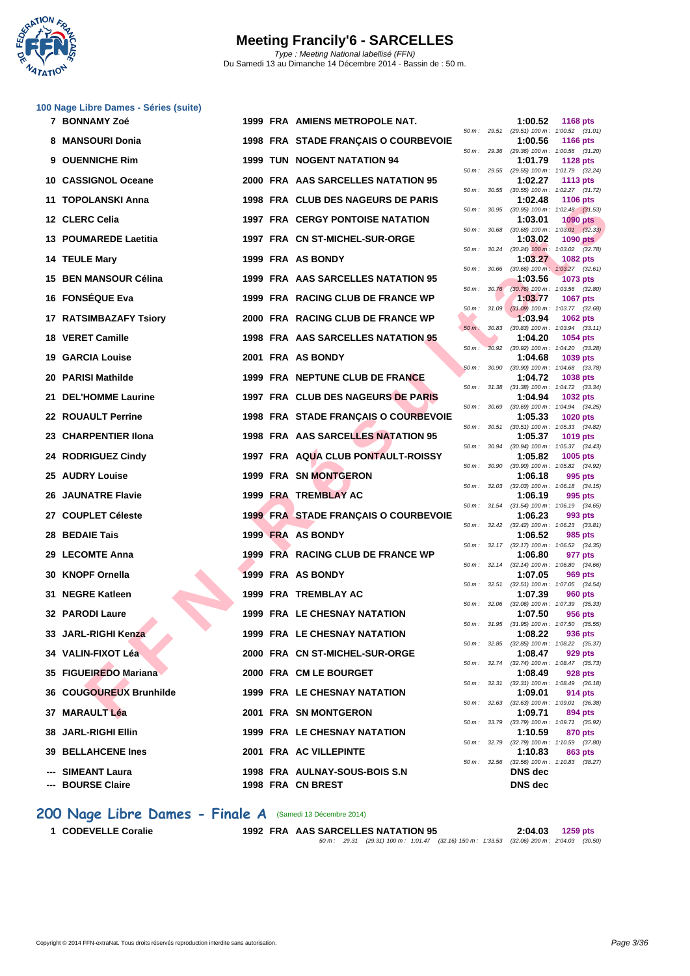

|     | 100 Nage Libre Dames - Séries (suite) |  |                                             |             |              |                |                                                               |
|-----|---------------------------------------|--|---------------------------------------------|-------------|--------------|----------------|---------------------------------------------------------------|
|     | 7 BONNAMY Zoé                         |  | 1999 FRA AMIENS METROPOLE NAT.              |             | 50 m: 29.51  | 1:00.52        | <b>1168 pts</b><br>(29.51) 100 m: 1:00.52 (31.01)             |
|     | 8 MANSOURI Donia                      |  | 1998 FRA STADE FRANÇAIS O COURBEVOIE        |             |              | 1:00.56        | <b>1166 pts</b><br>50 m: 29.36 (29.36) 100 m: 1:00.56 (31.20) |
|     | 9 OUENNICHE Rim                       |  | <b>1999 TUN NOGENT NATATION 94</b>          |             |              | 1:01.79        | <b>1128 pts</b><br>50 m: 29.55 (29.55) 100 m: 1:01.79 (32.24) |
|     | 10 CASSIGNOL Oceane                   |  | 2000 FRA AAS SARCELLES NATATION 95          |             |              | 1:02.27        | <b>1113 pts</b><br>50 m: 30.55 (30.55) 100 m: 1:02.27 (31.72) |
|     | 11 TOPOLANSKI Anna                    |  | 1998 FRA CLUB DES NAGEURS DE PARIS          |             |              | 1:02.48        | 1106 pts                                                      |
|     | 12 CLERC Celia                        |  | <b>1997 FRA CERGY PONTOISE NATATION</b>     | 50 m :      | 30.95        | 1:03.01        | $(30.95)$ 100 m : 1:02.48 $(31.53)$<br><b>1090 pts</b>        |
|     | 13 POUMAREDE Laetitia                 |  | 1997 FRA CN ST-MICHEL-SUR-ORGE              | 50 m: 30.68 |              | 1:03.02        | $(30.68)$ 100 m : 1:03.01 $(32.33)$<br>1090 pts               |
|     | 14 TEULE Mary                         |  | 1999 FRA AS BONDY                           | 50 m :      | 30.24        | 1:03.27        | $(30.24)$ 100 m : 1:03.02 $(32.78)$<br>1082 pts               |
| 15. | <b>BEN MANSOUR Célina</b>             |  | 1999 FRA AAS SARCELLES NATATION 95          | 50 m :      | 30.66        | 1:03.56        | $(30.66)$ 100 m : 1:03.27 $(32.61)$<br>1073 pts               |
|     | 16 FONSÉQUE Eva                       |  | 1999 FRA RACING CLUB DE FRANCE WP           |             |              | 1:03.77        | 50 m : 30.76 (30.76) 100 m : 1:03.56 (32.80)<br>1067 pts      |
|     | 17 RATSIMBAZAFY Tsiory                |  | 2000 FRA RACING CLUB DE FRANCE WP           |             | 50 m: 31.09  | 1:03.94        | $(31.09)$ 100 m : 1:03.77 $(32.68)$<br>1062 pts               |
|     | 18 VERET Camille                      |  | 1998 FRA AAS SARCELLES NATATION 95          | $50 m$ :    | 30.83        | 1:04.20        | $(30.83)$ 100 m : 1:03.94 $(33.11)$<br>1054 pts               |
|     | <b>19 GARCIA Louise</b>               |  | 2001 FRA AS BONDY                           | $50 m$ :    | 30.92        | 1:04.68        | (30.92) 100 m: 1:04.20 (33.28)                                |
|     |                                       |  |                                             | 50 m: 30.90 |              |                | 1039 pts<br>$(30.90)$ 100 m : 1:04.68 $(33.78)$               |
| 20  | <b>PARISI Mathilde</b>                |  | 1999 FRA NEPTUNE CLUB DE FRANCE             |             |              | 1:04.72        | 1038 pts<br>50 m: 31.38 (31.38) 100 m: 1:04.72 (33.34)        |
|     | 21 DEL'HOMME Laurine                  |  | 1997 FRA CLUB DES NAGEURS DE PARIS          | 50 m: 30.69 |              | 1:04.94        | <b>1032 pts</b><br>(30.69) 100 m: 1:04.94 (34.25)             |
|     | 22 ROUAULT Perrine                    |  | 1998 FRA STADE FRANÇAIS O COURBEVOIE        |             |              | 1:05.33        | 1020 pts<br>50 m: 30.51 (30.51) 100 m: 1:05.33 (34.82)        |
|     | 23 CHARPENTIER IIona                  |  | <b>1998 FRA AAS SARCELLES NATATION 95</b>   | 50 m: 30.94 |              | 1:05.37        | 1019 pts<br>(30.94) 100 m: 1:05.37 (34.43)                    |
|     | 24 RODRIGUEZ Cindy                    |  | 1997 FRA AQUA CLUB PONTAULT-ROISSY          | 50 m: 30.90 |              | 1:05.82        | 1005 pts<br>$(30.90)$ 100 m : 1:05.82 $(34.92)$               |
|     | 25 AUDRY Louise                       |  | <b>1999 FRA SN MONTGERON</b>                |             | 50 m: 32.03  | 1:06.18        | 995 pts<br>$(32.03)$ 100 m : 1:06.18 $(34.15)$                |
|     | <b>26 JAUNATRE Flavie</b>             |  | 1999 FRA TREMBLAY AC                        |             |              | 1:06.19        | 995 pts                                                       |
|     | 27 COUPLET Céleste                    |  | <b>1999 FRA STADE FRANÇAIS O COURBEVOIE</b> |             |              | 1:06.23        | 50 m: 31.54 (31.54) 100 m: 1:06.19 (34.65)<br>993 pts         |
|     | 28 BEDAIE Tais                        |  | 1999 FRA AS BONDY                           |             |              | 1:06.52        | 50 m: 32.42 (32.42) 100 m: 1:06.23 (33.81)<br>985 pts         |
|     | 29 LECOMTE Anna                       |  | 1999 FRA RACING CLUB DE FRANCE WP           |             |              | 1:06.80        | 50 m: 32.17 (32.17) 100 m: 1:06.52 (34.35)<br>977 pts         |
|     | 30 KNOPF Ornella                      |  | 1999 FRA AS BONDY                           |             |              | 1:07.05        | 50 m: 32.14 (32.14) 100 m: 1:06.80 (34.66)<br>969 pts         |
|     | 31 NEGRE Katleen                      |  | 1999 FRA TREMBLAY AC                        | 50 m :      | 32.51        | 1:07.39        | (32.51) 100 m: 1:07.05 (34.54)<br><b>960 pts</b>              |
|     | 32 PARODI Laure                       |  | 1999 FRA LE CHESNAY NATATION                |             | 50 m: 32.06  | 1:07.50        | $(32.06)$ 100 m : 1:07.39 $(35.33)$<br>956 pts                |
|     | 33 JARL-RIGHI Kenza                   |  | 1999 FRA LE CHESNAY NATATION                |             |              | 1:08.22        | 50 m: 31.95 (31.95) 100 m: 1:07.50 (35.55)<br>936 pts         |
|     | 34 VALIN-FIXOT Léa                    |  | 2000 FRA CN ST-MICHEL-SUR-ORGE              |             |              | 1:08.47        | 50 m: 32.85 (32.85) 100 m: 1:08.22 (35.37)<br>929 pts         |
|     |                                       |  |                                             |             |              |                | 50 m: 32.74 (32.74) 100 m: 1:08.47 (35.73)                    |
|     | 35 FIGUEIREDO Mariana                 |  | 2000 FRA CM LE BOURGET                      |             |              | 1:08.49        | 928 pts<br>50 m: 32.31 (32.31) 100 m: 1:08.49 (36.18)         |
|     | 36 COUGOUREUX Brunhilde               |  | <b>1999 FRA LE CHESNAY NATATION</b>         |             |              | 1:09.01        | 914 pts<br>50 m: 32.63 (32.63) 100 m: 1:09.01 (36.38)         |
|     | 37 MARAULT Léa                        |  | 2001 FRA SN MONTGERON                       |             | 50 m : 33.79 | 1:09.71        | 894 pts<br>(33.79) 100 m: 1:09.71 (35.92)                     |
|     | 38 JARL-RIGHI Ellin                   |  | <b>1999 FRA LE CHESNAY NATATION</b>         |             |              | 1:10.59        | 870 pts<br>50 m: 32.79 (32.79) 100 m: 1:10.59 (37.80)         |
|     | <b>39 BELLAHCENE Ines</b>             |  | 2001 FRA AC VILLEPINTE                      |             | 50 m : 32.56 | 1:10.83        | 863 pts<br>$(32.56)$ 100 m : 1:10.83 $(38.27)$                |
|     | --- SIMEANT Laura                     |  | 1998 FRA AULNAY-SOUS-BOIS S.N               |             |              | DNS dec        |                                                               |
|     | --- BOURSE Claire                     |  | 1998 FRA CN BREST                           |             |              | <b>DNS</b> dec |                                                               |

|          |       | DNS dec                      |                            |                |
|----------|-------|------------------------------|----------------------------|----------------|
| 50 m:    | 32.56 | $(32.56)$ 100 m :<br>DNS dec | 1:10.83                    | (38.27)        |
| 50 m :   | 32.79 | $(32.79) 100 m$ :<br>1:10.83 | 1:10.59<br>863 pts         | (37.80)        |
|          |       | 1:10.59                      | 870 pts                    |                |
| 50 m :   | 33.79 | 1:09.71<br>$(33.79)$ 100 m : | 894 pts<br>1:09.71         | (35.92)        |
| 50 m :   | 32.63 | $(32.63)$ 100 m :            | 1:09.01                    | (36.38)        |
| $50 m$ : | 32.31 | $(32.31)$ 100 m :<br>1:09.01 | 1:08.49<br>914 pts         | (36.18)        |
|          |       | 1:08.49                      | 928 pts                    |                |
| 50 m :   | 32.74 | 1:08.47<br>$(32.74) 100 m$ : | 929 pts<br>1:08.47         | (35.73)        |
| 50 m:    | 32.85 | $(32.85)$ 100 m :            | 1:08.22                    | (35.37)        |
| $50 m$ : | 31.95 | $(31.95) 100 m$ :<br>1:08.22 | 1:07.50<br>936 pts         | (35.55)        |
|          |       | 1:07.50                      | 956 pts                    |                |
| 50 m:    | 32.06 | 1:07.39<br>$(32.06)$ 100 m : | <b>960 pts</b><br>1:07.39  | (35.33)        |
| 50 m:    | 32.51 | $(32.51)$ 100 m :            | 1:07.05                    | (34.54)        |
| 50 m:    |       | $(32.14)$ 100 m :<br>1:07.05 | 1:06.80<br>969 pts         | (34.66)        |
|          | 32.14 | 1:06.80                      | 977                        | pts            |
| 50 m:    | 32.17 | $(32.17) 100 m$ :            | 1:06.52                    | (34.35)        |
| 50 m:    | 32.42 | $(32.42) 100 m$ :<br>1:06.52 | 1:06.23<br>985 pts         | (33.81)        |
|          |       | 1:06.23                      | 993 pts                    |                |
| 50 m :   | 31.54 | 1:06.19<br>$(31.54) 100 m$ : | 995 pts<br>1:06.19         | (34.65)        |
| 50 m :   | 32.03 | $(32.03)$ 100 m :            | 1:06.18                    | (34.15)        |
|          |       | 1:06.18                      | 995 pts                    |                |
| $50 m$ : | 30.90 | 1:05.82<br>$(30.90)$ 100 m : | 1005<br>1:05.82            | pts<br>(34.92) |
| 50 m :   | 30.94 | $(30.94) 100 m$ :            | 1:05.37                    | (34.43)        |
| 50 m:    | 30.51 | $(30.51)$ 100 m :<br>1:05.37 | 1:05.33<br>1019 pts        | (34.82)        |
|          |       | 1:05.33                      | 1020 pts                   |                |
| 50 m:    | 30.69 | 1:04.94<br>$(30.69)$ 100 m : | <b>1032 pts</b><br>1:04.94 | (34.25)        |
| 50 m :   | 31.38 | $(31.38) 100 m$ :            | 1:04.72                    | (33.34)        |
| 50 m :   | 30.90 | 1:04.72                      | 1:04.68<br>1038 pts        |                |
|          |       | 1:04.68<br>$(30.90)$ 100 m : | 1039 pts                   | (33.78)        |
| 50 m :   | 30.92 | $(30.92) 100 m$ :            | 1:04.20                    | (33.28)        |
| $50 m$ : | 30.83 | $(30.83)$ 100 m :<br>1:04.20 | 1:03.94<br>1054 pts        | (33.11)        |
|          |       | 1:03.94                      | 1062 pts                   |                |
| 50 m:    | 31.09 | 1:03.77<br>$(31.09) 100 m$ : | <b>1067 pts</b><br>1:03.77 | (32.68)        |
| 50 m:    | 30.76 | $(30.76)$ 100 m :            | 1:03.56                    | (32.80)        |
| 50 m :   | 30.66 | $(30.66)$ 100 m:<br>1:03.56  | 1:03.27<br>1073 pts        | (32.61)        |
|          |       | 1:03.27                      | 1082 pts                   |                |
| 50 m:    | 30.24 | $(30.24)$ 100 m :            | 1:03.02                    | (32.78)        |
| 50 m:    | 30.68 | $(30.68) 100 m$ :<br>1:03.02 | 1:03.01<br><b>1090 pts</b> | (32.33)        |
|          |       | 1:03.01                      | <b>1090 pts</b>            |                |
| 50 m:    | 30.95 | 1:02.48<br>$(30.95)$ 100 m : | <b>1106 pts</b><br>1:02.48 | (31.53)        |
| 50 m:    | 30.55 | $(30.55)$ 100 m :            | 1:02.27                    | (31.72)        |
| 50 m:    | 29.55 | (29.55) 100 m :<br>1:02.27   | 1:01.79<br>1113            | (32.24)<br>pts |
|          |       | 1:01.79                      | <b>1128 pts</b>            |                |
| 50 m :   | 29.36 | 1:00.56<br>$(29.36) 100 m$ : | 1166 pts<br>1:00.56        | (31.20)        |
| 50 m :   | 29.51 | $(29.51)$ 100 m :            | 1:00.52                    | (31.01)        |

### **200 Nage Libre Dames - Finale A** (Samedi 13 Décembre 2014)

**1 CODEVELLE Coralie 1992 FRA AAS SARCELLES NATATION 95 2:04.03 1259 pts** 50 m : 29.31 (29.31) 100 m : 1:01.47 (32.16) 150 m : 1:33.53 (32.06) 200 m : 2:04.03 (30.50)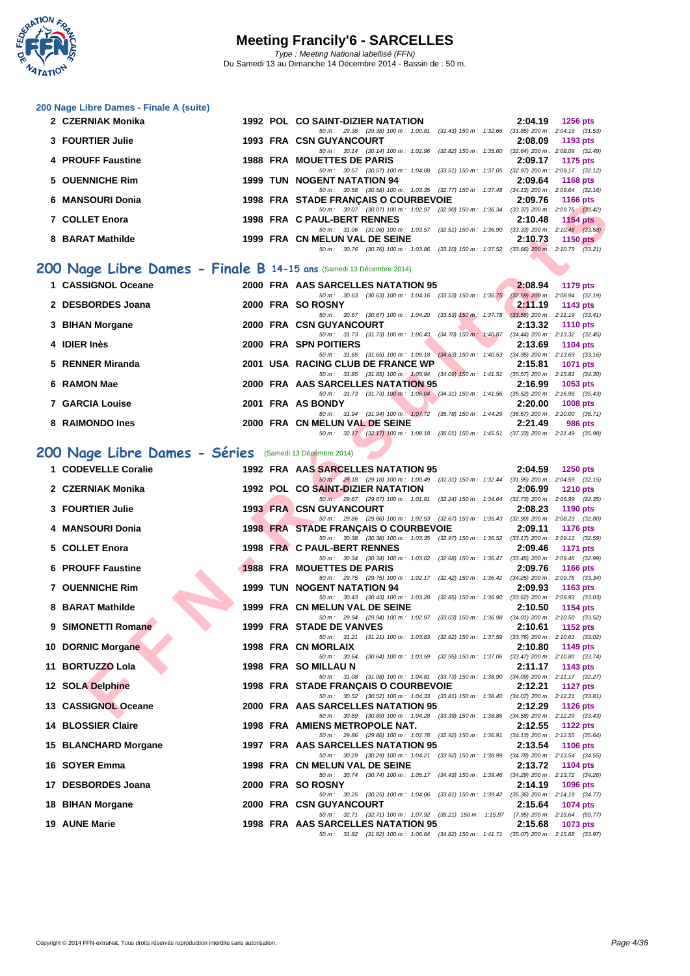

**[200 Nage](http://www.ffnatation.fr/webffn/index.php) Libre Dames - Finale A (suite)**

| 2 CZERNIAK Monika                                                  |  | 1992 POL CO SAINT-DIZIER NATATION                                                        | 2:04.19 | <b>1256 pts</b>                     |
|--------------------------------------------------------------------|--|------------------------------------------------------------------------------------------|---------|-------------------------------------|
|                                                                    |  | 50 m: 29.38 (29.38) 100 m: 1:00.81 (31.43) 150 m: 1:32.66 (31.85) 200 m: 2:04.19 (31.53) |         |                                     |
| 3 FOURTIER Julie                                                   |  | <b>1993 FRA CSN GUYANCOURT</b>                                                           | 2:08.09 | 1193 pts                            |
|                                                                    |  | 50 m: 30.14 (30.14) 100 m: 1:02.96 (32.82) 150 m: 1:35.60 (32.64) 200 m: 2:08.09 (32.49) |         |                                     |
| 4 PROUFF Faustine                                                  |  | 1988 FRA MOUETTES DE PARIS                                                               | 2:09.17 | 1175 pts                            |
|                                                                    |  | 50 m : 30.57 (30.57) 100 m : 1:04.08 (33.51) 150 m : 1:37.05                             |         | $(32.97)$ 200 m : 2:09.17 $(32.12)$ |
| 5 OUENNICHE Rim                                                    |  | 1999 TUN NOGENT NATATION 94                                                              | 2:09.64 | 1168 pts                            |
|                                                                    |  | 50 m: 30.58 (30.58) 100 m: 1:03.35 (32.77) 150 m: 1:37.48 (34.13) 200 m: 2:09.64 (32.16) |         |                                     |
| 6 MANSOURI Donia                                                   |  | <b>1998 FRA STADE FRANÇAIS O COURBEVOIE</b>                                              |         | 2:09.76 1166 pts                    |
|                                                                    |  | 50 m: 30.07 (30.07) 100 m: 1:02.97 (32.90) 150 m: 1:36.34 (33.37) 200 m: 2:09.76 (33.42) |         |                                     |
| 7 COLLET Enora                                                     |  | 1998 FRA C PAUL-BERT RENNES                                                              | 2:10.48 | $1154$ pts                          |
|                                                                    |  |                                                                                          |         |                                     |
|                                                                    |  | 50 m : 31.06 (31.06) 100 m : 1:03.57 (32.51) 150 m : 1:36.90                             |         | $(33.33)$ 200 m : 2:10.48 $(33.58)$ |
| 8 BARAT Mathilde                                                   |  | 1999 FRA CN MELUN VAL DE SEINE                                                           | 2:10.73 | 1150 $pts$                          |
|                                                                    |  | 50 m: 30.76 (30.76) 100 m: 1:03.86 (33.10) 150 m: 1:37.52 (33.66) 200 m: 2:10.73 (33.21) |         |                                     |
| 00 Nage Libre Dames - Finale B 14-15 ans (Samedi 13 Décembre 2014) |  |                                                                                          |         |                                     |

#### **200 Nage Libre Dames - Finale B 14-15 ans** (Samedi 13 Décembre 2014)

| 1 CASSIGNOL Oceane     |  | 2000 FRA AAS SARCELLES NATATION 95<br>2:08.94<br>1179 pts                                                                    |
|------------------------|--|------------------------------------------------------------------------------------------------------------------------------|
|                        |  | $(32.59)$ 200 m : 2:08.94 $(32.19)$<br>50 m : 30.63 (30.63) 100 m : 1:04.16 (33.53) 150 m : 1:36.75                          |
| 2 DESBORDES Joana      |  | 2000 FRA SO ROSNY<br>2:11.19<br>1143 pts                                                                                     |
|                        |  | 50 m : 30.67 (30.67) 100 m : 1:04.20 (33.53) 150 m : 1:37.78<br>$(33.58)$ 200 m : 2:11.19 $(33.41)$                          |
| 3 BIHAN Morgane        |  | 2000 FRA CSN GUYANCOURT<br>2:13.32<br><b>1110 pts</b>                                                                        |
|                        |  | $(34.44)$ 200 m : 2:13.32 $(32.45)$<br>50 m: 31.73 (31.73) 100 m: 1:06.43 (34.70) 150 m: 1:40.87                             |
| 4 IDIER Inès           |  | 2000 FRA SPN POITIERS<br>2:13.69<br>1104 pts                                                                                 |
|                        |  | 50 m : 31.65 (31.65) 100 m : 1:06.18 (34.53) 150 m : 1:40.53<br>$(34.35)$ 200 m : 2:13.69 $(33.16)$                          |
| 5 RENNER Miranda       |  | 2001 USA RACING CLUB DE FRANCE WP<br>2:15.81<br>1071 pts                                                                     |
|                        |  | $(35.57)$ 200 m : 2:15.81 $(34.30)$<br>50 m: 31.85 (31.85) 100 m: 1:05.94 (34.09) 150 m: 1:41.51                             |
| 6 RAMON Mae            |  | 2000 FRA AAS SARCELLES NATATION 95<br>2:16.99<br>$1053$ pts                                                                  |
|                        |  | 50 m : 31.73 (31.73) 100 m : 1:06.04 (34.31) 150 m : 1:41.56<br>$(35.52)$ 200 m : 2:16.99 $(35.43)$                          |
| <b>7 GARCIA Louise</b> |  | 2001 FRA AS BONDY<br>2:20.00<br><b>1008 pts</b>                                                                              |
|                        |  | $(36.57)$ 200 m : 2:20.00 $(35.71)$<br>50 m: 31.94 (31.94) 100 m: 1:07.72<br>$(35.78)$ 150 m : 1:44.29                       |
| 8 RAIMONDO Ines        |  | 2000 FRA CN MELUN VAL DE SEINE<br>2:21.49<br>986 pts                                                                         |
|                        |  | $50 \text{ m}$ : $32.17$ (32.17) $100 \text{ m}$ : 1:08.18<br>$(37.33)$ 200 m : 2:21.49 $(35.98)$<br>(36.01) 150 m : 1:45.51 |

### **200 Nage Libre Dames - Séries** (Samedi 13 Décembre 2014)

| 7 COLLET Enora<br><b>1999 FRA CN MELUN VAL DE SEINE</b><br>8 BARAT Mathilde |  | 50 m: 30.07 (30.07) 100 m: 1:02.97 (32.90) 150 m: 1:36.34 (33.37) 200 m: 2:09.76 (33.42)<br>1998 FRA C PAUL-BERT RENNES<br>2:10.48<br>1154 pts<br>50 m: 31.06 (31.06) 100 m: 1:03.57 (32.51) 150 m: 1:36.90 (33.33) 200 m: 2:10.48 (33.58) |
|-----------------------------------------------------------------------------|--|--------------------------------------------------------------------------------------------------------------------------------------------------------------------------------------------------------------------------------------------|
|                                                                             |  |                                                                                                                                                                                                                                            |
|                                                                             |  |                                                                                                                                                                                                                                            |
|                                                                             |  | 2:10.73<br>1150 $pts$<br>50 m: 30.76 (30.76) 100 m: 1:03.86 (33.10) 150 m: 1:37.52 (33.66) 200 m: 2:10.73 (33.21)                                                                                                                          |
| 00 Nage Libre Dames - Finale B 14-15 ans (Samedi 13 Décembre 2014)          |  |                                                                                                                                                                                                                                            |
|                                                                             |  |                                                                                                                                                                                                                                            |
| 1 CASSIGNOL Oceane                                                          |  | 2000 FRA AAS SARCELLES NATATION 95<br>2:08.94<br>1179 pts<br>50 m: 30.63 (30.63) 100 m: 1:04.16 (33.53) 150 m: 1:36.75 (32.59) 200 m: 2:08.94 (32.19)                                                                                      |
| 2 DESBORDES Joana                                                           |  | 2000 FRA SO ROSNY<br>2:11.19<br>1143 pts                                                                                                                                                                                                   |
| 3 BIHAN Morgane                                                             |  | 50 m: 30.67 (30.67) 100 m: 1:04.20 (33.53) 150 m: 1:37.78 (33.58) 200 m: 2:11.19 (33.41)<br>2000 FRA CSN GUYANCOURT<br>2:13.32<br>1110 pts                                                                                                 |
|                                                                             |  | 50 m: 31.73 (31.73) 100 m: 1:06.43 (34.70) 150 m: 1:40.87 (34.44) 200 m: 2:13.32 (32.45)                                                                                                                                                   |
| 4 IDIER Inès                                                                |  | 2000 FRA SPN POITIERS<br>2:13.69<br>1104 pts<br>50 m: 31.65 (31.65) 100 m: 1:06.18 (34.53) 150 m: 1:40.53 (34.35) 200 m: 2:13.69 (33.16)                                                                                                   |
| 5 RENNER Miranda                                                            |  | 2001 USA RACING CLUB DE FRANCE WP<br>2:15.81<br><b>1071 pts</b>                                                                                                                                                                            |
| 6 RAMON Mae                                                                 |  | 50 m: 31.85 (31.85) 100 m: 1:05.94 (34.09) 150 m: 1:41.51 (35.57) 200 m: 2:15.81 (34.30)<br>2000 FRA AAS SARCELLES NATATION 95<br>2:16.99<br><b>1053 pts</b>                                                                               |
|                                                                             |  | 50 m: 31.73 (31.73) 100 m: 1:06.04 (34.31) 150 m: 1:41.56 (35.52) 200 m: 2:16.99 (35.43)                                                                                                                                                   |
| <b>7 GARCIA Louise</b>                                                      |  | 2001 FRA AS BONDY<br>2:20.00<br>1008 pts<br>50 m: 31.94 (31.94) 100 m: 1:07.72 (35.78) 150 m: 1:44.29 (36.57) 200 m: 2:20.00 (35.71)                                                                                                       |
| 8 RAIMONDO Ines                                                             |  | 2000 FRA CN MELUN VAL DE SEINE<br>2:21.49<br>986 pts                                                                                                                                                                                       |
|                                                                             |  | 50 m: 32.17 (32.17) 100 m: 1:08.18 (36.01) 150 m: 1:45.51 (37.33) 200 m: 2:21.49 (35.98)                                                                                                                                                   |
| 00 Nage Libre Dames - Séries (Samedi 13 Décembre 2014)                      |  |                                                                                                                                                                                                                                            |
| 1 CODEVELLE Coralie                                                         |  | 1992 FRA AAS SARCELLES NATATION 95<br>2:04.59 1250 pts                                                                                                                                                                                     |
|                                                                             |  | 50 m: 29.18 (29.18) 100 m: 1:00.49 (31.31) 150 m: 1:32.44 (31.95) 200 m: 2:04.59 (32.15)                                                                                                                                                   |
| 2 CZERNIAK Monika                                                           |  | 1992 POL CO SAINT-DIZIER NATATION<br>2:06.99<br><b>1210 pts</b><br>50 m : 29.67 (29.67) 100 m : 1:01.91 (32.24) 150 m : 1:34.64 (32.73) 200 m : 2:06.99 (32.35)                                                                            |
| 3 FOURTIER Julie                                                            |  | <b>1993 FRA CSN GUYANCOURT</b><br>2:08.23<br><b>1190 pts</b>                                                                                                                                                                               |
| 4 MANSOURI Donia                                                            |  | 50 m: 29.86 (29.86) 100 m: 1:02.53 (32.67) 150 m: 1:35.43 (32.90) 200 m: 2:08.23 (32.80)<br><b>1998 FRA STADE FRANÇAIS O COURBEVOIE</b><br>2:09.11<br><b>1176 pts</b>                                                                      |
|                                                                             |  | 50 m: 30.38 (30.38) 100 m: 1:03.35 (32.97) 150 m: 1:36.52 (33.17) 200 m: 2:09.11 (32.59)                                                                                                                                                   |
| 5 COLLET Enora                                                              |  | 1998 FRA C PAUL-BERT RENNES<br>2:09.46<br><b>1171 pts</b><br>50 m: 30.34 (30.34) 100 m: 1:03.02 (32.68) 150 m: 1:36.47 (33.45) 200 m: 2:09.46 (32.99)                                                                                      |
| <b>6 PROUFF Faustine</b>                                                    |  | <b>1988 FRA MOUETTES DE PARIS</b><br>2:09.76<br><b>1166 pts</b>                                                                                                                                                                            |
| 7 OUENNICHE Rim                                                             |  | 50 m: 29.75 (29.75) 100 m: 1:02.17 (32.42) 150 m: 1:36.42 (34.25) 200 m: 2:09.76 (33.34)<br><b>1999 TUN NOGENT NATATION 94</b><br>2:09.93<br>1163 pts                                                                                      |
|                                                                             |  | 50 m: 30.43 (30.43) 100 m: 1:03.28 (32.85) 150 m: 1:36.90 (33.62) 200 m: 2:09.93 (33.03)                                                                                                                                                   |
| 8 BARAT Mathilde                                                            |  | 1999 FRA CN MELUN VAL DE SEINE<br>2:10.50<br>1154 pts<br>50 m: 29.94 (29.94) 100 m: 1:02.97 (33.03) 150 m: 1:36.98 (34.01) 200 m: 2:10.50 (33.52)                                                                                          |
| 9 SIMONETTI Romane                                                          |  | 1999 FRA STADE DE VANVES<br>2:10.61<br>1152 pts                                                                                                                                                                                            |
| 10 DORNIC Morgane                                                           |  | 50 m: 31.21 (31.21) 100 m: 1:03.83 (32.62) 150 m: 1:37.59 (33.76) 200 m: 2:10.61 (33.02)<br>1998 FRA CN MORLAIX<br>2:10.80<br>1149 pts                                                                                                     |
|                                                                             |  | 50 m: 30.64 (30.64) 100 m: 1:03.59 (32.95) 150 m: 1:37.06 (33.47) 200 m: 2:10.80 (33.74)                                                                                                                                                   |
| 11 BORTUZZO Lola                                                            |  | 1998 FRA SO MILLAU N<br>2:11.17<br>1143 pts<br>50 m: 31.08 (31.08) 100 m: 1:04.81 (33.73) 150 m: 1:38.90 (34.09) 200 m: 2:11.17 (32.27)                                                                                                    |
| 12 SOLA Delphine                                                            |  | 1998 FRA STADE FRANÇAIS O COURBEVOIE<br>2:12.21<br>1127 pts                                                                                                                                                                                |
| 13 CASSIGNOL Oceane                                                         |  | 50 m: 30.52 (30.52) 100 m: 1:04.33 (33.81) 150 m: 1:38.40 (34.07) 200 m: 2:12.21 (33.81)<br>2000 FRA AAS SARCELLES NATATION 95<br>2:12.29 1126 pts                                                                                         |
|                                                                             |  | 50 m: 30.89 (30.89) 100 m: 1:04.28 (33.39) 150 m: 1:38.86 (34.58) 200 m: 2:12.29 (33.43)                                                                                                                                                   |
| 14 BLOSSIER Claire                                                          |  | 1998 FRA AMIENS METROPOLE NAT.<br>2:12.55<br><b>1122 pts</b>                                                                                                                                                                               |
| 15 BLANCHARD Morgane                                                        |  | 50 m : 29.86 (29.86) 100 m : 1:02.78 (32.92) 150 m : 1:36.91<br>$(34.13)$ 200 m : 2:12.55 $(35.64)$<br>1997 FRA AAS SARCELLES NATATION 95<br>2:13.54<br><b>1106 pts</b>                                                                    |
|                                                                             |  | 50 m : 30.29 (30.29) 100 m : 1:04.21 (33.92) 150 m : 1:38.99 (34.78) 200 m : 2:13.54 (34.55)                                                                                                                                               |
| 16 SOYER Emma                                                               |  | 1998 FRA CN MELUN VAL DE SEINE<br>2:13.72<br>1104 pts<br>50 m: 30.74 (30.74) 100 m: 1:05.17 (34.43) 150 m: 1:39.46 (34.29) 200 m: 2:13.72 (34.26)                                                                                          |
| 17 DESBORDES Joana                                                          |  | 2000 FRA SOROSNY<br>2:14.19<br>1096 pts                                                                                                                                                                                                    |
|                                                                             |  | 50 m : 30.25 (30.25) 100 m : 1:04.06 (33.81) 150 m : 1:39.42 (35.36) 200 m : 2:14.19 (34.77)<br><b>2000 FRA CSN GUYANCOURT</b><br>2:15.64                                                                                                  |
|                                                                             |  | 1074 pts                                                                                                                                                                                                                                   |
| 18 BIHAN Morgane<br><b>19 AUNE Marie</b>                                    |  | 50 m: 32.71 (32.71) 100 m: 1:07.92 (35.21) 150 m: 1:15.87 (7.95) 200 m: 2:15.64 (59.77)<br>1998 FRA AAS SARCELLES NATATION 95<br>2:15.68<br>1073 pts                                                                                       |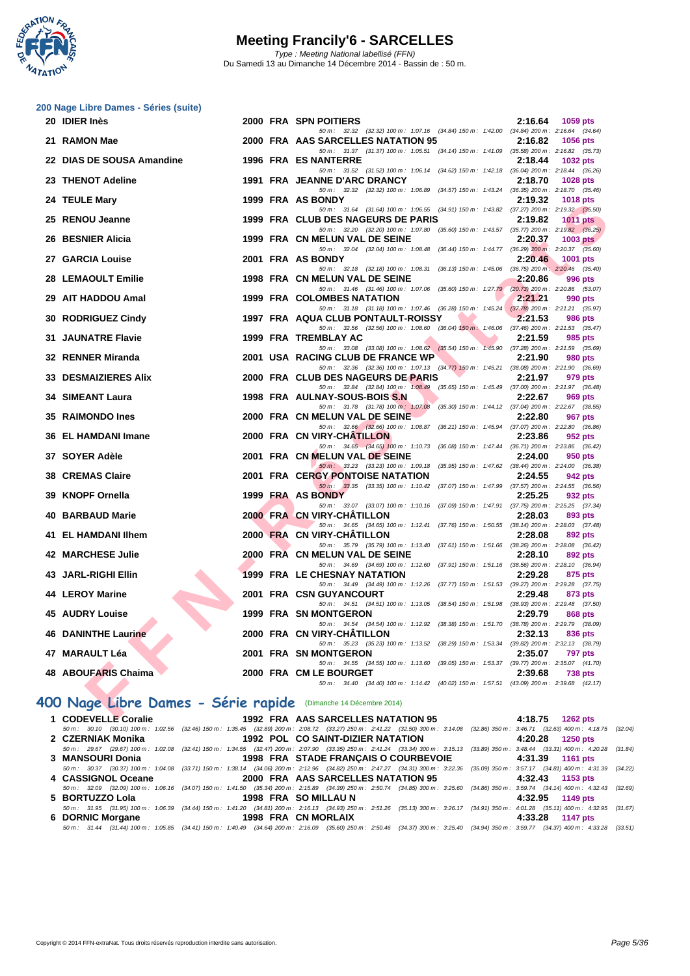

|    | 200 Nage Libre Dames - Séries (suite)<br>20 IDIER Inès          |  | 2000 FRA SPN POITIERS                                                                                                               | 2:16.64 | 1059 pts        |
|----|-----------------------------------------------------------------|--|-------------------------------------------------------------------------------------------------------------------------------------|---------|-----------------|
|    |                                                                 |  | 50 m: 32.32 (32.32) 100 m: 1:07.16 (34.84) 150 m: 1:42.00 (34.84) 200 m: 2:16.64 (34.64)                                            |         |                 |
|    | 21 RAMON Mae                                                    |  | 2000 FRA AAS SARCELLES NATATION 95                                                                                                  | 2:16.82 | <b>1056 pts</b> |
|    | 22 DIAS DE SOUSA Amandine                                       |  | 50 m: 31.37 (31.37) 100 m: 1:05.51 (34.14) 150 m: 1:41.09 (35.58) 200 m: 2:16.82 (35.73)<br><b>1996 FRA ES NANTERRE</b>             | 2:18.44 | <b>1032 pts</b> |
|    |                                                                 |  | 50 m: 31.52 (31.52) 100 m: 1:06.14 (34.62) 150 m: 1:42.18 (36.04) 200 m: 2:18.44 (36.26)                                            |         |                 |
|    | 23 THENOT Adeline                                               |  | 1991 FRA JEANNE D'ARC DRANCY<br>50 m: 32.32 (32.32) 100 m: 1:06.89 (34.57) 150 m: 1:43.24 (36.35) 200 m: 2:18.70 (35.46)            | 2:18.70 | 1028 pts        |
|    | 24 TEULE Mary                                                   |  | 1999 FRA AS BONDY                                                                                                                   | 2:19.32 | <b>1018 pts</b> |
|    |                                                                 |  | 50 m: 31.64 (31.64) 100 m: 1:06.55 (34.91) 150 m: 1:43.82 (37.27) 200 m: 2:19.32 (35.50)                                            |         |                 |
|    | 25 RENOU Jeanne                                                 |  | 1999 FRA CLUB DES NAGEURS DE PARIS<br>50 m: 32.20 (32.20) 100 m: 1:07.80 (35.60) 150 m: 1:43.57 (35.77) 200 m: 2:19.82 (36.25)      | 2:19.82 | <b>1011 pts</b> |
|    | 26 BESNIER Alicia                                               |  | 1999 FRA CN MELUN VAL DE SEINE                                                                                                      | 2:20.37 | $1003$ pts      |
|    |                                                                 |  | 50 m: 32.04 (32.04) 100 m: 1:08.48 (36.44) 150 m: 1:44.77 (36.29) 200 m: 2:20.37 (35.60)                                            |         |                 |
|    | 27 GARCIA Louise                                                |  | 2001 FRA AS BONDY<br>50 m: 32.18 (32.18) 100 m: 1:08.31 (36.13) 150 m: 1:45.06 (36.75) 200 m: 2:20.46 (35.40)                       | 2:20.46 | 1001 pts        |
|    | 28 LEMAOULT Emilie                                              |  | 1998 FRA CN MELUN VAL DE SEINE                                                                                                      | 2:20.86 | 996 pts         |
|    |                                                                 |  | 50 m: 31.46 (31.46) 100 m: 1:07.06 (35.60) 150 m: 1:27.79 (20.73) 200 m: 2:20.86 (53.07)                                            |         |                 |
|    | 29 AIT HADDOU Amal                                              |  | 1999 FRA COLOMBES NATATION<br>50 m: 31.18 (31.18) 100 m: 1:07.46 (36.28) 150 m: 1:45.24 (37.78) 200 m: 2:21.21 (35.97)              | 2:21.21 | 990 pts         |
|    | 30 RODRIGUEZ Cindy                                              |  | 1997 FRA AQUA CLUB PONTAULT-ROISSY                                                                                                  | 2:21.53 | <b>986 pts</b>  |
|    |                                                                 |  | 50 m: 32.56 (32.56) 100 m: 1:08.60 (36.04) 150 m: 1:46.06 (37.46) 200 m: 2:21.53 (35.47)                                            |         |                 |
|    | <b>31 JAUNATRE Flavie</b>                                       |  | 1999 FRA TREMBLAY AC<br>50 m: 33.08 (33.08) 100 m: 1:08.62 (35.54) 150 m: 1:45.90 (37.28) 200 m: 2:21.59 (35.69)                    | 2:21.59 | 985 pts         |
|    | 32 RENNER Miranda                                               |  | 2001 USA RACING CLUB DE FRANCE WP                                                                                                   | 2:21.90 | 980 pts         |
|    | 33 DESMAIZIERES Alix                                            |  | 50 m: 32.36 (32.36) 100 m: 1:07.13 (34.77) 150 m: 1:45.21 (38.08) 200 m: 2:21.90 (36.69)<br>2000 FRA CLUB DES NAGEURS DE PARIS      | 2:21.97 | 979 pts         |
|    |                                                                 |  | 50 m: 32.84 (32.84) 100 m: 1:08.49 (35.65) 150 m: 1:45.49 (37.00) 200 m: 2:21.97 (36.48)                                            |         |                 |
|    | 34 SIMEANT Laura                                                |  | 1998 FRA AULNAY-SOUS-BOIS S.N                                                                                                       | 2:22.67 | 969 pts         |
|    | 35 RAIMONDO Ines                                                |  | 50 m: 31.78 (31.78) 100 m: 1:07.08 (35.30) 150 m: 1:44.12 (37.04) 200 m: 2:22.67 (38.55)<br>2000 FRA CN MELUN VAL DE SEINE          | 2:22.80 | 967 pts         |
|    |                                                                 |  | 50 m : 32.66 (32.66) 100 m : 1:08.87 (36.21) 150 m : 1:45.94 (37.07) 200 m : 2:22.80 (36.86)                                        |         |                 |
|    | 36 EL HAMDANI Imane                                             |  | 2000 FRA CN VIRY-CHATILLON                                                                                                          | 2:23.86 | 952 pts         |
|    | 37 SOYER Adèle                                                  |  | 50 m: 34.65 (34.65) 100 m: 1:10.73 (36.08) 150 m: 1:47.44 (36.71) 200 m: 2:23.86 (36.42)<br>2001 FRA CN MELUN VAL DE SEINE          | 2:24.00 | 950 pts         |
|    |                                                                 |  | 50 m: 33.23 (33.23) 100 m: 1:09.18 (35.95) 150 m: 1:47.62 (38.44) 200 m: 2:24.00 (36.38)                                            |         |                 |
|    | <b>38 CREMAS Claire</b>                                         |  | <b>2001 FRA CERGY PONTOISE NATATION</b><br>50 m: 33.35 (33.35) 100 m: 1:10.42 (37.07) 150 m: 1:47.99 (37.57) 200 m: 2:24.55 (36.56) | 2:24.55 | 942 pts         |
|    | 39 KNOPF Ornella                                                |  | 1999 FRA AS BONDY                                                                                                                   | 2:25.25 | 932 pts         |
|    |                                                                 |  | 50 m: 33.07 (33.07) 100 m: 1:10.16 (37.09) 150 m: 1:47.91 (37.75) 200 m: 2:25.25 (37.34)                                            |         |                 |
| 40 | <b>BARBAUD Marie</b>                                            |  | 2000 FRA CN VIRY-CHATILLON<br>50 m: 34.65 (34.65) 100 m: 1:12.41 (37.76) 150 m: 1:50.55 (38.14) 200 m: 2:28.03 (37.48)              | 2:28.03 | 893 pts         |
|    | 41 EL HAMDANI Ilhem                                             |  | 2000 FRA CN VIRY-CHATILLON                                                                                                          | 2:28.08 | 892 pts         |
|    | 42 MARCHESE Julie                                               |  | 50 m: 35.79 (35.79) 100 m: 1:13.40 (37.61) 150 m: 1:51.66 (38.26) 200 m: 2:28.08 (36.42)<br>2000 FRA CN MELUN VAL DE SEINE          | 2:28.10 | 892 pts         |
|    |                                                                 |  | 50 m: 34.69 (34.69) 100 m: 1:12.60 (37.91) 150 m: 1:51.16 (38.56) 200 m: 2:28.10 (36.94)                                            |         |                 |
|    | 43 JARL-RIGHI Ellin                                             |  | <b>1999 FRA LE CHESNAY NATATION</b>                                                                                                 | 2:29.28 | 875 pts         |
|    | 44 LEROY Marine                                                 |  | 50 m: 34.49 (34.49) 100 m: 1:12.26 (37.77) 150 m: 1:51.53 (39.27) 200 m: 2:29.28 (37.75)<br>2001 FRA CSN GUYANCOURT                 | 2:29.48 | 873 pts         |
|    |                                                                 |  | 50 m: 34.51 (34.51) 100 m: 1:13.05 (38.54) 150 m: 1:51.98 (38.93) 200 m: 2:29.48 (37.50)                                            |         |                 |
|    | <b>45 AUDRY Louise</b><br><b>A</b>                              |  | <b>1999 FRA SN MONTGERON</b><br>50 m: 34.54 (34.54) 100 m: 1:12.92 (38.38) 150 m: 1:51.70 (38.78) 200 m: 2:29.79 (38.09)            | 2:29.79 | <b>868 pts</b>  |
|    | <b>46 DANINTHE Laurine</b>                                      |  | 2000 FRA CN VIRY-CHATILLON                                                                                                          | 2:32.13 | 836 pts         |
|    |                                                                 |  | 50 m: 35.23 (35.23) 100 m: 1:13.52 (38.29) 150 m: 1:53.34 (39.82) 200 m: 2:32.13 (38.79)                                            |         |                 |
|    | 47 MARAULT Léa                                                  |  | 2001 FRA SN MONTGERON<br>50 m: 34.55 (34.55) 100 m: 1:13.60 (39.05) 150 m: 1:53.37 (39.77) 200 m: 2:35.07 (41.70)                   | 2:35.07 | 797 pts         |
|    | 48 ABOUFARIS Chaima                                             |  | 2000 FRA CM LE BOURGET                                                                                                              | 2:39.68 | 738 pts         |
|    |                                                                 |  | 50 m: 34.40 (34.40) 100 m: 1:14.42 (40.02) 150 m: 1:57.51 (43.09) 200 m: 2:39.68 (42.17)                                            |         |                 |
|    | 400 Nage Libre Dames - Série rapide (Dimanche 14 Décembre 2014) |  |                                                                                                                                     |         |                 |
|    | S                                                               |  | A AC CADCELLEC MATATION OF                                                                                                          |         |                 |

### **400 Nage Libre Dames - Série rapide** (Dimanche 14 Décembre 2014)

| 1 CODEVELLE Coralie | 1992 FRA AAS SARCELLES NATATION 95                                                                                                                                                           | 4:18.75 1262 pts |
|---------------------|----------------------------------------------------------------------------------------------------------------------------------------------------------------------------------------------|------------------|
|                     | 50 m : 30.10 (30.10) 100 m : 1:02.56 (32.46) 150 m : 1:35.45 (32.89) 200 m : 2:08.72 (33.27) 250 m : 2:41.22 (32.50) 300 m : 3:14.08 (32.86) 350 m : 3:46.71 (32.63) 400 m : 4:18.75 (32.04) |                  |
| 2 CZERNIAK Monika   | 1992 POL CO SAINT-DIZIER NATATION                                                                                                                                                            | 4:20.28 1250 pts |
|                     | 50 m : 29.67 (29.67) 100 m : 1:02.08 (32.41) 150 m : 1:34.55 (32.47) 200 m : 2:07.90 (33.35) 250 m : 2:41.24 (33.34) 300 m : 3:15.13 (33.89) 350 m : 3:48.44 (33.31) 400 m : 4:20.28 (31.84) |                  |
| 3 MANSOURI Donia    | <b>1998 FRA STADE FRANÇAIS O COURBEVOIE</b>                                                                                                                                                  | 4:31.39 1161 pts |
|                     | 50 m: 30.37 (30.37) 100 m: 1:04.08 (33.71) 150 m: 1:38.14 (34.06) 200 m: 2:12.96 (34.82) 250 m: 2:47.27 (34.31) 300 m: 3:22.36 (35.09) 350 m: 3:57.17 (34.81) 400 m: 4:31.39 (34.22)         |                  |
| 4 CASSIGNOL Oceane  | 2000 FRA AAS SARCELLES NATATION 95 4:32.43 1153 pts                                                                                                                                          |                  |
|                     | 50 m : 32.09 (32.09) 100 m : 1:06.16 (34.07) 150 m : 1:41.50 (35.34) 200 m : 2:15.89 (34.39) 250 m : 2:50.74 (34.85) 300 m : 3:25.60 (34.86) 350 m : 3:59.74 (34.14) 400 m : 4:32.43 (32.69) |                  |
|                     |                                                                                                                                                                                              | 4:32.95 1149 pts |
|                     | 50 m: 31.95 (31.95) 100 m: 1:06.39 (34.44) 150 m: 1:41.20 (34.81) 200 m: 2:16.13 (34.93) 250 m: 2:51.26 (35.13) 300 m: 3:26.17 (34.91) 350 m: 4:01.28 (35.11) 400 m: 4:32.95 (31.67)         |                  |
|                     |                                                                                                                                                                                              | 4:33.28 1147 pts |
|                     | 50 m: 31.44 (31.44) 100 m: 1:05.85 (34.41) 150 m: 1:40.49 (34.64) 200 m: 2:16.09 (35.60) 250 m: 2:50.46 (34.37) 300 m: 3:25.40 (34.94) 350 m: 3:59.77 (34.37) 400 m: 4:33.28 (33.51)         |                  |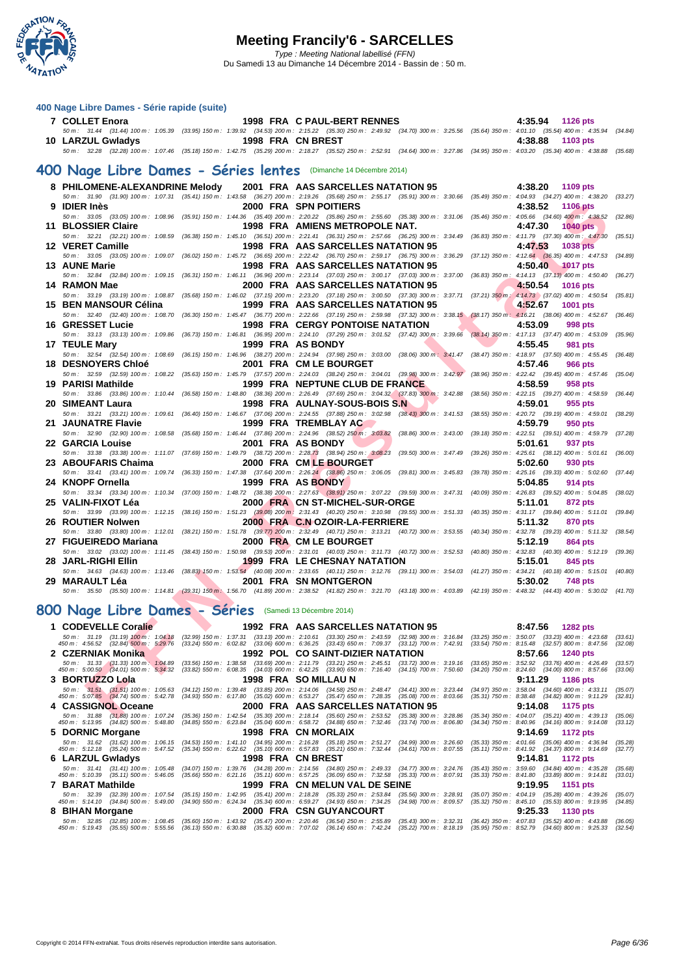

| 7 COLLET Enora    | 1998 FRA C PAUL-BERT RENNES                                                                                                                                                                  | 4:35.94 1126 pts      |
|-------------------|----------------------------------------------------------------------------------------------------------------------------------------------------------------------------------------------|-----------------------|
|                   | 50 m: 31.44 (31.44) 100 m: 1:05.39 (33.95) 150 m: 1:39.92 (34.53) 200 m: 2:15.22 (35.30) 250 m: 2:49.92 (34.70) 300 m: 3:25.56 (35.64) 350 m: 4:01.10 (35.54) 400 m: 4:35.94 (34.84)         |                       |
| 10 LARZUL Gwladys | 1998 FRA CN BREST                                                                                                                                                                            | 4:38.88<br>$1103$ pts |
|                   | 50 m : 32.28 (32.28) 100 m : 1:07.46 (35.18) 150 m : 1:42.75 (35.29) 200 m : 2:18.27 (35.52) 250 m : 2:52.91 (34.64) 300 m : 3:27.86 (34.95) 350 m : 4:03.20 (35.34) 400 m : 4:38.88 (35.68) |                       |
|                   |                                                                                                                                                                                              |                       |
|                   | 400 Nage Libre Dames - Séries lentes (Dimanche 14 Décembre 2014)<br>8 PHILOMENE-ALEXANDRINE Melody 2001 FRA AAS SARCELLES NATATION 95                                                        | 4:38.20<br>1109 $pts$ |
|                   | 50 m: 31.90 (31.90) 100 m: 1:07.31 (35.41) 150 m: 1:43.58 (36.27) 200 m: 2:19.26 (35.68) 250 m: 2:55.17 (35.91) 300 m: 3:30.66 (35.49) 350 m: 4:04.93 (34.27) 400 m: 4:38.20 (33.27)         |                       |
| 9 IDIER Inès      | 2000 FRA SPN POITIERS                                                                                                                                                                        | 4:38.52 1106 pts      |
|                   | 50 m : 33.05 (33.05) 100 m : 1:08.96 (35.91) 150 m : 1:44.36 (35.40) 200 m : 2:20.22 (35.86) 250 m : 2:55.60 (35.38) 300 m : 3:31.06 (35.46) 350 m : 4:05.66 (34.60) 400 m : 4:38.52 (32.86) |                       |

| 9 IDIER Inès                                                                                                                                                                            | 2000 FRA SPN POITIERS                    |                                                                                                                                                                                      | 4:38.52<br><b>1106 pts</b>                                                                                                                                                                      |
|-----------------------------------------------------------------------------------------------------------------------------------------------------------------------------------------|------------------------------------------|--------------------------------------------------------------------------------------------------------------------------------------------------------------------------------------|-------------------------------------------------------------------------------------------------------------------------------------------------------------------------------------------------|
|                                                                                                                                                                                         |                                          |                                                                                                                                                                                      | 50 m: 33.05 (33.05) 100 m: 1:08.96 (35.91) 150 m: 1:44.36 (35.40) 200 m: 2:20.22 (35.86) 250 m: 2:55.60 (35.38) 300 m: 3:31.06 (35.46) 350 m: 4:05.66 (34.60) 400 m: 4:38.52 (32.86)            |
| 11 BLOSSIER Claire                                                                                                                                                                      | 1998 FRA AMIENS METROPOLE NAT.           |                                                                                                                                                                                      | 4:47.30<br><b>1040 pts</b>                                                                                                                                                                      |
|                                                                                                                                                                                         |                                          | 50 m: 32.21 (32.21) 100 m: 1:08.59 (36.38) 150 m: 1:45.10 (36.51) 200 m: 2:21.41 (36.31) 250 m: 2:57.66 (36.25) 300 m: 3:34.49 (36.83) 350 m: 4:11.79 (37.30) 400 m: 4:47.30         | (35.51)                                                                                                                                                                                         |
| 12 VERET Camille                                                                                                                                                                        | 1998 FRA AAS SARCELLES NATATION 95       |                                                                                                                                                                                      | 4:47.53<br>1038 pts                                                                                                                                                                             |
|                                                                                                                                                                                         |                                          |                                                                                                                                                                                      | 50 m : 33.05 (33.05) 100 m : 1:09.07 (36.02) 150 m : 1:45.72 (36.65) 200 m : 2:22.42 (36.70) 250 m : 2:59.17 (36.75) 300 m : 3:36.29 (37.12) 350 m : 4:12.64 (36.35) 400 m : 4:47.53 (34.89)    |
| 13 AUNE Marie                                                                                                                                                                           | 1998 FRA AAS SARCELLES NATATION 95       |                                                                                                                                                                                      | 4:50.40<br><b>1017 pts</b>                                                                                                                                                                      |
|                                                                                                                                                                                         |                                          |                                                                                                                                                                                      | 50 m: 32.84 (32.84) 100 m: 1:09.15 (36.31) 150 m: 1:46.11 (36.96) 200 m: 2:23.14 (37.03) 250 m: 3:00.17 (37.03) 300 m: 3:37.00 (36.83) 350 m: 4:14.13 (37.13) 400 m: 4:50.40 (36.27)            |
| 14 RAMON Mae                                                                                                                                                                            | 2000 FRA AAS SARCELLES NATATION 95       |                                                                                                                                                                                      | 4:50.54<br><b>1016 pts</b>                                                                                                                                                                      |
|                                                                                                                                                                                         |                                          |                                                                                                                                                                                      | 50 m: 33.19 (33.19) 100 m: 1:08.87 (35.68) 150 m: 1:46.02 (37.15) 200 m: 2:23.20 (37.18) 250 m: 3:00.50 (37.30) 300 m: 3:37.71 (37.21) 350 m: 4:14.73 (37.02) 400 m: 4:50.54 (35.81)            |
| 15 BEN MANSOUR Célina                                                                                                                                                                   | 1999 FRA AAS SARCELLES NATATION 95       |                                                                                                                                                                                      | 4:52.67<br><b>1001 pts</b>                                                                                                                                                                      |
|                                                                                                                                                                                         |                                          |                                                                                                                                                                                      | 50 m : 32.40 (32.40) 100 m : 1:08.70 (36.30) 150 m : 1:45.47 (36.77) 200 m : 2:22.66 (37.19) 250 m : 2:59.98 (37.32) 300 m : 3:38.15 (38.17) 350 m : 4:16.21 (38.06) 400 m : 4:52.67 (36.46)    |
| 16 GRESSET Lucie                                                                                                                                                                        | <b>1998 FRA CERGY PONTOISE NATATION</b>  |                                                                                                                                                                                      | 4:53.09<br>998 pts                                                                                                                                                                              |
|                                                                                                                                                                                         |                                          |                                                                                                                                                                                      | 50 m: 33.13 (33.13) 100 m: 1:09.86 (36.73) 150 m: 1:46.81 (36.95) 200 m: 2:24.10 (37.29) 250 m: 3:01.52 (37.42) 300 m: 3:39.66 (38.14) 350 m: 4:17.13 (37.47) 400 m: 4:53.09 (35.96)            |
| 17 TEULE Mary                                                                                                                                                                           | 1999 FRA AS BONDY                        |                                                                                                                                                                                      | 4:55.45<br>981 pts                                                                                                                                                                              |
|                                                                                                                                                                                         |                                          |                                                                                                                                                                                      | 50 m: 32.54 (32.54) 100 m: 1:08.69 (36.15) 150 m: 1:46.96 (38.27) 200 m: 2:24.94 (37.98) 250 m: 3:03.00 (38.06) 300 m: 3:41.47 (38.47) 350 m: 4:18.97 (37.50) 400 m: 4:55.45 (36.48)            |
| <b>18 DESNOYERS Chloé</b>                                                                                                                                                               | 2001 FRA CM LE BOURGET                   |                                                                                                                                                                                      | 4:57.46<br><b>966 pts</b>                                                                                                                                                                       |
|                                                                                                                                                                                         |                                          |                                                                                                                                                                                      | 50 m : 32.59 (32.59) 100 m : 1:08.22 (35.63) 150 m : 1:45.79 (37.57) 200 m : 2:24.03 (38.24) 250 m : 3:04.01 (39.98) 300 m : 3:42.97 (38.96) 350 m : 4:22.42 (39.45) 400 m : 4:57.46 (35.04)    |
| 19 PARISI Mathilde                                                                                                                                                                      | 1999 FRA NEPTUNE CLUB DE FRANCE          |                                                                                                                                                                                      | 4:58.59<br>958 pts                                                                                                                                                                              |
|                                                                                                                                                                                         |                                          | 50 m : 33.86 (33.86) 100 m : 1:10.44 (36.58) 150 m : 1:48.80 (38.36) 200 m : 2:26.49 (37.69) 250 m : 3:04.32 (37.83) 300 m : 3:42.88 (38.56) 350 m : 4:22.15 (39.27) 400 m : 4:58.59 | (36.44)                                                                                                                                                                                         |
| 20 SIMEANT Laura                                                                                                                                                                        | 1998 FRA AULNAY-SOUS-BOIS S.N            |                                                                                                                                                                                      | 4:59.01<br>955 pts                                                                                                                                                                              |
| 21 JAUNATRE Flavie                                                                                                                                                                      | 1999 FRA TREMBLAY AC                     | 50 m: 33.21 (33.21) 100 m: 1:09.61 (36.40) 150 m: 1:46.67 (37.06) 200 m: 2:24.55 (37.88) 250 m: 3:02.98 (38.43) 300 m: 3:41.53 (38.55) 350 m: 4:20.72 (39.19) 400 m: 4:59.01         | (38.29)<br>4:59.79                                                                                                                                                                              |
|                                                                                                                                                                                         |                                          | 50 m : 32.90 (32.90) 100 m : 1:08.58 (35.68) 150 m : 1:46.44 (37.86) 200 m : 2:24.96 (38.52) 250 m : 3:03.82 (38.86) 300 m : 3:43.00 (39.18) 350 m : 4:22.51 (39.51) 400 m : 4:59.79 | 950 pts<br>(37.28)                                                                                                                                                                              |
| 22 GARCIA Louise                                                                                                                                                                        | 2001 FRA AS BONDY                        |                                                                                                                                                                                      | 5:01.61                                                                                                                                                                                         |
|                                                                                                                                                                                         |                                          | 50 m: 33.38 (33.38) 100 m: 1:11.07 (37.69) 150 m: 1:49.79 (38.72) 200 m: 2:28.73 (38.94) 250 m: 3:08.23 (39.50) 300 m: 3:47.49 (39.26) 350 m: 4:25.61 (38.12) 400 m: 5:01.61         | 937 pts<br>(36.00)                                                                                                                                                                              |
| 23 ABOUFARIS Chaima                                                                                                                                                                     | 2000 FRA CM LE BOURGET                   |                                                                                                                                                                                      | 5:02.60<br>930 pts                                                                                                                                                                              |
|                                                                                                                                                                                         |                                          |                                                                                                                                                                                      | 50 m: 33.41 (33.41) 100 m: 1:09.74 (36.33) 150 m: 1:47.38 (37.64) 200 m: 2:26.24 (38.86) 250 m: 3:06.05 (39.81) 300 m: 3:45.83 (39.78) 350 m: 4:25.16 (39.33) 400 m: 5:02.60 (37.44)            |
| 24 KNOPF Ornella                                                                                                                                                                        | 1999 FRA AS BONDY                        |                                                                                                                                                                                      | 5:04.85<br>914 pts                                                                                                                                                                              |
|                                                                                                                                                                                         |                                          |                                                                                                                                                                                      | 50 m: 33.34 (33.34) 100 m: 1:10.34 (37.00) 150 m: 1:48.72 (38.38) 200 m: 2:27.63 (38.91) 250 m: 3:07.22 (39.59) 300 m: 3:47.31 (40.09) 350 m: 4:26.83 (39.52) 400 m: 5:04.85 (38.02)            |
| 25 VALIN-FIXOT Léa                                                                                                                                                                      | 2000 FRA CN ST-MICHEL-SUR-ORGE           |                                                                                                                                                                                      | 5:11.01<br>872 pts                                                                                                                                                                              |
|                                                                                                                                                                                         |                                          |                                                                                                                                                                                      | 50 m: 33.99 (33.99) 100 m: 1:12.15 (38.16) 150 m: 1:51.23 (39.08) 200 m: 2:31.43 (40.20) 250 m: 3:10.98 (39.55) 300 m: 3:51.33 (40.35) 350 m: 4:31.17 (39.84) 400 m: 5:11.01 (39.84)            |
| 26 ROUTIER Nolwen                                                                                                                                                                       | 2000 FRA C.N OZOIR-LA-FERRIERE           |                                                                                                                                                                                      | 5:11.32<br>870 pts                                                                                                                                                                              |
|                                                                                                                                                                                         |                                          |                                                                                                                                                                                      | 50 m: 33.80 (33.80) 100 m: 1:12.01 (38.21) 150 m: 1:51.78 (39.77) 200 m: 2:32.49 (40.71) 250 m: 3:13.21 (40.72) 300 m: 3:53.55 (40.34) 350 m: 4:32.78 (39.23) 400 m: 5:11.32 (38.54)            |
| 27 FIGUEIREDO Mariana                                                                                                                                                                   | 2000 FRA CM LE BOURGET                   |                                                                                                                                                                                      | 5:12.19<br>864 pts                                                                                                                                                                              |
|                                                                                                                                                                                         |                                          |                                                                                                                                                                                      | 50 m: 33.02 (33.02) 100 m: 1:11.45 (38.43) 150 m: 1:50.98 (39.53) 200 m: 2:31.01 (40.03) 250 m: 3:11.73 (40.72) 300 m: 3:52.53 (40.80) 350 m: 4:32.83 (40.30) 400 m: 5:12.19 (39.36)            |
| 28 JARL-RIGHI Ellin                                                                                                                                                                     | <b>1999 FRA LE CHESNAY NATATION</b>      |                                                                                                                                                                                      | 5:15.01<br>845 pts                                                                                                                                                                              |
|                                                                                                                                                                                         |                                          |                                                                                                                                                                                      | 50 m: 34.63 (34.63) 100 m: 1:13.46 (38.83) 150 m: 1:53.54 (40.08) 200 m: 2:33.65 (40.11) 250 m: 3:12.76 (39.11) 300 m: 3:54.03 (41.27) 350 m: 4:34.21 (40.18) 400 m: 5:15.01 (40.80)            |
| 29 MARAULT Léa                                                                                                                                                                          | <b>2001 FRA SN MONTGERON</b>             |                                                                                                                                                                                      | 5:30.02<br><b>748 pts</b>                                                                                                                                                                       |
|                                                                                                                                                                                         |                                          |                                                                                                                                                                                      | 50 m: 35.50 (35.50) 100 m: 1:14.81 (39.31) 150 m: 1:56.70 (41.89) 200 m: 2:38.52 (41.82) 250 m: 3:21.70 (43.18) 300 m: 4:03.89 (42.19) 350 m: 4:48.32 (44.43) 400 m: 5:30.02 (41.70)            |
|                                                                                                                                                                                         |                                          |                                                                                                                                                                                      |                                                                                                                                                                                                 |
| 100 Nage Libre Dames - Séries (Samedi 13 Décembre 2014)                                                                                                                                 |                                          |                                                                                                                                                                                      |                                                                                                                                                                                                 |
|                                                                                                                                                                                         |                                          |                                                                                                                                                                                      |                                                                                                                                                                                                 |
| 1 CODEVELLE Coralie                                                                                                                                                                     | 1992 FRA AAS SARCELLES NATATION 95       |                                                                                                                                                                                      | 8:47.56<br>1282 pts                                                                                                                                                                             |
| 450 m : 4:56.52 (32.84) 500 m : 5:29.76 (33.24) 550 m : 6:02.82 (33.06) 600 m : 6:36.25 (33.43) 650 m : 7:09.37 (33.12) 700 m : 7:42.91 (33.54) 750 m : 8:15.48 (32.57) 800 m : 8:47.56 |                                          | 50 m : 31.19 (31.19) 100 m : 1:04.18 (32.99) 150 m : 1:37.31 (33.13) 200 m : 2:10.61 (33.30) 250 m : 2:43.59 (32.98) 300 m : 3:16.84 (33.25) 350 m : 3:50.07 (33.23) 400 m : 4:23.68 | (33.61)<br>(32.08)                                                                                                                                                                              |
| 2   CZERNIAK Monika                                                                                                                                                                     | <b>1992 POL CO SAINT-DIZIER NATATION</b> |                                                                                                                                                                                      | 8:57.66<br><b>1240 pts</b>                                                                                                                                                                      |
|                                                                                                                                                                                         |                                          | 50 m: 31.33 (31.33) 100 m: 1:04.89 (33.56) 150 m: 1:38.58 (33.69) 200 m: 2:11.79 (33.21) 250 m: 2:45.51 (33.72) 300 m: 3:19.16 (33.65) 350 m: 3:52.92 (33.76) 400 m: 4:26.49         | (33.57)                                                                                                                                                                                         |
| 450 m : 5:00.50 (34.01) 500 m : 5:34.32 (33.82) 550 m : 6:08.35 (34.03) 600 m : 6:42.25 (33.90) 650 m : 7:16.40 (34.15) 700 m : 7:50.60                                                 |                                          | $(34.20)$ 750 m : 8:24.60                                                                                                                                                            | $(34.00)$ 800 m : 8:57.66<br>(33.06)                                                                                                                                                            |
| 3 BORTUZZO Lola                                                                                                                                                                         | 1998 FRA SO MILLAU N                     |                                                                                                                                                                                      | 9:11.29<br>1186 pts                                                                                                                                                                             |
| 450 m : 5:07.85 (34.74) 500 m : 5:42.78 (34.93) 550 m : 6:17.80 (35.02) 600 m : 6:53.27 (35.47) 650 m : 7:28.35 (35.08) 700 m : 8:03.66 (35.31) 750 m : 8:38.48 (34.82) 800 m : 9:11.29 |                                          |                                                                                                                                                                                      | 50 m: 31.51 (31.51) 100 m: 1:05.63 (34.12) 150 m: 1:39.48 (33.85) 200 m: 2:14.06 (34.58) 250 m: 2:48.47 (34.41) 300 m: 3:23.44 (34.97) 350 m: 3:58.04 (34.60) 400 m: 4:33.11 (35.07)<br>(32.81) |
| 4 CASSIGNOL Oceane                                                                                                                                                                      | 2000 FRA AAS SARCELLES NATATION 95       |                                                                                                                                                                                      | 9:14.08<br>1175 pts                                                                                                                                                                             |
|                                                                                                                                                                                         |                                          |                                                                                                                                                                                      | 50 m: 31.88 (31.88) 100 m: 1:07.24 (35.36) 150 m: 1:42.54 (35.30) 200 m: 2:18.14 (35.60) 250 m: 2:53.52 (35.38) 300 m: 3:28.86 (35.34) 350 m: 4:04.07 (35.21) 400 m: 4:39.13 (35.06)            |

### **800 Nage Libre Dames - Séries** (Samedi 13 Décembre 2014)

| 1 CODEVELLE Coralie |                                                                                                                                                                                      |  |                      | 1992 FRA AAS SARCELLES NATATION 95                                                                                                              |  |  | 8:47.56 1282 pts |                    |         |
|---------------------|--------------------------------------------------------------------------------------------------------------------------------------------------------------------------------------|--|----------------------|-------------------------------------------------------------------------------------------------------------------------------------------------|--|--|------------------|--------------------|---------|
|                     | 50 m: 31.19 (31.19) 100 m: 1:04.18 (32.99) 150 m: 1:37.31 (33.13) 200 m: 2:10.61 (33.30) 250 m: 2:43.59 (32.98) 300 m: 3:16.84 (33.25) 350 m: 3:50.07 (33.23) 400 m: 4:23.68         |  |                      |                                                                                                                                                 |  |  |                  |                    | (33.61) |
|                     | 450 m : 4:56.52 (32.84) 500 m : 5:29.76                                                                                                                                              |  |                      | (33.24) 550 m : 6:02.82 (33.06) 600 m : 6:36.25 (33.43) 650 m : 7:09.37 (33.12) 700 m : 7:42.91 (33.54) 750 m : 8:15.48 (32.57) 800 m : 8:47.56 |  |  |                  |                    | (32.08) |
| 2 CZERNIAK Monika   |                                                                                                                                                                                      |  |                      | 1992 POL CO SAINT-DIZIER NATATION                                                                                                               |  |  | 8:57.66          | <b>1240 pts</b>    |         |
|                     | 50 m: 31.33 (31.33) 100 m: 1:04.89 (33.56) 150 m: 1:38.58 (33.69) 200 m: 2:11.79 (33.21) 250 m: 2:45.51 (33.72) 300 m: 3:19.16 (33.65) 350 m: 3:52.92 (33.76) 400 m: 4:26.49         |  |                      |                                                                                                                                                 |  |  |                  |                    | (33.57) |
|                     | 450 m : 5:00.50 (34.01) 500 m : 5:34.32                                                                                                                                              |  |                      | (33.82) 550 m: 6:08.35 (34.03) 600 m: 6:42.25 (33.90) 650 m: 7:16.40 (34.15) 700 m: 7:50.60 (34.20) 750 m: 8:24.60 (34.00) 800 m: 8:57.66       |  |  |                  |                    | (33.06) |
| 3 BORTUZZO Lola     |                                                                                                                                                                                      |  | 1998 FRA SO MILLAU N |                                                                                                                                                 |  |  |                  | 9:11.29 1186 pts   |         |
|                     | 50 m: 31.51 (31.51) 100 m: 1:05.63 (34.12) 150 m: 1:39.48 (33.85) 200 m: 2:14.06 (34.58) 250 m: 2:48.47 (34.41) 300 m: 3:23.44 (34.97) 350 m: 3:58.04 (34.60) 400 m: 4:33.11         |  |                      |                                                                                                                                                 |  |  |                  |                    | (35.07) |
|                     | 450 m : 5:07.85 (34.74) 500 m : 5:42.78                                                                                                                                              |  |                      | (34.93) 550 m: 6:17.80 (35.02) 600 m: 6:53.27 (35.47) 650 m: 7:28.35 (35.08) 700 m: 8:03.66 (35.31) 750 m: 8:38.48 (34.82) 800 m: 9:11.29       |  |  |                  |                    | (32.81) |
| 4 CASSIGNOL Oceane  |                                                                                                                                                                                      |  |                      | 2000 FRA AAS SARCELLES NATATION 95                                                                                                              |  |  | 9:14.08 1175 pts |                    |         |
|                     | 50 m: 31.88 (31.88) 100 m: 1:07.24 (35.36) 150 m: 1:42.54 (35.30) 200 m: 2:18.14 (35.60) 250 m: 2:53.52 (35.38) 300 m: 3:28.86 (35.34) 350 m: 4:04.07 (35.21) 400 m: 4:39.13         |  |                      |                                                                                                                                                 |  |  |                  |                    | (35.06) |
|                     | 450 m: 5:13.95 (34.82) 500 m: 5:48.80 (34.85) 550 m: 6:23.84 (35.04) 600 m: 6:58.72 (34.88) 650 m: 7:32.46 (33.74) 700 m: 8:06.80 (34.34) 750 m: 8:40.96 (34.16) 800 m: 9:14.08      |  |                      |                                                                                                                                                 |  |  |                  |                    | (33.12) |
| 5 DORNIC Morgane    |                                                                                                                                                                                      |  | 1998 FRA CN MORLAIX  |                                                                                                                                                 |  |  |                  | $9:14.69$ 1172 pts |         |
|                     | 50 m: 31.62 (31.62) 100 m: 1:06.15 (34.53) 150 m: 1:41.10 (34.95) 200 m: 2:16.28 (35.18) 250 m: 2:51.27 (34.99) 300 m: 3:26.60 (35.33) 350 m: 4:01.66 (35.06) 400 m: 4:36.94         |  |                      |                                                                                                                                                 |  |  |                  |                    | (35.28) |
|                     | 450 m : 5:12.18 (35.24) 500 m : 5:47.52                                                                                                                                              |  |                      | (35.34) 550 m: 6:22.62 (35.10) 600 m: 6:57.83 (35.21) 650 m: 7:32.44 (34.61) 700 m: 8:07.55 (35.11) 750 m: 8:41.92 (34.37) 800 m: 9:14.69       |  |  |                  |                    | (32.77) |
| 6 LARZUL Gwladys    |                                                                                                                                                                                      |  | 1998 FRA CN BREST    |                                                                                                                                                 |  |  | 9:14.81          | <b>1172 pts</b>    |         |
|                     | 50 m : 31.41 (31.41) 100 m : 1:05.48 (34.07) 150 m : 1:39.76 (34.28) 200 m : 2:14.56 (34.80) 250 m : 2:49.33 (34.77) 300 m : 3:24.76 (35.43) 350 m : 3:59.60 (34.84) 400 m : 4:35.28 |  |                      |                                                                                                                                                 |  |  |                  |                    | (35.68) |
|                     | 450 m : 5:10.39 (35.11) 500 m : 5:46.05                                                                                                                                              |  |                      | (35.66) 550 m: 6:21.16 (35.11) 600 m: 6:57.25 (36.09) 650 m: 7:32.58 (35.33) 700 m: 8:07.91 (35.33) 750 m: 8:41.80 (33.89) 800 m: 9:14.81       |  |  |                  |                    | (33.01) |
| 7 BARAT Mathilde    |                                                                                                                                                                                      |  |                      | 1999 FRA CN MELUN VAL DE SEINE                                                                                                                  |  |  |                  | 9:19.95 1151 pts   |         |
|                     | 50 m : 32.39 (32.39) 100 m : 1:07.54 (35.15) 150 m : 1:42.95 (35.41) 200 m : 2:18.28 (35.33) 250 m : 2:53.84 (35.56) 300 m : 3:28.91 (35.07) 350 m : 4:04.19 (35.28) 400 m : 4:39.26 |  |                      |                                                                                                                                                 |  |  |                  |                    | (35.07) |
|                     | 450 m: 5:14.10 (34.84) 500 m: 5:49.00 (34.90) 550 m: 6:24.34 (35.34) 600 m: 6:59.27 (34.93) 650 m: 7:34.25 (34.98) 700 m: 8:09.57 (35.32) 750 m: 8:45.10 (35.53) 800 m: 9:19.95      |  |                      |                                                                                                                                                 |  |  |                  |                    | (34.85) |
|                     |                                                                                                                                                                                      |  |                      |                                                                                                                                                 |  |  |                  |                    |         |
| 8 BIHAN Morgane     |                                                                                                                                                                                      |  |                      | <b>2000 FRA CSN GUYANCOURT</b>                                                                                                                  |  |  |                  | 9:25.33 1130 pts   |         |
|                     | 50 m: 32.85 (32.85) 100 m: 1:08.45 (35.60) 150 m: 1:43.92 (35.47) 200 m: 2:20.46 (36.54) 250 m: 2:55.89 (35.43) 300 m: 3:32.31 (36.42) 350 m: 4:07.83 (35.52) 400 m: 4:43.88 (36.05) |  |                      |                                                                                                                                                 |  |  |                  |                    |         |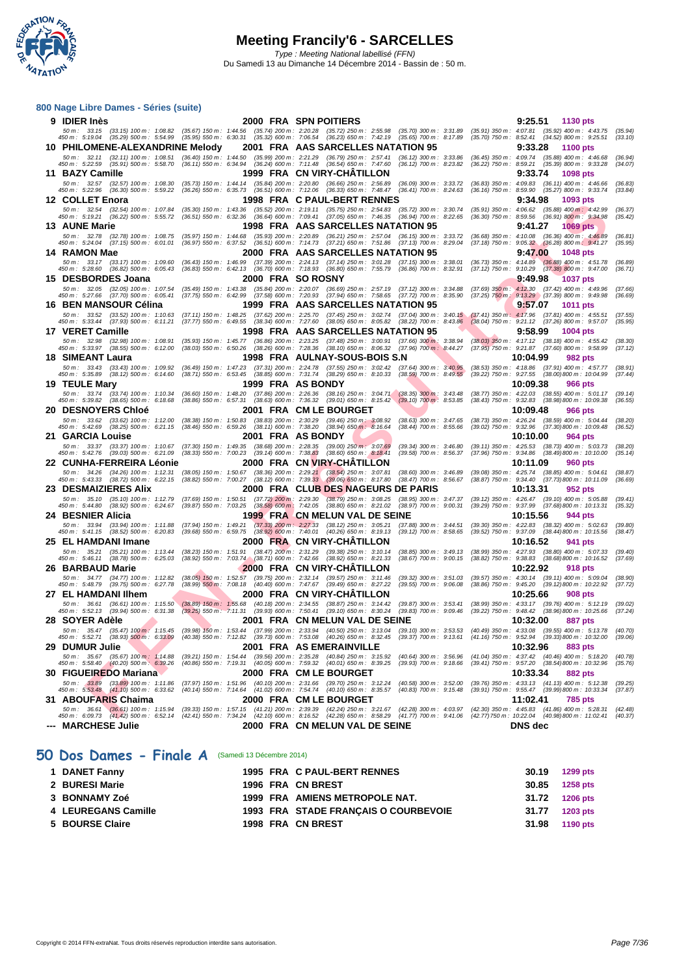**WATATION** 

|    | 800 Nage Libre Dames - Séries (suite)                                                                                                                                                                                                                                           |                                                        |                                                     |                                                                                                                                                 |                                                          |                                                                                                                                                                                          |                    |
|----|---------------------------------------------------------------------------------------------------------------------------------------------------------------------------------------------------------------------------------------------------------------------------------|--------------------------------------------------------|-----------------------------------------------------|-------------------------------------------------------------------------------------------------------------------------------------------------|----------------------------------------------------------|------------------------------------------------------------------------------------------------------------------------------------------------------------------------------------------|--------------------|
|    | 9 IDIER Inès                                                                                                                                                                                                                                                                    |                                                        |                                                     | 2000 FRA SPN POITIERS                                                                                                                           |                                                          | 9:25.51 1130 pts                                                                                                                                                                         |                    |
|    | 50 m : 33.15 (33.15) 100 m : 1:08.82 (35.67) 150 m : 1:44.56 (35.74) 200 m : 2:20.28 (35.72) 250 m : 2:55.98 (35.70) 300 m : 3:31.89<br>450 m : 5:19.04 (35.29) 500 m : 5:54.99 (35.95) 550 m : 6:30.31 (35.32) 600 m : 7:06.54 (36.23) 650 m : 7:42.19 (35.65) 700 m : 8:17.89 |                                                        |                                                     |                                                                                                                                                 |                                                          | $(35.91)$ 350 m : 4:07.81 $(35.92)$ 400 m : 4:43.75<br>(35.70) 750 m: 8:52.41 (34.52) 800 m: 9:25.51                                                                                     | (35.94)<br>(33.10) |
|    | 10 PHILOMENE-ALEXANDRINE Melody                                                                                                                                                                                                                                                 |                                                        |                                                     | 2001 FRA AAS SARCELLES NATATION 95                                                                                                              |                                                          | 9:33.28<br>1100 pts                                                                                                                                                                      |                    |
|    | 50 m: 32.11 (32.11) 100 m: 1:08.51<br>450 m : 5:22.59 (35.91) 500 m : 5:58.70                                                                                                                                                                                                   | $(36.40)$ 150 m : 1:44.50                              |                                                     | $(35.99)$ 200 m : 2:21.29 $(36.79)$ 250 m : 2:57.41<br>(36.11) 550 m: 6:34.94 (36.24) 600 m: 7:11.48 (36.54) 650 m: 7:47.60                     | $(36.12)$ 300 m : 3:33.86<br>$(36.12)$ 700 m : 8:23.82   | $(36.45)$ 350 m : 4:09.74 $(35.88)$ 400 m : 4:46.68<br>(36.22) 750 m : 8:59.21 (35.39) 800 m : 9:33.28                                                                                   | (36.94)<br>(34.07) |
|    | 11 BAZY Camille                                                                                                                                                                                                                                                                 |                                                        |                                                     | 1999 FRA CN VIRY-CHATILLON                                                                                                                      |                                                          | 9:33.74<br><b>1098 pts</b>                                                                                                                                                               |                    |
|    | 50 m: 32.57 (32.57) 100 m: 1:08.30<br>450 m : 5:22.96 (36.30) 500 m : 5:59.22                                                                                                                                                                                                   |                                                        |                                                     | (35.73) 150 m: 1:44.14 (35.84) 200 m: 2:20.80 (36.66) 250 m: 2:56.89<br>(36.26) 550 m : 6:35.73 (36.51) 600 m : 7:12.06 (36.33) 650 m : 7:48.47 | $(36.09)$ 300 m : 3:33.72<br>$(36.41)$ 700 m : 8:24.63   | $(36.83)$ 350 m : 4:09.83 $(36.11)$ 400 m : 4:46.66<br>(36.16) 750 m: 8:59.90 (35.27) 800 m: 9:33.74                                                                                     | (36.83)<br>(33.84) |
|    | 12 COLLET Enora                                                                                                                                                                                                                                                                 |                                                        |                                                     | 1998 FRA C PAUL-BERT RENNES                                                                                                                     |                                                          | 9:34.98<br>1093 pts                                                                                                                                                                      |                    |
|    | 50 m : 32.54 (32.54) 100 m : 1:07.84<br>450 m: 5:19.21 (36.22) 500 m: 5:55.72                                                                                                                                                                                                   | $(35.30)$ 150 m : 1:43.36<br>$(36.51)$ 550 m : 6:32.36 |                                                     | (35.52) 200 m: 2:19.11 (35.75) 250 m: 2:54.83<br>$(36.64)$ 600 m : 7:09.41 $(37.05)$ 650 m : 7:46.35                                            | $(35.72)$ 300 m : 3:30.74<br>$(36.94)$ 700 m : 8:22.65   | $(35.91)$ 350 m : 4:06.62 $(35.88)$ 400 m : 4:42.99<br>$(36.30)$ 750 m : 8:59.56 $(36.91)$ 800 m : 9:34.98                                                                               | (36.37)<br>(35.42) |
|    | 13 AUNE Marie                                                                                                                                                                                                                                                                   |                                                        |                                                     | 1998   FRA   AAS SARCELLES NATATION 95                                                                                                          |                                                          | 9:41.27<br><b>1069 pts</b>                                                                                                                                                               |                    |
|    | 50 m: 32.78<br>(32.78) 100 m : 1:08.75                                                                                                                                                                                                                                          |                                                        |                                                     | (35.97) 150 m : 1:44.68 (35.93) 200 m : 2:20.89 (36.21) 250 m : 2:57.04 (36.15) 300 m : 3:33.72                                                 |                                                          | $(36.68)$ 350 m : 4:10.08 $(36.36)$ 400 m : 4:46.89                                                                                                                                      | (36.81)            |
|    | 450 m : 5:24.04 (37.15) 500 m : 6:01.01<br>14 RAMON Mae                                                                                                                                                                                                                         |                                                        |                                                     | (36.97) 550 m: 6:37.52 (36.51) 600 m: 7:14.73 (37.21) 650 m: 7:51.86 (37.13) 700 m: 8:29.04<br>2000 FRA  AAS SARCELLES NATATION 95              |                                                          | $(37.18)$ 750 m : $9:05.32$ $(36.28)$ 800 m : $9:41.27$<br>9:47.00<br><b>1048 pts</b>                                                                                                    | (35.95)            |
|    | 50 m: 33.17 (33.17) 100 m: 1:09.60                                                                                                                                                                                                                                              | (36.43) 150 m : 1:46.99                                |                                                     | (37.39) 200 m : 2:24.13 (37.14) 250 m : 3:01.28                                                                                                 | $(37.15)$ 300 m : 3:38.01                                | $(36.73)$ 350 m : 4:14.89 $(36.88)$ 400 m : 4:51.78                                                                                                                                      | (36.89)            |
|    | 450 m: 5:28.60 (36.82) 500 m: 6:05.43<br>15 DESBORDES Joana                                                                                                                                                                                                                     |                                                        | <b>2000 FRA SOROSNY</b>                             | (36.83) 550 m : 6:42.13 (36.70) 600 m : 7:18.93 (36.80) 650 m : 7:55.79 (36.86) 700 m : 8:32.91                                                 |                                                          | $(37.12)$ 750 m : $9:10.29$ $(37.38)$ 800 m : $9:47.00$<br>9:49.98<br><b>1037 pts</b>                                                                                                    | (36.71)            |
|    | 50 m: 32.05 (32.05) 100 m: 1:07.54                                                                                                                                                                                                                                              |                                                        |                                                     | (35.49) 150 m : 1:43.38 (35.84) 200 m : 2:20.07 (36.69) 250 m : 2:57.19 (37.12) 300 m : 3:34.88                                                 |                                                          | $(37.69)$ 350 m : 4:12.30 $(37.42)$ 400 m : 4:49.96                                                                                                                                      | (37.66)            |
|    | 450 m : 5:27.66 (37.70) 500 m : 6:05.41<br>16 BEN MANSOUR Célina                                                                                                                                                                                                                |                                                        |                                                     | (37.75) 550 m : 6:42.99 (37.58) 600 m : 7:20.93 (37.94) 650 m : 7:58.65 (37.72) 700 m : 8:35.90<br>1999 FRA AAS SARCELLES NATATION 95           |                                                          | $(37.25)$ 750 m : $9:13.29$ $(37.39)$ 800 m : $9:49.98$<br>9:57.07                                                                                                                       | (36.69)            |
|    | 50 m: 33.52 (33.52) 100 m: 1:10.63                                                                                                                                                                                                                                              |                                                        |                                                     | $(37.11)$ 150 m : 1:48.25 $(37.62)$ 200 m : 2:25.70 $(37.45)$ 250 m : 3:02.74 $(37.04)$ 300 m : 3:40.15                                         |                                                          | <b>1011 pts</b><br>$(37.41)$ 350 m : 4:17.96<br>$(37.81)$ 400 m : 4:55.51                                                                                                                | (37.55)            |
|    | 450 m : 5:33.44 (37.93) 500 m : 6:11.21                                                                                                                                                                                                                                         | $(37.77)$ 550 m : 6:49.55                              |                                                     |                                                                                                                                                 |                                                          | (38.34) 600 m : 7:27.60 (38.05) 650 m : 8:05.82 (38.22) 700 m : 8:43.86 (38.04) 750 m : 9:21.12 (37.26) 800 m : 9:57.07                                                                  | (35.95)            |
|    | 17 VERET Camille<br>50 m : 32.98 (32.98) 100 m : 1:08.91                                                                                                                                                                                                                        | $(35.93)$ 150 m : 1:45.77                              |                                                     | 1998   FRA   AAS SARCELLES NATATION 95<br>$(36.86)$ 200 m : 2:23.25 $(37.48)$ 250 m : 3:00.91 $(37.66)$ 300 m : 3:38.94                         |                                                          | 9:58.99<br>1004 pts<br>$(38.03)$ 350 m : 4:17.12 $(38.18)$ 400 m : 4:55.42                                                                                                               | (38.30)            |
|    | 450 m: 5:33.97 (38.55) 500 m: 6:12.00                                                                                                                                                                                                                                           | $(38.03)$ 550 m : 6:50.26                              |                                                     | $(38.26)$ 600 m : 7:28.36 $(38.10)$ 650 m : 8:06.32                                                                                             | $(37.96)$ 700 m : 8:44.27                                | $(37.95)$ 750 m : 9:21.87<br>$(37.60)$ 800 m : 9:58.99                                                                                                                                   | (37.12)            |
|    | 18 SIMEANT Laura                                                                                                                                                                                                                                                                |                                                        |                                                     | 1998 FRA AULNAY-SOUS-BOIS S.N                                                                                                                   |                                                          | 10:04.99<br>982 pts                                                                                                                                                                      |                    |
|    | 50 m : 33.43 (33.43) 100 m : 1:09.92<br>450 m : 5:35.89 (38.12) 500 m : 6:14.60                                                                                                                                                                                                 |                                                        |                                                     | (36.49) 150 m: 1:47.23 (37.31) 200 m: 2:24.78 (37.55) 250 m: 3:02.42<br>(38.71) 550 m: 6:53.45 (38.85) 600 m: 7:31.74 (38.29) 650 m: 8:10.33    | $(37.64)$ 300 m : 3:40.95<br>$(38.59)$ 700 m : $8:49.55$ | $(38.53)$ 350 m : 4:18.86 $(37.91)$ 400 m : 4:57.77<br>(39.22) 750 m : 9:27.55 (38.00) 800 m : 10:04.99                                                                                  | (38.91)<br>(37.44) |
|    | 19 TEULE Mary                                                                                                                                                                                                                                                                   |                                                        | 1999 FRA AS BONDY                                   |                                                                                                                                                 |                                                          | 10:09.38<br><b>966 pts</b>                                                                                                                                                               |                    |
|    | 50 m: 33.74 (33.74) 100 m: 1:10.34<br>450 m : 5:39.82 (38.65) 500 m : 6:18.68                                                                                                                                                                                                   |                                                        | $(38.86)$ 550 m : 6:57.31 $(38.63)$ 600 m : 7:36.32 | (36.60) 150 m: 1:48.20 (37.86) 200 m: 2:26.36 (38.16) 250 m: 3:04.71<br>(39.01) 650 m : 8:15.42                                                 | $(38.35)$ 300 m : 3:43.48<br>$(39.10)$ 700 m : 8:53.85   | (38.77) 350 m : 4:22.03 (38.55) 400 m : 5:01.17 (39.14)<br>$(38.43)$ 750 m : $9:32.83$ $(38.98)800$ m : 10:09.38                                                                         | (36.55)            |
|    | 20 DESNOYERS Chloé                                                                                                                                                                                                                                                              |                                                        |                                                     | 2001 FRA CM LE BOURGET                                                                                                                          |                                                          | 10:09.48<br>966 pts                                                                                                                                                                      |                    |
|    | 50 m: 33.62 (33.62) 100 m: 1:12.00<br>450 m: 5:42.69 (38.25) 500 m: 6:21.15                                                                                                                                                                                                     |                                                        |                                                     | (38.38) 150 m : 1:50.83 (38.83) 200 m : 2:30.29 (39.46) 250 m : 3:08.92<br>(38.46) 550 m: 6:59.26 (38.11) 600 m: 7:38.20 (38.94) 650 m: 8:16.64 | $(38.63)$ 300 m : 3:47.65<br>$(38.44)$ 700 m : 8:55.66   | (38.73) 350 m : 4:26.24 (38.59) 400 m : 5:04.44<br>(39.02) 750 m : 9:32.96 (37.30) 800 m : 10:09.48                                                                                      | (38.20)<br>(36.52) |
|    | 21 GARCIA Louise                                                                                                                                                                                                                                                                |                                                        | 2001 FRA ASBONDY                                    |                                                                                                                                                 |                                                          | 10:10.00<br>964 pts                                                                                                                                                                      |                    |
|    | 50 m : 33.37 (33.37) 100 m : 1:10.67<br>450 m : 5:42.76 (39.03) 500 m : 6:21.09                                                                                                                                                                                                 | $(38.33)$ 550 m : 7:00.23                              |                                                     | $(37.30)$ 150 m : 1:49.35 $(38.68)$ 200 m : 2:28.35 $(39.00)$ 250 m : 3:07.69<br>$(39.14)$ 600 m : 7:38.83 $(38.60)$ 650 m : 8:18.41            | $(39.34)$ 300 m : 3:46.80<br>$(39.58)$ 700 m : 8:56.37   | $(39.11)$ 350 m : 4:25.53 $(38.73)$ 400 m : 5:03.73<br>(37.96) 750 m : 9:34.86 (38.49) 800 m : 10:10.00                                                                                  | (38.20)<br>(35.14) |
|    | 22 CUNHA-FERREIRA Léonie                                                                                                                                                                                                                                                        |                                                        |                                                     | 2000 FRA CN VIRY-CHATILLON                                                                                                                      |                                                          | 10:11.09<br>960 pts                                                                                                                                                                      |                    |
|    | 50 m : 34.26 (34.26) 100 m : 1:12.31<br>450 m: 5:43.33 (38.72) 500 m: 6:22.15                                                                                                                                                                                                   |                                                        |                                                     | (38.05) 150 m: 1:50.67 (38.36) 200 m: 2:29.21 (38.54) 250 m: 3:07.81<br>(38.82) 550 m : 7:00.27 (38.12) 600 m : 7:39.33 (39.06) 650 m : 8:17.80 | $(38.60)$ 300 m : 3:46.89<br>$(38.47)$ 700 m : 8:56.67   | $(39.08)$ 350 m : 4:25.74 $(38.85)$ 400 m : 5:04.61<br>(38.87) 750 m: 9:34.40 (37.73) 800 m: 10:11.09                                                                                    | (38.87)<br>(36.69) |
|    | 23 DESMAIZIERES Alix                                                                                                                                                                                                                                                            |                                                        |                                                     | 2000 FRA CLUB DES NAGEURS DE PARIS                                                                                                              |                                                          | 10:13.31<br>952 pts                                                                                                                                                                      |                    |
|    | 50 m: 35.10 (35.10) 100 m: 1:12.79<br>450 m: 5:44.80 (38.92) 500 m: 6:24.67                                                                                                                                                                                                     | (37.69) 150 m : 1:50.51                                |                                                     | $(37.72)$ 200 m : 2:29.30 $(38.79)$ 250 m : 3:08.25<br>(39.87) 550 m : 7:03.25 (38.58) 600 m : 7:42.05 (38.80) 650 m : 8:21.02                  | $(38.95)$ 300 m : 3:47.37<br>(38.97) 700 m : 9:00.31     | $(39.12)$ 350 m : 4:26.47 $(39.10)$ 400 m : 5:05.88<br>(39.29) 750 m: 9:37.99 (37.68) 800 m: 10:13.31                                                                                    | (39.41)<br>(35.32) |
|    | 24 BESNIER Alicia                                                                                                                                                                                                                                                               |                                                        |                                                     | 1999 FRA CN MELUN VAL DE SEINE                                                                                                                  |                                                          | 10:15.56<br>944 pts                                                                                                                                                                      |                    |
|    | 50 m: 33.94 (33.94) 100 m: 1:11.88 (37.94) 150 m: 1:49.21 (37.33) 200 m: 2:27.33 (38.12) 250 m: 3:05.21                                                                                                                                                                         |                                                        |                                                     |                                                                                                                                                 | $(37.88)$ 300 m : 3:44.51                                | $(39.30)$ 350 m : 4:22.83 $(38.32)$ 400 m : 5:02.63                                                                                                                                      | (39.80)            |
|    | 450 m : 5:41.15 (38.52) 500 m : 6:20.83 (39.68) 550 m : 6:59.75 (38.92) 600 m : 7:40.01 (40.26) 650 m : 8:19.13<br>25 EL HAMDANI Imane                                                                                                                                          |                                                        |                                                     | 2000 FRA CN VIRY-CHATILLON                                                                                                                      | $(39.12)$ 700 m : 8:58.65                                | (39.52) 750 m : 9:37.09 (38.44) 800 m : 10:15.56<br>10:16.52<br>941 pts                                                                                                                  | (38.47)            |
|    | 50 m : 35.21 (35.21) 100 m : 1:13.44                                                                                                                                                                                                                                            |                                                        |                                                     | (38.23) 150 m: 1:51.91 (38.47) 200 m: 2:31.29 (39.38) 250 m: 3:10.14                                                                            | $(38.85)$ 300 m : 3:49.13                                | $(38.99)$ 350 m : 4:27.93<br>$(38.80)$ 400 m : 5:07.33                                                                                                                                   | (39.40)            |
|    | 450 m : 5:46.11 (38.78) 500 m : 6:25.03<br>26 BARBAUD Marie                                                                                                                                                                                                                     |                                                        |                                                     | (38.92) 550 m : 7:03.74 (38.71) 600 m : 7:42.66 (38.92) 650 m : 8:21.33<br>2000 FRA CN VIRY-CHATILLON                                           | $(38.67)$ 700 m : 9:00.15                                | $(38.82)$ 750 m : 9:38.83<br>(38.68)800 m : 10:16.52<br>10:22.92<br>918 pts                                                                                                              | (37.69)            |
|    | 50 m: 34.77 (34.77) 100 m: 1:12.82                                                                                                                                                                                                                                              | $(38.05)$ 150 m : 1:52.57                              |                                                     | (39.75) 200 m: 2:32.14 (39.57) 250 m: 3:11.46                                                                                                   | $(39.32)$ 300 m : 3:51.03                                | $(39.57)$ 350 m : 4:30.14<br>$(39.11)$ 400 m : 5:09.04                                                                                                                                   | (38.90)            |
|    | 450 m: 5:48.79 (39.75) 500 m: 6:27.78<br>27 EL HAMDANI IIhem                                                                                                                                                                                                                    | $(38.99)$ 550 m : 7:08.18                              |                                                     | (40.40) 600 m: 7:47.67 (39.49) 650 m: 8:27.22<br>2000 FRA CN VIRY-CHATILLON                                                                     | $(39.55)$ 700 m : $9:06.08$                              | $(38.86)$ 750 m : 9:45.20<br>$(39.12)800 \text{ m}$ : 10:22.92<br>10:25.66<br>908 pts                                                                                                    | (37.72)            |
|    | 50 m : 36.61 (36.61) 100 m : 1:15.50 (38.89) 150 m : 1:55.68 (40.18) 200 m : 2:34.55 (38.87) 250 m : 3:14.42 (39.87) 300 m : 3:53.41                                                                                                                                            |                                                        |                                                     |                                                                                                                                                 |                                                          | $(38.99)$ 350 m : 4:33.17 $(39.76)$ 400 m : 5:12.19                                                                                                                                      | (39.02)            |
|    |                                                                                                                                                                                                                                                                                 |                                                        |                                                     |                                                                                                                                                 |                                                          | 450 m : 5:52.13 (39.94) 500 m : 6:31.38 (39.25) 550 m : 7:11.31 (39.93) 600 m : 7:50.41 (39.10) 650 m : 8:30.24 (39.83) 700 m : 9:09.46 (39.22) 750 m : 9:48.42 (38.96) 800 m : 10:25.66 | (37.24)            |
| 28 | <b>SOYER Adèle</b><br>50 m: 35.47 (35.47) 100 m: 1:15.45 (39.98) 150 m: 1:53.44 (37.99) 200 m: 2:33.94 (40.50) 250 m: 3:13.04 (39.10) 300 m: 3:53.53                                                                                                                            |                                                        |                                                     | 2001 FRA CN MELUN VAL DE SEINE                                                                                                                  |                                                          | 10:32.00<br>887 pts<br>$(40.49)$ 350 m : 4:33.08 $(39.55)$ 400 m : 5:13.78                                                                                                               | (40.70)            |
|    | 450 m : 5:52.71 (38.93) 500 m : 6:33.09                                                                                                                                                                                                                                         |                                                        |                                                     | (40.38) 550 m : 7:12.82 (39.73) 600 m : 7:53.08 (40.26) 650 m : 8:32.45 (39.37) 700 m : 9:13.61                                                 |                                                          | $(41.16)$ 750 m : 9:52.94 $(39.33)800$ m : 10:32.00                                                                                                                                      | (39.06)            |
|    | 29 DUMUR Julie<br>50 m: 35.67 (35.67) 100 m: 1:14.88                                                                                                                                                                                                                            |                                                        |                                                     | 2001 FRA AS EMERAINVILLE<br>(39.21) 150 m: 1:54.44 (39.56) 200 m: 2:35.28 (40.84) 250 m: 3:15.92                                                | $(40.64)$ 300 m : 3:56.96                                | 10:32.96<br>883 pts<br>(41.04) 350 m : 4:37.42 (40.46) 400 m : 5:18.20                                                                                                                   | (40.78)            |
|    | 450 m : 5:58.40 (40.20) 500 m : 6:39.26                                                                                                                                                                                                                                         |                                                        |                                                     | (40.86) 550 m: 7:19.31 (40.05) 600 m: 7:59.32 (40.01) 650 m: 8:39.25                                                                            | $(39.93)$ 700 m : 9:18.66                                | (39.41) 750 m : 9:57.20 (38.54) 800 m : 10:32.96                                                                                                                                         | (35.76)            |
|    | 30 FIGUEIREDO Mariana                                                                                                                                                                                                                                                           |                                                        |                                                     | 2000 FRA CM LE BOURGET                                                                                                                          |                                                          | 10:33.34<br>882 pts                                                                                                                                                                      |                    |
|    | 50 m : 33.89 (33.89) 100 m : 1:11.86<br>450 m : 5:53.48 (41.10) 500 m : 6:33.62                                                                                                                                                                                                 | $(37.97)$ 150 m : 1:51.96<br>$(40.14)$ 550 m : 7:14.64 |                                                     | $(40.10)$ 200 m : 2:31.66 $(39.70)$ 250 m : 3:12.24<br>$(41.02)$ 600 m : 7:54.74 $(40.10)$ 650 m : 8:35.57                                      | $(40.58)$ 300 m : 3:52.00<br>$(40.83)$ 700 m : 9:15.48   | $(39.76)$ 350 m : 4:33.13 $(41.13)$ 400 m : 5:12.38<br>(39.91) 750 m: 9:55.47 (39.99) 800 m: 10:33.34                                                                                    | (39.25)<br>(37.87) |
|    | 31 ABOUFARIS Chaima                                                                                                                                                                                                                                                             |                                                        |                                                     | 2000 FRA CM LE BOURGET                                                                                                                          |                                                          | 11:02.41<br>785 pts                                                                                                                                                                      |                    |
|    | 50 m : 36.61 (36.61) 100 m : 1:15.94<br>450 m : 6:09.73 (41.42) 500 m : 6:52.14                                                                                                                                                                                                 |                                                        |                                                     | (39.33) 150 m: 1:57.15 (41.21) 200 m: 2:39.39 (42.24) 250 m: 3:21.67<br>(42.41) 550 m : 7:34.24 (42.10) 600 m : 8:16.52 (42.28) 650 m : 8:58.29 | $(42.28)$ 300 m : 4:03.97<br>$(41.77)$ 700 m : 9:41.06   | $(42.30)$ 350 m : 4:45.83 $(41.86)$ 400 m : 5:28.31<br>(42.77) 750 m: 10:22.04 (40.98) 800 m: 11:02.41                                                                                   | (42.48)<br>(40.37) |
|    | --- MARCHESE Julie                                                                                                                                                                                                                                                              |                                                        |                                                     | 2000 FRA CN MELUN VAL DE SEINE                                                                                                                  |                                                          | <b>DNS</b> dec                                                                                                                                                                           |                    |
|    |                                                                                                                                                                                                                                                                                 |                                                        |                                                     |                                                                                                                                                 |                                                          |                                                                                                                                                                                          |                    |

#### **50 Dos Dames - Finale A** (Samedi 13 Décembre 2014)

| 1 DANET Fanny       |  | 1995 FRA C PAUL-BERT RENNES          | 30.19 1299 pts |
|---------------------|--|--------------------------------------|----------------|
| 2 BURESI Marie      |  | 1996 FRA CN BREST                    | 30.85 1258 pts |
| 3 BONNAMY Zoé       |  | 1999 FRA AMIENS METROPOLE NAT.       | 31.72 1206 pts |
| 4 LEUREGANS Camille |  | 1993 FRA STADE FRANCAIS O COURBEVOIE | 31.77 1203 pts |
| 5 BOURSE Claire     |  | 1998 FRA CN BREST                    | 31.98 1190 pts |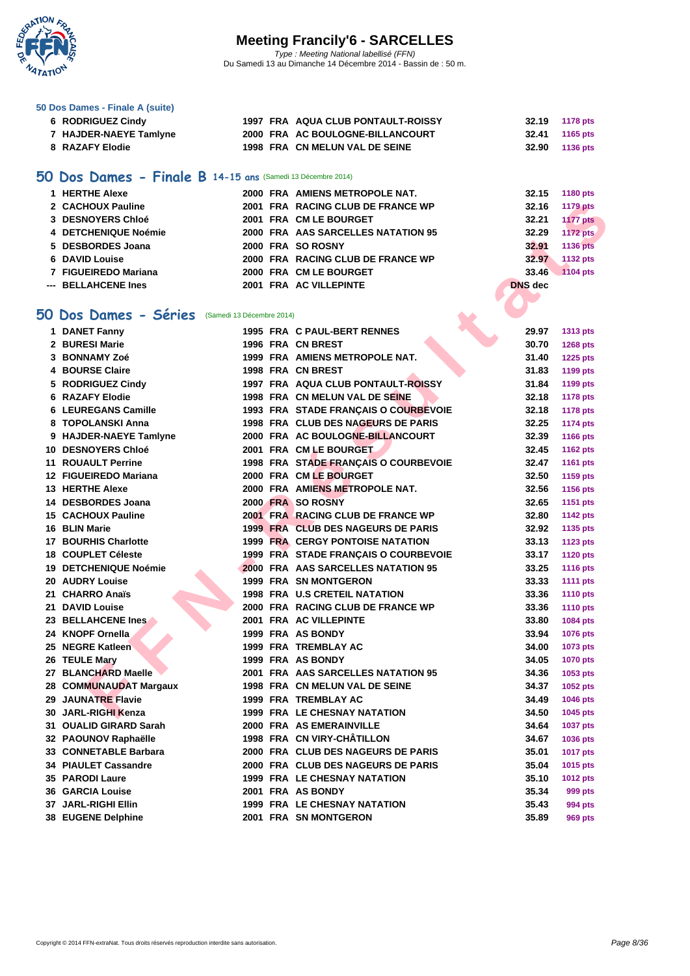

**[50 Dos D](http://www.ffnatation.fr/webffn/index.php)ames - Finale A (suite)**

| 6 RODRIGUEZ Cindy                                           |  | 1997 FRA AQUA CLUB PONTAULT-ROISSY        | 32.19          | <b>1178 pts</b> |
|-------------------------------------------------------------|--|-------------------------------------------|----------------|-----------------|
| 7 HAJDER-NAEYE Tamlyne                                      |  | 2000 FRA AC BOULOGNE-BILLANCOURT          | 32.41          | 1165 pts        |
| 8 RAZAFY Elodie                                             |  | 1998 FRA CN MELUN VAL DE SEINE            | 32.90          | 1136 pts        |
|                                                             |  |                                           |                |                 |
| 50 Dos Dames - Finale B 14-15 ans (Samedi 13 Décembre 2014) |  |                                           |                |                 |
|                                                             |  |                                           |                |                 |
| 1 HERTHE Alexe                                              |  | 2000 FRA AMIENS METROPOLE NAT.            | 32.15          | 1180 pts        |
| 2 CACHOUX Pauline                                           |  | 2001 FRA RACING CLUB DE FRANCE WP         | 32.16          | <b>1179 pts</b> |
| 3 DESNOYERS Chloé                                           |  | 2001 FRA CM LE BOURGET                    | 32.21          | <b>1177 pts</b> |
| 4 DETCHENIQUE Noémie                                        |  | 2000 FRA AAS SARCELLES NATATION 95        | 32.29          | <b>1172 pts</b> |
| 5 DESBORDES Joana                                           |  | 2000 FRA SO ROSNY                         | 32.91          | <b>1136 pts</b> |
| <b>6 DAVID Louise</b>                                       |  | 2000 FRA RACING CLUB DE FRANCE WP         | 32.97          | 1132 pts        |
| 7 FIGUEIREDO Mariana                                        |  | 2000 FRA CM LE BOURGET                    | 33.46          | <b>1104 pts</b> |
| --- BELLAHCENE Ines                                         |  | 2001 FRA AC VILLEPINTE                    | <b>DNS</b> dec |                 |
|                                                             |  |                                           |                |                 |
| 50 Dos Dames - Séries (Samedi 13 Décembre 2014)             |  |                                           |                |                 |
| 1 DANET Fanny                                               |  | 1995 FRA C PAUL-BERT RENNES               | 29.97          | 1313 pts        |
| 2 BURESI Marie                                              |  | 1996 FRA CN BREST                         | 30.70          | <b>1268 pts</b> |
| 3 BONNAMY Zoé                                               |  | 1999 FRA AMIENS METROPOLE NAT.            | 31.40          | <b>1225 pts</b> |
| 4 BOURSE Claire                                             |  | 1998 FRA CN BREST                         | 31.83          | 1199 pts        |
| 5 RODRIGUEZ Cindy                                           |  | 1997 FRA AQUA CLUB PONTAULT-ROISSY        | 31.84          | 1199 pts        |
| <b>6 RAZAFY Elodie</b>                                      |  | 1998 FRA CN MELUN VAL DE SEINE            | 32.18          | <b>1178 pts</b> |
| 6 LEUREGANS Camille                                         |  | 1993 FRA STADE FRANÇAIS O COURBEVOIE      | 32.18          | <b>1178 pts</b> |
| 8 TOPOLANSKI Anna                                           |  | 1998 FRA CLUB DES NAGEURS DE PARIS        | 32.25          | <b>1174 pts</b> |
| 9 HAJDER-NAEYE Tamlyne                                      |  | 2000 FRA AC BOULOGNE-BILLANCOURT          | 32.39          | <b>1166 pts</b> |
| 10 DESNOYERS Chloé                                          |  | 2001 FRA CM LE BOURGET                    | 32.45          | <b>1162 pts</b> |
| <b>11 ROUAULT Perrine</b>                                   |  | 1998 FRA STADE FRANÇAIS O COURBEVOIE      | 32.47          | <b>1161 pts</b> |
| 12 FIGUEIREDO Mariana                                       |  | 2000 FRA CM LE BOURGET                    |                |                 |
|                                                             |  |                                           | 32.50          | 1159 pts        |
| 13 HERTHE Alexe                                             |  | 2000 FRA AMIENS METROPOLE NAT.            | 32.56          | 1156 pts        |
| 14 DESBORDES Joana                                          |  | 2000 FRA SO ROSNY                         | 32.65          | <b>1151 pts</b> |
| <b>15 CACHOUX Pauline</b>                                   |  | 2001 FRA RACING CLUB DE FRANCE WP         | 32.80          | <b>1142 pts</b> |
| 16 BLIN Marie                                               |  | 1999 FRA CLUB DES NAGEURS DE PARIS        | 32.92          | 1135 pts        |
| <b>17 BOURHIS Charlotte</b>                                 |  | <b>1999 FRA CERGY PONTOISE NATATION</b>   | 33.13          | <b>1123 pts</b> |
| 18 COUPLET Céleste                                          |  | 1999 FRA STADE FRANÇAIS O COURBEVOIE      | 33.17          | <b>1120 pts</b> |
| 19 DETCHENIQUE Noémie                                       |  | <b>2000 FRA AAS SARCELLES NATATION 95</b> | 33.25          | <b>1116 pts</b> |
| 20 AUDRY Louise                                             |  | <b>1999 FRA SN MONTGERON</b>              | 33.33          | <b>1111 pts</b> |
| 21 CHARRO Anaïs                                             |  | <b>1998 FRA U.S CRETEIL NATATION</b>      | 33.36          | <b>1110 pts</b> |
| 21 DAVID Louise                                             |  | 2000 FRA RACING CLUB DE FRANCE WP         | 33.36          | <b>1110 pts</b> |
| 23 BELLAHCENE Ines                                          |  | 2001 FRA AC VILLEPINTE                    | 33.80          | <b>1084 pts</b> |
| 24 KNOPF Ornella                                            |  | 1999 FRA AS BONDY                         | 33.94          | <b>1076 pts</b> |
| 25 NEGRE Katleen                                            |  | 1999 FRA TREMBLAY AC                      | 34.00          | 1073 pts        |
| 26 TEULE Mary                                               |  | 1999 FRA AS BONDY                         | 34.05          | <b>1070 pts</b> |
| 27 BLANCHARD Maelle                                         |  | 2001 FRA AAS SARCELLES NATATION 95        | 34.36          | 1053 pts        |
| 28 COMMUNAUDAT Margaux                                      |  | 1998 FRA CN MELUN VAL DE SEINE            | 34.37          | 1052 pts        |
| 29 JAUNATRE Flavie                                          |  | 1999 FRA TREMBLAY AC                      | 34.49          | <b>1046 pts</b> |
| 30 JARL-RIGHI Kenza                                         |  | <b>1999 FRA LE CHESNAY NATATION</b>       | 34.50          | 1045 pts        |
| 31 OUALID GIRARD Sarah                                      |  | 2000 FRA AS EMERAINVILLE                  | 34.64          | <b>1037 pts</b> |
| 32 PAOUNOV Raphaëlle                                        |  | 1998 FRA CN VIRY-CHÂTILLON                | 34.67          | 1036 pts        |
| 33 CONNETABLE Barbara                                       |  | 2000 FRA CLUB DES NAGEURS DE PARIS        | 35.01          | <b>1017 pts</b> |
| <b>34 PIAULET Cassandre</b>                                 |  | 2000 FRA CLUB DES NAGEURS DE PARIS        | 35.04          | 1015 pts        |
| 35 PARODI Laure                                             |  | <b>1999 FRA LE CHESNAY NATATION</b>       | 35.10          | 1012 pts        |
| <b>36 GARCIA Louise</b>                                     |  | 2001 FRA AS BONDY                         | 35.34          | 999 pts         |
| 37 JARL-RIGHI Ellin                                         |  | 1999 FRA LE CHESNAY NATATION              | 35.43          | 994 pts         |
| 38 EUGENE Delphine                                          |  | 2001 FRA SN MONTGERON                     | 35.89          | 969 pts         |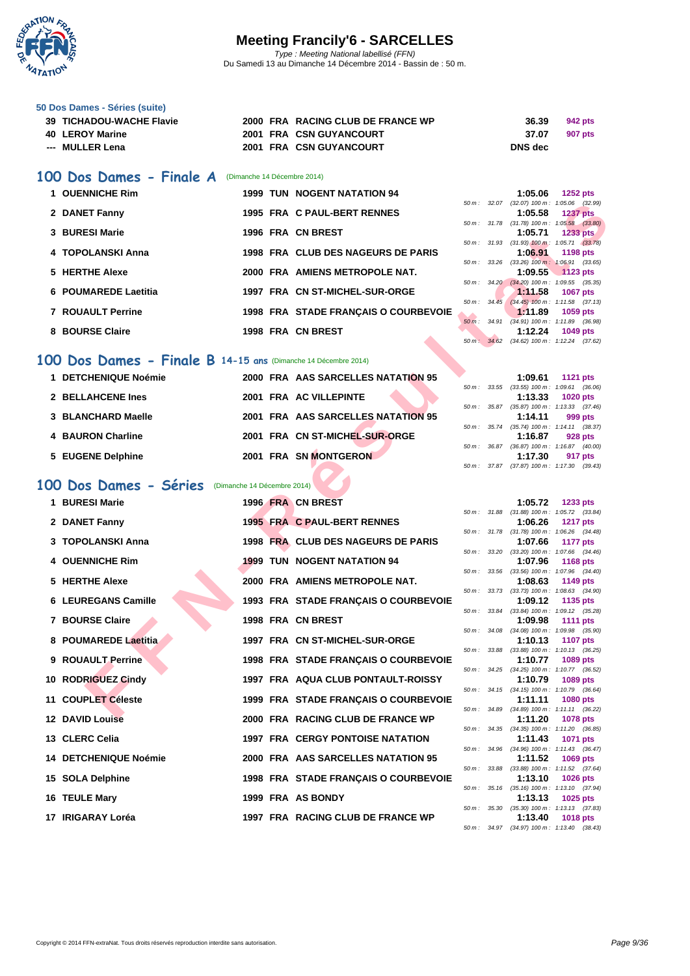

| 50 Dos Dames - Séries (suite) |
|-------------------------------|
|-------------------------------|

| 39 TICHADOU-WACHE Flavie | 2000 FRA RACING CLUB DE FRANCE WP | 36.39<br>942 pts |
|--------------------------|-----------------------------------|------------------|
| 40 LEROY Marine          | 2001 FRA CSN GUYANCOURT           | 37.07<br>907 pts |
| --- MULLER Lena          | 2001 FRA CSN GUYANCOURT           | DNS dec          |

#### **100 Dos Dames - Finale A** (Dimanche 14 Décembre 2014)

| 1 OUENNICHE Rim          |  | <b>1999 TUN NOGENT NATATION 94</b>   |                          |       | 1:05.06                                        | 1252 pts        |  |
|--------------------------|--|--------------------------------------|--------------------------|-------|------------------------------------------------|-----------------|--|
|                          |  |                                      | $50 \text{ m}$ : 32.07   |       | $(32.07)$ 100 m : 1:05.06 $(32.1)$             |                 |  |
| 2 DANET Fanny            |  | 1995 FRA C PAUL-BERT RENNES          |                          |       | 1:05.58                                        | <b>1237 pts</b> |  |
|                          |  |                                      | $50 m$ : $31.78$         |       | $(31.78)$ 100 m : 1:05.58 (33.                 |                 |  |
| 3 BURESI Marie           |  | 1996 FRA CN BREST                    |                          |       | 1:05.71                                        | <b>1233 pts</b> |  |
| 4 TOPOLANSKI Anna        |  | 1998 FRA CLUB DES NAGEURS DE PARIS   | $50 \, \text{m}$ : 31.93 |       | $(31.93)$ 100 m : 1:05.71 (33.<br>1:06.91      | 1198 pts        |  |
|                          |  |                                      | $50 \, \text{m}$ : 33.26 |       | $(33.26)$ $100 \text{ m}$ : $1.06.91$ $(33.0)$ |                 |  |
| 5 HERTHE Alexe           |  | 2000 FRA AMIENS METROPOLE NAT.       |                          |       | 1:09.55 1123 pts                               |                 |  |
|                          |  |                                      |                          |       | 50 m: 34.20 (34.20) 100 m: 1:09.55 (35.        |                 |  |
| 6 POUMAREDE Laetitia     |  | 1997 FRA CN ST-MICHEL-SUR-ORGE       |                          |       | 1:11.58                                        | <b>1067 pts</b> |  |
|                          |  |                                      | 50 m :                   | 34.45 | $(34.45)$ 100 m : 1:11.58 (37.                 |                 |  |
| <b>7 ROUAULT Perrine</b> |  | 1998 FRA STADE FRANCAIS O COURBEVOIE |                          |       | 1:11.89                                        | 1059 pts        |  |
|                          |  |                                      | $50m$ :                  | 34.91 | $(34.91)$ 100 m : 1:11.89 $(36.1)$             |                 |  |
| 8 BOURSE Claire          |  | 1998 FRA CN BREST                    |                          |       | 1:12.24                                        | 1049 pts        |  |

#### **100 Dos Dames - Finale B 14-15 ans** (Dimanche 14 Décembre 2014)

| 1 DETCHENIQUE Noémie | 2000 FRA AAS SARCELLES NATATION 95 | 1:09.61<br><b>1121 pts</b>                                                                                               |
|----------------------|------------------------------------|--------------------------------------------------------------------------------------------------------------------------|
| 2 BELLAHCENE Ines    | 2001 FRA AC VILLEPINTE             | 50 m: 33.55 (33.55) 100 m: 1:09.61 (36.<br>1:13.33<br><b>1020 pts</b>                                                    |
| 3 BLANCHARD Maelle   | 2001 FRA AAS SARCELLES NATATION 95 | 50 m: 35.87 (35.87) 100 m: 1:13.33 (37.<br>1:14.11<br>999 pts                                                            |
| 4 BAURON Charline    | 2001 FRA CN ST-MICHEL-SUR-ORGE     | 35.74 (35.74) 100 m: 1:14.11 (38.<br>50 m :<br>1:16.87<br>928 pts                                                        |
| 5 EUGENE Delphine    | 2001 FRA SN MONTGERON              | $(36.87)$ 100 m : 1:16.87 $(40.$<br>36.87<br>50 m :<br>1:17.30<br>917 pts<br>$(0.70, 0.7)$ $(0.00, 0.00)$ $(0.00, 0.00)$ |

## **100 Dos Dames - Séries** (Dimanche 14 Décembre 2014)

| 2 DANET Fanny                                                 |  | 1995 FRA C PAUL-BERT RENNES             |              | 1:05.58 | 50 m: 32.07 (32.07) 100 m: 1:05.06 (32.99)<br><b>1237 pts</b> |
|---------------------------------------------------------------|--|-----------------------------------------|--------------|---------|---------------------------------------------------------------|
| 3 BURESI Marie                                                |  | 1996 FRA CN BREST                       |              | 1:05.71 | 50 m: 31.78 (31.78) 100 m: 1:05.58 (33.80)<br><b>1233 pts</b> |
| 4 TOPOLANSKI Anna                                             |  | 1998 FRA CLUB DES NAGEURS DE PARIS      |              |         | 50 m: 31.93 (31.93) 100 m: 1:05.71 (33.78)                    |
|                                                               |  |                                         | 50 m: 33.26  | 1:06.91 | <b>1198 pts</b><br>$(33.26)$ 100 m : 1:06.91 $(33.65)$        |
| 5 HERTHE Alexe                                                |  | 2000 FRA AMIENS METROPOLE NAT.          |              | 1:09.55 | 1123 pts<br>50 m: 34.20 (34.20) 100 m: 1:09.55 (35.35)        |
| 6 POUMAREDE Laetitia                                          |  | 1997 FRA CN ST-MICHEL-SUR-ORGE          |              | 1:11.58 | 1067 pts                                                      |
| 7 ROUAULT Perrine                                             |  | 1998 FRA STADE FRANÇAIS O COURBEVOIE    |              | 1:11.89 | 50 m: 34.45 (34.45) 100 m: 1:11.58 (37.13)<br>1059 pts        |
|                                                               |  |                                         | 50 m: 34.91  |         | $(34.91)$ 100 m : 1:11.89 $(36.98)$                           |
| 8 BOURSE Claire                                               |  | 1998 FRA CN BREST                       |              | 1:12.24 | 1049 pts<br>50 m: 34.62 (34.62) 100 m: 1:12.24 (37.62)        |
|                                                               |  |                                         |              |         |                                                               |
| 00 Dos Dames - Finale B 14-15 ans (Dimanche 14 Décembre 2014) |  |                                         |              |         |                                                               |
| 1 DETCHENIQUE Noémie                                          |  | 2000 FRA AAS SARCELLES NATATION 95      |              | 1:09.61 | <b>1121 pts</b><br>50 m: 33.55 (33.55) 100 m: 1:09.61 (36.06) |
| 2 BELLAHCENE Ines                                             |  | 2001 FRA AC VILLEPINTE                  |              | 1:13.33 | <b>1020 pts</b>                                               |
| 3 BLANCHARD Maelle                                            |  | 2001 FRA AAS SARCELLES NATATION 95      |              |         | 50 m: 35.87 (35.87) 100 m: 1:13.33 (37.46)                    |
|                                                               |  |                                         |              | 1:14.11 | 999 pts<br>50 m: 35.74 (35.74) 100 m: 1:14.11 (38.37)         |
| <b>4 BAURON Charline</b>                                      |  | 2001 FRA CN ST-MICHEL-SUR-ORGE          |              | 1:16.87 | 928 pts                                                       |
| 5 EUGENE Delphine                                             |  | 2001 FRA SN MONTGERON                   |              | 1:17.30 | 50 m: 36.87 (36.87) 100 m: 1:16.87 (40.00)<br>917 pts         |
|                                                               |  |                                         | 50 m : 37.87 |         | $(37.87)$ 100 m : 1:17.30 $(39.43)$                           |
| 00 Dos Dames - Séries (Dimanche 14 Décembre 2014)             |  |                                         |              |         |                                                               |
| 1 BURESI Marie                                                |  | 1996 FRA CN BREST                       |              | 1:05.72 | 1233 pts                                                      |
|                                                               |  |                                         |              |         | 50 m: 31.88 (31.88) 100 m: 1:05.72 (33.84)                    |
| 2 DANET Fanny                                                 |  | 1995 FRA C PAUL-BERT RENNES             |              | 1:06.26 | <b>1217 pts</b><br>50 m: 31.78 (31.78) 100 m: 1:06.26 (34.48) |
| 3 TOPOLANSKI Anna                                             |  | 1998 FRA CLUB DES NAGEURS DE PARIS      |              | 1:07.66 | 1177 pts                                                      |
| 4 OUENNICHE Rim                                               |  | <b>1999 TUN NOGENT NATATION 94</b>      | 50 m : 33.20 | 1:07.96 | $(33.20)$ 100 m : 1:07.66 $(34.46)$<br><b>1168 pts</b>        |
|                                                               |  |                                         |              |         | 50 m: 33.56 (33.56) 100 m: 1:07.96 (34.40)                    |
| 5 HERTHE Alexe                                                |  | 2000 FRA AMIENS METROPOLE NAT.          | 50 m: 33.73  | 1:08.63 | 1149 pts<br>$(33.73)$ 100 m : 1:08.63 $(34.90)$               |
| <b>6 LEUREGANS Camille</b>                                    |  | 1993 FRA STADE FRANÇAIS O COURBEVOIE    |              | 1:09.12 | 1135 pts                                                      |
| 7 BOURSE Claire                                               |  | 1998 FRA CN BREST                       | 50 m : 33.84 | 1:09.98 | $(33.84)$ 100 m : 1:09.12 $(35.28)$<br><b>1111 pts</b>        |
|                                                               |  |                                         |              |         | 50 m: 34.08 (34.08) 100 m: 1:09.98 (35.90)                    |
| 8 POUMAREDE Laetitia                                          |  | 1997 FRA CN ST-MICHEL-SUR-ORGE          | 50 m : 33.88 | 1:10.13 | <b>1107 pts</b><br>$(33.88)$ 100 m : 1:10.13 $(36.25)$        |
| 9 ROUAULT Perrine                                             |  | 1998 FRA STADE FRANÇAIS O COURBEVOIE    |              | 1:10.77 | 1089 pts                                                      |
| 10 RODRIGUEZ Cindy                                            |  | 1997 FRA AQUA CLUB PONTAULT-ROISSY      |              | 1:10.79 | 50 m: 34.25 (34.25) 100 m: 1:10.77 (36.52)<br>1089 pts        |
|                                                               |  |                                         |              |         | 50 m: 34.15 (34.15) 100 m: 1:10.79 (36.64)                    |
| 11 COUPLET Céleste                                            |  | 1999 FRA STADE FRANÇAIS O COURBEVOIE    |              | 1:11.11 | <b>1080 pts</b><br>50 m: 34.89 (34.89) 100 m: 1:11.11 (36.22) |
| 12 DAVID Louise                                               |  | 2000 FRA RACING CLUB DE FRANCE WP       |              | 1:11.20 | 1078 pts                                                      |
| 13 CLERC Celia                                                |  | <b>1997 FRA CERGY PONTOISE NATATION</b> |              | 1:11.43 | 50 m: 34.35 (34.35) 100 m: 1:11.20 (36.85)<br>1071 pts        |
|                                                               |  |                                         |              |         | 50 m: 34.96 (34.96) 100 m: 1:11.43 (36.47)                    |
| <b>14 DETCHENIQUE Noémie</b>                                  |  | 2000 FRA AAS SARCELLES NATATION 95      |              | 1:11.52 | 1069 pts<br>50 m: 33.88 (33.88) 100 m: 1:11.52 (37.64)        |
| 15 SOLA Delphine                                              |  | 1998 FRA STADE FRANÇAIS O COURBEVOIE    |              | 1:13.10 | <b>1026 pts</b>                                               |
| 16 TEULE Mary                                                 |  | 1999 FRA AS BONDY                       |              | 1:13.13 | 50 m: 35.16 (35.16) 100 m: 1:13.10 (37.94)<br>1025 pts        |
|                                                               |  |                                         |              |         | 50 m: 35.30 (35.30) 100 m: 1:13.13 (37.83)                    |
| 17 IRIGARAY Loréa                                             |  | 1997 FRA RACING CLUB DE FRANCE WP       |              | 1:13.40 | 1018 pts                                                      |

|                        |       | 1:05.06            | <b>1252 pts</b>     |  |
|------------------------|-------|--------------------|---------------------|--|
| $50 m$ : 32.07         |       | $(32.07)$ 100 m :  | 1:05.06 (32.99)     |  |
|                        |       | 1:05.58            | <b>1237 pts</b>     |  |
| 50 m: 31.78            |       | $(31.78) 100 m$ :  | $1:05.58$ $(33.80)$ |  |
|                        |       | $1:05.71$ 1233 pts |                     |  |
| $50 \text{ m}$ : 31.93 |       | $(31.93)$ 100 m :  | $1:05.71$ $(33.78)$ |  |
|                        |       | 1:06.91            | 1198 pts            |  |
| $50 m$ :               | 33.26 | $(33.26)$ 100 m :  | 1:06.91 (33.65)     |  |
|                        |       | $1:09.55$ 1123 pts |                     |  |
| $50 \text{ m}$ : 34.20 |       | $(34.20)$ 100 m :  | 1:09.55 (35.35)     |  |
|                        |       | 1:11.58            | <b>1067 pts</b>     |  |
| $50 m$ :               | 34.45 | $(34.45)$ 100 m :  | $1:11.58$ $(37.13)$ |  |
|                        |       | 1:11.89            | 1059 pts            |  |
| $50 m$ :               | 34.91 | $(34.91)$ 100 m :  | 1:11.89 (36.98)     |  |
|                        |       | 1:12.24 1049 pts   |                     |  |
| 50 m: 34.62            |       | $(34.62)$ 100 m :  | $1:12.24$ (37.62)   |  |

|        |  | 1:09.61 1121 pts                           |
|--------|--|--------------------------------------------|
| 50 m : |  | 33.55 (33.55) 100 m : 1:09.61 (36.06)      |
|        |  | 1:13.33 1020 pts                           |
|        |  | 50 m: 35.87 (35.87) 100 m: 1:13.33 (37.46) |
|        |  | $1:14.11$ 999 pts                          |
|        |  | 50 m: 35.74 (35.74) 100 m: 1:14.11 (38.37) |
|        |  | $1:16.87$ 928 pts                          |
|        |  | 50 m: 36.87 (36.87) 100 m: 1:16.87 (40.00) |
|        |  | $1:17.30$ 917 pts                          |
|        |  | 50 m: 37.87 (37.87) 100 m: 1:17.30 (39.43) |
|        |  |                                            |

|          |       | 1:05.72           | 1233 pts            |
|----------|-------|-------------------|---------------------|
| $50 m$ : | 31.88 | $(31.88) 100 m$ : | 1:05.72 (33.84)     |
|          |       | 1:06.26           | <b>1217 pts</b>     |
| 50 m :   | 31.78 | $(31.78) 100 m$ : | $1:06.26$ $(34.48)$ |
|          |       | 1:07.66           | <b>1177 pts</b>     |
| 50 m :   | 33.20 | $(33.20)$ 100 m : | 1:07.66 (34.46)     |
|          |       | 1:07.96           | 1168 pts            |
| $50 m$ : | 33.56 | $(33.56)$ 100 m : | 1:07.96<br>(34.40)  |
|          |       | 1:08.63           | <b>1149 pts</b>     |
| 50 m :   | 33.73 | $(33.73) 100 m$ : | 1:08.63 (34.90)     |
|          |       | 1:09.12           | 1135 pts            |
| $50 m$ : | 33.84 | $(33.84) 100 m$ : | 1:09.12 (35.28)     |
|          |       | 1:09.98           | <b>1111 pts</b>     |
| 50 m :   | 34.08 | $(34.08) 100 m$ : | (35.90)<br>1:09.98  |
|          |       | 1:10.13           | <b>1107 pts</b>     |
| 50 m :   | 33.88 | $(33.88) 100 m$ : | 1:10.13<br>(36.25)  |
|          |       | 1:10.77           | 1089 pts            |
| 50 m :   | 34.25 | $(34.25)$ 100 m : | 1:10.77<br>(36.52)  |
|          |       | 1:10.79           | 1089 pts            |
| 50 m :   | 34.15 | $(34.15)$ 100 m : | 1:10.79<br>(36.64)  |
|          |       | 1:11.11           | 1080 pts            |
| 50 m :   | 34.89 | $(34.89)$ 100 m : | $1:11.11$ (36.22)   |
|          |       | 1:11.20           | 1078 pts            |
| $50 m$ : | 34.35 | $(34.35) 100 m$ : | 1:11.20 (36.85)     |
|          |       | 1:11.43           | 1071 pts            |
| $50 m$ : | 34.96 | $(34.96)$ 100 m : | (36.47)<br>1:11.43  |
|          |       | 1:11.52           | 1069 pts            |
| $50 m$ : | 33.88 | $(33.88) 100 m$ : | (37.64)<br>1:11.52  |
|          |       | 1:13.10           | 1026 pts            |
| 50 m:    | 35.16 | $(35.16) 100 m$ : | 1:13.10<br>(37.94)  |
|          |       | 1:13.13           | 1025 pts            |
| $50 m$ : | 35.30 | $(35.30)$ 100 m : | 1:13.13<br>(37.83)  |
|          |       | 1:13.40           | <b>1018 pts</b>     |
| $50 m$ : | 34.97 | $(34.97)$ 100 m : | $1:13.40$ $(38.43)$ |
|          |       |                   |                     |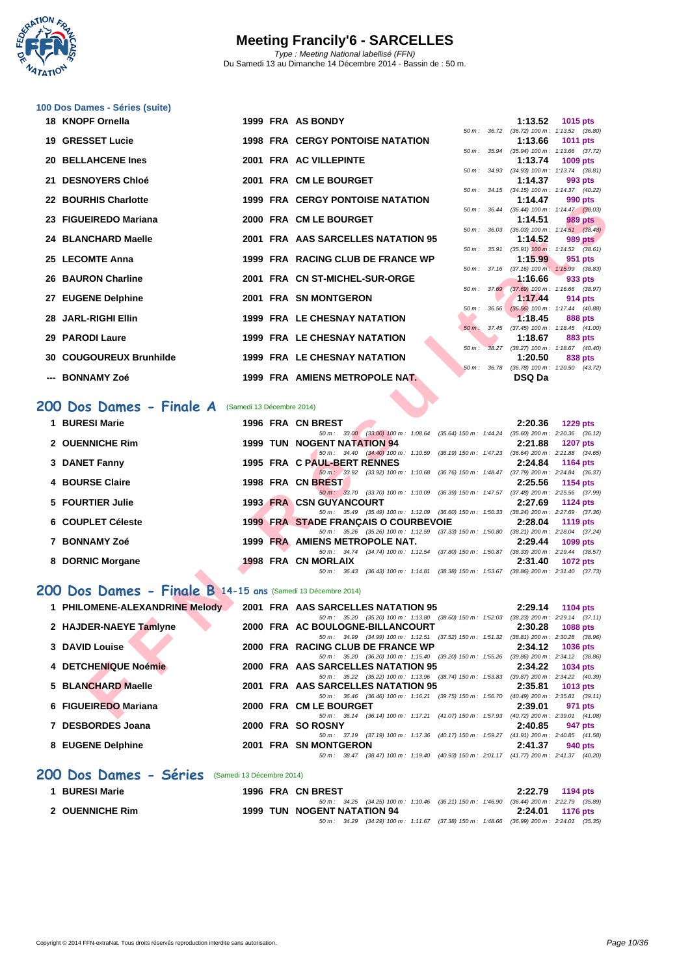

|     | 100 Dos Dames - Séries (suite)                               |                           |                                                                                                                                     |                                                       |                                                       |
|-----|--------------------------------------------------------------|---------------------------|-------------------------------------------------------------------------------------------------------------------------------------|-------------------------------------------------------|-------------------------------------------------------|
|     | 18 KNOPF Ornella                                             |                           | 1999 FRA AS BONDY                                                                                                                   | 1:13.52                                               | <b>1015 pts</b>                                       |
| 19  | <b>GRESSET Lucie</b>                                         |                           | <b>1998 FRA CERGY PONTOISE NATATION</b>                                                                                             | 50 m: 36.72 (36.72) 100 m: 1:13.52 (36.80)<br>1:13.66 | 1011 pts                                              |
|     | 20 BELLAHCENE Ines                                           |                           | 2001 FRA AC VILLEPINTE                                                                                                              | 50 m: 35.94 (35.94) 100 m: 1:13.66 (37.72)<br>1:13.74 | <b>1009 pts</b>                                       |
|     | 21 DESNOYERS Chloé                                           |                           | 2001 FRA CM LE BOURGET                                                                                                              | 50 m: 34.93 (34.93) 100 m: 1:13.74 (38.81)<br>1:14.37 | 993 pts                                               |
| 22  | <b>BOURHIS Charlotte</b>                                     |                           | <b>1999 FRA CERGY PONTOISE NATATION</b>                                                                                             | 50 m: 34.15 (34.15) 100 m: 1:14.37 (40.22)<br>1:14.47 | 990 pts                                               |
|     |                                                              |                           | 50 m : 36.44                                                                                                                        | $(36.44)$ 100 m : 1:14.47 $(38.03)$                   |                                                       |
|     | 23 FIGUEIREDO Mariana                                        |                           | 2000 FRA CM LE BOURGET<br>50 m : 36.03                                                                                              | 1:14.51                                               | <b>989 pts</b><br>$(36.03)$ 100 m : 1:14.51 $(38.48)$ |
| 24  | <b>BLANCHARD Maelle</b>                                      |                           | 2001 FRA AAS SARCELLES NATATION 95                                                                                                  | 1:14.52<br>50 m: 35.91 (35.91) 100 m: 1:14.52 (38.61) | 989 pts                                               |
|     | 25 LECOMTE Anna                                              |                           | 1999 FRA RACING CLUB DE FRANCE WP                                                                                                   | 1:15.99                                               | 951 pts                                               |
| 26  | <b>BAURON Charline</b>                                       |                           | 50 m: 37.16<br>2001 FRA CN ST-MICHEL-SUR-ORGE                                                                                       | $(37.16)$ 100 m : 1:15.99 $(38.83)$<br>1:16.66        | 933 pts                                               |
| 27. | <b>EUGENE Delphine</b>                                       |                           | 50 m: 37.69<br>2001 FRA SN MONTGERON                                                                                                | 1:17.44                                               | (37.69) 100 m: 1:16.66 (38.97)<br>914 pts             |
|     | 28 JARL-RIGHI Ellin                                          |                           | 50 m :<br>36.56<br><b>1999 FRA LE CHESNAY NATATION</b>                                                                              | 1:18.45                                               | $(36.56)$ 100 m : 1:17.44 $(40.88)$<br>888 pts        |
|     |                                                              |                           | 50 m: 37.45                                                                                                                         |                                                       | $(37.45)$ 100 m : 1:18.45 $(41.00)$                   |
| 29  | <b>PARODI Laure</b>                                          |                           | <b>1999 FRA LE CHESNAY NATATION</b><br>$50 m$ :                                                                                     | 1:18.67<br>38.27 (38.27) 100 m: 1:18.67 (40.40)       | <b>883 pts</b>                                        |
| 30  | <b>COUGOUREUX Brunhilde</b>                                  |                           | <b>1999 FRA LE CHESNAY NATATION</b><br>$50 m$ : 36.78                                                                               | 1:20.50                                               | 838 pts<br>$(36.78)$ 100 m : 1:20.50 $(43.72)$        |
|     | <b>BONNAMY Zoé</b>                                           |                           | 1999 FRA AMIENS METROPOLE NAT.                                                                                                      | <b>DSQ Da</b>                                         |                                                       |
|     | 200 Dos Dames - Finale A                                     | (Samedi 13 Décembre 2014) |                                                                                                                                     |                                                       |                                                       |
|     | 1 BURESI Marie                                               |                           | 1996 FRA CN BREST                                                                                                                   | 2:20.36                                               | <b>1229 pts</b>                                       |
|     |                                                              |                           | 50 m: 33.00 (33.00) 100 m: 1:08.64 (35.64) 150 m: 1:44.24 (35.60) 200 m: 2:20.36 (36.12)                                            |                                                       |                                                       |
|     | 2 OUENNICHE Rim                                              |                           | <b>1999 TUN NOGENT NATATION 94</b><br>50 m : 34.40 (34.40) 100 m : 1:10.59<br>(36.19) 150 m: 1:47.23 (36.64) 200 m: 2:21.88 (34.65) | 2:21.88                                               | <b>1207 pts</b>                                       |
|     | 3 DANET Fanny                                                |                           | 1995 FRA C PAUL-BERT RENNES<br>50 m : 33.92 (33.92) 100 m : 1:10.68<br>(36.76) 150 m : 1:48.47 (37.79) 200 m : 2:24.84 (36.37)      | 2:24.84                                               | 1164 pts                                              |
|     | 4 BOURSE Claire                                              |                           | 1998 FRA CN BREST                                                                                                                   | 2:25.56                                               | 1154 pts                                              |
|     | 5 FOURTIER Julie                                             |                           | 50 m: 33.70 (33.70) 100 m: 1:10.09 (36.39) 150 m: 1:47.57 (37.48) 200 m: 2:25.56 (37.99)<br><b>1993 FRA CSN GUYANCOURT</b>          | 2:27.69                                               | <b>1124 pts</b>                                       |
|     | 6 COUPLET Céleste                                            |                           | 50 m: 35.49 (35.49) 100 m: 1:12.09 (36.60) 150 m: 1:50.33 (38.24) 200 m: 2:27.69 (37.36)<br>1999 FRA STADE FRANÇAIS O COURBEVOIE    | 2:28.04                                               | 1119 pts                                              |
|     |                                                              |                           | 50 m : 35.26 (35.26) 100 m : 1:12.59 (37.33) 150 m : 1:50.80                                                                        |                                                       | $(38.21)$ 200 m : 2:28.04 $(37.24)$                   |
|     | 7 BONNAMY Zoé                                                |                           | 1999 FRA AMIENS METROPOLE NAT.<br>50 m: 34.74 (34.74) 100 m: 1:12.54 (37.80) 150 m: 1:50.87 (38.33) 200 m: 2:29.44 (38.57)          | 2:29.44                                               | 1099 pts                                              |
|     | 8 DORNIC Morgane                                             |                           | <b>1998 FRA CN MORLAIX</b><br>50 m: 36.43 (36.43) 100 m: 1:14.81 (38.38) 150 m: 1:53.67 (38.86) 200 m: 2:31.40 (37.73)              | 2:31.40                                               | <b>1072 pts</b>                                       |
|     | 200 Dos Dames - Finale B 14-15 ans (Samedi 13 Décembre 2014) |                           |                                                                                                                                     |                                                       |                                                       |
|     |                                                              |                           |                                                                                                                                     |                                                       |                                                       |
|     | 1 PHILOMENE-ALEXANDRINE Melody                               |                           | 2001 FRA AAS SARCELLES NATATION 95<br>50 m: 35.20 (35.20) 100 m: 1:13.80 (38.60) 150 m: 1:52.03 (38.23) 200 m: 2:29.14 (37.11)      | 2:29.14                                               | <b>1104 pts</b>                                       |
|     | 2 HAJDER-NAEYE Tamlyne                                       |                           | 2000 FRA AC BOULOGNE-BILLANCOURT<br>50 m : 34.99 (34.99) 100 m : 1:12.51 (37.52) 150 m : 1:51.32                                    | 2:30.28                                               | 1088 pts<br>$(38.81)$ 200 m : 2:30.28 $(38.96)$       |
|     | 3 DAVID Louise                                               |                           | 2000 FRA RACING CLUB DE FRANCE WP                                                                                                   | 2:34.12                                               | 1036 pts                                              |
|     | 4 DETCHENIQUE Noémie                                         |                           | 50 m : 36.20 (36.20) 100 m : 1:15.40 (39.20) 150 m : 1:55.26<br>2000 FRA AAS SARCELLES NATATION 95                                  | 2:34.22                                               | (39.86) 200 m : 2:34.12 (38.86)<br>1034 pts           |
|     | 5 BLANCHARD Maelle                                           |                           | 50 m : 35.22 (35.22) 100 m : 1:13.96 (38.74) 150 m : 1:53.83<br>2001 FRA AAS SARCELLES NATATION 95                                  |                                                       | $(39.87)$ 200 m : 2:34.22 $(40.39)$                   |
|     |                                                              |                           | 50 m: 36.46 (36.46) 100 m: 1:16.21 (39.75) 150 m: 1:56.70                                                                           | 2:35.81                                               | 1013 pts<br>$(40.49)$ 200 m : 2:35.81 $(39.11)$       |
|     | 6 FIGUEIREDO Mariana                                         |                           | 2000 FRA CM LE BOURGET<br>50 m: 36.14 (36.14) 100 m: 1:17.21 (41.07) 150 m: 1:57.93 (40.72) 200 m: 2:39.01 (41.08)                  | 2:39.01                                               | 971 pts                                               |

#### **200 Dos Dames - Finale A** (Samedi 13 Décembre 2014)

| 1 BURESI Marie    |  | 1996 FRA CN BREST                    |                                      |                                                                                          | 2:20.36                             | $1229$ pts      |  |
|-------------------|--|--------------------------------------|--------------------------------------|------------------------------------------------------------------------------------------|-------------------------------------|-----------------|--|
|                   |  |                                      | 50 m : 33.00 (33.00) 100 m : 1:08.64 | $(35.64)$ 150 m : 1:44.24                                                                | $(35.60)$ 200 m : 2:20.36 $(36.12)$ |                 |  |
| 2 OUENNICHE Rim   |  | <b>1999 TUN NOGENT NATATION 94</b>   |                                      |                                                                                          | 2:21.88                             | <b>1207 pts</b> |  |
|                   |  |                                      |                                      | 50 m: 34.40 (34.40) 100 m: 1:10.59 (36.19) 150 m: 1:47.23                                | $(36.64)$ 200 m : 2:21.88 $(34.65)$ |                 |  |
| 3 DANET Fanny     |  | 1995 FRA C PAUL-BERT RENNES          |                                      |                                                                                          | 2:24.84                             | 1164 pts        |  |
|                   |  |                                      |                                      | 50 m: 33.92 (33.92) 100 m: 1:10.68 (36.76) 150 m: 1:48.47                                | $(37.79)$ 200 m : 2:24.84 $(36.37)$ |                 |  |
| 4 BOURSE Claire   |  | 1998 FRA CN BREST                    |                                      |                                                                                          | 2:25.56                             | 1154 pts        |  |
|                   |  |                                      | 50 m : 33.70 (33.70) 100 m : 1:10.09 | $(36.39)$ 150 m : 1:47.57                                                                | $(37.48)$ 200 m : 2:25.56 $(37.99)$ |                 |  |
| 5 FOURTIER Julie  |  | <b>1993 FRA CSN GUYANCOURT</b>       |                                      |                                                                                          | 2:27.69                             | 1124 pts        |  |
|                   |  |                                      |                                      | 50 m : 35.49 (35.49) 100 m : 1:12.09 (36.60) 150 m : 1:50.33                             | $(38.24)$ 200 m : 2:27.69 $(37.36)$ |                 |  |
| 6 COUPLET Céleste |  | 1999 FRA STADE FRANCAIS O COURBEVOIE |                                      |                                                                                          | 2:28.04                             | 1119 pts        |  |
|                   |  |                                      |                                      | 50 m: 35.26 (35.26) 100 m: 1:12.59 (37.33) 150 m: 1:50.80 (38.21) 200 m: 2:28.04 (37.24) |                                     |                 |  |
| 7 BONNAMY Zoé     |  | 1999 FRA AMIENS METROPOLE NAT.       |                                      |                                                                                          | 2:29.44                             | 1099 pts        |  |
|                   |  | $50 \text{ m}$ : 34.74               | (34.74) 100 m : 1:12.54              | (37.80) 150 m : 1:50.87                                                                  | $(38.33)$ 200 m : 2:29.44 $(38.57)$ |                 |  |
| 8 DORNIC Morgane  |  | <b>1998 FRA CN MORLAIX</b>           |                                      |                                                                                          | 2:31.40                             | <b>1072 pts</b> |  |
|                   |  |                                      | 50 m : 36.43 (36.43) 100 m : 1:14.81 | (38.38) 150 m : 1:53.67                                                                  | $(38.86)$ 200 m : 2:31.40 $(37.73)$ |                 |  |

### **200 Dos Dames - Finale B 14-15 ans** (Samedi 13 Décembre 2014)

| 1 PHILOMENE-ALEXANDRINE Melody |  | 2001 FRA AAS SARCELLES NATATION 95                                                                      | 2:29.14 | 1104 pts                            |
|--------------------------------|--|---------------------------------------------------------------------------------------------------------|---------|-------------------------------------|
|                                |  | 50 m : 35.20 (35.20) 100 m : 1:13.80 (38.60) 150 m : 1:52.03                                            |         | $(38.23)$ 200 m : 2:29.14 $(37.11)$ |
| 2 HAJDER-NAEYE Tamlyne         |  | 2000 FRA AC BOULOGNE-BILLANCOURT                                                                        | 2:30.28 | 1088 pts                            |
|                                |  | 50 m: 34.99 (34.99) 100 m: 1:12.51 (37.52) 150 m: 1:51.32                                               |         | $(38.81)$ 200 m : 2:30.28 $(38.96)$ |
| 3 DAVID Louise                 |  | 2000 FRA RACING CLUB DE FRANCE WP                                                                       | 2:34.12 | <b>1036 pts</b>                     |
|                                |  | 50 m : 36.20 (36.20) 100 m : 1:15.40 (39.20) 150 m : 1:55.26                                            |         | $(39.86)$ 200 m : 2:34.12 $(38.86)$ |
| 4 DETCHENIQUE Noémie           |  | 2000 FRA AAS SARCELLES NATATION 95                                                                      | 2:34.22 | 1034 pts                            |
|                                |  | 50 m : 35.22 (35.22) 100 m : 1:13.96 (38.74) 150 m : 1:53.83                                            |         | $(39.87)$ 200 m : 2:34.22 $(40.39)$ |
| 5 BLANCHARD Maelle             |  | 2001 FRA AAS SARCELLES NATATION 95                                                                      | 2:35.81 | 1013 $pts$                          |
|                                |  | 50 m : 36.46 (36.46) 100 m : 1:16.21 (39.75) 150 m : 1:56.70                                            |         | $(40.49)$ 200 m : 2:35.81 $(39.11)$ |
| 6 FIGUEIREDO Mariana           |  | 2000 FRA CM LE BOURGET                                                                                  | 2:39.01 | 971 pts                             |
|                                |  | (36.14) 100 m : 1:17.21 (41.07) 150 m : 1:57.93<br>$50 \text{ m}$ : 36.14                               |         | $(40.72)$ 200 m : 2:39.01 $(41.08)$ |
| 7 DESBORDES Joana              |  | 2000 FRA SO ROSNY                                                                                       | 2:40.85 | 947 pts                             |
|                                |  | 50 m: 37.19 (37.19) 100 m: 1:17.36 (40.17) 150 m: 1:59.27 (41.91) 200 m: 2:40.85 (41.58)                |         |                                     |
| 8 EUGENE Delphine              |  | 2001 FRA SN MONTGERON                                                                                   | 2:41.37 | <b>940 pts</b>                      |
|                                |  | $(38.47)$ 100 m : 1:19.40 $(40.93)$ 150 m : 2:01.17 $(41.77)$ 200 m : 2:41.37 $(40.20)$<br>50 m : 38.47 |         |                                     |
|                                |  |                                                                                                         |         |                                     |

#### **200 Dos Dames - Séries** (Samedi 13 Décembre 2014)

| 1 BURESI Marie  |  | 1996 FRA CN BREST                  |  |                                                                                              | 2:22.79 1194 pts |  |
|-----------------|--|------------------------------------|--|----------------------------------------------------------------------------------------------|------------------|--|
|                 |  |                                    |  | 50 m : 34.25 (34.25) 100 m : 1:10.46 (36.21) 150 m : 1:46.90 (36.44) 200 m : 2:22.79 (35.89) |                  |  |
| 2 OUENNICHE Rim |  | <b>1999 TUN NOGENT NATATION 94</b> |  |                                                                                              | 2:24.01 1176 pts |  |
|                 |  |                                    |  | 50 m : 34.29 (34.29) 100 m : 1:11.67 (37.38) 150 m : 1:48.66 (36.99) 200 m : 2:24.01 (35.35) |                  |  |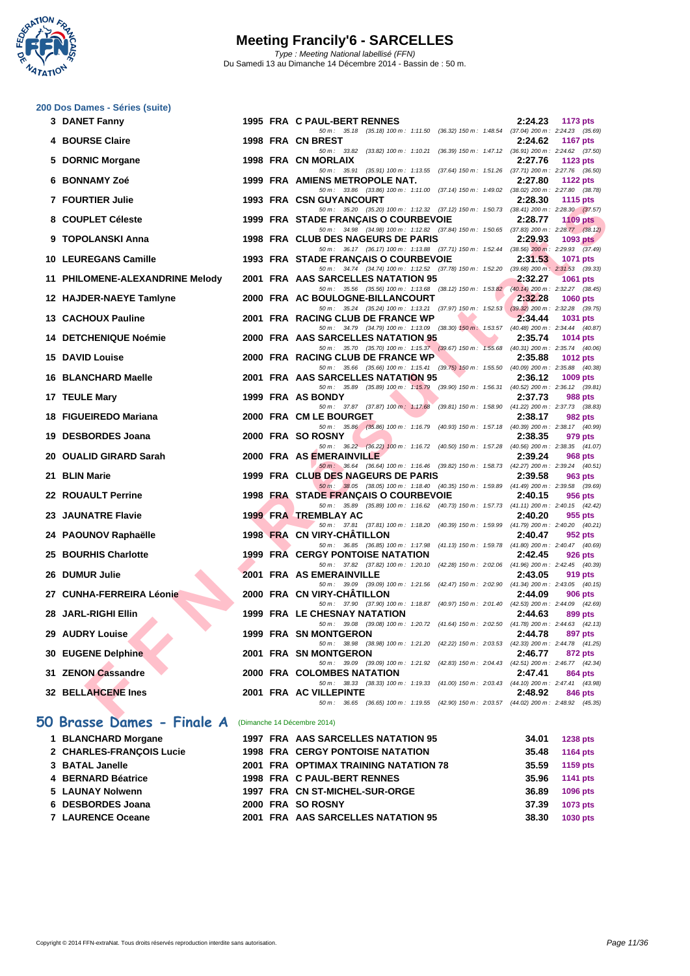

|  |  | 200 Dos Dames - Séries (suite) |  |  |
|--|--|--------------------------------|--|--|
|--|--|--------------------------------|--|--|

|   | 3 DANET Fanny                   |  | 1995 FRA C PAUL-BERT RENNES                                                                                                         | 2:24.23 | 1173 pts        |
|---|---------------------------------|--|-------------------------------------------------------------------------------------------------------------------------------------|---------|-----------------|
|   | <b>4 BOURSE Claire</b>          |  | 50 m: 35.18 (35.18) 100 m: 1:11.50 (36.32) 150 m: 1:48.54 (37.04) 200 m: 2:24.23 (35.69)<br>1998 FRA CN BREST                       | 2:24.62 | <b>1167 pts</b> |
|   |                                 |  | 50 m: 33.82 (33.82) 100 m: 1:10.21 (36.39) 150 m: 1:47.12 (36.91) 200 m: 2:24.62 (37.50)                                            |         |                 |
| 5 | <b>DORNIC Morgane</b>           |  | 1998 FRA CN MORLAIX<br>50 m: 35.91 (35.91) 100 m: 1:13.55 (37.64) 150 m: 1:51.26 (37.71) 200 m: 2:27.76 (36.50)                     | 2:27.76 | 1123 $pts$      |
|   | 6 BONNAMY Zoé                   |  | 1999 FRA AMIENS METROPOLE NAT.                                                                                                      | 2:27.80 | <b>1122 pts</b> |
|   | 7 FOURTIER Julie                |  | 50 m: 33.86 (33.86) 100 m: 1:11.00 (37.14) 150 m: 1:49.02 (38.02) 200 m: 2:27.80 (38.78)<br>1993 FRA CSN GUYANCOURT                 | 2:28.30 | <b>1115 pts</b> |
|   |                                 |  | 50 m: 35.20 (35.20) 100 m: 1:12.32 (37.12) 150 m: 1:50.73 (38.41) 200 m: 2:28.30 (37.57)                                            |         |                 |
|   | 8 COUPLET Céleste               |  | 1999 FRA STADE FRANÇAIS O COURBEVOIE                                                                                                | 2:28.77 | 1109 $pts$      |
|   | 9 TOPOLANSKI Anna               |  | 50 m: 34.98 (34.98) 100 m: 1:12.82 (37.84) 150 m: 1:50.65 (37.83) 200 m: 2:28.77 (38.12)<br>1998 FRA CLUB DES NAGEURS DE PARIS      | 2:29.93 | 1093 pts        |
|   |                                 |  | 50 m: 36.17 (36.17) 100 m: 1:13.88 (37.71) 150 m: 1:52.44 (38.56) 200 m: 2:29.93 (37.49)                                            |         |                 |
|   | 10 LEUREGANS Camille            |  | 1993 FRA STADE FRANÇAIS O COURBEVOIE<br>50 m: 34.74 (34.74) 100 m: 1:12.52 (37.78) 150 m: 1:52.20 (39.68) 200 m: 2:31.53 (39.33)    | 2:31.53 | <b>1071 pts</b> |
|   | 11 PHILOMENE-ALEXANDRINE Melody |  | 2001 FRA AAS SARCELLES NATATION 95                                                                                                  | 2:32.27 | 1061 pts        |
|   |                                 |  | 50 m: 35.56 (35.56) 100 m: 1:13.68 (38.12) 150 m: 1:53.82 (40.14) 200 m: 2:32.27 (38.45)                                            |         |                 |
|   | 12 HAJDER-NAEYE Tamlyne         |  | 2000 FRA AC BOULOGNE-BILLANCOURT<br>50 m: 35.24 (35.24) 100 m: 1:13.21 (37.97) 150 m: 1:52.53 (39.32) 200 m: 2:32.28 (39.75)        | 2:32.28 | <b>1060 pts</b> |
|   | 13 CACHOUX Pauline              |  | 2001 FRA RACING CLUB DE FRANCE WP                                                                                                   | 2:34.44 | <b>1031 pts</b> |
|   |                                 |  | 50 m: 34.79 (34.79) 100 m: 1:13.09 (38.30) 150 m: 1:53.57 (40.48) 200 m: 2:34.44 (40.87)                                            |         |                 |
|   | <b>14 DETCHENIQUE Noémie</b>    |  | 2000 FRA AAS SARCELLES NATATION 95<br>50 m: 35.70 (35.70) 100 m: 1:15.37 (39.67) 150 m: 1:55.68 (40.31) 200 m: 2:35.74 (40.06)      | 2:35.74 | <b>1014 pts</b> |
|   | <b>15 DAVID Louise</b>          |  | 2000 FRA RACING CLUB DE FRANCE WP                                                                                                   | 2:35.88 | 1012 pts        |
|   | 16 BLANCHARD Maelle             |  | 50 m : 35.66 (35.66) 100 m : 1:15.41 (39.75) 150 m : 1:55.50 (40.09) 200 m : 2:35.88 (40.38)<br>2001 FRA AAS SARCELLES NATATION 95  | 2:36.12 |                 |
|   |                                 |  | 50 m: 35.89 (35.89) 100 m: 1:15.79 (39.90) 150 m: 1:56.31 (40.52) 200 m: 2:36.12 (39.81)                                            |         | 1009 pts        |
|   | 17 TEULE Mary                   |  | 1999 FRA AS BONDY                                                                                                                   | 2:37.73 | 988 pts         |
|   | 18 FIGUEIREDO Mariana           |  | 50 m: 37.87 (37.87) 100 m: 1:17.68 (39.81) 150 m: 1:58.90 (41.22) 200 m: 2:37.73 (38.83)<br>2000 FRA CM LE BOURGET                  | 2:38.17 | 982 pts         |
|   |                                 |  | 50 m : 35.86 (35.86) 100 m : 1:16.79 (40.93) 150 m : 1:57.18 (40.39) 200 m : 2:38.17 (40.99)                                        |         |                 |
|   | 19 DESBORDES Joana              |  | 2000 FRA SO ROSNY                                                                                                                   | 2:38.35 | 979 pts         |
|   | 20 OUALID GIRARD Sarah          |  | 50 m: 36.22 (36.22) 100 m: 1:16.72 (40.50) 150 m: 1:57.28 (40.56) 200 m: 2:38.35 (41.07)<br>2000 FRA AS EMERAINVILLE                | 2:39.24 | 968 pts         |
|   |                                 |  | 50 m : 36.64 (36.64) 100 m : 1:16.46 (39.82) 150 m : 1:58.73 (42.27) 200 m : 2:39.24 (40.51)                                        |         |                 |
|   | 21 BLIN Marie                   |  | 1999 FRA CLUB DES NAGEURS DE PARIS<br>50 m: 38.05 (38.05) 100 m: 1:18.40 (40.35) 150 m: 1:59.89 (41.49) 200 m: 2:39.58 (39.69)      | 2:39.58 | 963 pts         |
|   | 22 ROUAULT Perrine              |  | 1998 FRA STADE FRANÇAIS O COURBEVOIE                                                                                                | 2:40.15 | 956 pts         |
|   |                                 |  | 50 m: 35.89 (35.89) 100 m: 1:16.62 (40.73) 150 m: 1:57.73 (41.11) 200 m: 2:40.15 (42.42)                                            |         |                 |
|   | 23 JAUNATRE Flavie              |  | <b>1999 FRA TREMBLAY AC</b><br>50 m: 37.81 (37.81) 100 m: 1:18.20 (40.39) 150 m: 1:59.99 (41.79) 200 m: 2:40.20 (40.21)             | 2:40.20 | 955 pts         |
|   | 24 PAOUNOV Raphaëlle            |  | 1998 FRA CN VIRY-CHATILLON                                                                                                          | 2:40.47 | 952 pts         |
|   | 25 BOURHIS Charlotte            |  | 50 m: 36.85 (36.85) 100 m: 1:17.98 (41.13) 150 m: 1:59.78 (41.80) 200 m: 2:40.47 (40.69)<br><b>1999 FRA CERGY PONTOISE NATATION</b> | 2:42.45 | 926 pts         |
|   |                                 |  | 50 m: 37.82 (37.82) 100 m: 1:20.10 (42.28) 150 m: 2:02.06 (41.96) 200 m: 2:42.45 (40.39)                                            |         |                 |
|   | 26 DUMUR Julie                  |  | 2001 FRA AS EMERAINVILLE                                                                                                            | 2:43.05 | 919 pts         |
|   | 27 CUNHA-FERREIRA Léonie        |  | 50 m: 39.09 (39.09) 100 m: 1:21.56 (42.47) 150 m: 2:02.90 (41.34) 200 m: 2:43.05 (40.15)<br>2000 FRA CN VIRY-CHATILLON              | 2:44.09 | 906 pts         |
|   |                                 |  | 50 m: 37.90 (37.90) 100 m: 1:18.87 (40.97) 150 m: 2:01.40 (42.53) 200 m: 2:44.09 (42.69)                                            |         |                 |
|   | 28 JARL-RIGHI Ellin             |  | <b>1999 FRA LE CHESNAY NATATION</b><br>50 m: 39.08 (39.08) 100 m: 1:20.72 (41.64) 150 m: 2:02.50 (41.78) 200 m: 2:44.63 (42.13)     | 2:44.63 | 899 pts         |
|   | 29 AUDRY Louise                 |  | <b>1999 FRA SN MONTGERON</b>                                                                                                        | 2:44.78 | 897 pts         |
|   |                                 |  | 50 m: 38.98 (38.98) 100 m: 1:21.20 (42.22) 150 m: 2:03.53 (42.33) 200 m: 2:44.78 (41.25)                                            |         |                 |
|   | 30 EUGENE Delphine              |  | 2001 FRA SN MONTGERON<br>50 m: 39.09 (39.09) 100 m: 1:21.92 (42.83) 150 m: 2:04.43 (42.51) 200 m: 2:46.77 (42.34)                   | 2:46.77 | 872 pts         |
|   | 31 ZENON Cassandre              |  | 2000 FRA COLOMBES NATATION                                                                                                          | 2:47.41 | 864 pts         |
|   | 32 BELLAHCENE Ines              |  | 50 m: 38.33 (38.33) 100 m: 1:19.33 (41.00) 150 m: 2:03.43 (44.10) 200 m: 2:47.41 (43.98)<br>2001 FRA AC VILLEPINTE                  |         |                 |
|   |                                 |  | 50 m : 36.65 (36.65) 100 m : 1:19.55 (42.90) 150 m : 2:03.57 (44.02) 200 m : 2:48.92 (45.35)                                        | 2:48.92 | 846 pts         |
|   |                                 |  |                                                                                                                                     |         |                 |
|   | 50 Brasse Dames - Finale A      |  | (Dimanche 14 Décembre 2014)                                                                                                         |         |                 |
|   |                                 |  |                                                                                                                                     |         |                 |

| 1 BLANCHARD Morgane      |  | 1997 FRA AAS SARCELLES NATATION 95      | 34.01 | 1238 pts |
|--------------------------|--|-----------------------------------------|-------|----------|
| 2 CHARLES-FRANCOIS Lucie |  | <b>1998 FRA CERGY PONTOISE NATATION</b> | 35.48 | 1164 pts |
| 3 BATAL Janelle          |  | 2001 FRA OPTIMAX TRAINING NATATION 78   | 35.59 | 1159 pts |
| 4 BERNARD Béatrice       |  | 1998 FRA C PAUL-BERT RENNES             | 35.96 | 1141 pts |
| 5 LAUNAY Nolwenn         |  | 1997 FRA CN ST-MICHEL-SUR-ORGE          | 36.89 | 1096 pts |
| 6 DESBORDES Joana        |  | 2000 FRA SO ROSNY                       | 37.39 | 1073 pts |
| 7 LAURENCE Oceane        |  | 2001 FRA AAS SARCELLES NATATION 95      | 38.30 | 1030 pts |
|                          |  |                                         |       |          |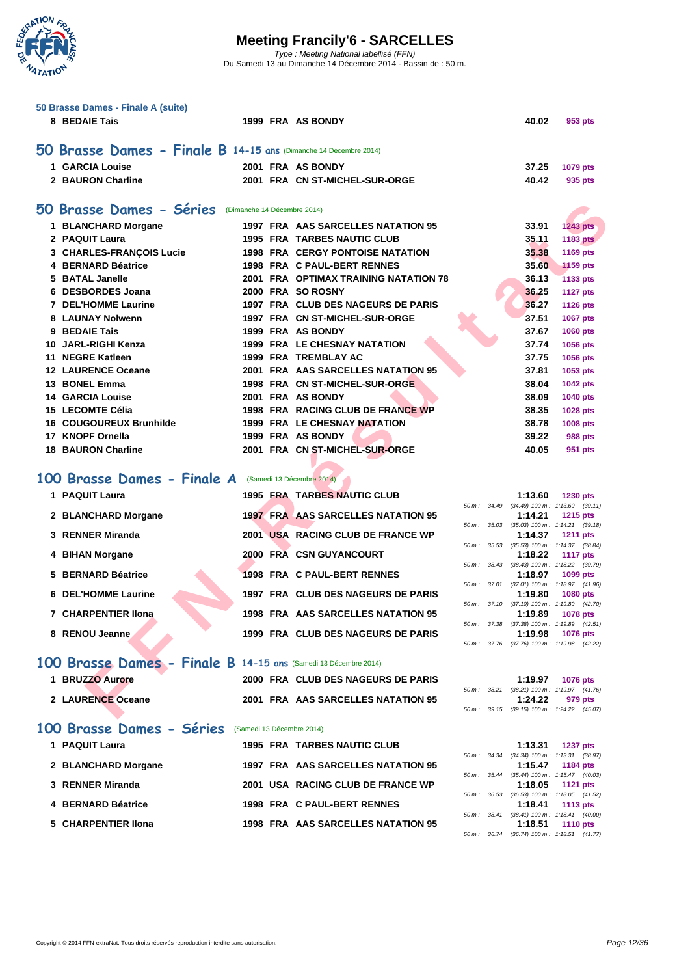

| 50 Brasse Dames - Finale A (suite)                               |  |                                              |  |         |                                                               |
|------------------------------------------------------------------|--|----------------------------------------------|--|---------|---------------------------------------------------------------|
| 8 BEDAIE Tais                                                    |  | 1999 FRA AS BONDY                            |  | 40.02   | 953 pts                                                       |
| 50 Brasse Dames - Finale B 14-15 ans (Dimanche 14 Décembre 2014) |  |                                              |  |         |                                                               |
| 1 GARCIA Louise                                                  |  | 2001 FRA AS BONDY                            |  | 37.25   | 1079 pts                                                      |
| 2 BAURON Charline                                                |  | 2001 FRA CN ST-MICHEL-SUR-ORGE               |  | 40.42   | 935 pts                                                       |
| 50 Brasse Dames - Séries                                         |  | (Dimanche 14 Décembre 2014)                  |  |         |                                                               |
| 1 BLANCHARD Morgane                                              |  | 1997 FRA AAS SARCELLES NATATION 95           |  | 33.91   | <b>1243 pts</b>                                               |
| 2 PAQUIT Laura                                                   |  | <b>1995 FRA TARBES NAUTIC CLUB</b>           |  | 35.11   | <b>1183 pts</b>                                               |
| 3 CHARLES-FRANCOIS Lucie                                         |  | <b>1998 FRA CERGY PONTOISE NATATION</b>      |  | 35.38   | 1169 pts                                                      |
| 4 BERNARD Béatrice                                               |  | 1998 FRA C PAUL-BERT RENNES                  |  | 35.60   | <b>1159 pts</b>                                               |
| 5 BATAL Janelle                                                  |  | <b>2001 FRA OPTIMAX TRAINING NATATION 78</b> |  | 36.13   | 1133 pts                                                      |
| 6 DESBORDES Joana                                                |  | 2000 FRA SO ROSNY                            |  | 36.25   | <b>1127 pts</b>                                               |
| <b>7 DEL'HOMME Laurine</b>                                       |  | 1997 FRA CLUB DES NAGEURS DE PARIS           |  | 36.27   | <b>1126 pts</b>                                               |
| 8 LAUNAY Nolwenn                                                 |  | 1997 FRA CN ST-MICHEL-SUR-ORGE               |  | 37.51   | <b>1067 pts</b>                                               |
| 9 BEDAIE Tais                                                    |  | 1999 FRA AS BONDY                            |  | 37.67   | 1060 pts                                                      |
| 10 JARL-RIGHI Kenza                                              |  | <b>1999 FRA LE CHESNAY NATATION</b>          |  | 37.74   | 1056 pts                                                      |
| 11 NEGRE Katleen                                                 |  | <b>1999 FRA TREMBLAY AC</b>                  |  | 37.75   | 1056 pts                                                      |
| <b>12 LAURENCE Oceane</b>                                        |  | 2001 FRA AAS SARCELLES NATATION 95           |  | 37.81   | 1053 pts                                                      |
| 13 BONEL Emma                                                    |  | 1998 FRA CN ST-MICHEL-SUR-ORGE               |  | 38.04   | <b>1042 pts</b>                                               |
| <b>14 GARCIA Louise</b>                                          |  | 2001 FRA AS BONDY                            |  | 38.09   | 1040 pts                                                      |
| <b>15 LECOMTE Célia</b>                                          |  | 1998 FRA RACING CLUB DE FRANCE WP            |  | 38.35   | 1028 pts                                                      |
| <b>16 COUGOUREUX Brunhilde</b>                                   |  | <b>1999 FRA LE CHESNAY NATATION</b>          |  | 38.78   | 1008 pts                                                      |
| 17 KNOPF Ornella                                                 |  | 1999 FRA AS BONDY                            |  | 39.22   | 988 pts                                                       |
| <b>18 BAURON Charline</b>                                        |  | 2001 FRA CN ST-MICHEL-SUR-ORGE               |  | 40.05   | 951 pts                                                       |
| 100 Brasse Dames - Finale A                                      |  | (Samedi 13 Décembre 2014)                    |  |         |                                                               |
| 1 PAQUIT Laura                                                   |  | <b>1995 FRA TARBES NAUTIC CLUB</b>           |  | 1:13.60 | <b>1230 pts</b><br>50 m: 34.49 (34.49) 100 m: 1:13.60 (39.11) |
| 2 BLANCHARD Morgane                                              |  | <b>1997 FRA AAS SARCELLES NATATION 95</b>    |  | 1:14.21 | 1215 pts                                                      |
| 3 RENNER Miranda                                                 |  | 2001 USA RACING CLUB DE FRANCE WP            |  | 1:14.37 | 50 m: 35.03 (35.03) 100 m: 1:14.21 (39.18)<br><b>1211 pts</b> |
|                                                                  |  |                                              |  |         | 50 m: 35.53 (35.53) 100 m: 1:14.37 (38.84)                    |
| 4 BIHAN Morgane                                                  |  | 2000 FRA CSN GUYANCOURT                      |  | 1:18.22 | <b>1117 pts</b>                                               |
| 5 BERNARD Béatrice                                               |  | 1998 FRA C PAUL-BERT RENNES                  |  | 1:18.97 | 50 m: 38.43 (38.43) 100 m: 1:18.22 (39.79)<br>1099 pts        |
|                                                                  |  |                                              |  |         | 50 m: 37.01 (37.01) 100 m: 1:18.97 (41.96)                    |
| <b>6 DEL'HOMME Laurine</b>                                       |  | 1997 FRA CLUB DES NAGEURS DE PARIS           |  | 1:19.80 | <b>1080 pts</b>                                               |
| <b>7 CHARPENTIER IIona</b>                                       |  | 1998 FRA AAS SARCELLES NATATION 95           |  | 1:19.89 | 50 m: 37.10 (37.10) 100 m: 1:19.80 (42.70)<br>1078 pts        |
|                                                                  |  |                                              |  |         | 50 m: 37.38 (37.38) 100 m: 1:19.89 (42.51)                    |
| 8 RENOU Jeanne                                                   |  | 1999 FRA CLUB DES NAGEURS DE PARIS           |  | 1:19.98 | <b>1076 pts</b>                                               |
|                                                                  |  |                                              |  |         | 50 m: 37.76 (37.76) 100 m: 1:19.98 (42.22)                    |
| 100 Brasse Dames - Finale B 14-15 ans (Samedi 13 Décembre 2014)  |  |                                              |  |         |                                                               |
| 1 BRUZZO Aurore                                                  |  | 2000 FRA CLUB DES NAGEURS DE PARIS           |  | 1:19.97 | <b>1076 pts</b>                                               |
|                                                                  |  |                                              |  |         | 50 m: 38.21 (38.21) 100 m: 1:19.97 (41.76)                    |
| 2 LAURENCE Oceane                                                |  | 2001 FRA AAS SARCELLES NATATION 95           |  | 1:24.22 | 979 pts                                                       |
|                                                                  |  |                                              |  |         | 50 m: 39.15 (39.15) 100 m: 1:24.22 (45.07)                    |

#### 100 Brasse Dames - Finale A (Samedi 13 Décembre 2014)

| 1 PAQUIT Laura                                                  |  | <b>1995 FRA TARBES NAUTIC CLUB</b>        |                          | 1:13.60                                    | <b>1230 pts</b> |         |
|-----------------------------------------------------------------|--|-------------------------------------------|--------------------------|--------------------------------------------|-----------------|---------|
|                                                                 |  |                                           | $50 m$ : $34.49$         | $(34.49)$ 100 m : 1:13.60 $(39.11)$        |                 |         |
| 2 BLANCHARD Morgane                                             |  | <b>1997 FRALAAS SARCELLES NATATION 95</b> |                          | 1:14.21                                    | 1215 $pts$      |         |
|                                                                 |  |                                           | $50 m$ : $35.03$         | $(35.03)$ 100 m : 1:14.21 $(39.18)$        |                 |         |
| 3 RENNER Miranda                                                |  | 2001 USA RACING CLUB DE FRANCE WP         |                          | 1:14.37                                    | <b>1211 pts</b> |         |
|                                                                 |  |                                           |                          | 50 m: 35.53 (35.53) 100 m: 1:14.37 (38.84) |                 |         |
| 4 BIHAN Morgane                                                 |  | 2000 FRA CSN GUYANCOURT                   |                          | 1:18.22                                    | <b>1117 pts</b> |         |
|                                                                 |  |                                           | 50 m: 38.43              | $(38.43)$ 100 m : 1:18.22 $(39.79)$        |                 |         |
| 5 BERNARD Béatrice                                              |  | 1998 FRA C PAUL-BERT RENNES               |                          | 1:18.97                                    | 1099 pts        |         |
|                                                                 |  |                                           |                          | 50 m: 37.01 (37.01) 100 m: 1:18.97 (41.96) |                 |         |
| 6 DEL'HOMME Laurine                                             |  | 1997 FRA CLUB DES NAGEURS DE PARIS        |                          | 1:19.80                                    | 1080 pts        |         |
|                                                                 |  |                                           | $50 \, \text{m}$ : 37.10 | $(37.10)$ 100 m : 1:19.80 $(42.70)$        |                 |         |
| 7 CHARPENTIER IIona                                             |  | 1998 FRA AAS SARCELLES NATATION 95        |                          | 1:19.89                                    | <b>1078 pts</b> |         |
|                                                                 |  |                                           |                          | 50 m: 37.38 (37.38) 100 m: 1:19.89 (42.51) |                 |         |
| 8 RENOU Jeanne                                                  |  | 1999 FRA CLUB DES NAGEURS DE PARIS        |                          | 1:19.98                                    | <b>1076 pts</b> |         |
|                                                                 |  |                                           |                          | 50 m: 37.76 (37.76) 100 m: 1:19.98 (42.22) |                 |         |
|                                                                 |  |                                           |                          |                                            |                 |         |
| 100 Brasse Dames - Finale B 14-15 ans (Samedi 13 Décembre 2014) |  |                                           |                          |                                            |                 |         |
| 1 BRUZZO Aurore                                                 |  | 2000 FRA CLUB DES NAGEURS DE PARIS        |                          | 1:19.97                                    | 1076 pts        |         |
|                                                                 |  |                                           | $50 m$ : $38.21$         | $(38.21)$ 100 m : 1:19.97 $(41.76)$        |                 |         |
| 2 LAURENCE Oceane                                               |  | 2001 FRA AAS SARCELLES NATATION 95        |                          | 1:24.22                                    |                 | 979 pts |
|                                                                 |  |                                           |                          | 50 m: 39.15 (39.15) 100 m: 1:24.22 (45.07) |                 |         |
|                                                                 |  |                                           |                          |                                            |                 |         |

#### **[100 Brasse Dames - Séries](http://www.ffnatation.fr/webffn/resultats.php?idact=nat&go=epr&idcpt=26027&idepr=22)** (Samedi 13 Décembre 2014)

| 1 PAQUIT Laura      | <b>1995 FRA TARBES NAUTIC CLUB</b> | 1:13.31                                   | <b>1237 pts</b> |
|---------------------|------------------------------------|-------------------------------------------|-----------------|
|                     |                                    | 50 m: 34.34 (34.34) 100 m: 1:13.31 (38.   |                 |
| 2 BLANCHARD Morgane | 1997 FRA AAS SARCELLES NATATION 95 | 1:15.47 1184 pts                          |                 |
|                     |                                    | 50 m: 35.44 (35.44) 100 m: 1:15.47 (40.   |                 |
| 3 RENNER Miranda    | 2001 USA RACING CLUB DE FRANCE WP  | 1:18.05 1121 pts                          |                 |
|                     |                                    | 50 m: 36.53 (36.53) 100 m: 1:18.05 (41.   |                 |
| 4 BERNARD Béatrice  | 1998 FRA C PAUL-BERT RENNES        | 1:18.41 $113 \text{ pts}$                 |                 |
|                     |                                    | 50 m: 38.41 (38.41) 100 m: 1:18.41 (40.0) |                 |
| 5 CHARPENTIER IIona | 1998 FRA AAS SARCELLES NATATION 95 | 1:18.51                                   | <b>1110 pts</b> |
|                     |                                    |                                           |                 |

|  | $1:13.31$ 1237 pts                         |
|--|--------------------------------------------|
|  |                                            |
|  | 50 m: 34.34 (34.34) 100 m: 1:13.31 (38.97) |
|  | $1:15.47$ 1184 pts                         |
|  | 50 m: 35.44 (35.44) 100 m: 1:15.47 (40.03) |
|  | $1:18.05$ 1121 pts                         |
|  | 50 m: 36.53 (36.53) 100 m: 1:18.05 (41.52) |
|  | 1:18.41 $1113 \text{ pts}$                 |
|  | 50 m: 38.41 (38.41) 100 m: 1:18.41 (40.00) |
|  | $1:18.51$ 1110 pts                         |
|  | 50 m: 36.74 (36.74) 100 m: 1:18.51 (41.77) |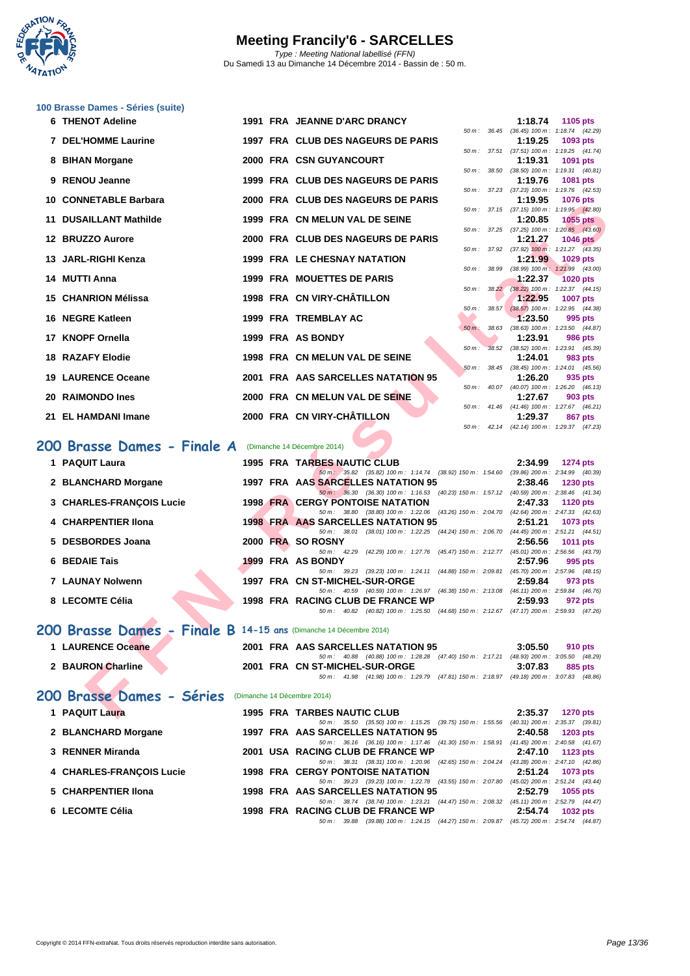

#### **[100 Brass](http://www.ffnatation.fr/webffn/index.php)e Dames - Séries (suite)**

| 6 THENOT Adeline                |                                                                                                                                                                                                                                                                                                                                |                                      |                                                                                                                                                                                                                                                                                                                                                                                                                                                                                                                                                                                                                                                                                                                                                                                                                                                                                                                                                                                                                                                                                 |          | 1:18.74                                         | 1105 pts                                                                                                                                                                                                                                                                                                                                                                                                                                                                                                                                                                                                                                                                                                                                                                                                                                                                                                                                                                                                                                                                                                                                                                                                                                                                                                                                                                                                                                                                                                                                                                                                                                                                                                              |
|---------------------------------|--------------------------------------------------------------------------------------------------------------------------------------------------------------------------------------------------------------------------------------------------------------------------------------------------------------------------------|--------------------------------------|---------------------------------------------------------------------------------------------------------------------------------------------------------------------------------------------------------------------------------------------------------------------------------------------------------------------------------------------------------------------------------------------------------------------------------------------------------------------------------------------------------------------------------------------------------------------------------------------------------------------------------------------------------------------------------------------------------------------------------------------------------------------------------------------------------------------------------------------------------------------------------------------------------------------------------------------------------------------------------------------------------------------------------------------------------------------------------|----------|-------------------------------------------------|-----------------------------------------------------------------------------------------------------------------------------------------------------------------------------------------------------------------------------------------------------------------------------------------------------------------------------------------------------------------------------------------------------------------------------------------------------------------------------------------------------------------------------------------------------------------------------------------------------------------------------------------------------------------------------------------------------------------------------------------------------------------------------------------------------------------------------------------------------------------------------------------------------------------------------------------------------------------------------------------------------------------------------------------------------------------------------------------------------------------------------------------------------------------------------------------------------------------------------------------------------------------------------------------------------------------------------------------------------------------------------------------------------------------------------------------------------------------------------------------------------------------------------------------------------------------------------------------------------------------------------------------------------------------------------------------------------------------------|
| 7 DEL'HOMME Laurine             |                                                                                                                                                                                                                                                                                                                                |                                      |                                                                                                                                                                                                                                                                                                                                                                                                                                                                                                                                                                                                                                                                                                                                                                                                                                                                                                                                                                                                                                                                                 |          | 1:19.25                                         | $(36.45)$ 100 m : 1:18.74 $(42.29)$<br>1093 pts                                                                                                                                                                                                                                                                                                                                                                                                                                                                                                                                                                                                                                                                                                                                                                                                                                                                                                                                                                                                                                                                                                                                                                                                                                                                                                                                                                                                                                                                                                                                                                                                                                                                       |
| 8 BIHAN Morgane                 |                                                                                                                                                                                                                                                                                                                                |                                      |                                                                                                                                                                                                                                                                                                                                                                                                                                                                                                                                                                                                                                                                                                                                                                                                                                                                                                                                                                                                                                                                                 |          | 1:19.31                                         | 1091 pts                                                                                                                                                                                                                                                                                                                                                                                                                                                                                                                                                                                                                                                                                                                                                                                                                                                                                                                                                                                                                                                                                                                                                                                                                                                                                                                                                                                                                                                                                                                                                                                                                                                                                                              |
|                                 |                                                                                                                                                                                                                                                                                                                                |                                      |                                                                                                                                                                                                                                                                                                                                                                                                                                                                                                                                                                                                                                                                                                                                                                                                                                                                                                                                                                                                                                                                                 |          |                                                 | 1081 pts                                                                                                                                                                                                                                                                                                                                                                                                                                                                                                                                                                                                                                                                                                                                                                                                                                                                                                                                                                                                                                                                                                                                                                                                                                                                                                                                                                                                                                                                                                                                                                                                                                                                                                              |
|                                 |                                                                                                                                                                                                                                                                                                                                |                                      |                                                                                                                                                                                                                                                                                                                                                                                                                                                                                                                                                                                                                                                                                                                                                                                                                                                                                                                                                                                                                                                                                 |          |                                                 | <b>1076 pts</b>                                                                                                                                                                                                                                                                                                                                                                                                                                                                                                                                                                                                                                                                                                                                                                                                                                                                                                                                                                                                                                                                                                                                                                                                                                                                                                                                                                                                                                                                                                                                                                                                                                                                                                       |
|                                 |                                                                                                                                                                                                                                                                                                                                |                                      |                                                                                                                                                                                                                                                                                                                                                                                                                                                                                                                                                                                                                                                                                                                                                                                                                                                                                                                                                                                                                                                                                 |          |                                                 |                                                                                                                                                                                                                                                                                                                                                                                                                                                                                                                                                                                                                                                                                                                                                                                                                                                                                                                                                                                                                                                                                                                                                                                                                                                                                                                                                                                                                                                                                                                                                                                                                                                                                                                       |
| 11 DUSAILLANT Mathilde          |                                                                                                                                                                                                                                                                                                                                |                                      |                                                                                                                                                                                                                                                                                                                                                                                                                                                                                                                                                                                                                                                                                                                                                                                                                                                                                                                                                                                                                                                                                 |          | 1:20.85                                         | <b>1055 pts</b>                                                                                                                                                                                                                                                                                                                                                                                                                                                                                                                                                                                                                                                                                                                                                                                                                                                                                                                                                                                                                                                                                                                                                                                                                                                                                                                                                                                                                                                                                                                                                                                                                                                                                                       |
| 12 BRUZZO Aurore                |                                                                                                                                                                                                                                                                                                                                |                                      |                                                                                                                                                                                                                                                                                                                                                                                                                                                                                                                                                                                                                                                                                                                                                                                                                                                                                                                                                                                                                                                                                 |          | 1:21.27                                         | <b>1046 pts</b>                                                                                                                                                                                                                                                                                                                                                                                                                                                                                                                                                                                                                                                                                                                                                                                                                                                                                                                                                                                                                                                                                                                                                                                                                                                                                                                                                                                                                                                                                                                                                                                                                                                                                                       |
| 13 JARL-RIGHI Kenza             |                                                                                                                                                                                                                                                                                                                                |                                      |                                                                                                                                                                                                                                                                                                                                                                                                                                                                                                                                                                                                                                                                                                                                                                                                                                                                                                                                                                                                                                                                                 |          | 1:21.99                                         | 1029 pts                                                                                                                                                                                                                                                                                                                                                                                                                                                                                                                                                                                                                                                                                                                                                                                                                                                                                                                                                                                                                                                                                                                                                                                                                                                                                                                                                                                                                                                                                                                                                                                                                                                                                                              |
|                                 |                                                                                                                                                                                                                                                                                                                                |                                      |                                                                                                                                                                                                                                                                                                                                                                                                                                                                                                                                                                                                                                                                                                                                                                                                                                                                                                                                                                                                                                                                                 |          |                                                 |                                                                                                                                                                                                                                                                                                                                                                                                                                                                                                                                                                                                                                                                                                                                                                                                                                                                                                                                                                                                                                                                                                                                                                                                                                                                                                                                                                                                                                                                                                                                                                                                                                                                                                                       |
|                                 |                                                                                                                                                                                                                                                                                                                                |                                      |                                                                                                                                                                                                                                                                                                                                                                                                                                                                                                                                                                                                                                                                                                                                                                                                                                                                                                                                                                                                                                                                                 |          |                                                 | <b>1020 pts</b>                                                                                                                                                                                                                                                                                                                                                                                                                                                                                                                                                                                                                                                                                                                                                                                                                                                                                                                                                                                                                                                                                                                                                                                                                                                                                                                                                                                                                                                                                                                                                                                                                                                                                                       |
| 15 CHANRION Mélissa             |                                                                                                                                                                                                                                                                                                                                |                                      |                                                                                                                                                                                                                                                                                                                                                                                                                                                                                                                                                                                                                                                                                                                                                                                                                                                                                                                                                                                                                                                                                 |          | 1:22.95                                         | <b>1007 pts</b>                                                                                                                                                                                                                                                                                                                                                                                                                                                                                                                                                                                                                                                                                                                                                                                                                                                                                                                                                                                                                                                                                                                                                                                                                                                                                                                                                                                                                                                                                                                                                                                                                                                                                                       |
|                                 |                                                                                                                                                                                                                                                                                                                                |                                      |                                                                                                                                                                                                                                                                                                                                                                                                                                                                                                                                                                                                                                                                                                                                                                                                                                                                                                                                                                                                                                                                                 |          |                                                 | 995 pts                                                                                                                                                                                                                                                                                                                                                                                                                                                                                                                                                                                                                                                                                                                                                                                                                                                                                                                                                                                                                                                                                                                                                                                                                                                                                                                                                                                                                                                                                                                                                                                                                                                                                                               |
|                                 |                                                                                                                                                                                                                                                                                                                                |                                      | $50 m$ :                                                                                                                                                                                                                                                                                                                                                                                                                                                                                                                                                                                                                                                                                                                                                                                                                                                                                                                                                                                                                                                                        |          |                                                 | $(38.63)$ 100 m : 1:23.50 $(44.87)$                                                                                                                                                                                                                                                                                                                                                                                                                                                                                                                                                                                                                                                                                                                                                                                                                                                                                                                                                                                                                                                                                                                                                                                                                                                                                                                                                                                                                                                                                                                                                                                                                                                                                   |
|                                 |                                                                                                                                                                                                                                                                                                                                |                                      |                                                                                                                                                                                                                                                                                                                                                                                                                                                                                                                                                                                                                                                                                                                                                                                                                                                                                                                                                                                                                                                                                 |          |                                                 | <b>986 pts</b>                                                                                                                                                                                                                                                                                                                                                                                                                                                                                                                                                                                                                                                                                                                                                                                                                                                                                                                                                                                                                                                                                                                                                                                                                                                                                                                                                                                                                                                                                                                                                                                                                                                                                                        |
| <b>18 RAZAFY Elodie</b>         |                                                                                                                                                                                                                                                                                                                                |                                      |                                                                                                                                                                                                                                                                                                                                                                                                                                                                                                                                                                                                                                                                                                                                                                                                                                                                                                                                                                                                                                                                                 |          | 1:24.01                                         | 983 pts                                                                                                                                                                                                                                                                                                                                                                                                                                                                                                                                                                                                                                                                                                                                                                                                                                                                                                                                                                                                                                                                                                                                                                                                                                                                                                                                                                                                                                                                                                                                                                                                                                                                                                               |
|                                 |                                                                                                                                                                                                                                                                                                                                |                                      |                                                                                                                                                                                                                                                                                                                                                                                                                                                                                                                                                                                                                                                                                                                                                                                                                                                                                                                                                                                                                                                                                 |          |                                                 |                                                                                                                                                                                                                                                                                                                                                                                                                                                                                                                                                                                                                                                                                                                                                                                                                                                                                                                                                                                                                                                                                                                                                                                                                                                                                                                                                                                                                                                                                                                                                                                                                                                                                                                       |
|                                 |                                                                                                                                                                                                                                                                                                                                |                                      |                                                                                                                                                                                                                                                                                                                                                                                                                                                                                                                                                                                                                                                                                                                                                                                                                                                                                                                                                                                                                                                                                 |          |                                                 | 935 pts                                                                                                                                                                                                                                                                                                                                                                                                                                                                                                                                                                                                                                                                                                                                                                                                                                                                                                                                                                                                                                                                                                                                                                                                                                                                                                                                                                                                                                                                                                                                                                                                                                                                                                               |
| 20 RAIMONDO Ines                |                                                                                                                                                                                                                                                                                                                                |                                      |                                                                                                                                                                                                                                                                                                                                                                                                                                                                                                                                                                                                                                                                                                                                                                                                                                                                                                                                                                                                                                                                                 |          | 1:27.67                                         | 903 pts                                                                                                                                                                                                                                                                                                                                                                                                                                                                                                                                                                                                                                                                                                                                                                                                                                                                                                                                                                                                                                                                                                                                                                                                                                                                                                                                                                                                                                                                                                                                                                                                                                                                                                               |
|                                 |                                                                                                                                                                                                                                                                                                                                |                                      |                                                                                                                                                                                                                                                                                                                                                                                                                                                                                                                                                                                                                                                                                                                                                                                                                                                                                                                                                                                                                                                                                 |          |                                                 |                                                                                                                                                                                                                                                                                                                                                                                                                                                                                                                                                                                                                                                                                                                                                                                                                                                                                                                                                                                                                                                                                                                                                                                                                                                                                                                                                                                                                                                                                                                                                                                                                                                                                                                       |
|                                 |                                                                                                                                                                                                                                                                                                                                |                                      |                                                                                                                                                                                                                                                                                                                                                                                                                                                                                                                                                                                                                                                                                                                                                                                                                                                                                                                                                                                                                                                                                 |          |                                                 | 867 pts                                                                                                                                                                                                                                                                                                                                                                                                                                                                                                                                                                                                                                                                                                                                                                                                                                                                                                                                                                                                                                                                                                                                                                                                                                                                                                                                                                                                                                                                                                                                                                                                                                                                                                               |
|                                 |                                                                                                                                                                                                                                                                                                                                |                                      |                                                                                                                                                                                                                                                                                                                                                                                                                                                                                                                                                                                                                                                                                                                                                                                                                                                                                                                                                                                                                                                                                 |          |                                                 |                                                                                                                                                                                                                                                                                                                                                                                                                                                                                                                                                                                                                                                                                                                                                                                                                                                                                                                                                                                                                                                                                                                                                                                                                                                                                                                                                                                                                                                                                                                                                                                                                                                                                                                       |
|                                 |                                                                                                                                                                                                                                                                                                                                |                                      |                                                                                                                                                                                                                                                                                                                                                                                                                                                                                                                                                                                                                                                                                                                                                                                                                                                                                                                                                                                                                                                                                 |          |                                                 | 1274 pts                                                                                                                                                                                                                                                                                                                                                                                                                                                                                                                                                                                                                                                                                                                                                                                                                                                                                                                                                                                                                                                                                                                                                                                                                                                                                                                                                                                                                                                                                                                                                                                                                                                                                                              |
|                                 |                                                                                                                                                                                                                                                                                                                                |                                      |                                                                                                                                                                                                                                                                                                                                                                                                                                                                                                                                                                                                                                                                                                                                                                                                                                                                                                                                                                                                                                                                                 |          |                                                 |                                                                                                                                                                                                                                                                                                                                                                                                                                                                                                                                                                                                                                                                                                                                                                                                                                                                                                                                                                                                                                                                                                                                                                                                                                                                                                                                                                                                                                                                                                                                                                                                                                                                                                                       |
| 2 BLANCHARD Morgane             |                                                                                                                                                                                                                                                                                                                                |                                      |                                                                                                                                                                                                                                                                                                                                                                                                                                                                                                                                                                                                                                                                                                                                                                                                                                                                                                                                                                                                                                                                                 |          | 2:38.46                                         | 1230 pts                                                                                                                                                                                                                                                                                                                                                                                                                                                                                                                                                                                                                                                                                                                                                                                                                                                                                                                                                                                                                                                                                                                                                                                                                                                                                                                                                                                                                                                                                                                                                                                                                                                                                                              |
|                                 |                                                                                                                                                                                                                                                                                                                                |                                      |                                                                                                                                                                                                                                                                                                                                                                                                                                                                                                                                                                                                                                                                                                                                                                                                                                                                                                                                                                                                                                                                                 |          |                                                 | <b>1120 pts</b>                                                                                                                                                                                                                                                                                                                                                                                                                                                                                                                                                                                                                                                                                                                                                                                                                                                                                                                                                                                                                                                                                                                                                                                                                                                                                                                                                                                                                                                                                                                                                                                                                                                                                                       |
|                                 |                                                                                                                                                                                                                                                                                                                                |                                      |                                                                                                                                                                                                                                                                                                                                                                                                                                                                                                                                                                                                                                                                                                                                                                                                                                                                                                                                                                                                                                                                                 |          |                                                 |                                                                                                                                                                                                                                                                                                                                                                                                                                                                                                                                                                                                                                                                                                                                                                                                                                                                                                                                                                                                                                                                                                                                                                                                                                                                                                                                                                                                                                                                                                                                                                                                                                                                                                                       |
|                                 |                                                                                                                                                                                                                                                                                                                                |                                      |                                                                                                                                                                                                                                                                                                                                                                                                                                                                                                                                                                                                                                                                                                                                                                                                                                                                                                                                                                                                                                                                                 |          |                                                 | 1073 pts                                                                                                                                                                                                                                                                                                                                                                                                                                                                                                                                                                                                                                                                                                                                                                                                                                                                                                                                                                                                                                                                                                                                                                                                                                                                                                                                                                                                                                                                                                                                                                                                                                                                                                              |
| 5 DESBORDES Joana               |                                                                                                                                                                                                                                                                                                                                |                                      |                                                                                                                                                                                                                                                                                                                                                                                                                                                                                                                                                                                                                                                                                                                                                                                                                                                                                                                                                                                                                                                                                 |          | 2:56.56                                         | 1011 pts                                                                                                                                                                                                                                                                                                                                                                                                                                                                                                                                                                                                                                                                                                                                                                                                                                                                                                                                                                                                                                                                                                                                                                                                                                                                                                                                                                                                                                                                                                                                                                                                                                                                                                              |
|                                 |                                                                                                                                                                                                                                                                                                                                | 50 m : 42.29 (42.29) 100 m : 1:27.76 |                                                                                                                                                                                                                                                                                                                                                                                                                                                                                                                                                                                                                                                                                                                                                                                                                                                                                                                                                                                                                                                                                 |          |                                                 | 995 pts                                                                                                                                                                                                                                                                                                                                                                                                                                                                                                                                                                                                                                                                                                                                                                                                                                                                                                                                                                                                                                                                                                                                                                                                                                                                                                                                                                                                                                                                                                                                                                                                                                                                                                               |
|                                 |                                                                                                                                                                                                                                                                                                                                |                                      |                                                                                                                                                                                                                                                                                                                                                                                                                                                                                                                                                                                                                                                                                                                                                                                                                                                                                                                                                                                                                                                                                 |          |                                                 |                                                                                                                                                                                                                                                                                                                                                                                                                                                                                                                                                                                                                                                                                                                                                                                                                                                                                                                                                                                                                                                                                                                                                                                                                                                                                                                                                                                                                                                                                                                                                                                                                                                                                                                       |
| <b>7 LAUNAY Nolwenn</b>         |                                                                                                                                                                                                                                                                                                                                |                                      |                                                                                                                                                                                                                                                                                                                                                                                                                                                                                                                                                                                                                                                                                                                                                                                                                                                                                                                                                                                                                                                                                 |          | 2:59.84                                         | 973 pts                                                                                                                                                                                                                                                                                                                                                                                                                                                                                                                                                                                                                                                                                                                                                                                                                                                                                                                                                                                                                                                                                                                                                                                                                                                                                                                                                                                                                                                                                                                                                                                                                                                                                                               |
|                                 |                                                                                                                                                                                                                                                                                                                                |                                      |                                                                                                                                                                                                                                                                                                                                                                                                                                                                                                                                                                                                                                                                                                                                                                                                                                                                                                                                                                                                                                                                                 |          |                                                 | 972 pts                                                                                                                                                                                                                                                                                                                                                                                                                                                                                                                                                                                                                                                                                                                                                                                                                                                                                                                                                                                                                                                                                                                                                                                                                                                                                                                                                                                                                                                                                                                                                                                                                                                                                                               |
|                                 |                                                                                                                                                                                                                                                                                                                                |                                      |                                                                                                                                                                                                                                                                                                                                                                                                                                                                                                                                                                                                                                                                                                                                                                                                                                                                                                                                                                                                                                                                                 |          |                                                 |                                                                                                                                                                                                                                                                                                                                                                                                                                                                                                                                                                                                                                                                                                                                                                                                                                                                                                                                                                                                                                                                                                                                                                                                                                                                                                                                                                                                                                                                                                                                                                                                                                                                                                                       |
|                                 |                                                                                                                                                                                                                                                                                                                                |                                      |                                                                                                                                                                                                                                                                                                                                                                                                                                                                                                                                                                                                                                                                                                                                                                                                                                                                                                                                                                                                                                                                                 |          |                                                 |                                                                                                                                                                                                                                                                                                                                                                                                                                                                                                                                                                                                                                                                                                                                                                                                                                                                                                                                                                                                                                                                                                                                                                                                                                                                                                                                                                                                                                                                                                                                                                                                                                                                                                                       |
|                                 |                                                                                                                                                                                                                                                                                                                                |                                      |                                                                                                                                                                                                                                                                                                                                                                                                                                                                                                                                                                                                                                                                                                                                                                                                                                                                                                                                                                                                                                                                                 |          |                                                 |                                                                                                                                                                                                                                                                                                                                                                                                                                                                                                                                                                                                                                                                                                                                                                                                                                                                                                                                                                                                                                                                                                                                                                                                                                                                                                                                                                                                                                                                                                                                                                                                                                                                                                                       |
|                                 |                                                                                                                                                                                                                                                                                                                                |                                      |                                                                                                                                                                                                                                                                                                                                                                                                                                                                                                                                                                                                                                                                                                                                                                                                                                                                                                                                                                                                                                                                                 |          |                                                 | 910 pts                                                                                                                                                                                                                                                                                                                                                                                                                                                                                                                                                                                                                                                                                                                                                                                                                                                                                                                                                                                                                                                                                                                                                                                                                                                                                                                                                                                                                                                                                                                                                                                                                                                                                                               |
| 2 BAURON Charline               |                                                                                                                                                                                                                                                                                                                                |                                      |                                                                                                                                                                                                                                                                                                                                                                                                                                                                                                                                                                                                                                                                                                                                                                                                                                                                                                                                                                                                                                                                                 |          | 3:07.83                                         | 885 pts                                                                                                                                                                                                                                                                                                                                                                                                                                                                                                                                                                                                                                                                                                                                                                                                                                                                                                                                                                                                                                                                                                                                                                                                                                                                                                                                                                                                                                                                                                                                                                                                                                                                                                               |
|                                 |                                                                                                                                                                                                                                                                                                                                |                                      |                                                                                                                                                                                                                                                                                                                                                                                                                                                                                                                                                                                                                                                                                                                                                                                                                                                                                                                                                                                                                                                                                 |          |                                                 |                                                                                                                                                                                                                                                                                                                                                                                                                                                                                                                                                                                                                                                                                                                                                                                                                                                                                                                                                                                                                                                                                                                                                                                                                                                                                                                                                                                                                                                                                                                                                                                                                                                                                                                       |
| <b>00 Brasse Dames - Séries</b> |                                                                                                                                                                                                                                                                                                                                |                                      |                                                                                                                                                                                                                                                                                                                                                                                                                                                                                                                                                                                                                                                                                                                                                                                                                                                                                                                                                                                                                                                                                 |          |                                                 |                                                                                                                                                                                                                                                                                                                                                                                                                                                                                                                                                                                                                                                                                                                                                                                                                                                                                                                                                                                                                                                                                                                                                                                                                                                                                                                                                                                                                                                                                                                                                                                                                                                                                                                       |
| 1 PAQUIT Laura                  |                                                                                                                                                                                                                                                                                                                                |                                      |                                                                                                                                                                                                                                                                                                                                                                                                                                                                                                                                                                                                                                                                                                                                                                                                                                                                                                                                                                                                                                                                                 |          | 2:35.37                                         | <b>1270 pts</b>                                                                                                                                                                                                                                                                                                                                                                                                                                                                                                                                                                                                                                                                                                                                                                                                                                                                                                                                                                                                                                                                                                                                                                                                                                                                                                                                                                                                                                                                                                                                                                                                                                                                                                       |
|                                 | 9 RENOU Jeanne<br>10 CONNETABLE Barbara<br>14 MUTTI Anna<br>16 NEGRE Katleen<br>17 KNOPF Ornella<br><b>19 LAURENCE Oceane</b><br>21 EL HAMDANI Imane<br><b>00 Brasse Dames - Finale A</b><br>1 PAQUIT Laura<br>3 CHARLES-FRANÇOIS Lucie<br>4 CHARPENTIER IIona<br><b>6 BEDAIE Tais</b><br>8 LECOMTE Célia<br>1 LAURENCE Oceane |                                      | 1991 FRA JEANNE D'ARC DRANCY<br>1997 FRA CLUB DES NAGEURS DE PARIS<br>2000 FRA CSN GUYANCOURT<br>1999 FRA CLUB DES NAGEURS DE PARIS<br>2000 FRA CLUB DES NAGEURS DE PARIS<br>1999 FRA CN MELUN VAL DE SEINE<br>2000 FRA CLUB DES NAGEURS DE PARIS<br>1999 FRA LE CHESNAY NATATION<br><b>1999 FRA MOUETTES DE PARIS</b><br>1998 FRA CN VIRY-CHÂTILLON<br>1999 FRA TREMBLAY AC<br>1999 FRA AS BONDY<br>1998 FRA CN MELUN VAL DE SEINE<br>2001 FRA AAS SARCELLES NATATION 95<br>2000 FRA CN MELUN VAL DE SEINE<br>2000 FRA CN VIRY-CHÂTILLON<br>(Dimanche 14 Décembre 2014)<br><b>1995 FRA TARBES NAUTIC CLUB</b><br>1997 FRA AAS SARCELLES NATATION 95<br><b>1998 FRA CERGY PONTOISE NATATION</b><br><b>1998 FRA AAS SARCELLES NATATION 95</b><br>2000 FRA SO ROSNY<br>1999 FRA AS BONDY<br>1997 FRA CN ST-MICHEL-SUR-ORGE<br>1998 FRA RACING CLUB DE FRANCE WP<br>100 Brasse Dames - Finale B 14-15 ans (Dimanche 14 Décembre 2014)<br>2001 FRA AAS SARCELLES NATATION 95<br>2001 FRA CN ST-MICHEL-SUR-ORGE<br>(Dimanche 14 Décembre 2014)<br><b>1995 FRA TARBES NAUTIC CLUB</b> | $50 m$ : | 50 m: 36.45<br>$50 m$ : 38.57<br>38.63<br>38.52 | 50 m: 37.51 (37.51) 100 m: 1:19.25 (41.74)<br>50 m: 38.50 (38.50) 100 m: 1:19.31 (40.81)<br>1:19.76<br>50 m: 37.23 (37.23) 100 m: 1:19.76 (42.53)<br>1:19.95<br>50 m: 37.15 (37.15) 100 m: 1:19.95 (42.80)<br>50 m: 37.25 (37.25) 100 m: 1:20.85 (43.60)<br>50 m : 37.92 (37.92) 100 m : 1:21.27 (43.35)<br>50 m: 38.99 (38.99) 100 m: 1.21.99 (43.00)<br>1:22.37<br>50 m: 38.22 (38.22) 100 m: 1:22.37 (44.15)<br>$(38.57)$ 100 m : 1:22.95 $(44.38)$<br>1:23.50<br>1:23.91<br>(38.52) 100 m: 1:23.91 (45.39)<br>50 m: 38.45 (38.45) 100 m: 1:24.01 (45.56)<br>1:26.20<br>50 m: 40.07 (40.07) 100 m: 1:26.20 (46.13)<br>50 m: 41.46 (41.46) 100 m: 1:27.67 (46.21)<br>1:29.37<br>50 m: 42.14 (42.14) 100 m: 1:29.37 (47.23)<br>2:34.99<br>50 m: 35.82 (35.82) 100 m: 1:14.74 (38.92) 150 m: 1:54.60 (39.86) 200 m: 2:34.99 (40.39)<br>50 m: 36.30 (36.30) 100 m: 1:16.53 (40.23) 150 m: 1:57.12 (40.59) 200 m: 2:38.46 (41.34)<br>2:47.33<br>50 m: 38.80 (38.80) 100 m: 1:22.06 (43.26) 150 m: 2:04.70 (42.64) 200 m: 2:47.33 (42.63)<br>2:51.21<br>50 m: 38.01 (38.01) 100 m: 1:22.25 (44.24) 150 m: 2:06.70 (44.45) 200 m: 2:51.21 (44.51)<br>(45.47) 150 m : 2:12.77 (45.01) 200 m : 2:56.56 (43.79)<br>2:57.96<br>50 m: 39.23 (39.23) 100 m: 1:24.11 (44.88) 150 m: 2:09.81 (45.70) 200 m: 2:57.96 (48.15)<br>50 m: 40.59 (40.59) 100 m: 1:26.97 (46.38) 150 m: 2:13.08 (46.11) 200 m: 2:59.84 (46.76)<br>2:59.93<br>50 m: 40.82 (40.82) 100 m: 1:25.50 (44.68) 150 m: 2:12.67 (47.17) 200 m: 2:59.93 (47.26)<br>3:05.50<br>50 m: 40.88 (40.88) 100 m: 1:28.28 (47.40) 150 m: 2:17.21 (48.93) 200 m: 3:05.50 (48.29)<br>50 m: 41.98 (41.98) 100 m: 1:29.79 (47.81) 150 m: 2:18.97 (49.18) 200 m: 3:07.83 (48.86) |

### **200 Brasse Dames - Finale A** (Dimanche 14 Décembre 2014)

|   |                          |       | 1:19.31           | 1091 pts                                   |
|---|--------------------------|-------|-------------------|--------------------------------------------|
|   | $50 m$ : 38.50           |       |                   | $(38.50)$ 100 m : 1:19.31 $(40.81)$        |
| ŝ |                          |       |                   | 1:19.76 1081 pts                           |
|   | $50 m$ : 37.23           |       |                   | $(37.23)$ 100 m : 1:19.76 $(42.53)$        |
| ś |                          |       |                   | 1:19.95 1076 pts                           |
|   | $50 m$ :                 | 37.15 | $(37.15)$ 100 m : | $1:19.95$ $(42.80)$                        |
|   |                          |       |                   | $1:20.85$ 1055 pts                         |
|   | 50 m :                   | 37.25 | $(37.25)$ 100 m : | $1:20.85$ $(43.60)$                        |
| ś |                          |       |                   | $1:21.27$ 1046 pts                         |
|   | $50 m$ :                 | 37.92 |                   | $(37.92)$ 100 m : 1:21.27 $(43.35)$        |
|   |                          |       |                   | 1:21.99 1029 pts                           |
|   | $50 m$ :                 | 38.99 | $(38.99)$ 100 m : | 1:21.99 (43.00)                            |
|   |                          |       |                   | $1:22.37$ 1020 pts                         |
|   | 50 m :                   | 38.22 | $(38.22)$ 100 m : | 1:22.37 (44.15)                            |
|   |                          |       |                   | $1:22.95$ 1007 pts                         |
|   | $50 m$ : $38.57$         |       |                   | $(38.57)$ 100 m : 1:22.95 $(44.38)$        |
|   |                          |       | 1:23.50           | 995 pts                                    |
|   | $50 m$ :                 | 38.63 |                   | $(38.63)$ 100 m : 1:23.50 $(44.87)$        |
|   |                          |       | 1:23.91           |                                            |
|   |                          |       |                   | 986 pts                                    |
|   | $50 m$ :                 | 38.52 | $(38.52) 100 m$ : | 1:23.91 (45.39)                            |
|   |                          |       | 1:24.01           | 983 pts                                    |
|   | $50 m$ : 38.45           |       |                   | $(38.45)$ 100 m : 1:24.01 $(45.56)$        |
|   |                          |       | 1:26.20           | 935 pts                                    |
|   | $50 m$ :                 | 40.07 | $(40.07)$ 100 m : | 1:26.20 (46.13)                            |
|   |                          |       | 1:27.67           | 903 pts                                    |
|   | $50 \text{ m}$ : $41.46$ |       |                   | (41.46) 100 m: 1:27.67 (46.21)             |
|   |                          |       | 1:29.37           | 867 pts                                    |
|   |                          |       |                   | 50 m: 42.14 (42.14) 100 m: 1:29.37 (47.23) |

|  | <b>1995 FRA TARBES NAUTIC CLUB</b>                                                           | 2:34.99 | 1274 pts                            |
|--|----------------------------------------------------------------------------------------------|---------|-------------------------------------|
|  | 50 m : 35.82 (35.82) 100 m : 1:14.74 (38.92) 150 m : 1:54.60                                 |         | $(39.86)$ 200 m : 2:34.99 $(40.39)$ |
|  | 1997 FRA AAS SARCELLES NATATION 95                                                           | 2:38.46 | <b>1230 pts</b>                     |
|  | 50 m: 36.30 (36.30) 100 m: 1:16.53 (40.23) 150 m: 1:57.12 (40.59) 200 m: 2:38.46 (41.34)     |         |                                     |
|  | <b>1998 FRA CERGY PONTOISE NATATION</b>                                                      | 2:47.33 | <b>1120 pts</b>                     |
|  | 50 m: 38.80 (38.80) 100 m: 1:22.06 (43.26) 150 m: 2:04.70 (42.64) 200 m: 2:47.33 (42.63)     |         |                                     |
|  | <b>1998 FRA AAS SARCELLES NATATION 95</b>                                                    |         | $2:51.21$ 1073 pts                  |
|  | $(38.01)$ 100 m : 1:22.25 $(44.24)$ 150 m : 2:06.70<br>$50 m$ : 38.01                        |         | $(44.45)$ 200 m : 2:51.21 $(44.51)$ |
|  | 2000 FRA SO ROSNY                                                                            | 2:56.56 | <b>1011 pts</b>                     |
|  | 50 m: 42.29 (42.29) 100 m: 1:27.76 (45.47) 150 m: 2:12.77 (45.01) 200 m: 2:56.56 (43.79)     |         |                                     |
|  | 1999 FRA AS BONDY                                                                            | 2:57.96 | 995 pts                             |
|  | 50 m : 39.23 (39.23) 100 m : 1:24.11 (44.88) 150 m : 2:09.81                                 |         | $(45.70)$ 200 m : 2:57.96 $(48.15)$ |
|  | 1997 FRA CN ST-MICHEL-SUR-ORGE                                                               | 2:59.84 | 973 pts                             |
|  | 50 m: 40.59 (40.59) 100 m: 1:26.97 (46.38) 150 m: 2:13.08 (46.11) 200 m: 2:59.84 (46.76)     |         |                                     |
|  | 1998 FRA RACING CLUB DE FRANCE WP                                                            | 2:59.93 | 972 pts                             |
|  | 50 m : 40.82 (40.82) 100 m : 1:25.50 (44.68) 150 m : 2:12.67 (47.17) 200 m : 2:59.93 (47.26) |         |                                     |

#### **200 Brasse Dames - Finale B 14-15 ans** (Dimanche 14 Décembre 2014)

| 1 LAURENCE Oceane |  |  | 2001 FRA AAS SARCELLES NATATION 95                                                           | 3:05.50                         | 910 pts |         |
|-------------------|--|--|----------------------------------------------------------------------------------------------|---------------------------------|---------|---------|
|                   |  |  | 50 m : 40.88 (40.88) 100 m : 1:28.28 (47.40) 150 m : 2:17.21                                 | (48.93) 200 m : 3:05.50 (48.29) |         |         |
| 2 BAURON Charline |  |  | 2001 FRA CN ST-MICHEL-SUR-ORGE                                                               | 3:07.83                         |         | 885 pts |
|                   |  |  | 50 m : 41.98 (41.98) 100 m : 1:29.79 (47.81) 150 m : 2:18.97 (49.18) 200 m : 3:07.83 (48.86) |                                 |         |         |
|                   |  |  |                                                                                              |                                 |         |         |

#### **200 Brasse Dames - Séries** (Dimanche 14 Décembre 2014)

| 1 PAQUIT Laura           |                 |                                                              | 2:35.37                                                                                                                                                                                                                             | <b>1270 pts</b>                                         |
|--------------------------|-----------------|--------------------------------------------------------------|-------------------------------------------------------------------------------------------------------------------------------------------------------------------------------------------------------------------------------------|---------------------------------------------------------|
|                          |                 | 50 m: 35.50 (35.50) 100 m: 1:15.25 (39.75) 150 m: 1:55.56    |                                                                                                                                                                                                                                     | $(40.31)$ 200 m : 2:35.37 $(39.81)$                     |
| 2 BLANCHARD Morgane      |                 |                                                              |                                                                                                                                                                                                                                     | 2:40.58 1203 pts                                        |
|                          |                 | 50 m : 36.16 (36.16) 100 m : 1:17.46 (41.30) 150 m : 1:58.91 |                                                                                                                                                                                                                                     | $(41.45)$ 200 m : 2:40.58 $(41.67)$                     |
| 3 RENNER Miranda         |                 |                                                              | 2:47.10                                                                                                                                                                                                                             | 1123 pts                                                |
|                          |                 | 50 m: 38.31 (38.31) 100 m: 1:20.96 (42.65) 150 m: 2:04.24    |                                                                                                                                                                                                                                     | (43.28) 200 m: 2:47.10 (42.86)                          |
| 4 CHARLES-FRANCOIS Lucie |                 |                                                              |                                                                                                                                                                                                                                     | 2:51.24 1073 pts                                        |
|                          |                 | 50 m: 39.23 (39.23) 100 m: 1:22.78 (43.55) 150 m: 2:07.80    |                                                                                                                                                                                                                                     | (45.02) 200 m: 2:51.24 (43.44)                          |
| 5 CHARPENTIER IIona      |                 |                                                              | 2:52.79                                                                                                                                                                                                                             | 1055 pts                                                |
|                          |                 | 50 m : 38.74 (38.74) 100 m : 1:23.21 (44.47) 150 m : 2:08.32 |                                                                                                                                                                                                                                     | $(45.11)$ 200 m : 2:52.79 $(44.47)$                     |
|                          |                 |                                                              | 2:54.74                                                                                                                                                                                                                             | $1032$ pts                                              |
|                          |                 | 50 m : 39.88 (39.88) 100 m : 1:24.15                         |                                                                                                                                                                                                                                     |                                                         |
|                          | 6 LECOMTE Célia |                                                              | <b>1995 FRA TARBES NAUTIC CLUB</b><br>1997 FRA AAS SARCELLES NATATION 95<br>2001 USA RACING CLUB DE FRANCE WP<br><b>1998 FRA CERGY PONTOISE NATATION</b><br>1998 FRA AAS SARCELLES NATATION 95<br>1998 FRA RACING CLUB DE FRANCE WP | (44.27) 150 m : 2:09.87 (45.72) 200 m : 2:54.74 (44.87) |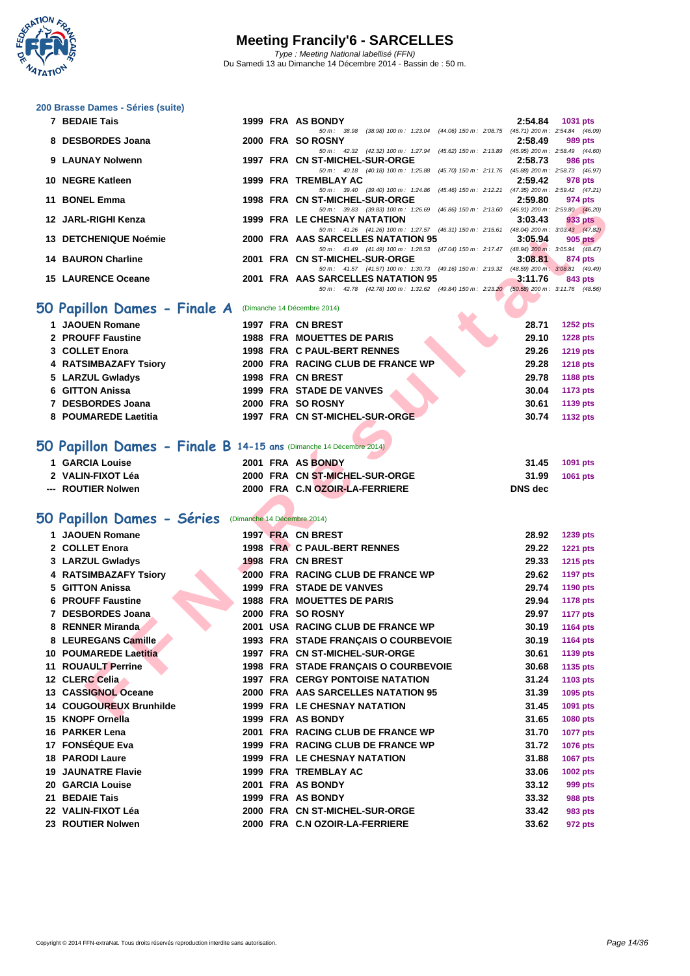

| 200 Brasse Dames - Séries (suite) |  |
|-----------------------------------|--|
| 7 BEDAIE Tais                     |  |

| 7 BEDAIE Tais                |  | 1999 FRA AS BONDY                  |                                                                                          |  | 2:54.84 | 1031 pts |         |
|------------------------------|--|------------------------------------|------------------------------------------------------------------------------------------|--|---------|----------|---------|
|                              |  |                                    | 50 m: 38.98 (38.98) 100 m: 1:23.04 (44.06) 150 m: 2:08.75 (45.71) 200 m: 2:54.84 (46.09) |  |         |          |         |
| 8 DESBORDES Joana            |  | 2000 FRA SO ROSNY                  |                                                                                          |  | 2:58.49 | 989 pts  |         |
|                              |  |                                    | 50 m: 42.32 (42.32) 100 m: 1:27.94 (45.62) 150 m: 2:13.89 (45.95) 200 m: 2:58.49 (44.60) |  |         |          |         |
| 9 LAUNAY Nolwenn             |  | 1997 FRA CN ST-MICHEL-SUR-ORGE     |                                                                                          |  | 2:58.73 |          | 986 pts |
|                              |  |                                    | 50 m: 40.18 (40.18) 100 m: 1:25.88 (45.70) 150 m: 2:11.76 (45.88) 200 m: 2:58.73 (46.97) |  |         |          |         |
| 10 NEGRE Katleen             |  | 1999 FRA TREMBLAY AC               |                                                                                          |  | 2:59.42 |          | 978 pts |
|                              |  |                                    | 50 m: 39.40 (39.40) 100 m: 1:24.86 (45.46) 150 m: 2:12.21 (47.35) 200 m: 2:59.42 (47.21) |  |         |          |         |
| 11 BONEL Emma                |  | 1998 FRA CN ST-MICHEL-SUR-ORGE     |                                                                                          |  | 2:59.80 |          | 974 pts |
|                              |  |                                    | 50 m: 39.83 (39.83) 100 m: 1:26.69 (46.86) 150 m: 2:13.60 (46.91) 200 m: 2:59.80 (46.20) |  |         |          |         |
| 12 JARL-RIGHI Kenza          |  | 1999 FRA LE CHESNAY NATATION       |                                                                                          |  | 3:03.43 |          | 933 pts |
|                              |  |                                    | 50 m: 41.26 (41.26) 100 m: 1:27.57 (46.31) 150 m: 2:15.61 (48.04) 200 m: 3:03.43 (47.82) |  |         |          |         |
| <b>13 DETCHENIQUE Noémie</b> |  | 2000 FRA AAS SARCELLES NATATION 95 |                                                                                          |  | 3:05.94 |          | 905 pts |
|                              |  |                                    | 50 m: 41.49 (41.49) 100 m: 1:28.53 (47.04) 150 m: 2:17.47 (48.94) 200 m: 3:05.94 (48.47) |  |         |          |         |
| <b>14 BAURON Charline</b>    |  | 2001 FRA CN ST-MICHEL-SUR-ORGE     |                                                                                          |  | 3:08.81 |          | 874 pts |
|                              |  |                                    | 50 m: 41.57 (41.57) 100 m: 1:30.73 (49.16) 150 m: 2:19.32 (48.59) 200 m: 3:08.81 (49.49) |  |         |          |         |
| <b>15 LAURENCE Oceane</b>    |  | 2001 FRA AAS SARCELLES NATATION 95 |                                                                                          |  | 3:11.76 |          | 843 pts |
|                              |  |                                    | 50 m: 42.78 (42.78) 100 m: 1:32.62 (49.84) 150 m: 2:23.20 (50.58) 200 m: 3:11.76 (48.56) |  |         |          |         |
|                              |  |                                    |                                                                                          |  |         |          |         |

### **50 Papillon Dames - Finale A** (Dimanche 14 Décembre 2014)

| 1 JAOUEN Romane       |  | 1997 FRA CN BREST                 |  | 28.71 | <b>1252 pts</b> |
|-----------------------|--|-----------------------------------|--|-------|-----------------|
| 2 PROUFF Faustine     |  | <b>1988 FRA MOUETTES DE PARIS</b> |  | 29.10 | <b>1228 pts</b> |
| 3 COLLET Enora        |  | 1998 FRA C PAUL-BERT RENNES       |  | 29.26 | <b>1219 pts</b> |
| 4 RATSIMBAZAFY Tsiory |  | 2000 FRA RACING CLUB DE FRANCE WP |  | 29.28 | <b>1218 pts</b> |
| 5 LARZUL Gwladys      |  | 1998 FRA CN BREST                 |  | 29.78 | 1188 pts        |
| 6 GITTON Anissa       |  | 1999 FRA STADE DE VANVES          |  | 30.04 | 1173 pts        |
| 7 DESBORDES Joana     |  | 2000 FRA SO ROSNY                 |  | 30.61 | 1139 pts        |
| 8 POUMAREDE Laetitia  |  | 1997 FRA CN ST-MICHEL-SUR-ORGE    |  | 30.74 | <b>1132 pts</b> |

#### **50 Papillon Dames - Finale B 14-15 ans** (Dimanche 14 Décembre 2014)

| 2 VALIN-FIXOT Léa  | 2000 FRA CN ST-MICHEL-SUR-ORGE | 31.99<br><b>1061 pts</b> |
|--------------------|--------------------------------|--------------------------|
| --- ROUTIER Nolwen | 2000 FRA C.N OZOIR-LA-FERRIERE | DNS dec                  |

#### **50 Papillon Dames - Séries** (Dimanche 14 Décembre 2014)

| <b>PONLL LIBRO</b>                                                              |  | שטוט-טוטניבושווייויינט ויט היו יסכנו                                                                                           | 2.JJ.UU        | 214 pm          |
|---------------------------------------------------------------------------------|--|--------------------------------------------------------------------------------------------------------------------------------|----------------|-----------------|
| 12 JARL-RIGHI Kenza                                                             |  | 50 m: 39.83 (39.83) 100 m: 1:26.69 (46.86) 150 m: 2:13.60 (46.91) 200 m: 2:59.80 (46.20)<br>1999 FRA LE CHESNAY NATATION       | 3:03.43        | 933 pts         |
| 13 DETCHENIQUE Noémie                                                           |  | 50 m: 41.26 (41.26) 100 m: 1:27.57 (46.31) 150 m: 2:15.61 (48.04) 200 m: 3:03.43 (47.82)<br>2000 FRA AAS SARCELLES NATATION 95 | 3:05.94        |                 |
|                                                                                 |  | 50 m: 41.49 (41.49) 100 m: 1:28.53 (47.04) 150 m: 2:17.47 (48.94) 200 m: 3:05.94 (48.47)                                       |                | $905$ pts       |
| <b>14 BAURON Charline</b>                                                       |  | 2001 FRA CN ST-MICHEL-SUR-ORGE                                                                                                 | 3:08.81        | 874 pts         |
| <b>15 LAURENCE Oceane</b>                                                       |  | 50 m: 41.57 (41.57) 100 m: 1:30.73 (49.16) 150 m: 2:19.32 (48.59) 200 m: 3:08.81 (49.49)<br>2001 FRA AAS SARCELLES NATATION 95 | 3:11.76        | 843 pts         |
|                                                                                 |  | 50 m: 42.78 (42.78) 100 m: 1:32.62 (49.84) 150 m: 2:23.20 (50.58) 200 m: 3:11.76 (48.56)                                       |                |                 |
| iO Papillon Dames - Finale A                                                    |  | (Dimanche 14 Décembre 2014)                                                                                                    |                |                 |
| 1 JAOUEN Romane                                                                 |  | 1997 FRA CN BREST                                                                                                              | 28.71          | <b>1252 pts</b> |
| 2 PROUFF Faustine                                                               |  | <b>1988 FRA MOUETTES DE PARIS</b>                                                                                              | 29.10          | <b>1228 pts</b> |
| 3 COLLET Enora                                                                  |  | 1998 FRA C PAUL-BERT RENNES                                                                                                    | 29.26          | <b>1219 pts</b> |
| 4 RATSIMBAZAFY Tsiory                                                           |  | 2000 FRA RACING CLUB DE FRANCE WP                                                                                              | 29.28          | <b>1218 pts</b> |
| 5 LARZUL Gwladys                                                                |  | 1998 FRA CN BREST                                                                                                              | 29.78          | 1188 pts        |
| 6 GITTON Anissa                                                                 |  | 1999 FRA STADE DE VANVES                                                                                                       | 30.04          | <b>1173 pts</b> |
| 7 DESBORDES Joana                                                               |  | 2000 FRA SO ROSNY                                                                                                              | 30.61          | 1139 pts        |
| 8 POUMAREDE Laetitia                                                            |  | 1997 FRA CN ST-MICHEL-SUR-ORGE                                                                                                 | 30.74          | <b>1132 pts</b> |
|                                                                                 |  |                                                                                                                                |                |                 |
| $\overline{10}$ Papillon Dames - Finale B 14-15 ans (Dimanche 14 Décembre 2014) |  |                                                                                                                                |                |                 |
| 1 GARCIA Louise                                                                 |  | 2001 FRA AS BONDY                                                                                                              | 31.45          | 1091 pts        |
| 2 VALIN-FIXOT Léa                                                               |  | 2000 FRA CN ST-MICHEL-SUR-ORGE                                                                                                 | 31.99          | 1061 pts        |
| --- ROUTIER Nolwen                                                              |  | 2000 FRA C.N OZOIR-LA-FERRIERE                                                                                                 | <b>DNS</b> dec |                 |
|                                                                                 |  |                                                                                                                                |                |                 |
| O Papillon Dames - Séries (Dimanche 14 Décembre 2014)                           |  |                                                                                                                                |                |                 |
| 1 JAOUEN Romane                                                                 |  | 1997 FRA CN BREST                                                                                                              | 28.92          | <b>1239 pts</b> |
| 2 COLLET Enora                                                                  |  | 1998 FRA C PAUL-BERT RENNES                                                                                                    | 29.22          | <b>1221 pts</b> |
| 3 LARZUL Gwladys                                                                |  | 1998 FRA CN BREST                                                                                                              | 29.33          | 1215 pts        |
| 4 RATSIMBAZAFY Tsiory                                                           |  | 2000 FRA RACING CLUB DE FRANCE WP                                                                                              | 29.62          | <b>1197 pts</b> |
| 5 GITTON Anissa                                                                 |  | 1999 FRA STADE DE VANVES                                                                                                       | 29.74          | 1190 pts        |
| <b>6 PROUFF Faustine</b>                                                        |  | <b>1988 FRA MOUETTES DE PARIS</b>                                                                                              | 29.94          | <b>1178 pts</b> |
| 7 DESBORDES Joana                                                               |  | 2000 FRA SO ROSNY                                                                                                              | 29.97          | <b>1177 pts</b> |
| 8 RENNER Miranda                                                                |  | 2001 USA RACING CLUB DE FRANCE WP                                                                                              | 30.19          | <b>1164 pts</b> |
| 8 LEUREGANS Camille                                                             |  | 1993 FRA STADE FRANÇAIS O COURBEVOIE                                                                                           | 30.19          | <b>1164 pts</b> |
| <b>10 POUMAREDE Laetitia</b>                                                    |  | 1997 FRA CN ST-MICHEL-SUR-ORGE                                                                                                 | 30.61          | 1139 pts        |
| <b>11 ROUAULT Perrine</b>                                                       |  | 1998 FRA STADE FRANÇAIS O COURBEVOIE                                                                                           | 30.68          | 1135 pts        |
| 12 CLERC Celia                                                                  |  | <b>1997 FRA CERGY PONTOISE NATATION</b>                                                                                        | 31.24          | <b>1103 pts</b> |
| 13 CASSIGNOL Oceane                                                             |  | 2000 FRA AAS SARCELLES NATATION 95                                                                                             | 31.39          | 1095 pts        |
| 14 COUGOUREUX Brunhilde                                                         |  | 1999 FRA LE CHESNAY NATATION                                                                                                   | 31.45          | 1091 pts        |
| 15 KNOPF Ornella                                                                |  | 1999 FRA AS BONDY                                                                                                              | 31.65          | <b>1080 pts</b> |
| 16 PARKER Lena                                                                  |  | 2001 FRA RACING CLUB DE FRANCE WP                                                                                              | 31.70          | <b>1077 pts</b> |
| 17 FONSÉQUE Eva                                                                 |  | 1999 FRA RACING CLUB DE FRANCE WP                                                                                              | 31.72          | 1076 pts        |
| <b>18 PARODI Laure</b>                                                          |  | 1999 FRA LE CHESNAY NATATION                                                                                                   | 31.88          | 1067 pts        |
| <b>19 JAUNATRE Flavie</b>                                                       |  | <b>1999 FRA TREMBLAY AC</b>                                                                                                    | 33.06          | 1002 pts        |
| <b>20 GARCIA Louise</b>                                                         |  | 2001 FRA AS BONDY                                                                                                              | 33.12          | 999 pts         |
| 21 BEDAIE Tais                                                                  |  | 1999 FRA AS BONDY                                                                                                              | 33.32          | <b>988 pts</b>  |
| 22 VALIN-FIXOT Léa                                                              |  | 2000 FRA CN ST-MICHEL-SUR-ORGE                                                                                                 | 33.42          | 983 pts         |
| 23 ROUTIER Nolwen                                                               |  | 2000 FRA C.N OZOIR-LA-FERRIERE                                                                                                 | 33.62          | 972 pts         |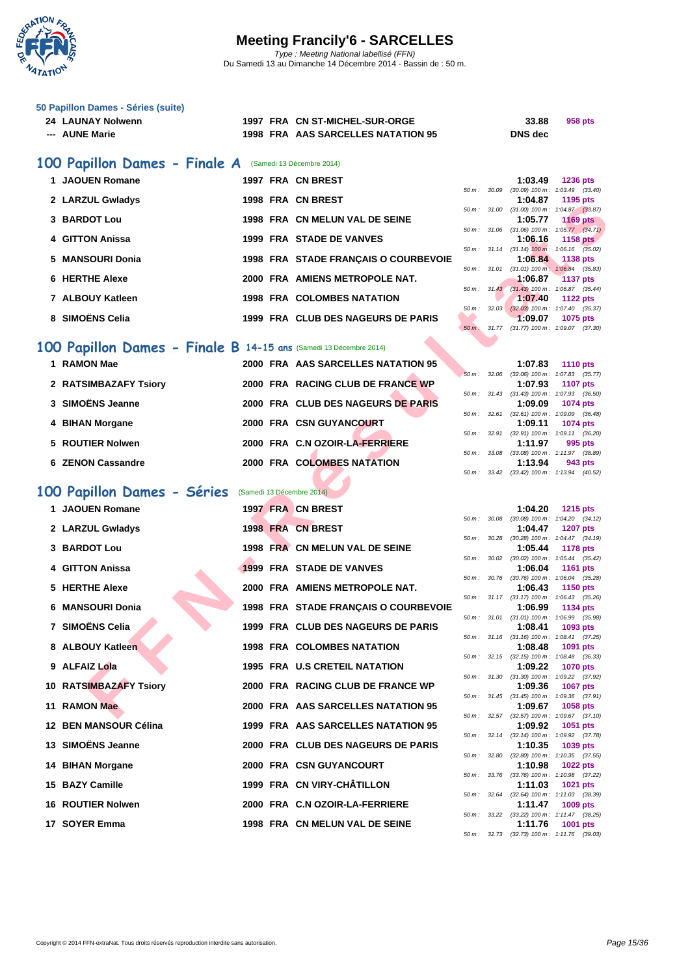

|  | 50 Papillon Dames - Séries (suite) |  |  |
|--|------------------------------------|--|--|
|  | <b>04 LAUBIAV Mahusang</b>         |  |  |

| 24 LAUNAY Nolwenn |  | 1997 FRA CN ST-MICHEL-SUR-ORGE     | 33.88          | 958 pts |
|-------------------|--|------------------------------------|----------------|---------|
| --- AUNE Marie    |  | 1998 FRA AAS SARCELLES NATATION 95 | <b>DNS</b> dec |         |

### **100 Papillon Dames - Finale A** (Samedi 13 Décembre 2014)

| 1 JAOUEN Romane  |  | 1997 FRA CN BREST                    |                          |                | 1:03.49                                                | <b>1236 pts</b> |  |
|------------------|--|--------------------------------------|--------------------------|----------------|--------------------------------------------------------|-----------------|--|
|                  |  |                                      | 50 m: 30.09              |                | $(30.09)$ 100 m : 1:03.49 $(33.4)$                     |                 |  |
| 2 LARZUL Gwladys |  | 1998 FRA CN BREST                    |                          |                | 1:04.87                                                | 1195 pts        |  |
| 3 BARDOT Lou     |  | 1998 FRA CN MELUN VAL DE SEINE       |                          | 50 m : 31.00   | $(31.00)$ 100 m : 1:04.87 $(33.0)$<br>1:05.77          | <b>1169 pts</b> |  |
|                  |  |                                      |                          | $50 m$ : 31.06 | $(31.06)$ 100 m : 1:05.77 $(34.$                       |                 |  |
| 4 GITTON Anissa  |  | 1999 FRA STADE DE VANVES             |                          | 50 m: 31.14    | 1:06.16 1158 pts<br>$(31.14)$ 100 m : 1.06.16 $(35.1)$ |                 |  |
| 5 MANSOURI Donia |  | 1998 FRA STADE FRANCAIS O COURBEVOIE |                          |                | 1:06.84                                                | 1138 pts        |  |
| 6 HERTHE Alexe   |  | 2000 FRA AMIENS METROPOLE NAT.       | $50 \, \text{m}$ : 31.01 |                | $(31.01)$ 100 m : 1:06.84 $(35.1)$<br>1:06.87          | 1137 pts        |  |
|                  |  |                                      |                          |                | 50 m: 31.43 (31.43) 100 m: 1:06.87 (35.                |                 |  |
| 7 ALBOUY Katleen |  | <b>1998 FRA COLOMBES NATATION</b>    |                          |                | 1:07.40                                                | <b>1122 pts</b> |  |
|                  |  |                                      | 50 m: 32.03              |                | $(32.03)$ 100 m : 1:07.40 (35.                         |                 |  |
| 8 SIMOËNS Celia  |  | 1999 FRA CLUB DES NAGEURS DE PARIS   |                          |                | 1:09.07                                                | 1075 pts        |  |
|                  |  |                                      |                          |                |                                                        |                 |  |

### **100 Papillon Dames - Finale B 14-15 ans** (Samedi 13 Décembre 2014)

|  | 1 RAMON Mae           |  | 2000 FRA AAS SARCELLES NATATION 95 |                          | 1:07.83                                   | <b>1110 pts</b> |
|--|-----------------------|--|------------------------------------|--------------------------|-------------------------------------------|-----------------|
|  |                       |  |                                    |                          | 50 m: 32.06 (32.06) 100 m: 1:07.83 (35.1  |                 |
|  | 2 RATSIMBAZAFY Tsiory |  | 2000 FRA RACING CLUB DE FRANCE WP  |                          | 1:07.93                                   | <b>1107 pts</b> |
|  |                       |  |                                    |                          | 50 m: 31.43 (31.43) 100 m: 1:07.93 (36.   |                 |
|  | 3 SIMOËNS Jeanne      |  | 2000 FRA CLUB DES NAGEURS DE PARIS |                          | 1:09.09                                   | 1074 pts        |
|  |                       |  |                                    | 50 m :                   | 32.61 (32.61) 100 m : 1:09.09 (36.        |                 |
|  | 4 BIHAN Morgane       |  | 2000 FRA CSN GUYANCOURT            |                          | 1:09.11                                   | <b>1074 pts</b> |
|  |                       |  |                                    |                          | 50 m: 32.91 (32.91) 100 m: 1:09.11 (36.2) |                 |
|  | 5 ROUTIER Nolwen      |  | 2000 FRA C.N OZOIR-LA-FERRIERE     |                          | 1:11.97                                   | 995 pts         |
|  |                       |  |                                    | $50 \, \text{m}$ : 33.08 | $(33.08)$ 100 m : 1:11.97 $(38.1)$        |                 |
|  | 6 ZENON Cassandre     |  | 2000 FRA COLOMBES NATATION         |                          | 1:13.94                                   | 943 pts         |
|  |                       |  |                                    |                          |                                           |                 |

### **100 Papillon Dames - Séries** (Samedi 13 Décembre 2014)

| <b>LANLUL OWIQUYS</b>                                            |  |                                      |                            | $1.0 + 0.01$ | 1133 p.s                                                      |
|------------------------------------------------------------------|--|--------------------------------------|----------------------------|--------------|---------------------------------------------------------------|
| 3 BARDOT Lou                                                     |  | 1998 FRA CN MELUN VAL DE SEINE       |                            | 1:05.77      | 50 m: 31.00 (31.00) 100 m: 1:04.87 (33.87)<br><b>1169 pts</b> |
| 4 GITTON Anissa                                                  |  | 1999 FRA STADE DE VANVES             |                            | 1:06.16      | 50 m: 31.06 (31.06) 100 m: 1:05.77 (34.71)<br>1158 $pts$      |
|                                                                  |  |                                      |                            |              | 50 m: 31.14 (31.14) 100 m: 1:06.16 (35.02)                    |
| 5 MANSOURI Donia                                                 |  | 1998 FRA STADE FRANÇAIS O COURBEVOIE | $50 \, \text{m}$ : $31.01$ | 1:06.84      | <b>1138 pts</b><br>$(31.01)$ 100 m : 1:06.84 $(35.83)$        |
| <b>6 HERTHE Alexe</b>                                            |  | 2000 FRA AMIENS METROPOLE NAT.       |                            | 1:06.87      | <b>1137 pts</b>                                               |
| 7 ALBOUY Katleen                                                 |  | <b>1998 FRA COLOMBES NATATION</b>    |                            | 1:07.40      | 50 m: 31.43 (31.43) 100 m: 1:06.87 (35.44)<br><b>1122 pts</b> |
|                                                                  |  |                                      |                            |              | 50 m: 32.03 (32.03) 100 m: 1:07.40 (35.37)                    |
| 8 SIMOËNS Celia                                                  |  | 1999 FRA CLUB DES NAGEURS DE PARIS   |                            | 1:09.07      | 1075 pts<br>50 m: 31.77 (31.77) 100 m: 1:09.07 (37.30)        |
|                                                                  |  |                                      |                            |              |                                                               |
| 00 Papillon Dames - Finale B 14-15 ans (Samedi 13 Décembre 2014) |  |                                      |                            |              |                                                               |
| 1 RAMON Mae                                                      |  | 2000 FRA AAS SARCELLES NATATION 95   | 50 m: 32.06                | 1:07.83      | <b>1110 pts</b><br>$(32.06)$ 100 m : 1:07.83 $(35.77)$        |
| 2 RATSIMBAZAFY Tsiory                                            |  | 2000 FRA RACING CLUB DE FRANCE WP    |                            | 1:07.93      | <b>1107 pts</b>                                               |
| 3 SIMOËNS Jeanne                                                 |  | 2000 FRA CLUB DES NAGEURS DE PARIS   |                            | 1:09.09      | 50 m: 31.43 (31.43) 100 m: 1:07.93 (36.50)<br>1074 pts        |
|                                                                  |  |                                      | 50 m: 32.61                |              | $(32.61)$ 100 m : 1:09.09 $(36.48)$                           |
| 4 BIHAN Morgane                                                  |  | <b>2000 FRA CSN GUYANCOURT</b>       |                            | 1:09.11      | 1074 pts<br>50 m: 32.91 (32.91) 100 m: 1:09.11 (36.20)        |
| 5 ROUTIER Nolwen                                                 |  | 2000 FRA C.N OZOIR-LA-FERRIERE       |                            | 1:11.97      | 995 pts                                                       |
| 6 ZENON Cassandre                                                |  | 2000 FRA COLOMBES NATATION           |                            | 1:13.94      | 50 m: 33.08 (33.08) 100 m: 1:11.97 (38.89)                    |
|                                                                  |  |                                      |                            |              | 943 pts<br>50 m: 33.42 (33.42) 100 m: 1:13.94 (40.52)         |
| 00 Papillon Dames - Séries                                       |  | (Samedi 13 Décembre 2014)            |                            |              |                                                               |
| 1 JAOUEN Romane                                                  |  | 1997 FRA CN BREST                    |                            |              |                                                               |
|                                                                  |  |                                      | $50 m$ : $30.08$           | 1:04.20      | <b>1215 pts</b><br>$(30.08)$ 100 m : 1:04.20 $(34.12)$        |
| 2 LARZUL Gwladys                                                 |  | 1998 FRA CN BREST                    |                            | 1:04.47      | <b>1207 pts</b>                                               |
| 3 BARDOT Lou                                                     |  | 1998 FRA CN MELUN VAL DE SEINE       | 50 m : 30.28               | 1:05.44      | (30.28) 100 m: 1:04.47 (34.19)<br><b>1178 pts</b>             |
|                                                                  |  | 1999 FRA STADE DE VANVES             |                            |              | 50 m: 30.02 (30.02) 100 m: 1:05.44 (35.42)                    |
| 4 GITTON Anissa                                                  |  |                                      |                            | 1:06.04      | <b>1161 pts</b><br>50 m: 30.76 (30.76) 100 m: 1:06.04 (35.28) |
| 5 HERTHE Alexe                                                   |  | 2000 FRA AMIENS METROPOLE NAT.       |                            | 1:06.43      | <b>1150 pts</b>                                               |
| 6 MANSOURI Donia                                                 |  | 1998 FRA STADE FRANÇAIS O COURBEVOIE |                            | 1:06.99      | 50 m: 31.17 (31.17) 100 m: 1:06.43 (35.26)<br>1134 pts        |
| 7 SIMOËNS Celia                                                  |  | 1999 FRA CLUB DES NAGEURS DE PARIS   | 50 m : 31.01               | 1:08.41      | $(31.01)$ 100 m : 1:06.99 $(35.98)$<br>1093 pts               |
|                                                                  |  |                                      |                            |              | 50 m: 31.16 (31.16) 100 m: 1:08.41 (37.25)                    |
| 8 ALBOUY Katleen                                                 |  | <b>1998 FRA COLOMBES NATATION</b>    |                            | 1:08.48      | 1091 pts<br>50 m: 32.15 (32.15) 100 m: 1:08.48 (36.33)        |
| 9 ALFAIZ Lola                                                    |  | 1995 FRA U.S CRETEIL NATATION        |                            | 1:09.22      | <b>1070 pts</b>                                               |
| 10 RATSIMBAZAFY Tsiory                                           |  | 2000 FRA RACING CLUB DE FRANCE WP    |                            | 1:09.36      | 50 m: 31.30 (31.30) 100 m: 1:09.22 (37.92)<br><b>1067 pts</b> |
|                                                                  |  |                                      |                            |              | 50 m: 31.45 (31.45) 100 m: 1:09.36 (37.91)                    |
| 11 RAMON Mae                                                     |  | 2000 FRA AAS SARCELLES NATATION 95   |                            | 1:09.67      | 1058 pts<br>50 m: 32.57 (32.57) 100 m: 1:09.67 (37.10)        |
| 12 BEN MANSOUR Célina                                            |  | 1999 FRA AAS SARCELLES NATATION 95   |                            | 1:09.92      | 1051 pts                                                      |
| 13 SIMOËNS Jeanne                                                |  | 2000 FRA CLUB DES NAGEURS DE PARIS   | 50 m: 32.14                | 1:10.35      | $(32.14)$ 100 m : 1:09.92 $(37.78)$<br>1039 pts               |
|                                                                  |  |                                      |                            |              | 50 m: 32.80 (32.80) 100 m: 1:10.35 (37.55)                    |
| 14 BIHAN Morgane                                                 |  | 2000 FRA CSN GUYANCOURT              |                            | 1:10.98      | <b>1022 pts</b><br>50 m: 33.76 (33.76) 100 m: 1:10.98 (37.22) |
| 15 BAZY Camille                                                  |  | 1999 FRA CN VIRY-CHÂTILLON           |                            | 1:11.03      | 1021 pts                                                      |
| <b>16 ROUTIER Nolwen</b>                                         |  | 2000 FRA C.N OZOIR-LA-FERRIERE       | 50 m: 32.64                | 1:11.47      | (32.64) 100 m: 1:11.03 (38.39)<br>1009 pts                    |
|                                                                  |  |                                      |                            |              | 50 m: 33.22 (33.22) 100 m: 1:11.47 (38.25)                    |
| 17 SOYER Emma                                                    |  | 1998 FRA CN MELUN VAL DE SEINE       |                            | 1:11.76      | 1001 pts                                                      |

|                          |       | 1:03.49           | <b>1236 pts</b>     |  |
|--------------------------|-------|-------------------|---------------------|--|
| 50 m: 30.09              |       | $(30.09)$ 100 m : | $1:03.49$ $(33.40)$ |  |
|                          |       | 1:04.87           | 1195 pts            |  |
| 50 m: 31.00              |       | $(31.00)$ 100 m : | $1:04.87$ $(33.87)$ |  |
|                          |       | 1:05.77           | <b>1169 pts</b>     |  |
| 50 m: 31.06              |       | $(31.06) 100 m$ : | $1:05.77$ $(34.71)$ |  |
|                          |       | 1:06.16           | 1158 pts            |  |
| $50 \text{ m}$ : 31.14   |       | $(31.14)$ 100 m:  | $1:06.16$ $(35.02)$ |  |
|                          |       |                   |                     |  |
|                          |       | 1:06.84           | 1138 pts            |  |
| 50 m : 31.01             |       | $(31.01)$ 100 m:  | 1:06.84 (35.83)     |  |
|                          |       | 1:06.87           | 1137 pts            |  |
| $50 \text{ m}$ : $31.43$ |       | $(31.43)$ 100 m : | 1:06.87 (35.44)     |  |
|                          |       | 1:07.40           | 1122 pts            |  |
| 50 m :                   | 32.03 | $(32.03)$ 100 m : | 1:07.40 (35.37)     |  |
|                          |       |                   | 1:09.07 1075 pts    |  |
| $50 m$ :                 | 31.77 | $(31.77)$ 100 m : | 1:09.07 (37.30)     |  |

|        |              | $1:07.83$ 1110 pts                         |
|--------|--------------|--------------------------------------------|
|        | 50 m: 32.06  | $(32.06)$ 100 m : 1:07.83 $(35.77)$        |
|        |              | 1:07.93 1107 pts                           |
|        |              | 50 m: 31.43 (31.43) 100 m: 1:07.93 (36.50) |
|        |              | 1:09.09 1074 pts                           |
|        |              | 50 m: 32.61 (32.61) 100 m: 1:09.09 (36.48) |
|        |              | 1:09.11 1074 pts                           |
|        |              | 50 m: 32.91 (32.91) 100 m: 1:09.11 (36.20) |
|        |              | $1:11.97$ 995 pts                          |
|        | 50 m : 33.08 | (33.08) 100 m: 1:11.97 (38.89)             |
|        |              | $1:13.94$ 943 pts                          |
| 50 m : |              | 33.42 (33.42) 100 m: 1:13.94 (40.52)       |

|          |       | 1:04.20           | 1215 pts            |
|----------|-------|-------------------|---------------------|
| $50 m$ : | 30.08 | $(30.08)$ 100 m : | $1:04.20$ $(34.12)$ |
|          |       | 1:04.47           | <b>1207 pts</b>     |
| $50 m$ : | 30.28 | $(30.28)$ 100 m : | $1:04.47$ $(34.19)$ |
|          |       | 1:05.44           | <b>1178 pts</b>     |
| $50 m$ : | 30.02 | $(30.02)$ 100 m : | $1:05.44$ $(35.42)$ |
|          |       | 1:06.04           | 1161 pts            |
| $50m$ :  | 30.76 | $(30.76)$ 100 m : | 1:06.04 (35.28)     |
|          |       | 1:06.43           | <b>1150 pts</b>     |
| $50m$ :  | 31.17 | $(31.17) 100 m$ : | $1:06.43$ (35.26)   |
|          |       | 1:06.99           | 1134 pts            |
| 50 m :   | 31.01 | $(31.01)$ 100 m : | 1:06.99 (35.98)     |
|          |       | 1:08.41           | 1093 pts            |
| 50 m :   | 31.16 | $(31.16) 100 m$ : | $1:08.41$ $(37.25)$ |
|          |       | 1:08.48           | 1091 pts            |
| $50m$ :  | 32.15 | $(32.15)$ 100 m : | 1:08.48 (36.33)     |
|          |       | 1:09.22           | <b>1070 pts</b>     |
| 50 m :   | 31.30 | $(31.30)$ 100 m : | 1:09.22 (37.92)     |
|          |       | 1:09.36           | <b>1067 pts</b>     |
| 50 m :   | 31.45 | $(31.45) 100 m$ : | 1:09.36 (37.91)     |
|          |       | 1:09.67           | 1058 pts            |
| $50 m$ : | 32.57 | $(32.57)$ 100 m : | $1:09.67$ $(37.10)$ |
|          |       | 1:09.92           | 1051 pts            |
| $50 m$ : | 32.14 | $(32.14)$ 100 m : | 1:09.92 (37.78)     |
|          |       | 1:10.35           | 1039 pts            |
| 50 m :   | 32.80 | $(32.80)$ 100 m : | $1:10.35$ $(37.55)$ |
|          |       | 1:10.98           | <b>1022 pts</b>     |
| $50 m$ : | 33.76 | $(33.76)$ 100 m : | (37.22)<br>1:10.98  |
|          |       | 1:11.03           | 1021 pts            |
| 50 m :   | 32.64 | $(32.64)$ 100 m : | 1:11.03 (38.39)     |
|          |       | 1:11.47           | <b>1009 pts</b>     |
| 50 m :   | 33.22 | $(33.22)$ 100 m : | $1:11.47$ (38.25)   |
|          |       | 1:11.76           | 1001 pts            |
| $50 m$ : | 32.73 | $(32.73)$ 100 m : | 1:11.76<br>(39.03)  |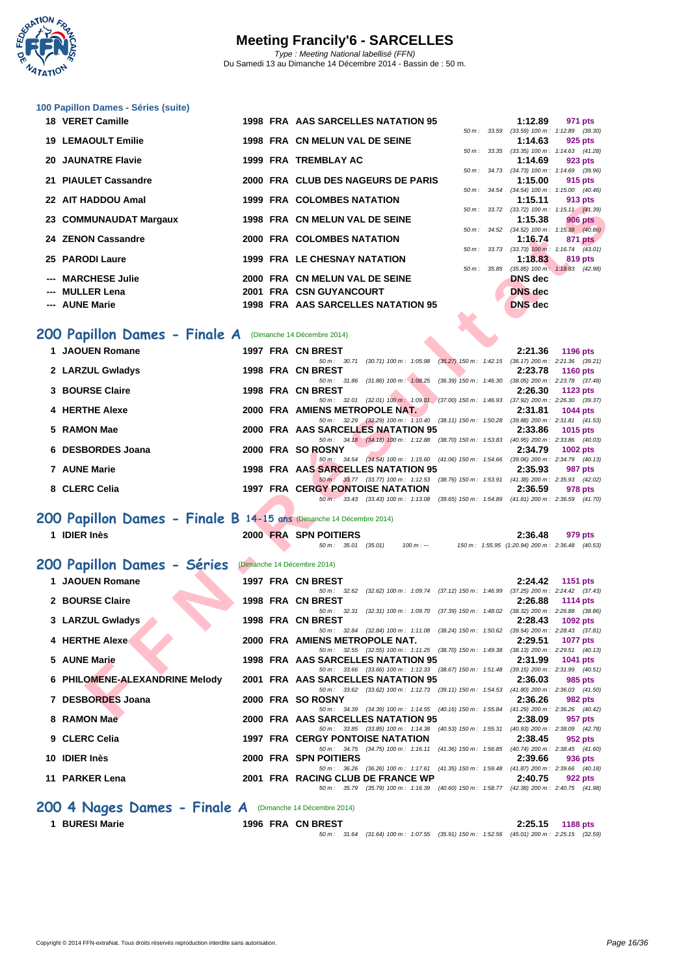

| 100 Papillon Dames - Séries (suite) |                                                                   |                |                                                                                             |                                     |                 |
|-------------------------------------|-------------------------------------------------------------------|----------------|---------------------------------------------------------------------------------------------|-------------------------------------|-----------------|
| 18 VERET Camille                    | 1998 FRA AAS SARCELLES NATATION 95                                |                | 1:12.89                                                                                     |                                     | 971 pts         |
|                                     |                                                                   |                | 50 m: 33.59 (33.59) 100 m: 1:12.89 (39.30)                                                  |                                     |                 |
| <b>19 LEMAOULT Emilie</b>           | 1998 FRA CN MELUN VAL DE SEINE                                    |                | 1:14.63                                                                                     |                                     | 925 pts         |
| <b>20 JAUNATRE Flavie</b>           | 1999 FRA TREMBLAY AC                                              | $50 m$ : 33.35 | 1:14.69                                                                                     | $(33.35)$ 100 m : 1:14.63 $(41.28)$ |                 |
|                                     |                                                                   |                | 50 m: 34.73 (34.73) 100 m: 1:14.69 (39.96)                                                  |                                     | 923 pts         |
| 21 PIAULET Cassandre                | 2000 FRA CLUB DES NAGEURS DE PARIS                                |                | 1:15.00                                                                                     |                                     | 915 pts         |
|                                     |                                                                   |                | 50 m: 34.54 (34.54) 100 m: 1:15.00 (40.46)                                                  |                                     |                 |
| 22 AIT HADDOU Amal                  | <b>1999 FRA COLOMBES NATATION</b>                                 |                | 1:15.11                                                                                     |                                     | 913 pts         |
|                                     |                                                                   |                | 50 m: 33.72 (33.72) 100 m: 1:15.11 (41.39)                                                  |                                     |                 |
| 23 COMMUNAUDAT Margaux              | 1998 FRA CN MELUN VAL DE SEINE                                    |                | 1:15.38<br>50 m: 34.52 (34.52) 100 m: 1:15.38 (40.86)                                       |                                     | <b>906 pts</b>  |
| 24 ZENON Cassandre                  | 2000 FRA COLOMBES NATATION                                        |                | 1:16.74                                                                                     |                                     | 871 pts         |
|                                     |                                                                   |                | 50 m: 33.73 (33.73) 100 m: 1:16.74 (43.01)                                                  |                                     |                 |
| 25 PARODI Laure                     | <b>1999 FRA LE CHESNAY NATATION</b>                               |                | 1:18.83                                                                                     |                                     | 819 pts         |
|                                     |                                                                   | 50 m: 35.85    |                                                                                             | $(35.85)$ 100 m : 1:18.83 $(42.98)$ |                 |
| --- MARCHESE Julie                  | 2000 FRA CN MELUN VAL DE SEINE                                    |                | <b>DNS</b> dec                                                                              |                                     |                 |
| <b>MULLER Lena</b>                  | 2001 FRA CSN GUYANCOURT                                           |                | <b>DNS</b> dec                                                                              |                                     |                 |
| --- AUNE Marie                      | 1998 FRA AAS SARCELLES NATATION 95                                |                | <b>DNS</b> dec                                                                              |                                     |                 |
|                                     |                                                                   |                |                                                                                             |                                     |                 |
| 200 Papillon Dames - Finale A       | (Dimanche 14 Décembre 2014)                                       |                |                                                                                             |                                     |                 |
|                                     |                                                                   |                |                                                                                             |                                     |                 |
| 1 JAOUEN Romane                     | 1997 FRA CN BREST<br>$F(1, m)$ $(20.74)(20.74)$ $(100.56)(20.76)$ |                | 2:21.36<br>$(25.27)$ $(50.22)$ $(1.40 \times 1.40)$ $(50.47)$ $(20.22)$ $(20.21)$ $(20.21)$ |                                     | <b>1196 pts</b> |

|                   |  | $50 m$ : $30.71$  | $(30.71)$ 100 m : 1:05.98 $(35.27)$ 150 m : 1:42.15 $(36.17)$ 200 m : 2:21.36 $(39.21)$ |                                                               |                                     |             |         |
|-------------------|--|-------------------|-----------------------------------------------------------------------------------------|---------------------------------------------------------------|-------------------------------------|-------------|---------|
| 2 LARZUL Gwladys  |  | 1998 FRA CN BREST |                                                                                         |                                                               | 2:23.78                             | 1160 $pts$  |         |
|                   |  |                   | 50 m : 31.86 (31.86) 100 m : 1:08.25                                                    | $(36.39)$ 150 m : 1:46.30                                     | $(38.05)$ 200 m : 2:23.78 $(37.48)$ |             |         |
| 3 BOURSE Claire   |  | 1998 FRA CN BREST |                                                                                         |                                                               | 2:26.30                             | 1123 $pts$  |         |
|                   |  |                   | $50 \text{ m}$ : 32.01 (32.01) 100 m : 1:09.01                                          | $(37.00)$ 150 m : 1:46.93                                     | $(37.92)$ 200 m : 2:26.30 $(39.37)$ |             |         |
| 4 HERTHE Alexe    |  |                   | 2000 FRA AMIENS METROPOLE NAT.                                                          |                                                               | 2:31.81                             | 1044 $pts$  |         |
|                   |  |                   | $50 \text{ m}$ : $32.29$ (32.29) $100 \text{ m}$ : 1:10.40                              | (38.11) 150 m : 1:50.28                                       | $(39.88)$ 200 m : 2:31.81 $(41.53)$ |             |         |
| 5 RAMON Mae       |  |                   | 2000 FRA AAS SARCELLES NATATION 95                                                      |                                                               | 2:33.86                             | 1015 $pts$  |         |
|                   |  |                   | 50 m : 34.18 (34.18) 100 m : 1:12.88                                                    | (38.70) 150 m : 1:53.83                                       | $(40.95)$ 200 m : 2:33.86 $(40.03)$ |             |         |
| 6 DESBORDES Joana |  | 2000 FRA SO ROSNY |                                                                                         |                                                               | 2:34.79                             | 1002 $p$ ts |         |
|                   |  |                   | $50 \text{ m}$ : 34.54 (34.54) 100 m: 1:15.60                                           | (41.06) 150 m : 1:54.66                                       | $(39.06)$ 200 m : 2:34.79 $(40.13)$ |             |         |
| 7 AUNE Marie      |  |                   | 1998 FRA AAS SARCELLES NATATION 95                                                      |                                                               | 2:35.93                             |             | 987 pts |
|                   |  |                   | 50 m : 33.77 (33.77) 100 m : 1:12.53                                                    | (38.76) 150 m : 1:53.91                                       | $(41.38)$ 200 m : 2:35.93 $(42.02)$ |             |         |
| 8 CLERC Celia     |  |                   | <b>1997 FRA CERGY PONTOISE NATATION</b>                                                 |                                                               | 2:36.59                             |             | 978 pts |
|                   |  |                   | $50 \text{ m}$ : 33.43 (33.43) 100 m : 1:13.08                                          | $(39.65)$ 150 m : 1:54.89 $(41.81)$ 200 m : 2:36.59 $(41.70)$ |                                     |             |         |

### **200 Papillon Dames - Finale B 14-15 ans** (Dimanche 14 Décembre 2014)

| AU HADDOO AMA                                                       |  | <b>1999 INA COLOMBLO NATATION</b><br>.<br><b>a</b> ia hra                                                                                                 |
|---------------------------------------------------------------------|--|-----------------------------------------------------------------------------------------------------------------------------------------------------------|
| 23 COMMUNAUDAT Margaux                                              |  | 50 m: 33.72 (33.72) 100 m: 1:15.11 (41.39)<br>1998 FRA CN MELUN VAL DE SEINE<br>1:15.38<br><b>906 pts</b>                                                 |
| 24 ZENON Cassandre                                                  |  | 50 m: 34.52 (34.52) 100 m: 1:15.38 (40.86)<br>2000 FRA COLOMBES NATATION<br>1:16.74<br>871 pts                                                            |
|                                                                     |  | 50 m: 33.73 (33.73) 100 m: 1:16.74 (43.01)                                                                                                                |
| 25 PARODI Laure                                                     |  | 1999 FRA LE CHESNAY NATATION<br>1:18.83<br>819 pts<br>$(35.85)$ 100 m : 1:18.83 $(42.98)$<br>$50 m$ : $35.85$                                             |
| --- MARCHESE Julie                                                  |  | 2000 FRA CN MELUN VAL DE SEINE<br><b>DNS</b> dec                                                                                                          |
| --- MULLER Lena                                                     |  | 2001 FRA CSN GUYANCOURT<br>DNS dec                                                                                                                        |
| --- AUNE Marie                                                      |  | 1998 FRA AAS SARCELLES NATATION 95<br><b>DNS</b> dec                                                                                                      |
|                                                                     |  |                                                                                                                                                           |
| 200 Papillon Dames - Finale A (Dimanche 14 Décembre 2014)           |  |                                                                                                                                                           |
| 1 JAOUEN Romane                                                     |  | 1997 FRA CN BREST<br>2:21.36<br><b>1196 pts</b>                                                                                                           |
| 2 LARZUL Gwladys                                                    |  | 50 m: 30.71 (30.71) 100 m: 1:05.98 (35.27) 150 m: 1:42.15 (36.17) 200 m: 2:21.36 (39.21)<br>1998 FRA CN BREST<br>2:23.78<br><b>1160 pts</b>               |
|                                                                     |  | 50 m: 31.86 (31.86) 100 m: 1:08.25 (36.39) 150 m: 1:46.30 (38.05) 200 m: 2:23.78 (37.48)                                                                  |
| 3 BOURSE Claire                                                     |  | 1998 FRA CN BREST<br>2:26.30<br>1123 pts<br>50 m: 32.01 (32.01) 100 m: 1:09.01 (37.00) 150 m: 1:46.93 (37.92) 200 m: 2:26.30 (39.37)                      |
| 4 HERTHE Alexe                                                      |  | 2000 FRA AMIENS METROPOLE NAT.<br>2:31.81<br>1044 pts                                                                                                     |
| 5 RAMON Mae                                                         |  | 50 m: 32.29 (32.29) 100 m: 1:10.40 (38.11) 150 m: 1:50.28 (39.88) 200 m: 2:31.81 (41.53)<br>2000 FRA AAS SARCELLES NATATION 95<br>2:33.86<br>1015 pts     |
|                                                                     |  | 50 m: 34.18 (34.18) 100 m: 1:12.88 (38.70) 150 m: 1:53.83 (40.95) 200 m: 2:33.86 (40.03)                                                                  |
| 6 DESBORDES Joana                                                   |  | 2000 FRA SO ROSNY<br>2:34.79<br>1002 $pts$<br>50 m: 34.54 (34.54) 100 m: 1:15.60 (41.06) 150 m: 1:54.66 (39.06) 200 m: 2:34.79 (40.13)                    |
| 7 AUNE Marie                                                        |  | 1998 FRA AAS SARCELLES NATATION 95<br>2:35.93<br>987 pts                                                                                                  |
| 8 CLERC Celia                                                       |  | 50 m: 33.77 (33.77) 100 m: 1:12.53 (38.76) 150 m: 1:53.91 (41.38) 200 m: 2:35.93 (42.02)<br><b>1997 FRA CERGY PONTOISE NATATION</b><br>2:36.59<br>978 pts |
|                                                                     |  | 50 m : 33.43 (33.43) 100 m : 1:13.08 (39.65) 150 m : 1:54.89 (41.81) 200 m : 2:36.59 (41.70)                                                              |
| 200 Papillon Dames - Finale B 14-15 ans (Dimanche 14 Décembre 2014) |  |                                                                                                                                                           |
|                                                                     |  |                                                                                                                                                           |
| 1 IDIER Inès                                                        |  | <b>2000 FRA SPN POITIERS</b><br>2:36.48<br>979 pts                                                                                                        |
|                                                                     |  | $50 m$ : $35.01$ (35.01)<br>100 m : --- 150 m : 1:55.95 (1:20.94) 200 m : 2:36.48 (40.53)                                                                 |
|                                                                     |  |                                                                                                                                                           |
| 200 Papillon Dames - Séries                                         |  | (Dimanche 14 Décembre 2014)                                                                                                                               |
| 1 JAOUEN Romane                                                     |  | 1997 FRA CN BREST<br>2:24.42<br><b>1151 pts</b>                                                                                                           |
| 2 BOURSE Claire                                                     |  | 50 m: 32.62 (32.62) 100 m: 1:09.74 (37.12) 150 m: 1:46.99 (37.25) 200 m: 2:24.42 (37.43)<br>1998 FRA CN BREST<br>2:26.88<br><b>1114 pts</b>               |
|                                                                     |  | 50 m: 32.31 (32.31) 100 m: 1:09.70 (37.39) 150 m: 1:48.02 (38.32) 200 m: 2:26.88 (38.86)                                                                  |
| 3 LARZUL Gwladys                                                    |  | 1998 FRA CN BREST<br>2:28.43<br>1092 pts<br>50 m: 32.84 (32.84) 100 m: 1:11.08 (38.24) 150 m: 1:50.62 (39.54) 200 m: 2:28.43 (37.81)                      |
| 4 HERTHE Alexe                                                      |  | 2000 FRA AMIENS METROPOLE NAT.<br>2:29.51<br><b>1077 pts</b>                                                                                              |
| 5 AUNE Marie                                                        |  | 50 m: 32.55 (32.55) 100 m: 1:11.25 (38.70) 150 m: 1:49.38 (38.13) 200 m: 2:29.51 (40.13)<br>1998 FRA AAS SARCELLES NATATION 95<br>2:31.99<br>1041 pts     |
|                                                                     |  | 50 m: 33.66 (33.66) 100 m: 1:12.33 (38.67) 150 m: 1:51.48 (39.15) 200 m: 2:31.99 (40.51)                                                                  |
| 6 PHILOMENE-ALEXANDRINE Melody                                      |  | 2001 FRA AAS SARCELLES NATATION 95<br>2:36.03<br>985 pts<br>50 m: 33.62 (33.62) 100 m: 1:12.73 (39.11) 150 m: 1:54.53 (41.80) 200 m: 2:36.03 (41.50)      |
| 7 DESBORDES Joana                                                   |  | 2000 FRA SO ROSNY<br>2:36.26<br>982 pts                                                                                                                   |
|                                                                     |  | 50 m: 34.39 (34.39) 100 m: 1:14.55 (40.16) 150 m: 1:55.84 (41.29) 200 m: 2:36.26 (40.42)<br>957 pts                                                       |
| 8 RAMON Mae                                                         |  | 2000 FRA AAS SARCELLES NATATION 95<br>2:38.09<br>50 m: 33.85 (33.85) 100 m: 1:14.38 (40.53) 150 m: 1:55.31 (40.93) 200 m: 2:38.09 (42.78)                 |
| 9 CLERC Celia                                                       |  | <b>1997 FRA CERGY PONTOISE NATATION</b><br>2:38.45<br>952 pts                                                                                             |
| 10 IDIER Inès                                                       |  | 50 m: 34.75 (34.75) 100 m: 1:16.11 (41.36) 150 m: 1:56.85 (40.74) 200 m: 2:38.45 (41.60)<br>2000 FRA SPN POITIERS<br>2:39.66<br>936 pts                   |
|                                                                     |  | 50 m : 36.26 (36.26) 100 m : 1:17.61 (41.35) 150 m : 1:59.48 (41.87) 200 m : 2:39.66 (40.18)                                                              |
| 11 PARKER Lena                                                      |  | 2001 FRA RACING CLUB DE FRANCE WP<br>2:40.75<br>922 pts<br>50 m: 35.79 (35.79) 100 m: 1:16.39 (40.60) 150 m: 1:58.77 (42.38) 200 m: 2:40.75 (41.98)       |

**1 BURESI Marie 1996 FRA CN BREST 2:25.15 1188 pts** 50 m : 31.64 (31.64) 100 m : 1:07.55 (35.91) 150 m : 1:52.56 (45.01) 200 m : 2:25.15 (32.59)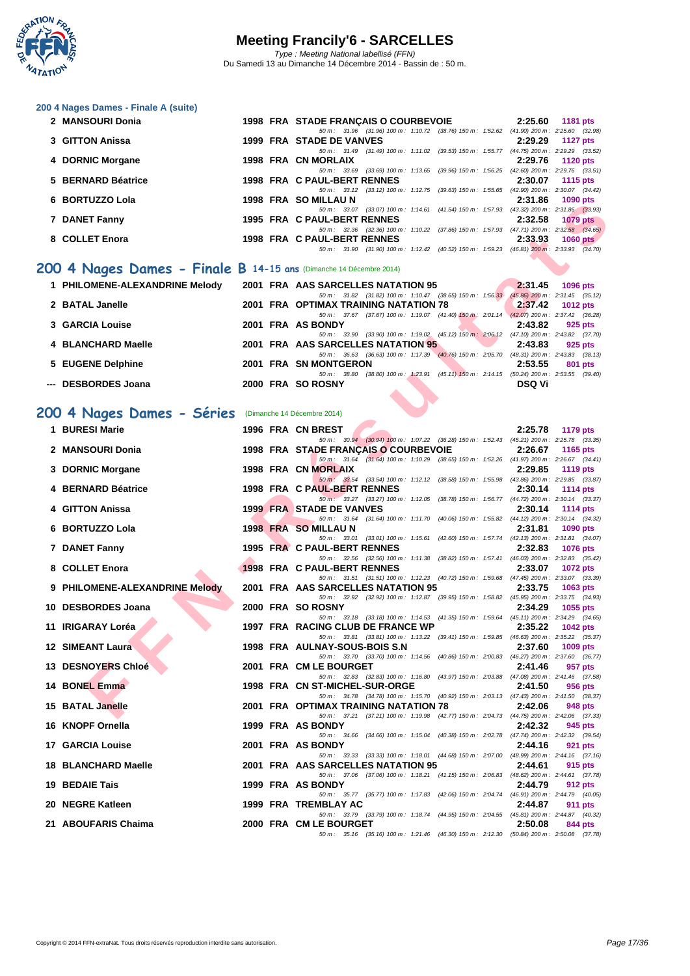

| 200 4 Nages Dames - Finale A (suite) |  |  |  |  |
|--------------------------------------|--|--|--|--|
|--------------------------------------|--|--|--|--|

| 2 MANSOURI Donia   |  | 1998 FRA STADE FRANCAIS O COURBEVOIE |                         |                                                                                          | 2:25.60                             | 1181 pts        |  |
|--------------------|--|--------------------------------------|-------------------------|------------------------------------------------------------------------------------------|-------------------------------------|-----------------|--|
|                    |  |                                      |                         | 50 m : 31.96 (31.96) 100 m : 1:10.72 (38.76) 150 m : 1:52.62                             | $(41.90)$ 200 m : 2:25.60 $(32.98)$ |                 |  |
| 3 GITTON Anissa    |  | 1999 FRA STADE DE VANVES             |                         |                                                                                          | 2:29.29                             | 1127 $p$ ts     |  |
|                    |  |                                      |                         | 50 m : 31.49 (31.49) 100 m : 1:11.02 (39.53) 150 m : 1:55.77                             | $(44.75)$ 200 m : 2:29.29 $(33.52)$ |                 |  |
| 4 DORNIC Morgane   |  | 1998 FRA CN MORLAIX                  |                         |                                                                                          | 2:29.76                             | 1120 pts        |  |
|                    |  |                                      |                         | 50 m: 33.69 (33.69) 100 m: 1:13.65 (39.96) 150 m: 1:56.25 (42.60) 200 m: 2:29.76 (33.51) |                                     |                 |  |
| 5 BERNARD Béatrice |  | 1998 FRA C PAUL-BERT RENNES          |                         |                                                                                          | 2:30.07                             | 1115 pts        |  |
|                    |  | 50 m : 33.12                         |                         | $(33.12)$ 100 m : 1:12.75 $(39.63)$ 150 m : 1:55.65                                      | $(42.90)$ 200 m : 2:30.07 $(34.42)$ |                 |  |
| 6 BORTUZZO Lola    |  | 1998 FRA SO MILLAU N                 |                         |                                                                                          | 2:31.86                             | <b>1090 pts</b> |  |
|                    |  |                                      |                         | 50 m: 33.07 (33.07) 100 m: 1:14.61 (41.54) 150 m: 1:57.93 (43.32) 200 m: 2:31.86 (33.93) |                                     |                 |  |
| 7 DANET Fanny      |  | 1995 FRA C PAUL-BERT RENNES          |                         |                                                                                          | 2:32.58                             | $1079$ pts      |  |
|                    |  |                                      |                         | 50 m: 32.36 (32.36) 100 m: 1:10.22 (37.86) 150 m: 1:57.93 (47.71) 200 m: 2:32.58 (34.65) |                                     |                 |  |
| 8 COLLET Enora     |  | 1998 FRA C PAUL-BERT RENNES          |                         |                                                                                          | 2:33.93                             | $1060$ pts      |  |
|                    |  | 50 m : 31.90                         | (31.90) 100 m : 1:12.42 | (40.52) 150 m : 1:59.23                                                                  | $(46.81)$ 200 m : 2:33.93 $(34.70)$ |                 |  |
|                    |  |                                      |                         |                                                                                          |                                     |                 |  |

### **200 4 Nages Dames - Finale B 14-15 ans** (Dimanche 14 Décembre 2014)

| 1 PHILOMENE-ALEXANDRINE Melody |  | 2001 FRA AAS SARCELLES NATATION 95                                                       | 2:31.45 | $1096$ pts                          |
|--------------------------------|--|------------------------------------------------------------------------------------------|---------|-------------------------------------|
|                                |  | 50 m : 31.82 (31.82) 100 m : 1:10.47 (38.65) 150 m : 1:56.33                             |         | $(45.86)$ 200 m : 2:31.45 $(35.12)$ |
| 2 BATAL Janelle                |  | 2001 FRA OPTIMAX TRAINING NATATION 78                                                    |         | $2:37.42$ 1012 pts                  |
|                                |  | 50 m: 37.67 (37.67) 100 m: 1:19.07 (41.40) 150 m: 2:01.14 (42.07) 200 m: 2:37.42 (36.28) |         |                                     |
| 3 GARCIA Louise                |  | 2001 FRA AS BONDY                                                                        | 2:43.82 | 925 pts                             |
|                                |  | 50 m: 33.90 (33.90) 100 m: 1:19.02 (45.12) 150 m: 2:06.12 (47.10) 200 m: 2:43.82 (37.70) |         |                                     |
| 4 BLANCHARD Maelle             |  | 2001 FRA AAS SARCELLES NATATION 95                                                       | 2:43.83 | 925 pts                             |
|                                |  | 50 m : 36.63 (36.63) 100 m : 1:17.39 (40.76) 150 m : 2:05.70                             |         | $(48.31)$ 200 m : 2:43.83 $(38.13)$ |
| 5 EUGENE Delphine              |  | 2001 FRA SN MONTGERON                                                                    | 2:53.55 | 801 pts                             |
|                                |  | 50 m: 38.80 (38.80) 100 m: 1:23.91 (45.11) 150 m: 2:14.15 (50.24) 200 m: 2:53.55 (39.40) |         |                                     |
| --- DESBORDES Joana            |  | 2000 FRA SO ROSNY                                                                        | DSQ Vi  |                                     |
|                                |  |                                                                                          |         |                                     |

### **200 4 Nages Dames - Séries** (Dimanche 14 Décembre 2014)

| <b>טעם ט</b> בעוויט                                               |  | יו טרעבוויו טט או ו<br>2. J I . UU<br>בוע טפטו                                                                                                              |
|-------------------------------------------------------------------|--|-------------------------------------------------------------------------------------------------------------------------------------------------------------|
| 7 DANET Fanny                                                     |  | 50 m: 33.07 (33.07) 100 m: 1:14.61 (41.54) 150 m: 1:57.93 (43.32) 200 m: 2:31.86 (33.93)<br>1995 FRA C PAUL-BERT RENNES<br>2:32.58<br><b>1079 pts</b>       |
|                                                                   |  | 50 m: 32.36 (32.36) 100 m: 1:10.22 (37.86) 150 m: 1:57.93 (47.71) 200 m: 2:32.58 (34.65)                                                                    |
| 8 COLLET Enora                                                    |  | 1998 FRA C PAUL-BERT RENNES<br>2:33.93<br>1060 $pts$<br>50 m: 31.90 (31.90) 100 m: 1:12.42 (40.52) 150 m: 1:59.23 (46.81) 200 m: 2:33.93 (34.70)            |
| 00 4 Nages Dames - Finale B 14-15 ans (Dimanche 14 Décembre 2014) |  |                                                                                                                                                             |
|                                                                   |  |                                                                                                                                                             |
| 1 PHILOMENE-ALEXANDRINE Melody                                    |  | 2001 FRA AAS SARCELLES NATATION 95<br>2:31.45<br>1096 pts<br>50 m: 31.82 (31.82) 100 m: 1:10.47 (38.65) 150 m: 1:56.33 (45.86) 200 m: 2:31.45 (35.12)       |
| 2 BATAL Janelle                                                   |  | 2001 FRA OPTIMAX TRAINING NATATION 78<br>2:37.42<br><b>1012 pts</b>                                                                                         |
| <b>3 GARCIA Louise</b>                                            |  | 50 m: 37.67 (37.67) 100 m: 1:19.07 (41.40) 150 m: 2:01.14 (42.07) 200 m: 2:37.42 (36.28)<br>2001 FRA AS BONDY<br>2:43.82<br>925 pts                         |
|                                                                   |  | 50 m: 33.90 (33.90) 100 m: 1:19.02 (45.12) 150 m: 2:06.12 (47.10) 200 m: 2:43.82 (37.70)                                                                    |
| 4 BLANCHARD Maelle                                                |  | 2001 FRA AAS SARCELLES NATATION 95<br>2:43.83<br>925 pts<br>50 m: 36.63 (36.63) 100 m: 1:17.39 (40.76) 150 m: 2:05.70 (48.31) 200 m: 2:43.83 (38.13)        |
| 5 EUGENE Delphine                                                 |  | 2001 FRA SN MONTGERON<br>2:53.55<br>801 pts                                                                                                                 |
| --- DESBORDES Joana                                               |  | 50 m: 38.80 (38.80) 100 m: 1:23.91 (45.11) 150 m: 2:14.15 (50.24) 200 m: 2:53.55 (39.40)<br>2000 FRA SO ROSNY<br><b>DSQ Vi</b>                              |
|                                                                   |  |                                                                                                                                                             |
|                                                                   |  |                                                                                                                                                             |
| 00 4 Nages Dames - Séries (Dimanche 14 Décembre 2014)             |  |                                                                                                                                                             |
| 1 BURESI Marie                                                    |  | 1996 FRA CN BREST<br>2:25.78<br>1179 pts<br>50 m: 30.94 (30.94) 100 m: 1:07.22 (36.28) 150 m: 1:52.43 (45.21) 200 m: 2:25.78 (33.35)                        |
| 2 MANSOURI Donia                                                  |  | 1998 FRA STADE FRANÇAIS O COURBEVOIE<br>2:26.67<br>1165 pts                                                                                                 |
|                                                                   |  | 50 m: 31.64 (31.64) 100 m: 1:10.29 (38.65) 150 m: 1:52.26 (41.97) 200 m: 2:26.67 (34.41)<br>1998 FRA CN MORLAIX<br>2:29.85                                  |
| 3 DORNIC Morgane                                                  |  | <b>1119 pts</b><br>50 m : 33.54 (33.54) 100 m : 1:12.12 (38.58) 150 m : 1:55.98 (43.86) 200 m : 2:29.85 (33.87)                                             |
| 4 BERNARD Béatrice                                                |  | 1998 FRA C PAUL-BERT RENNES<br>2:30.14<br><b>1114 pts</b>                                                                                                   |
| 4 GITTON Anissa                                                   |  | 50 m: 33.27 (33.27) 100 m: 1:12.05 (38.78) 150 m: 1:56.77 (44.72) 200 m: 2:30.14 (33.37)<br><b>1999 FRA STADE DE VANVES</b><br>2:30.14<br><b>1114 pts</b>   |
|                                                                   |  | 50 m: 31.64 (31.64) 100 m: 1:11.70 (40.06) 150 m: 1:55.82 (44.12) 200 m: 2:30.14 (34.32)                                                                    |
| 6 BORTUZZO Lola                                                   |  | 1998 FRA SO MILLAU N<br>2:31.81<br>1090 pts<br>50 m: 33.01 (33.01) 100 m: 1:15.61 (42.60) 150 m: 1:57.74 (42.13) 200 m: 2:31.81 (34.07)                     |
| 7 DANET Fanny                                                     |  | 1995 FRA C PAUL-BERT RENNES<br>2:32.83<br><b>1076 pts</b>                                                                                                   |
| 8 COLLET Enora                                                    |  | 50 m: 32.56 (32.56) 100 m: 1:11.38 (38.82) 150 m: 1:57.41 (46.03) 200 m: 2:32.83 (35.42)<br>1998 FRA C PAUL-BERT RENNES<br>2:33.07<br>1072 pts              |
|                                                                   |  | 50 m: 31.51 (31.51) 100 m: 1:12.23 (40.72) 150 m: 1:59.68 (47.45) 200 m: 2:33.07 (33.39)                                                                    |
| 9 PHILOMENE-ALEXANDRINE Melody                                    |  | 2001 FRA AAS SARCELLES NATATION 95<br>2:33.75<br>1063 pts                                                                                                   |
| 10 DESBORDES Joana                                                |  | 50 m: 32.92 (32.92) 100 m: 1:12.87 (39.95) 150 m: 1:58.82 (45.95) 200 m: 2:33.75 (34.93)<br>2000 FRA SO ROSNY<br>2:34.29<br>1055 pts                        |
|                                                                   |  | 50 m: 33.18 (33.18) 100 m: 1:14.53 (41.35) 150 m: 1:59.64 (45.11) 200 m: 2:34.29 (34.65)                                                                    |
| 11 IRIGARAY Loréa                                                 |  | 1997 FRA RACING CLUB DE FRANCE WP<br>2:35.22<br><b>1042 pts</b><br>50 m: 33.81 (33.81) 100 m: 1:13.22 (39.41) 150 m: 1:59.85 (46.63) 200 m: 2:35.22 (35.37) |
| <b>12 SIMEANT Laura</b>                                           |  | 1998 FRA AULNAY-SOUS-BOIS S.N<br>2:37.60<br>1009 pts                                                                                                        |
| 13 DESNOYERS Chloé                                                |  | 50 m: 33.70 (33.70) 100 m: 1:14.56 (40.86) 150 m: 2:00.83 (46.27) 200 m: 2:37.60 (36.77)<br>2001 FRA CM LE BOURGET<br>2:41.46<br>957 pts                    |
|                                                                   |  | 50 m: 32.83 (32.83) 100 m: 1:16.80 (43.97) 150 m: 2:03.88 (47.08) 200 m: 2:41.46 (37.58)                                                                    |
| 14 BONEL Emma                                                     |  | 1998 FRA CN ST-MICHEL-SUR-ORGE<br>2:41.50<br>956 pts<br>50 m: 34.78 (34.78) 100 m: 1:15.70 (40.92) 150 m: 2:03.13 (47.43) 200 m: 2:41.50 (38.37)            |
| 15 BATAL Janelle                                                  |  | 2001 FRA OPTIMAX TRAINING NATATION 78<br>2:42.06<br>948 pts                                                                                                 |
|                                                                   |  | 50 m: 37.21 (37.21) 100 m: 1:19.98 (42.77) 150 m: 2:04.73 (44.75) 200 m: 2:42.06 (37.33)                                                                    |
| 16 KNOPF Ornella                                                  |  | 1999 FRA AS BONDY<br>2:42.32<br>945 pts<br>50 m : 34.66 (34.66) 100 m : 1:15.04 (40.38) 150 m : 2:02.78<br>(47.74) 200 m : 2:42.32 (39.54)                  |
| <b>17 GARCIA Louise</b>                                           |  | 2001 FRA AS BONDY<br>2:44.16<br>921 pts                                                                                                                     |
| <b>18 BLANCHARD Maelle</b>                                        |  | 50 m: 33.33 (33.33) 100 m: 1:18.01 (44.68) 150 m: 2:07.00 (48.99) 200 m: 2:44.16 (37.16)<br>2001 FRA AAS SARCELLES NATATION 95<br>2:44.61<br>915 pts        |
|                                                                   |  | 50 m : 37.06 (37.06) 100 m : 1:18.21 (41.15) 150 m : 2:06.83 (48.62) 200 m : 2:44.61 (37.78)                                                                |
| 19 BEDAIE Tais                                                    |  | 1999 FRA AS BONDY<br>2:44.79<br>912 pts<br>50 m: 35.77 (35.77) 100 m: 1:17.83 (42.06) 150 m: 2:04.74 (46.91) 200 m: 2:44.79 (40.05)                         |
| 20 NEGRE Katleen                                                  |  | 1999 FRA TREMBLAY AC<br>2:44.87<br>911 pts                                                                                                                  |
|                                                                   |  | 50 m: 33.79 (33.79) 100 m: 1:18.74 (44.95) 150 m: 2:04.55 (45.81) 200 m: 2:44.87 (40.32)                                                                    |
| 21 ABOUFARIS Chaima                                               |  | 2000 FRA CM LE BOURGET<br>2:50.08<br>844 pts<br>50 m: 35.16 (35.16) 100 m: 1:21.46 (46.30) 150 m: 2:12.30 (50.84) 200 m: 2:50.08 (37.78)                    |
|                                                                   |  |                                                                                                                                                             |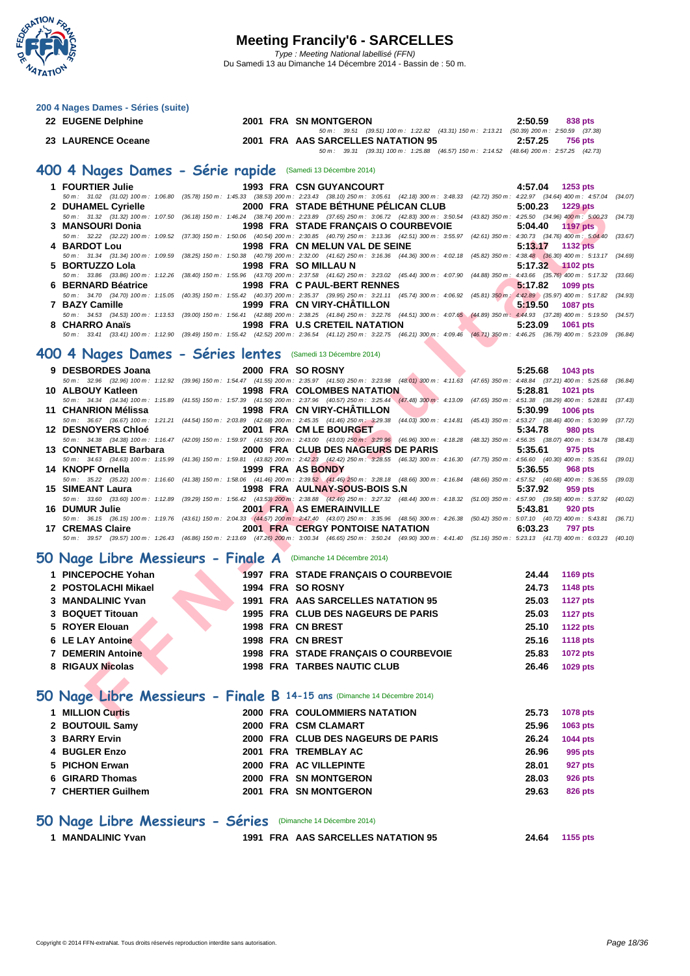

| 200 4 Nages Dames - Séries (suite) |                                                                                                                                                                                              |                                     |
|------------------------------------|----------------------------------------------------------------------------------------------------------------------------------------------------------------------------------------------|-------------------------------------|
| 22 EUGENE Delphine                 | 2001 FRA SN MONTGERON                                                                                                                                                                        | 2:50.59<br>838 pts                  |
|                                    | (39.51) 100 m : 1:22.82 (43.31) 150 m : 2:13.21<br>$50 m$ : $39.51$                                                                                                                          | $(50.39)$ 200 m : 2:50.59 $(37.38)$ |
| 23 LAURENCE Oceane                 | 2001 FRA AAS SARCELLES NATATION 95                                                                                                                                                           | 2:57.25<br><b>756 pts</b>           |
|                                    | (39.31) 100 m : 1:25.88 (46.57) 150 m : 2:14.52<br>$50 \text{ m}$ : 39.31                                                                                                                    | $(48.64)$ 200 m : 2:57.25 $(42.73)$ |
| <b>FOURTIER Julie</b>              | 400 4 Nages Dames - Série rapide (Samedi 13 Décembre 2014)<br><b>1993 FRA CSN GUYANCOURT</b>                                                                                                 | 4:57.04<br>$1253$ pts               |
|                                    | 50 m : 31.02 (31.02) 100 m : 1:06.80 (35.78) 150 m : 1:45.33 (38.53) 200 m : 2:23.43 (38.10) 250 m : 3:05.61 (42.18) 300 m : 3:48.33 (42.72) 350 m : 4:22.97 (34.64) 400 m : 4:57.04 (34.07) |                                     |
|                                    |                                                                                                                                                                                              |                                     |
| 2 DUHAMEL Cyrielle                 | 2000 FRA STADE BETHUNE PÉLICAN CLUB                                                                                                                                                          | 5:00.23<br>1229 pts                 |
|                                    | 50 m : 31.32 (31.32) 100 m : 1:07.50 (36.18) 150 m : 1:46.24 (38.74) 200 m : 2:23.89 (37.65) 250 m : 3:06.72 (42.83) 300 m : 3:50.54 (43.82) 350 m : 4:25.50 (34.96) 400 m : 5:00.23         | (34.73)                             |

| <b>3 MANSOURI DONIA</b> |                                | 1990 FRA SIADE FRANÇAIS O COURDEVOIE 3.04.40 THE PIST                                                                                                                                        |
|-------------------------|--------------------------------|----------------------------------------------------------------------------------------------------------------------------------------------------------------------------------------------|
|                         |                                | 50 m: 32.22 (32.22) 100 m: 1:09.52 (37.30) 150 m: 1:50.06 (40.54) 200 m: 2:30.85 (40.79) 250 m: 3:13.36 (42.51) 300 m: 3:55.97 (42.61) 350 m: 4:30.73 (34.76) 400 m: 5:04.40 (33.67)         |
| 4 BARDOT Lou            | 1998 FRA CN MELUN VAL DE SEINE | 5:13.17 1132 pts                                                                                                                                                                             |
|                         |                                | 50 m: 31.34 (31.34) 100 m: 1:09.59 (38.25) 150 m: 1:50.38 (40.79) 200 m: 2:32.00 (41.62) 250 m: 3:16.36 (44.36) 300 m: 4:02.18 (45.82) 350 m: 4:38.48 (36.30) 400 m: 5:13.17 (34.69)         |
| 5 BORTUZZO Lola         | 1998 FRA SO MILLAU N           | 5:17.32 1102 pts                                                                                                                                                                             |
|                         |                                | 50 m : 33.86 (33.86) 100 m : 1:12.26 (38.40) 150 m : 1:55.96 (43.70) 200 m : 2:37.58 (41.62) 250 m : 3:23.02 (45.44) 300 m : 4:07.90 (44.88) 350 m : 4:43.66 (35.76) 400 m : 5:17.32 (33.66) |
| 6 BERNARD Béatrice      | 1998 FRA C PAUL-BERT RENNES    | 5:17.82 1099 pts                                                                                                                                                                             |
|                         |                                | 50 m: 34.70 (34.70) 100 m: 1:15.05 (40.35) 150 m: 1:55.42 (40.37) 200 m: 2:35.37 (39.95) 250 m: 3:21.11 (45.74) 300 m: 4:06.92 (45.81) 350 m; 4:42.89 (35.97) 400 m: 5:17.82 (34.93)         |
| 7 BAZY Camille          | 1999 FRA CN VIRY-CHÂTILLON     | $5:19.50$ 1087 pts                                                                                                                                                                           |
|                         |                                | 50 m: 34.53 (34.53) 100 m: 1:13.53 (39.00) 150 m: 1:56.41 (42.88) 200 m: 2:38.25 (41.84) 250 m: 3:22.76 (44.51) 300 m: 4:07.65 (44.89) 350 m: 4:44.93 (37.28) 400 m: 5:19.50 (34.57)         |
| 8 CHARRO Anaïs          | 1998 FRA U.S CRETEIL NATATION  | $5:23.09$ 1061 pts                                                                                                                                                                           |
|                         |                                | 50 m : 33.41 (33.41) 100 m : 1:12.90 (39.49) 150 m : 1:55.42 (42.52) 200 m : 2:36.54 (41.12) 250 m : 3:22.75 (46.21) 300 m : 4:09.46 (46.71) 350 m : 4:46.25 (36.79) 400 m : 5:23.09 (36.84) |

#### **400 4 Nages Dames - Séries lentes** (Samedi 13 Décembre 2014)

| 2 DUHAMEL Cyrielle                                                                                                                                                                                                |                        | 2000 FRA STADE BÉTHUNE PÉLICAN CLUB         |                                      | 5:00.23 | <b>1229 pts</b> |         |
|-------------------------------------------------------------------------------------------------------------------------------------------------------------------------------------------------------------------|------------------------|---------------------------------------------|--------------------------------------|---------|-----------------|---------|
| 50 m: 31.32 (31.32) 100 m: 1:07.50 (36.18) 150 m: 1:46.24 (38.74) 200 m: 2:23.89 (37.65) 250 m: 3:06.72 (42.83) 300 m: 3:50.54 (43.82) 350 m: 4:25.50 (34.96) 400 m: 5:00.23 (34.73)                              |                        |                                             |                                      |         |                 |         |
| 3 MANSOURI Donia                                                                                                                                                                                                  |                        | <b>1998 FRA STADE FRANCAIS O COURBEVOIE</b> |                                      | 5:04.40 | 1197 pts        |         |
| 50 m : 32.22 (32.22) 100 m : 1:09.52 (37.30) 150 m : 1:50.06 (40.54) 200 m : 2:30.85 (40.79) 250 m : 3:13.36 (42.51) 300 m : 3:55.97 (42.61) 350 m : 4:30.73 (34.76) 400 m : 5:04.40 (33.67)                      |                        |                                             |                                      |         |                 |         |
| 4 BARDOT Lou                                                                                                                                                                                                      |                        | 1998 FRA CN MELUN VAL DE SEINE              |                                      | 5:13.17 | <b>1132 pts</b> |         |
| 50 m : 31.34 (31.34) 100 m : 1:09.59 (38.25) 150 m : 1:50.38 (40.79) 200 m : 2:32.00 (41.62) 250 m : 3:16.36 (44.36) 300 m : 4:02.18 (45.82) 350 m : 4:38.48 (36.30) 400 m : 5:13.17                              |                        |                                             |                                      |         |                 | (34.69) |
| 5 BORTUZZO Lola<br>50 m : 33.86 (33.86) 100 m : 1:12.26 (38.40) 150 m : 1:55.96 (43.70) 200 m : 2:37.58 (41.62) 250 m : 3:23.02 (45.44) 300 m : 4:07.90 (44.88) 350 m : 4:43.66 (35.76) 400 m : 5:17.32 (33.66)   | 1998 FRA SO MILLAU N   |                                             |                                      | 5:17.32 | $\sim$ 1102 pts |         |
| 6 BERNARD Béatrice                                                                                                                                                                                                |                        | 1998 FRA C PAUL-BERT RENNES                 |                                      | 5:17.82 | 1099 pts        |         |
| 50 m : 34.70 (34.70) 100 m : 1:15.05 (40.35) 150 m : 1:55.42 (40.37) 200 m : 2:35.37 (39.95) 250 m : 3:21.11 (45.74) 300 m : 4:06.92 (45.81) 350 m : 4:42.89 (35.97) 400 m : 5:17.82                              |                        |                                             |                                      |         |                 | (34.93) |
| 7 BAZY Camille                                                                                                                                                                                                    |                        | 1999 FRA CN VIRY-CHATILLON                  |                                      | 5:19.50 | <b>1087 pts</b> |         |
| 50 m : 34.53 (34.53) 100 m : 1:13.53 (39.00) 150 m : 1:56.41 (42.88) 200 m : 2:38.25 (41.84) 250 m : 322.76 (44.51) 300 m : 4:07.65 (44.89) 350 m : 4:44.93 (37.28) 400 m : 5:19.50 (34.57)                       |                        |                                             |                                      |         |                 |         |
| 8 CHARRO Anaïs                                                                                                                                                                                                    |                        | 1998 FRA U.S CRETEIL NATATION               |                                      | 5:23.09 | 1061 pts        |         |
| 50 m : 33.41 (33.41) 100 m : 1:12.90 (39.49) 150 m : 1:55.42 (42.52) 200 m : 2:36.54 (41.12) 250 m : 322.75 (46.21) 300 m : 4:09.46 (46.71) 350 m : 4:46.25 (36.79) 400 m : 5:23.09 (36.84)                       |                        |                                             |                                      |         |                 |         |
|                                                                                                                                                                                                                   |                        |                                             |                                      |         |                 |         |
| 00 4 Nages Dames - Séries lentes (Samedi 13 Décembre 2014)                                                                                                                                                        |                        |                                             |                                      |         |                 |         |
| 9 DESBORDES Joana                                                                                                                                                                                                 | 2000 FRA SO ROSNY      |                                             |                                      | 5:25.68 | 1043 pts        |         |
| 50 m: 32.96 (32.96) 100 m: 1:12.92 (39.96) 150 m: 1:54.47 (41.55) 200 m: 2:35.97 (41.50) 250 m: 3:23.98 (48.01) 300 m: 4:11.63 (47.65) 350 m: 4:48.84 (37.21) 400 m: 5:25.68 (36.84)                              |                        |                                             |                                      |         |                 |         |
| 10 ALBOUY Katleen                                                                                                                                                                                                 |                        | <b>1998 FRA COLOMBES NATATION</b>           |                                      | 5:28.81 | 1021 pts        |         |
| 50 m: 34.34 (34.34) 100 m: 1:15.89 (41.55) 150 m: 1:57.39 (41.50) 200 m: 2:37.96 (40.57) 250 m: 3:25.44 (47.48) 300 m: 4:13.09 (47.65) 350 m: 4:51.38 (38.29) 400 m: 5:28.81                                      |                        |                                             |                                      |         |                 | (37.43) |
| 11 CHANRION Mélissa                                                                                                                                                                                               |                        | 1998 FRA CN VIRY-CHATILLON                  |                                      | 5:30.99 | 1006 pts        |         |
| 50 m: 36.67 (36.67) 100 m: 1:21.21 (44.54) 150 m: 2:03.89 (42.68) 200 m: 2:45.35 (41.46) 250 m: 3:29.38 (44.03) 300 m: 4:14.81 (45.43) 350 m: 4:53.27 (38.46) 400 m: 5:30.99                                      |                        |                                             |                                      |         |                 | (37.72) |
| <b>12 DESNOYERS Chloé</b><br>50 m : 34.38 (34.38) 100 m : 1:16.47 (42.09) 150 m : 1:59.97 (43.50) 200 m : 2:43.00 (43.03) 250 m : 3:29.96 (46.96) 300 m : 4:18.28 (48.32) 350 m : 4:56.35 (38.07) 400 m : 5:34.78 | 2001 FRA CM LE BOURGET |                                             |                                      | 5:34.78 | 980 pts         | (38.43) |
| 13 CONNETABLE Barbara                                                                                                                                                                                             |                        | 2000 FRA CLUB DES NAGEURS DE PARIS          |                                      | 5:35.61 | 975 pts         |         |
| 50 m: 34.63 (34.63) 100 m: 1:15.99 (41.36) 150 m: 1:59.81 (43.82) 200 m: 2:42.23 (42.42) 250 m: 3:28.55 (46.32) 300 m: 4:16.30 (47.75) 350 m: 4:56.60 (40.30) 400 m: 5:35.61                                      |                        |                                             |                                      |         |                 | (39.01) |
| 14 KNOPF Ornella                                                                                                                                                                                                  | 1999 FRA AS BONDY      |                                             |                                      | 5:36.55 | 968 pts         |         |
| 50 m : 35.22 (35.22) 100 m : 1:16.60 (41.38) 150 m : 1:58.06 (41.46) 200 m : 2:39.52 (41.46) 250 m : 328.18 (48.66) 300 m : 4:16.84 (48.66) 350 m : 4:57.52 (40.68) 400 m : 5:36.55 (39.03)                       |                        |                                             |                                      |         |                 |         |
| 15 SIMEANT Laura                                                                                                                                                                                                  |                        | 1998 FRA AULNAY-SOUS-BOIS S.N               |                                      | 5:37.92 | 959 pts         |         |
| 50 m : 33.60 (33.60) 100 m : 1:12.89 (39.29) 150 m : 1:56.42 (43.53) 200 m : 2:38.88 (42.46) 250 m : 3:27.32 (48.44) 300 m : 4:18.32 (51.00) 350 m : 4:57.90 (39.58) 400 m : 5:37.92 (40.02)                      |                        |                                             |                                      |         |                 |         |
| 16 DUMUR Julie                                                                                                                                                                                                    |                        | 2001 FRA AS EMERAINVILLE                    |                                      | 5:43.81 | 920 pts         |         |
| 50 m : 36.15 (36.15) 100 m : 1:19.76 (43.61) 150 m : 2:04.33 (44.57) 200 m : 2:47.40 (43.07) 250 m : 3:35.96 (48.56) 300 m : 4:26.38 (50.42) 350 m : 5:07.10 (40.72) 400 m : 5:43.81 (36.71)                      |                        |                                             |                                      |         |                 |         |
| 17 CREMAS Claire<br>50 m: 39.57 (39.57) 100 m: 1:26.43 (46.86) 150 m: 2:13.69 (47.26) 200 m: 3:00.34 (46.65) 250 m: 3:50.24 (49.90) 300 m: 4:41.40 (51.16) 350 m: 5:23.13 (41.73) 400 m: 6:03.23 (40.10)          |                        | <b>2001 FRA CERGY PONTOISE NATATION</b>     |                                      | 6:03.23 | <b>797 pts</b>  |         |
|                                                                                                                                                                                                                   |                        |                                             |                                      |         |                 |         |
| O Nage Libre Messieurs - Finale A (Dimanche 14 Décembre 2014)                                                                                                                                                     |                        |                                             |                                      |         |                 |         |
| 1 PINCEPOCHE Yohan                                                                                                                                                                                                |                        | 1997 FRA STADE FRANÇAIS O COURBEVOIE        |                                      | 24.44   | <b>1169 pts</b> |         |
| 2 POSTOLACHI Mikael                                                                                                                                                                                               | 1994 FRA SO ROSNY      |                                             |                                      | 24.73   | 1148 pts        |         |
| 3 MANDALINIC Yvan                                                                                                                                                                                                 |                        | 1991 FRA AAS SARCELLES NATATION 95          |                                      | 25.03   | <b>1127 pts</b> |         |
| 3 BOQUET Titouan                                                                                                                                                                                                  |                        | 1995 FRA CLUB DES NAGEURS DE PARIS          |                                      | 25.03   | <b>1127 pts</b> |         |
| 5 ROYER Elouan                                                                                                                                                                                                    | 1998 FRA CN BREST      |                                             |                                      | 25.10   | <b>1122 pts</b> |         |
|                                                                                                                                                                                                                   |                        |                                             |                                      |         |                 |         |
| 6 LE LAY Antoine                                                                                                                                                                                                  | 1998 FRA CN BREST      |                                             |                                      | 25.16   | <b>1118 pts</b> |         |
| <b>7 DEMERIN Antoine</b>                                                                                                                                                                                          |                        |                                             | 1998 FRA STADE FRANÇAIS O COURBEVOIE | 25.83   | <b>1072 pts</b> |         |
| 8 RIGAUX Nicolas                                                                                                                                                                                                  |                        | <b>1998 FRA TARBES NAUTIC CLUB</b>          |                                      | 26.46   | <b>1029 pts</b> |         |
|                                                                                                                                                                                                                   |                        |                                             |                                      |         |                 |         |
| O Nage Libre Messieurs - Finale B 14-15 ans (Dimanche 14 Décembre 2014)                                                                                                                                           |                        |                                             |                                      |         |                 |         |
|                                                                                                                                                                                                                   |                        |                                             |                                      |         |                 |         |
| 1 MILLION Curtis                                                                                                                                                                                                  |                        | <b>2000 FRA COULOMMIERS NATATION</b>        |                                      | 25.73   | <b>1078 pts</b> |         |

#### **50 Nage Libre Messieurs - Finale A** (Dimanche 14 Décembre 2014)

| 1 PINCEPOCHE Yohan  | 1997 FRA STADE FRANCAIS O COURBEVOIE | 1169 pts<br>24.44        |
|---------------------|--------------------------------------|--------------------------|
| 2 POSTOLACHI Mikael | 1994 FRA SO ROSNY                    | 1148 pts<br>24.73        |
| 3 MANDALINIC Yvan   | 1991 FRA AAS SARCELLES NATATION 95   | <b>1127 pts</b><br>25.03 |
| 3 BOQUET Titouan    | 1995 FRA CLUB DES NAGEURS DE PARIS   | <b>1127 pts</b><br>25.03 |
| 5 ROYER Elouan      | 1998 FRA CN BREST                    | <b>1122 pts</b><br>25.10 |
| 6 LE LAY Antoine    | 1998 FRA CN BREST                    | 1118 pts<br>25.16        |
| 7 DEMERIN Antoine   | 1998 FRA STADE FRANÇAIS O COURBEVOIE | <b>1072 pts</b><br>25.83 |
| 8 RIGAUX Nicolas    | <b>1998 FRA TARBES NAUTIC CLUB</b>   | 1029 pts<br>26.46        |

#### **50 Nage Libre Messieurs - Finale B 14-15 ans** (Dimanche 14 Décembre 2014)

| 1 MILLION Curtis   |  | <b>2000 FRA COULOMMIERS NATATION</b> | 25.73 | <b>1078 pts</b> |
|--------------------|--|--------------------------------------|-------|-----------------|
| 2 BOUTOUIL Samy    |  | 2000 FRA CSM CLAMART                 | 25.96 | 1063 pts        |
| 3 BARRY Ervin      |  | 2000 FRA CLUB DES NAGEURS DE PARIS   | 26.24 | <b>1044 pts</b> |
| 4 BUGLER Enzo      |  | 2001 FRA TREMBLAY AC                 | 26.96 | 995 pts         |
| 5 PICHON Erwan     |  | 2000 FRA AC VILLEPINTE               | 28.01 | 927 pts         |
| 6 GIRARD Thomas    |  | 2000 FRA SN MONTGERON                | 28.03 | 926 pts         |
| 7 CHERTIER Guilhem |  | 2001 FRA SN MONTGERON                | 29.63 | 826 pts         |

#### **50 Nage Libre Messieurs - Séries** (Dimanche 14 Décembre 2014)

| 1 MANDALINIC Yvan |  |
|-------------------|--|
|-------------------|--|

**1 MANDALINIC Yvan 1991 FRA AAS SARCELLES NATATION 95 24.64 1155 pts**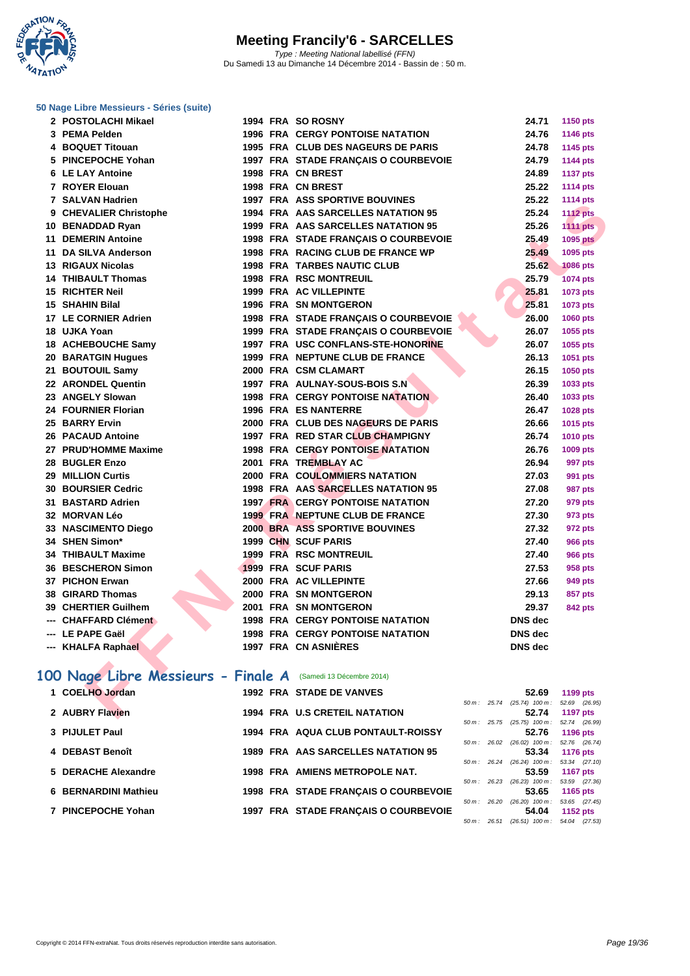

#### **[50 Nage L](http://www.ffnatation.fr/webffn/index.php)ibre Messieurs - Séries (suite)**

| 2 POSTOLACHI Mikael                                          |  | 1994 FRA SO ROSNY                       | 24.71                                | 1150 pts        |
|--------------------------------------------------------------|--|-----------------------------------------|--------------------------------------|-----------------|
| 3 PEMA Pelden                                                |  | <b>1996 FRA CERGY PONTOISE NATATION</b> | 24.76                                | 1146 pts        |
| 4 BOQUET Titouan                                             |  | 1995 FRA CLUB DES NAGEURS DE PARIS      | 24.78                                | 1145 pts        |
| 5 PINCEPOCHE Yohan                                           |  | 1997 FRA STADE FRANÇAIS O COURBEVOIE    | 24.79                                | 1144 pts        |
| 6 LE LAY Antoine                                             |  | 1998 FRA CN BREST                       | 24.89                                | <b>1137 pts</b> |
| 7 ROYER Elouan                                               |  | 1998 FRA CN BREST                       | 25.22                                | <b>1114 pts</b> |
| 7 SALVAN Hadrien                                             |  | <b>1997 FRA ASS SPORTIVE BOUVINES</b>   | 25.22                                | <b>1114 pts</b> |
| 9 CHEVALIER Christophe                                       |  | 1994 FRA AAS SARCELLES NATATION 95      | 25.24                                | <b>1112 pts</b> |
| 10 BENADDAD Ryan                                             |  | 1999 FRA AAS SARCELLES NATATION 95      | 25.26                                | <b>1111 pts</b> |
| <b>11 DEMERIN Antoine</b>                                    |  | 1998 FRA STADE FRANÇAIS O COURBEVOIE    | 25.49                                | <b>1095 pts</b> |
| 11 DA SILVA Anderson                                         |  | 1998 FRA RACING CLUB DE FRANCE WP       | 25.49                                | 1095 pts        |
| <b>13 RIGAUX Nicolas</b>                                     |  | <b>1998 FRA TARBES NAUTIC CLUB</b>      | 25.62                                | <b>1086 pts</b> |
| <b>14 THIBAULT Thomas</b>                                    |  | <b>1998 FRA RSC MONTREUIL</b>           | 25.79                                | 1074 pts        |
| <b>15 RICHTER Neil</b>                                       |  | 1999 FRA AC VILLEPINTE                  | 25.81                                | 1073 pts        |
| 15 SHAHIN Bilal                                              |  | <b>1996 FRA SN MONTGERON</b>            | 25.81                                | 1073 pts        |
| 17 LE CORNIER Adrien                                         |  | 1998 FRA STADE FRANCAIS O COURBEVOIE    | 26.00                                | 1060 pts        |
| 18 UJKA Yoan                                                 |  | 1999 FRA STADE FRANÇAIS O COURBEVOIE    | 26.07                                | 1055 pts        |
| 18 ACHEBOUCHE Samy                                           |  | 1997 FRA USC CONFLANS-STE-HONORINE      | 26.07                                | 1055 pts        |
| 20 BARATGIN Hugues                                           |  | 1999 FRA NEPTUNE CLUB DE FRANCE         | 26.13                                | 1051 pts        |
| 21 BOUTOUIL Samy                                             |  | 2000 FRA CSM CLAMART                    | 26.15                                | 1050 pts        |
| 22 ARONDEL Quentin                                           |  | 1997 FRA AULNAY-SOUS-BOIS S.N           | 26.39                                | 1033 pts        |
| 23 ANGELY Slowan                                             |  | <b>1998 FRA CERGY PONTOISE NATATION</b> | 26.40                                | 1033 pts        |
| 24 FOURNIER Florian                                          |  | 1996 FRA ES NANTERRE                    | 26.47                                | 1028 pts        |
| 25 BARRY Ervin                                               |  | 2000 FRA CLUB DES NAGEURS DE PARIS      | 26.66                                | 1015 pts        |
| <b>26 PACAUD Antoine</b>                                     |  | 1997 FRA RED STAR CLUB CHAMPIGNY        | 26.74                                | 1010 pts        |
| 27 PRUD'HOMME Maxime                                         |  | <b>1998 FRA CERGY PONTOISE NATATION</b> | 26.76                                | 1009 pts        |
| 28 BUGLER Enzo                                               |  | 2001 FRA TREMBLAY AC                    | 26.94                                | 997 pts         |
| 29 MILLION Curtis                                            |  | 2000 FRA COULOMMIERS NATATION           | 27.03                                | 991 pts         |
| 30 BOURSIER Cedric                                           |  | 1998 FRA AAS SARCELLES NATATION 95      | 27.08                                | 987 pts         |
| 31 BASTARD Adrien                                            |  | <b>1997 FRA CERGY PONTOISE NATATION</b> | 27.20                                | 979 pts         |
| 32 MORVAN Léo                                                |  | 1999 FRA NEPTUNE CLUB DE FRANCE         | 27.30                                | 973 pts         |
| 33 NASCIMENTO Diego                                          |  | <b>2000 BRA ASS SPORTIVE BOUVINES</b>   | 27.32                                | 972 pts         |
| 34 SHEN Simon*                                               |  | 1999 CHN SCUF PARIS                     | 27.40                                | <b>966 pts</b>  |
| <b>34 THIBAULT Maxime</b>                                    |  | 1999 FRA RSC MONTREUIL                  | 27.40                                | <b>966 pts</b>  |
| <b>36 BESCHERON Simon</b>                                    |  | 1999 FRA SCUF PARIS                     | 27.53                                | 958 pts         |
| 37 PICHON Erwan                                              |  | 2000 FRA AC VILLEPINTE                  | 27.66                                | 949 pts         |
| 38 GIRARD Thomas                                             |  | 2000 FRA SN MONTGERON                   | 29.13                                | 857 pts         |
| 39 CHERTIER Guilhem                                          |  | 2001 FRA SN MONTGERON                   | 29.37                                | <b>842 pts</b>  |
| --- CHAFFARD Clément                                         |  | <b>1998 FRA CERGY PONTOISE NATATION</b> | <b>DNS</b> dec                       |                 |
| --- LE PAPE Gaël                                             |  | <b>1998 FRA CERGY PONTOISE NATATION</b> | <b>DNS</b> dec                       |                 |
| --- KHALFA Raphael                                           |  | 1997 FRA CN ASNIÈRES                    | <b>DNS</b> dec                       |                 |
|                                                              |  |                                         |                                      |                 |
| 00 Nage Libre Messieurs - Finale A (Samedi 13 Décembre 2014) |  |                                         |                                      |                 |
| 1 COELHO Jordan                                              |  | <b>1992 FRA STADE DE VANVES</b>         | 52.69                                | 1199 pts        |
|                                                              |  |                                         | $50 m$ : $25.74$ $(25.74)$ $100 m$ : | 52.69 (26.95)   |
| 2 AUBRY Flavien                                              |  | <b>1994 FRA U.S CRETEIL NATATION</b>    | 52.74                                | <b>1197 pts</b> |

### 100 Nage Libre Messieurs - Finale A (Samedi 13 Décembre 2014)

| 1 COELHO Jordan      |  | 1992 FRA STADE DE VANVES              |                |       | 52.69                                 | 1199 pts        |  |
|----------------------|--|---------------------------------------|----------------|-------|---------------------------------------|-----------------|--|
|                      |  |                                       |                |       | 50 m: 25.74 (25.74) 100 m: 52.69 (26. |                 |  |
| 2 AUBRY Flavien      |  | <b>1994 FRA U.S CRETEIL NATATION</b>  |                |       | 52.74                                 | <b>1197 pts</b> |  |
|                      |  |                                       | 50 m : 25.75   |       | $(25.75)$ 100 m : 52.74 (26.          |                 |  |
| 3 PIJULET Paul       |  | 1994 FRA AQUA CLUB PONTAULT-ROISSY    |                |       | 52.76                                 | <b>1196 pts</b> |  |
|                      |  |                                       | $50 m$ :       |       | 26.02 (26.02) 100 m : 52.76 (26.      |                 |  |
| 4 DEBAST Benoît      |  | 1989 FRA AAS SARCELLES NATATION 95    |                |       | 53.34                                 | 1176 pts        |  |
|                      |  |                                       | 50 m :         | 26.24 | $(26.24)$ 100 m : 53.34 (27.          |                 |  |
| 5 DERACHE Alexandre  |  | <b>1998 FRA AMIENS METROPOLE NAT.</b> |                |       | 53.59                                 | <b>1167 pts</b> |  |
|                      |  |                                       | $50 m$ : 26.23 |       | $(26.23)$ 100 m : 53.59 (27.          |                 |  |
| 6 BERNARDINI Mathieu |  | 1998 FRA STADE FRANCAIS O COURBEVOIE  |                |       | 53.65                                 | 1165 pts        |  |
|                      |  |                                       | 50 m :         | 26.20 | $(26.20)$ 100 m : 53.65 $(27.4)$      |                 |  |
| 7 PINCEPOCHE Yohan   |  | 1997 FRA STADE FRANÇAIS O COURBEVOIE  |                |       | 54.04                                 | 1152 pts        |  |
|                      |  |                                       |                |       |                                       |                 |  |

|                        |       | 52.69             | 1199 pts        |
|------------------------|-------|-------------------|-----------------|
| $50 m$ :               | 25.74 | $(25.74)$ 100 m : | 52.69 (26.95)   |
|                        |       | 52.74             | <b>1197 pts</b> |
| $50 m$ : 25.75         |       | $(25.75)$ 100 m : | 52.74 (26.99)   |
|                        |       | 52.76             | 1196 pts        |
| $50 m$ : 26.02         |       | $(26.02)$ 100 m : | 52.76 (26.74)   |
|                        |       | 53.34             | <b>1176 pts</b> |
| $50 \text{ m}$ : 26.24 |       | $(26.24)$ 100 m : | 53.34 (27.10)   |
|                        |       | 53.59             | <b>1167 pts</b> |
| $50 \text{ m}$ : 26.23 |       | $(26.23)$ 100 m : | 53.59 (27.36)   |
|                        |       | 53.65             | 1165 pts        |
| $50 m$ : 26.20         |       | $(26.20)$ 100 m : | 53.65 (27.45)   |
|                        |       | 54.04             | <b>1152 pts</b> |
| $50 m$ :               | 26.51 | $(26.51)$ 100 m : | 54.04 (27.53)   |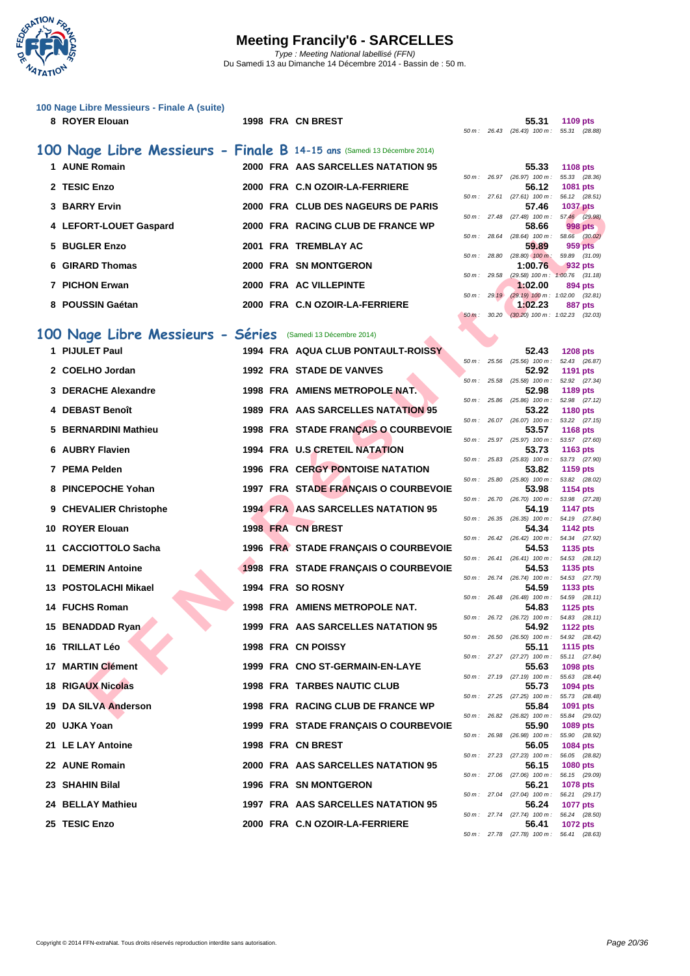

| 100 Nage Libre Messieurs - Finale A (suite)<br>8 ROYER Elouan           | 1998 FRA CN BREST                         |                |                | 55.31<br>50 m: 26.43 (26.43) 100 m: 55.31 (28.88)                 | 1109 pts                                                    |
|-------------------------------------------------------------------------|-------------------------------------------|----------------|----------------|-------------------------------------------------------------------|-------------------------------------------------------------|
| 100 Nage Libre Messieurs - Finale B 14-15 ans (Samedi 13 Décembre 2014) |                                           |                |                |                                                                   |                                                             |
| 1 AUNE Romain                                                           | 2000 FRA AAS SARCELLES NATATION 95        |                |                | 55.33                                                             | <b>1108 pts</b>                                             |
| 2 TESIC Enzo                                                            | 2000 FRA C.N OZOIR-LA-FERRIERE            |                |                | 50 m: 26.97 (26.97) 100 m:<br>56.12                               | 55.33 (28.36)<br>1081 pts                                   |
| 3 BARRY Ervin                                                           | 2000 FRA CLUB DES NAGEURS DE PARIS        |                |                | 50 m: 27.61 (27.61) 100 m: 56.12 (28.51)<br>57.46                 | <b>1037 pts</b>                                             |
| 4 LEFORT-LOUET Gaspard                                                  | 2000 FRA RACING CLUB DE FRANCE WP         |                |                | $50 m$ : 27.48 (27.48) $100 m$ :<br>58.66                         | 57.46 (29.98)<br>998 pts                                    |
| 5 BUGLER Enzo                                                           | 2001 FRA TREMBLAY AC                      |                | 50 m : 28.64   | 59.89                                                             | $(28.64)$ 100 m : 58.66 $(30.02)$<br>959 pts                |
|                                                                         |                                           |                |                | 50 m: 28.80 (28.80) 100 m: 59.89 (31.09)                          |                                                             |
| 6 GIRARD Thomas                                                         | 2000 FRA SN MONTGERON                     | 50 m: 29.58    |                | 1:00.76                                                           | 932 pts<br>(29.58) 100 m: 1:00.76 (31.18)                   |
| <b>7 PICHON Erwan</b>                                                   | 2000 FRA AC VILLEPINTE                    |                | $50 m$ : 29.19 | 1:02.00                                                           | 894 pts<br>$(29.19)$ 100 m : 1:02.00 $(32.81)$              |
| 8 POUSSIN Gaétan                                                        | 2000 FRA C.N OZOIR-LA-FERRIERE            |                |                | 1:02.23<br>$50 \text{ m}$ : 30.20 (30.20) 100 m : 1:02.23 (32.03) | 887 pts                                                     |
| 100 Nage Libre Messieurs - Séries                                       | (Samedi 13 Décembre 2014)                 |                |                |                                                                   |                                                             |
| 1 PIJULET Paul                                                          | 1994 FRA AQUA CLUB PONTAULT-ROISSY        |                |                | 52.43                                                             | <b>1208 pts</b>                                             |
| 2 COELHO Jordan                                                         | 1992 FRA STADE DE VANVES                  | $50 m$ : 25.56 |                | 52.92                                                             | $(25.56)$ 100 m : 52.43 (26.87)                             |
|                                                                         |                                           |                |                | 50 m: 25.58 (25.58) 100 m: 52.92 (27.34)                          | 1191 pts                                                    |
| 3 DERACHE Alexandre                                                     | 1998 FRA AMIENS METROPOLE NAT.            |                | 50 m: 25.86    | 52.98                                                             | 1189 pts<br>$(25.86)$ 100 m : $52.98$ $(27.12)$             |
| 4 DEBAST Benoît                                                         | 1989 FRA AAS SARCELLES NATATION 95        |                |                | 53.22<br>50 m: 26.07 (26.07) 100 m: 53.22 (27.15)                 | <b>1180 pts</b>                                             |
| 5 BERNARDINI Mathieu                                                    | 1998 FRA STADE FRANÇAIS O COURBEVOIE      | 50 m :         |                | 53.57<br>25.97 (25.97) 100 m :                                    | <b>1168 pts</b><br>53.57 (27.60)                            |
| 6 AUBRY Flavien                                                         | 1994 FRA U.S CRETEIL NATATION             |                |                | 53.73                                                             | 1163 pts                                                    |
| 7 PEMA Pelden                                                           | <b>1996 FRA CERGY PONTOISE NATATION</b>   |                |                | $50 m$ : $25.83$ $(25.83)$ $100 m$ : $53.73$ $(27.90)$<br>53.82   | 1159 pts                                                    |
| 8 PINCEPOCHE Yohan                                                      | 1997 FRA STADE FRANÇAIS O COURBEVOIE      |                |                | 50 m: 25.80 (25.80) 100 m: 53.82 (28.02)<br>53.98                 | 1154 pts                                                    |
| 9 CHEVALIER Christophe                                                  | <b>1994 FRA AAS SARCELLES NATATION 95</b> |                | 50 m : 26.70   | $(26.70)$ 100 m :<br>54.19                                        | 53.98 (27.28)<br>1147 pts                                   |
| 10 ROYER Elouan                                                         | 1998 FRA CN BREST                         |                |                | 50 m: 26.35 (26.35) 100 m: 54.19 (27.84)<br>54.34                 | 1142 pts                                                    |
|                                                                         |                                           |                |                | $50 m$ : $26.42$ $(26.42)$ $100 m$ :                              | 54.34 (27.92)                                               |
| 11 CACCIOTTOLO Sacha                                                    | 1996 FRA STADE FRANÇAIS O COURBEVOIE      |                |                | 54.53<br>50 m: 26.41 (26.41) 100 m: 54.53 (28.12)                 | 1135 pts                                                    |
| <b>DEMERIN Antoine</b><br>11                                            | 1998 FRA STADE FRANÇAIS O COURBEVOIE      |                |                | 54.53<br>50 m: 26.74 (26.74) 100 m: 54.53 (27.79)                 | 1135 pts                                                    |
| 13 POSTOLACHI Mikael                                                    | 1994 FRA SO ROSNY                         |                |                | 54.59<br>50 m: 26.48 (26.48) 100 m: 54.59 (28.11)                 | 1133 pts                                                    |
| 14 FUCHS Roman                                                          | 1998 FRA AMIENS METROPOLE NAT.            |                |                | 54.83                                                             | 1125 pts<br>50 m: 26.72 (26.72) 100 m: 54.83 (28.11)        |
| 15 BENADDAD Ryan                                                        | 1999 FRA AAS SARCELLES NATATION 95        |                |                | 54.92                                                             | <b>1122 pts</b>                                             |
| <b>16 TRILLAT Léo</b>                                                   | 1998 FRA CN POISSY                        |                |                | 55.11                                                             | 50 m: 26.50 (26.50) 100 m: 54.92 (28.42)<br><b>1115 pts</b> |
| 17 MARTIN Clément                                                       | 1999 FRA CNO ST-GERMAIN-EN-LAYE           |                |                | 50 m: 27.27 (27.27) 100 m: 55.11 (27.84)<br>55.63                 | 1098 pts                                                    |
| <b>18 RIGAUX Nicolas</b>                                                | <b>1998 FRA TARBES NAUTIC CLUB</b>        |                |                | 50 m: 27.19 (27.19) 100 m:<br>55.73                               | 55.63 (28.44)<br>1094 pts                                   |
| 19 DA SILVA Anderson                                                    | 1998 FRA RACING CLUB DE FRANCE WP         |                |                | 50 m: 27.25 (27.25) 100 m:<br>55.84                               | 55.73 (28.48)<br>1091 pts                                   |
| 20 UJKA Yoan                                                            | 1999 FRA STADE FRANÇAIS O COURBEVOIE      |                |                | $50 m$ : $26.82$ $(26.82)$ $100 m$ :<br>55.90                     | 55.84 (29.02)<br>1089 pts                                   |
|                                                                         | 1998 FRA CN BREST                         |                |                | 50 m: 26.98 (26.98) 100 m:                                        | 55.90 (28.92)                                               |
| 21 LE LAY Antoine                                                       |                                           |                |                | 56.05<br>50 m: 27.23 (27.23) 100 m:                               | 1084 pts<br>56.05 (28.82)                                   |
| 22 AUNE Romain                                                          | 2000 FRA AAS SARCELLES NATATION 95        |                |                | 56.15<br>50 m: 27.06 (27.06) 100 m: 56.15 (29.09)                 | 1080 pts                                                    |
| 23 SHAHIN Bilal                                                         | <b>1996 FRA SN MONTGERON</b>              |                |                | 56.21<br>50 m: 27.04 (27.04) 100 m:                               | 1078 pts<br>56.21 (29.17)                                   |
| 24 BELLAY Mathieu                                                       | 1997 FRA AAS SARCELLES NATATION 95        |                |                | 56.24<br>50 m: 27.74 (27.74) 100 m: 56.24 (28.50)                 | 1077 pts                                                    |
| 25 TESIC Enzo                                                           | 2000 FRA C.N OZOIR-LA-FERRIERE            |                |                | 56.41                                                             | <b>1072 pts</b><br>50 m: 27.78 (27.78) 100 m: 56.41 (28.63) |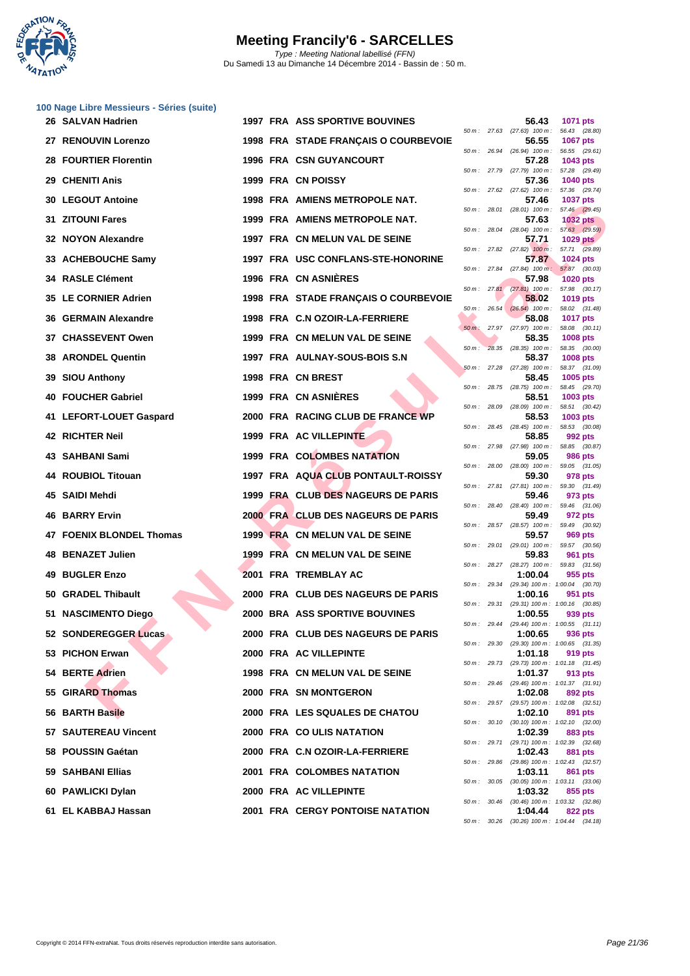

| 100 Nage Libre Messieurs - Séries (suite) |                                      |          |                |                                           |                                                             |
|-------------------------------------------|--------------------------------------|----------|----------------|-------------------------------------------|-------------------------------------------------------------|
| 26 SALVAN Hadrien                         | 1997 FRA ASS SPORTIVE BOUVINES       |          |                | 56.43                                     | 1071 pts<br>50 m: 27.63 (27.63) 100 m: 56.43 (28.80)        |
| 27 RENOUVIN Lorenzo                       | 1998 FRA STADE FRANÇAIS O COURBEVOIE |          | 50 m : 26.94   | 56.55                                     | 1067 pts<br>(26.94) 100 m: 56.55 (29.61)                    |
| <b>28 FOURTIER Florentin</b>              | <b>1996 FRA CSN GUYANCOURT</b>       |          |                | 57.28                                     | 1043 pts                                                    |
| 29 CHENITI Anis                           | 1999 FRA CN POISSY                   |          |                | 50 m: 27.79 (27.79) 100 m:<br>57.36       | 57.28 (29.49)<br>1040 pts                                   |
| <b>30 LEGOUT Antoine</b>                  | 1998 FRA AMIENS METROPOLE NAT.       |          |                | $50 m$ : 27.62 (27.62) $100 m$ :<br>57.46 | 57.36 (29.74)<br>1037 pts                                   |
| 31 ZITOUNI Fares                          | 1999 FRA AMIENS METROPOLE NAT.       |          |                | 50 m: 28.01 (28.01) 100 m:<br>57.63       | 57.46 (29.45)<br><b>1032 pts</b>                            |
| 32 NOYON Alexandre                        | 1997 FRA CN MELUN VAL DE SEINE       |          | 50 m: 28.04    | 57.71                                     | $(28.04)$ 100 m : 57.63 $(29.59)$<br><b>1029 pts</b>        |
| 33 ACHEBOUCHE Samy                        | 1997 FRA USC CONFLANS-STE-HONORINE   |          |                | 57.87                                     | 50 m: 27.82 (27.82) 100 m: 57.71 (29.89)<br>1024 pts        |
|                                           |                                      |          |                |                                           | 50 m: 27.84 (27.84) 100 m: 57.87 (30.03)                    |
| <b>34 RASLE Clément</b>                   | <b>1996 FRA CN ASNIERES</b>          |          |                | 57.98                                     | <b>1020 pts</b><br>50 m: 27.81 (27.81) 100 m: 57.98 (30.17) |
| 35 LE CORNIER Adrien                      | 1998 FRA STADE FRANÇAIS O COURBEVOIE |          | $50 m$ : 26.54 | 58.02<br>$(26.54)$ 100 m :                | 1019 pts<br>58.02 (31.48)                                   |
| 36 GERMAIN Alexandre                      | 1998 FRA C.N OZOIR-LA-FERRIERE       |          |                | 58.08<br>50 m; 27.97 (27.97) 100 m:       | <b>1017 pts</b><br>58.08 (30.11)                            |
| <b>37 CHASSEVENT Owen</b>                 | 1999 FRA CN MELUN VAL DE SEINE       | $50 m$ : |                | 58.35<br>28.35 (28.35) 100 m :            | 1008 pts<br>58.35 (30.00)                                   |
| 38 ARONDEL Quentin                        | 1997 FRA AULNAY-SOUS-BOIS S.N        |          |                | 58.37                                     | 1008 pts                                                    |
| 39 SIOU Anthony                           | 1998 FRA CN BREST                    |          | 50 m: 27.28    | $(27.28)$ 100 m :<br>58.45                | 58.37 (31.09)<br>1005 pts                                   |
| 40 FOUCHER Gabriel                        | 1999 FRA CN ASNIERES                 |          |                | 58.51                                     | 50 m: 28.75 (28.75) 100 m: 58.45 (29.70)<br>1003 pts        |
| 41 LEFORT-LOUET Gaspard                   | 2000 FRA RACING CLUB DE FRANCE WP    |          | $50 m$ : 28.09 | $(28.09)$ 100 m :<br>58.53                | 58.51 (30.42)<br>1003 pts                                   |
| 42 RICHTER Neil                           | 1999 FRA AC VILLEPINTE               |          |                | 50 m: 28.45 (28.45) 100 m:<br>58.85       | 58.53 (30.08)<br>992 pts                                    |
| 43 SAHBANI Sami                           | 1999 FRA COLOMBES NATATION           |          | 50 m: 27.98    | $(27.98)$ 100 m :<br>59.05                | 58.85 (30.87)<br><b>986 pts</b>                             |
| 44 ROUBIOL Titouan                        | 1997 FRA AQUA CLUB PONTAULT-ROISSY   |          | 50 m: 28.00    | 59.30                                     | (28.00) 100 m: 59.05 (31.05)<br>978 pts                     |
| 45 SAIDI Mehdi                            | 1999 FRA CLUB DES NAGEURS DE PARIS   |          |                | 50 m: 27.81 (27.81) 100 m:<br>59.46       | 59.30 (31.49)<br>973 pts                                    |
| 46 BARRY Ervin                            | 2000 FRA CLUB DES NAGEURS DE PARIS   |          |                | 59.49                                     | 50 m: 28.40 (28.40) 100 m: 59.46 (31.06)<br>972 pts         |
|                                           |                                      |          |                |                                           | 50 m: 28.57 (28.57) 100 m: 59.49 (30.92)                    |
| 47 FOENIX BLONDEL Thomas                  | 1999 FRA CN MELUN VAL DE SEINE       |          | 50 m: 29.01    | 59.57<br>$(29.01)$ 100 m :                | 969 pts<br>59.57 (30.56)                                    |
| 48 BENAZET Julien                         | 1999 FRA CN MELUN VAL DE SEINE       |          |                | 59.83                                     | 961 pts<br>50 m: 28.27 (28.27) 100 m: 59.83 (31.56)         |
| 49 BUGLER Enzo                            | 2001 FRA TREMBLAY AC                 |          | 50 m: 29.34    | 1:00.04                                   | 955 pts<br>(29.34) 100 m: 1:00.04 (30.70)                   |
| 50 GRADEL Thibault                        | 2000 FRA CLUB DES NAGEURS DE PARIS   |          | 50 m: 29.31    | 1:00.16                                   | 951 pts<br>(29.31) 100 m: 1:00.16 (30.85)                   |
| 51 NASCIMENTO Diego                       | 2000 BRA ASS SPORTIVE BOUVINES       |          |                | 1:00.55                                   | 939 pts<br>50 m: 29.44 (29.44) 100 m: 1:00.55 (31.11)       |
| 52 SONDEREGGER Lucas                      | 2000 FRA CLUB DES NAGEURS DE PARIS   |          |                | 1:00.65                                   | 936 pts<br>50 m: 29.30 (29.30) 100 m: 1:00.65 (31.35)       |
| 53 PICHON Erwan                           | 2000 FRA AC VILLEPINTE               |          |                | 1:01.18                                   | 919 pts                                                     |
| 54 BERTE Adrien                           | 1998 FRA CN MELUN VAL DE SEINE       |          |                | 1:01.37                                   | 50 m: 29.73 (29.73) 100 m: 1:01.18 (31.45)<br>913 pts       |
| 55 GIRARD Thomas                          | 2000 FRA SN MONTGERON                |          |                | 1:02.08                                   | 50 m: 29.46 (29.46) 100 m: 1:01.37 (31.91)<br>892 pts       |
| 56 BARTH Basile                           | 2000 FRA LES SQUALES DE CHATOU       |          | 50 m : 29.57   | 1:02.10                                   | $(29.57)$ 100 m : 1:02.08 $(32.51)$<br>891 pts              |
| 57 SAUTEREAU Vincent                      | 2000 FRA COULIS NATATION             |          |                | 1:02.39                                   | 50 m: 30.10 (30.10) 100 m: 1:02.10 (32.00)<br>883 pts       |
| 58 POUSSIN Gaétan                         | 2000 FRA C.N OZOIR-LA-FERRIERE       |          |                | 1:02.43                                   | 50 m: 29.71 (29.71) 100 m: 1:02.39 (32.68)<br>881 pts       |
| 59 SAHBANI Ellias                         | 2001 FRA COLOMBES NATATION           |          |                | 1:03.11                                   | 50 m: 29.86 (29.86) 100 m: 1:02.43 (32.57)<br>861 pts       |
| 60 PAWLICKI Dylan                         | 2000 FRA AC VILLEPINTE               |          |                | 1:03.32                                   | 50 m : 30.05 (30.05) 100 m : 1:03.11 (33.06)<br>855 pts     |
| 61 EL KABBAJ Hassan                       | 2001 FRA CERGY PONTOISE NATATION     |          |                | 1:04.44                                   | 50 m: 30.46 (30.46) 100 m: 1:03.32 (32.86)<br>822 pts       |
|                                           |                                      |          |                |                                           |                                                             |

| $50 m$ : | 27.63 | $(27.63)$ 100 m :             | 56.43                    | (28.80)        |
|----------|-------|-------------------------------|--------------------------|----------------|
| $50 m$ : | 26.94 | 56.55<br>$(26.94)$ 100 m :    | 1067 pts                 | (29.61)        |
|          |       | 57.28                         | 56.55<br>1043 pts        |                |
| $50 m$ : | 27.79 | $(27.79)$ 100 m :             | 57.28                    | (29.49)        |
| $50 m$ : | 27.62 | 57.36<br>$(27.62)$ 100 m :    | 1040 pts<br>57.36        | (29.74)        |
|          |       | 57.46                         | <b>1037 pts</b>          |                |
| $50 m$ : | 28.01 | $(28.01)$ 100 m :             | 57.46                    | (29.45)        |
| $50 m$ : | 28.04 | 57.63<br>$(28.04)$ 100 m :    | <b>1032 pts</b>          | 57.63 (29.59)  |
|          |       | 57.71                         | <b>1029 pts</b>          |                |
| $50 m$ : | 27.82 | $(27.82)$ 100 m :             | 57.71                    | (29.89)        |
| $50 m$ : | 27.84 | 57.87<br>$(27.84)$ 100 m:     | 1024 pts<br>57.87        | (30.03)        |
|          |       | 57.98                         | <b>1020 pts</b>          |                |
| $50 m$ : | 27.81 | (27.81)<br>$100 m$ :<br>58.02 | 57.98                    | (30.17)        |
| $50 m$ : | 26.54 | $(26.54)$ 100 m :             | <b>1019 pts</b><br>58.02 | (31.48)        |
|          |       | 58.08                         | 1017 pts                 |                |
| $50 m$ : | 27.97 | (27.97)<br>100 m :            | 58.08                    | (30.11)        |
| $50 m$ : | 28.35 | 58.35<br>$(28.35)$ 100 m :    | <b>1008 pts</b><br>58.35 | (30.00)        |
|          |       | 58.37                         | <b>1008 pts</b>          |                |
| $50m$ :  | 27.28 | $(27.28)$ 100 m :<br>58.45    | 58.37                    | (31.09)        |
| $50 m$ : | 28.75 | $(28.75)$ 100 m :             | 1005 pts<br>58.45        | (29.70)        |
|          |       | 58.51                         | 1003 pts                 |                |
| $50 m$ : | 28.09 | $(28.09)$ 100 m :<br>58.53    | 58.51<br>1003 pts        | (30.42)        |
| $50 m$ : | 28.45 | $(28.45)$ 100 m :             | 58.53                    | (30.08)        |
|          |       | 58.85                         | 992 pts                  |                |
| $50 m$ : | 27.98 | $(27.98)$ 100 m :<br>59.05    | 58.85<br><b>986 pts</b>  | (30.87)        |
| $50 m$ : | 28.00 | $(28.00)$ 100 m :             | 59.05                    | (31.05)        |
|          |       | 59.30                         | 978 pts                  |                |
| $50 m$ : | 27.81 | $(27.81)$ 100 m :<br>59.46    | 59.30<br>973 pts         | (31.49)        |
| 50 m :   | 28.40 | $(28.40)$ 100 m :             | 59.46                    | (31.06)        |
|          | 28.57 | 59.49                         | 972 pts                  |                |
| $50 m$ : |       | $(28.57)$ 100 m :<br>59.57    | 59.49<br><b>969 pts</b>  | (30.92)        |
| $50 m$ : | 29.01 | $(29.01)$ 100 m :             | 59.57                    | (30.56)        |
| $50 m$ : | 28.27 | 59.83<br>(28.27) 100 m :      | 961<br>59.83             | pts<br>(31.56) |
|          |       | 1:00.04                       | 955 pts                  |                |
| $50 m$ : | 29.34 | (29.34) 100 m :               | 1:00.04                  | (30.70)        |
| $50 m$ : | 29.31 | 1:00.16<br>(29.31) 100 m :    | 951 pts<br>1:00.16       | (30.85)        |
|          |       | 1:00.55                       | 939 pts                  |                |
| $50 m$ : | 29.44 | (29.44) 100 m :               | 1:00.55                  | (31.11)        |
| 50 m :   | 29.30 | 1:00.65<br>$(29.30)$ 100 m :  | 936 pts<br>1:00.65       | (31.35)        |
|          |       | 1:01.18                       | 919 pts                  |                |
| 50 m :   | 29.73 | $(29.73) 100 m$ :             | 1:01.18                  | (31.45)        |
| $50 m$ : | 29.46 | 1:01.37<br>$(29.46)$ 100 m :  | 913 pts<br>1:01.37       | (31.91)        |
|          |       | 1:02.08                       | 892 pts                  |                |
| $50 m$ : | 29.57 | (29.57) 100 m :<br>1:02.10    | 1:02.08<br>891 pts       | (32.51)        |
| $50 m$ : | 30.10 | $(30.10) 100 m$ :             | 1:02.10                  | (32.00)        |
|          |       | 1:02.39                       | <b>883 pts</b>           |                |
| $50 m$ : | 29.71 | (29.71) 100 m :<br>1:02.43    | 1:02.39<br>881           | (32.68)<br>pts |
| $50 m$ : | 29.86 | (29.86) 100 m:                | 1:02.43                  | (32.57)        |
|          |       | 1:03.11                       | <b>861 pts</b>           |                |
| $50 m$ : | 30.05 | $(30.05)$ 100 m :<br>1:03.32  | 1:03.11<br>855 pts       | (33.06)        |
| $50 m$ : | 30.46 | $(30.46)$ 100 m :             | 1:03.32                  | (32.86)        |
|          |       | 1:04.44                       | 822 pts                  |                |
| $50 m$ : | 30.26 | $(30.26)$ 100 m :             | 1:04.44                  | (34.18)        |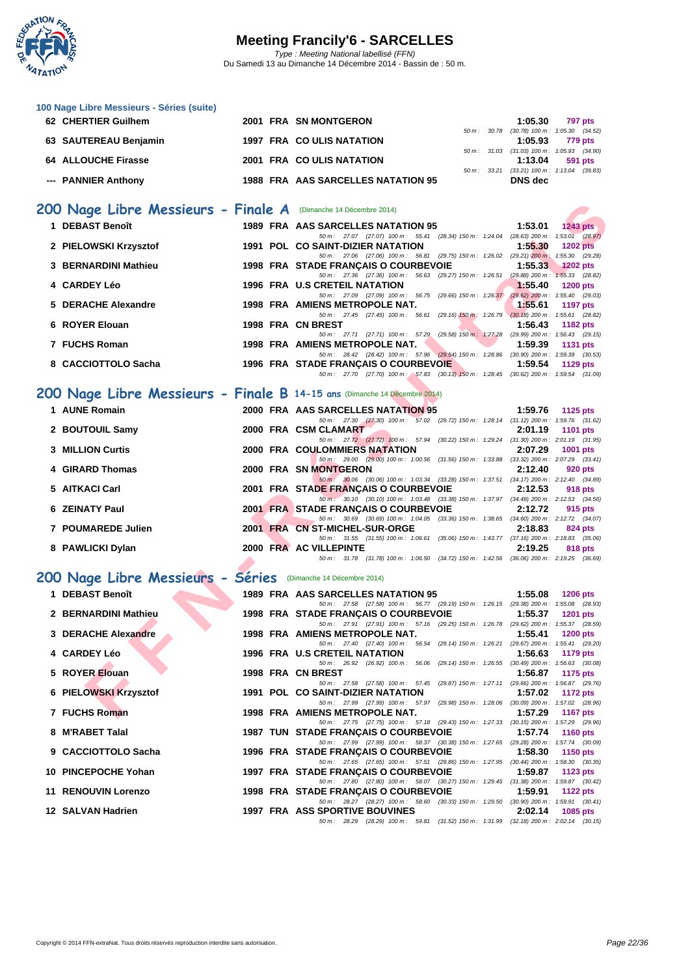

| <b>100 Nago Elbro Mossicars Corlos (Sallo)</b>                            |  |                                                                                                                                     |                |                                                       |
|---------------------------------------------------------------------------|--|-------------------------------------------------------------------------------------------------------------------------------------|----------------|-------------------------------------------------------|
| 62 CHERTIER Guilhem                                                       |  | 2001 FRA SN MONTGERON                                                                                                               | 1:05.30        | 797 pts                                               |
| 63 SAUTEREAU Benjamin                                                     |  | 1997 FRA COULIS NATATION                                                                                                            | 1:05.93        | 50 m: 30.78 (30.78) 100 m: 1:05.30 (34.52)<br>779 pts |
| <b>64 ALLOUCHE Firasse</b>                                                |  | 2001 FRA COULIS NATATION                                                                                                            | 1:13.04        | 50 m: 31.03 (31.03) 100 m: 1:05.93 (34.90)<br>591 pts |
|                                                                           |  |                                                                                                                                     |                | 50 m: 33.21 (33.21) 100 m: 1:13.04 (39.83)            |
| --- PANNIER Anthony                                                       |  | 1988 FRA AAS SARCELLES NATATION 95                                                                                                  | <b>DNS</b> dec |                                                       |
|                                                                           |  |                                                                                                                                     |                |                                                       |
| 200 Nage Libre Messieurs - Finale A (Dimanche 14 Décembre 2014)           |  |                                                                                                                                     |                |                                                       |
| 1 DEBAST Benoît                                                           |  | 1989 FRA AAS SARCELLES NATATION 95<br>50 m: 27.07 (27.07) 100 m: 55.41 (28.34) 150 m: 1:24.04 (28.63) 200 m: 1:53.01 (28.97)        | 1:53.01        | $1243$ pts                                            |
| 2 PIELOWSKI Krzysztof                                                     |  | 1991 POL CO SAINT-DIZIER NATATION                                                                                                   | 1:55.30        | <b>1202 pts</b>                                       |
| 3 BERNARDINI Mathieu                                                      |  | 50 m: 27.06 (27.06) 100 m: 56.81 (29.75) 150 m: 1:26.02 (29.21) 200 m: 1:55.30 (29.28)<br>1998 FRA STADE FRANÇAIS O COURBEVOIE      | 1:55.33        | <b>1202 pts</b>                                       |
|                                                                           |  | 50 m: 27.36 (27.36) 100 m: 56.63 (29.27) 150 m: 1:26.51 (29.88) 200 m: 1:55.33 (28.82)                                              |                |                                                       |
| 4 CARDEY Léo                                                              |  | 1996 FRA U.S CRETEIL NATATION<br>50 m : 27.09 (27.09) 100 m : 56.75 (29.66) 150 m : 1:26.37 (29.62) 200 m : 1:55.40 (29.03)         | 1:55.40        | <b>1200 pts</b>                                       |
| 5 DERACHE Alexandre                                                       |  | 1998 FRA AMIENS METROPOLE NAT.                                                                                                      | 1:55.61        | <b>1197 pts</b>                                       |
| 6 ROYER Elouan                                                            |  | 50 m: 27.45 (27.45) 100 m: 56.61 (29.16) 150 m: 1:26.79 (30.18) 200 m: 1:55.61 (28.82)                                              | 1:56.43        |                                                       |
|                                                                           |  | 1998 FRA CN BREST<br>50 m: 27.71 (27.71) 100 m: 57.29 (29.58) 150 m: 1:27.28 (29.99) 200 m: 1:56.43 (29.15)                         |                | 1182 pts                                              |
| 7 FUCHS Roman                                                             |  | 1998 FRA AMIENS METROPOLE NAT.                                                                                                      | 1:59.39        | <b>1131 pts</b>                                       |
| 8 CACCIOTTOLO Sacha                                                       |  | 50 m : 28.42 (28.42) 100 m : 57.96 (29.54) 150 m : 1:28.86 (30.90) 200 m : 1:59.39 (30.53)<br>1996 FRA STADE FRANÇAIS O COURBEVOIE  | 1:59.54        | 1129 pts                                              |
|                                                                           |  | 50 m: 27.70 (27.70) 100 m: 57.83 (30.13) 150 m: 1:28.45 (30.62) 200 m: 1:59.54 (31.09)                                              |                |                                                       |
| 200 Nage Libre Messieurs - Finale B 14-15 ans (Dimanche 14 Décembre 2014) |  |                                                                                                                                     |                |                                                       |
| 1 AUNE Romain                                                             |  | 2000 FRA AAS SARCELLES NATATION 95                                                                                                  | 1:59.76        | 1125 $pts$                                            |
|                                                                           |  | 50 m: 27.30 (27.30) 100 m: 57.02 (29.72) 150 m: 1:28.14 (31.12) 200 m: 1:59.76 (31.62)                                              |                |                                                       |
| 2 BOUTOUIL Samy                                                           |  | 2000 FRA CSM CLAMART                                                                                                                | 2:01.19        | <b>1101 pts</b>                                       |
| <b>3 MILLION Curtis</b>                                                   |  | 50 m: 27.72 (27.72) 100 m: 57.94 (30.22) 150 m: 1:29.24 (31.30) 200 m: 2:01.19 (31.95)<br><b>2000 FRA COULOMMIERS NATATION</b>      | 2:07.29        | 1001 pts                                              |
|                                                                           |  | 50 m: 29.00 (29.00) 100 m: 1:00.56 (31.56) 150 m: 1:33.88 (33.32) 200 m: 2:07.29 (33.41)                                            |                |                                                       |
| 4 GIRARD Thomas                                                           |  | 2000 FRA SN MONTGERON<br>50 m : 30.06 (30.06) 100 m : 1:03.34 (33.28) 150 m : 1:37.51 (34.17) 200 m : 2:12.40 (34.89)               | 2:12.40        | 920 pts                                               |
| 5 AITKACI Carl                                                            |  | 2001 FRA STADE FRANÇAIS O COURBEVOIE                                                                                                | 2:12.53        | 918 pts                                               |
| 6 ZEINATY Paul                                                            |  | $50 m$ : 30.10 (30.10) 100 m: 1:03.48 (33.38) 150 m: 1:37.97 (34.49) 200 m: 2:12.53 (34.56)<br>2001 FRA STADE FRANÇAIS O COURBEVOIE | 2:12.72        | 915 pts                                               |
|                                                                           |  | 50 m: 30.69 (30.69) 100 m: 1:04.05 (33.36) 150 m: 1:38.65 (34.60) 200 m: 2:12.72 (34.07)                                            |                |                                                       |
| 7 POUMAREDE Julien                                                        |  | 2001 FRA CN ST-MICHEL-SUR-ORGE<br>50 m: 31.55 (31.55) 100 m: 1:06.61 (35.06) 150 m: 1:43.77 (37.16) 200 m: 2:18.83 (35.06)          | 2:18.83        | 824 pts                                               |
| 8 PAWLICKI Dylan                                                          |  | 2000 FRA AC VILLEPINTE                                                                                                              | 2:19.25        | 818 pts                                               |
|                                                                           |  | 50 m: 31.78 (31.78) 100 m: 1:06.50 (34.72) 150 m: 1:42.56 (36.06) 200 m: 2:19.25 (36.69)                                            |                |                                                       |
| 200 Nage Libre Messieurs - Séries (Dimanche 14 Décembre 2014)             |  |                                                                                                                                     |                |                                                       |
| 1 DEBAST Benoît                                                           |  | 1989 FRA AAS SARCELLES NATATION 95                                                                                                  | 1:55.08        | <b>1206 pts</b>                                       |
|                                                                           |  | 50 m: 27.58 (27.58) 100 m: 56.77 (29.19) 150 m: 1:26.15 (29.38) 200 m: 1:55.08 (28.93)                                              |                |                                                       |
| 2 BERNARDINI Mathieu                                                      |  | 1998 FRA STADE FRANÇAIS O COURBEVOIE<br>50 m: 27.91 (27.91) 100 m: 57.16 (29.25) 150 m: 1:26.78 (29.62) 200 m: 1:55.37 (28.59)      | 1:55.37        | <b>1201 pts</b>                                       |
| <b>DERACHE Alexandre</b>                                                  |  | 1998 FRA AMIENS METROPOLE NAT.                                                                                                      | 1:55.41        | <b>1200 pts</b>                                       |
| 4 CARDEY Léo                                                              |  | 50 m: 27.40 (27.40) 100 m: 56.54 (29.14) 150 m: 1:26.21<br>1996 FRA U.S CRETEIL NATATION                                            | 1:56.63        | (29.67) 200 m: 1:55.41 (29.20)<br>1179 pts            |
|                                                                           |  | 50 m : 26.92 (26.92) 100 m : 56.06 (29.14) 150 m : 1:26.55                                                                          |                | $(30.49)$ 200 m : 1:56.63 $(30.08)$                   |
| 5 ROYER Elouan                                                            |  | 1998 FRA CN BREST<br>50 m: 27.58 (27.58) 100 m: 57.45 (29.87) 150 m: 1:27.11 (29.66) 200 m: 1:56.87 (29.76)                         | 1:56.87        | 1175 pts                                              |
| 6 PIELOWSKI Krzysztof                                                     |  | 1991 POL CO SAINT-DIZIER NATATION                                                                                                   | 1:57.02        | <b>1172 pts</b>                                       |
|                                                                           |  | 50 m: 27.99 (27.99) 100 m: 57.97 (29.98) 150 m: 1:28.06 (30.09) 200 m: 1:57.02 (28.96)                                              |                |                                                       |
| 7 FUCHS Roman                                                             |  | 1998 FRA AMIENS METROPOLE NAT.                                                                                                      | 1:57.29        | <b>1167 pts</b>                                       |

| 2 BOUTOUIL Samy         |  |  |  |                                                                         |                                                                 |                                      |         |                                                                                                                                                                                                                                                                                                                                                                                                                                                                                                                                                                                                                                                                                                                                                                                                                                                                                  |
|-------------------------|--|--|--|-------------------------------------------------------------------------|-----------------------------------------------------------------|--------------------------------------|---------|----------------------------------------------------------------------------------------------------------------------------------------------------------------------------------------------------------------------------------------------------------------------------------------------------------------------------------------------------------------------------------------------------------------------------------------------------------------------------------------------------------------------------------------------------------------------------------------------------------------------------------------------------------------------------------------------------------------------------------------------------------------------------------------------------------------------------------------------------------------------------------|
|                         |  |  |  |                                                                         |                                                                 |                                      |         |                                                                                                                                                                                                                                                                                                                                                                                                                                                                                                                                                                                                                                                                                                                                                                                                                                                                                  |
| <b>3 MILLION Curtis</b> |  |  |  |                                                                         |                                                                 |                                      | 2:07.29 |                                                                                                                                                                                                                                                                                                                                                                                                                                                                                                                                                                                                                                                                                                                                                                                                                                                                                  |
|                         |  |  |  |                                                                         |                                                                 |                                      |         |                                                                                                                                                                                                                                                                                                                                                                                                                                                                                                                                                                                                                                                                                                                                                                                                                                                                                  |
| 4 GIRARD Thomas         |  |  |  |                                                                         |                                                                 |                                      | 2:12.40 | 920 pts                                                                                                                                                                                                                                                                                                                                                                                                                                                                                                                                                                                                                                                                                                                                                                                                                                                                          |
|                         |  |  |  |                                                                         |                                                                 |                                      |         |                                                                                                                                                                                                                                                                                                                                                                                                                                                                                                                                                                                                                                                                                                                                                                                                                                                                                  |
| 5 AITKACI Carl          |  |  |  |                                                                         |                                                                 |                                      |         | 918 pts                                                                                                                                                                                                                                                                                                                                                                                                                                                                                                                                                                                                                                                                                                                                                                                                                                                                          |
|                         |  |  |  |                                                                         |                                                                 |                                      |         |                                                                                                                                                                                                                                                                                                                                                                                                                                                                                                                                                                                                                                                                                                                                                                                                                                                                                  |
| 6 ZEINATY Paul          |  |  |  |                                                                         |                                                                 |                                      |         | 915 pts                                                                                                                                                                                                                                                                                                                                                                                                                                                                                                                                                                                                                                                                                                                                                                                                                                                                          |
|                         |  |  |  |                                                                         |                                                                 |                                      |         |                                                                                                                                                                                                                                                                                                                                                                                                                                                                                                                                                                                                                                                                                                                                                                                                                                                                                  |
| 7 POUMAREDE Julien      |  |  |  |                                                                         |                                                                 |                                      | 2:18.83 | 824 pts                                                                                                                                                                                                                                                                                                                                                                                                                                                                                                                                                                                                                                                                                                                                                                                                                                                                          |
|                         |  |  |  |                                                                         |                                                                 |                                      |         |                                                                                                                                                                                                                                                                                                                                                                                                                                                                                                                                                                                                                                                                                                                                                                                                                                                                                  |
| 8 PAWLICKI Dylan        |  |  |  |                                                                         |                                                                 |                                      |         | 818 pts                                                                                                                                                                                                                                                                                                                                                                                                                                                                                                                                                                                                                                                                                                                                                                                                                                                                          |
|                         |  |  |  |                                                                         |                                                                 |                                      |         |                                                                                                                                                                                                                                                                                                                                                                                                                                                                                                                                                                                                                                                                                                                                                                                                                                                                                  |
|                         |  |  |  | 2000 FRA CSM CLAMART<br>2000 FRA SN MONTGERON<br>2000 FRA AC VILLEPINTE | 2000 FRA COULOMMIERS NATATION<br>2001 FRA CN ST-MICHEL-SUR-ORGE | 2001 FRA STADE FRANÇAIS O COURBEVOIE |         | 50 m : 27.30 (27.30) 100 m : 57.02 (29.72) 150 m : 1:28.14 (31.12) 200 m : 1:59.76 (31.62)<br>$2:01.19$ 1101 pts<br>50 m: 27.72 (27.72) 100 m: 57.94 (30.22) 150 m: 1:29.24 (31.30) 200 m: 2:01.19 (31.95)<br>1001 pts<br>50 m: 29.00 (29.00) 100 m: 1:00.56 (31.56) 150 m: 1:33.88 (33.32) 200 m: 2:07.29 (33.41)<br>50 m · 30.06 (30.06) 100 m · 1:03.34 (33.28) 150 m · 1:37.51 (34.17) 200 m · 2:12.40 (34.89)<br>2001 FRA STADE FRANÇAIS O COURBEVOIE 2:12.53<br>50 m: 30.10 (30.10) 100 m: 1:03.48 (33.38) 150 m: 1:37.97 (34.49) 200 m: 2:12.53 (34.56)<br>2:12.72<br>50 m: 30.69 (30.69) 100 m: 1:04.05 (33.36) 150 m: 1:38.65 (34.60) 200 m: 2:12.72 (34.07)<br>50 m : 31.55 (31.55) 100 m : 1:06.61 (35.06) 150 m : 1:43.77 (37.16) 200 m : 2:18.83 (35.06)<br>2:19.25<br>50 m : 31.78 (31.78) 100 m : 1:06.50 (34.72) 150 m : 1:42.56 (36.06) 200 m : 2:19.25 (36.69) |

### **200 Nage Libre Messieurs - Séries** (Dimanche 14 Décembre 2014)

| 1 DEBAST Benoît      |  | 1989 FRA AAS SARCELLES NATATION 95 1:55.08 1206 pts                                                                                                                                                                                         |  |
|----------------------|--|---------------------------------------------------------------------------------------------------------------------------------------------------------------------------------------------------------------------------------------------|--|
|                      |  | 50 m: 27.58 (27.58) 100 m: 56.77 (29.19) 150 m: 1:26.15 (29.38) 200 m: 1:55.08 (28.93)                                                                                                                                                      |  |
| 2 BERNARDINI Mathieu |  | 1998 FRA STADE FRANÇAIS O COURBEVOIE 1:55.37 1201 pts                                                                                                                                                                                       |  |
|                      |  | 50 m: 27.91 (27.91) 100 m: 57.16 (29.25) 150 m: 1:26.78 (29.62) 200 m: 1:55.37 (28.59)                                                                                                                                                      |  |
| 3 DERACHE Alexandre  |  | 1998 FRA AMIENS METROPOLE NAT. 1:55.41 1200 pts                                                                                                                                                                                             |  |
|                      |  |                                                                                                                                                                                                                                             |  |
|                      |  | 3 DERACHE Alexandre<br>4 CARDEY Léo<br>1998 FRA AMIENS METROPOLE NAT.<br>5 m: 27.40 (27.40) 100m: 56.54 (29.14) 150m: 1:26.21 (29.67) 200m: 1:55.41 (29.20)<br>1996 FRA U.S CRETEIL NATATION<br>5 ROYER Elouan<br>1998 FRA CN BREST<br>6 PI |  |
|                      |  |                                                                                                                                                                                                                                             |  |
|                      |  |                                                                                                                                                                                                                                             |  |
|                      |  |                                                                                                                                                                                                                                             |  |
|                      |  |                                                                                                                                                                                                                                             |  |
|                      |  | 50 m: 27.99 (27.99) 100 m: 57.97 (29.98) 150 m: 1:28.06 (30.09) 200 m: 1:57.02 (28.96)                                                                                                                                                      |  |
|                      |  |                                                                                                                                                                                                                                             |  |
| 7 FUCHS Roman        |  | 1998 FRA AMIENS METROPOLE NAT. 1:57.29 1167 pts                                                                                                                                                                                             |  |
|                      |  | 50 m: 27.75 (27.75) 100 m: 57.18 (29.43) 150 m: 1:27.33 (30.15) 200 m: 1:57.29 (29.96)                                                                                                                                                      |  |
| 8 M'RABET Talal      |  | 1987 TUN STADE FRANÇAIS O COURBEVOIE 1:57.74 1160 pts                                                                                                                                                                                       |  |
|                      |  | 50 m: 27.99 (27.99) 100 m: 58.37 (30.38) 150 m: 1:27.65 (29.28) 200 m: 1:57.74 (30.09)                                                                                                                                                      |  |
| 9 CACCIOTTOLO Sacha  |  | 1996 FRA STADE FRANÇAIS O COURBEVOIE 1:58.30 1150 pts                                                                                                                                                                                       |  |
|                      |  | 50 m: 27.65 (27.65) 100 m: 57.51 (29.86) 150 m: 1:27.95 (30.44) 200 m: 1:58.30 (30.35)                                                                                                                                                      |  |
| 10 PINCEPOCHE Yohan  |  | 1997 FRA STADE FRANÇAIS O COURBEVOIE 1:59.87 1123 pts                                                                                                                                                                                       |  |
|                      |  | 50 m: 27.80 (27.80) 100 m: 58.07 (30.27) 150 m: 1:29.45 (31.38) 200 m: 1:59.87 (30.42)                                                                                                                                                      |  |
| 11 RENOUVIN Lorenzo  |  | 1998 FRA STADE FRANÇAIS O COURBEVOIE 1:59.91 1122 pts                                                                                                                                                                                       |  |
|                      |  | 50 m: 28.27 (28.27) 100 m: 58.60 (30.33) 150 m: 1:29.50 (30.90) 200 m: 1:59.91 (30.41)                                                                                                                                                      |  |
| 12 SALVAN Hadrien    |  | 1997 FRA ASS SPORTIVE BOUVINES 2:02.14 1085 pts                                                                                                                                                                                             |  |
|                      |  | 50 m: 28.29 (28.29) 100 m: 59.81 (31.52) 150 m: 1:31.99 (32.18) 200 m: 2:02.14 (30.15)                                                                                                                                                      |  |
|                      |  |                                                                                                                                                                                                                                             |  |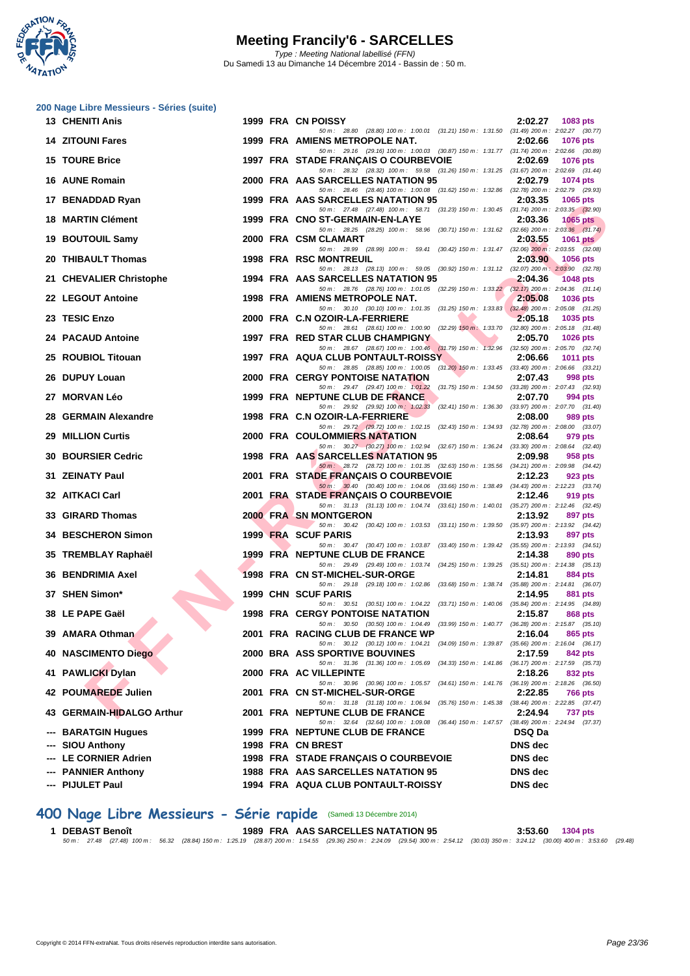

|     | 200 Nage Libre Messieurs - Séries (suite) |  |                                                                                                                                                                                                                            |                                                           |
|-----|-------------------------------------------|--|----------------------------------------------------------------------------------------------------------------------------------------------------------------------------------------------------------------------------|-----------------------------------------------------------|
|     | <b>13 CHENITI Anis</b>                    |  | 1999 FRA CN POISSY<br>50 m: 28.80 (28.80) 100 m: 1:00.01 (31.21) 150 m: 1:31.50 (31.49) 200 m: 2:02.27 (30.77)                                                                                                             | 2:02.27<br>1083 pts                                       |
|     | <b>14 ZITOUNI Fares</b>                   |  | 1999 FRA AMIENS METROPOLE NAT.                                                                                                                                                                                             | 2:02.66<br>1076 pts                                       |
|     | <b>15 TOURE Brice</b>                     |  | 50 m: 29.16 (29.16) 100 m: 1:00.03 (30.87) 150 m: 1:31.77 (31.74) 200 m: 2:02.66 (30.89)<br>1997 FRA STADE FRANÇAIS O COURBEVOIE<br>50 m: 28.32 (28.32) 100 m: 59.58 (31.26) 150 m: 1:31.25 (31.67) 200 m: 2:02.69 (31.44) | 2:02.69<br>1076 pts                                       |
|     | 16 AUNE Romain                            |  | 2000 FRA AAS SARCELLES NATATION 95<br>50 m : 28.46 (28.46) 100 m : 1:00.08 (31.62) 150 m : 1:32.86 (32.78) 200 m : 2:02.79 (29.93)                                                                                         | 2:02.79<br>1074 pts                                       |
|     | 17 BENADDAD Ryan                          |  | 1999 FRA AAS SARCELLES NATATION 95                                                                                                                                                                                         | 2:03.35<br>1065 pts                                       |
|     | 18 MARTIN Clément                         |  | 50 m: 27.48 (27.48) 100 m: 58.71 (31.23) 150 m: 1:30.45 (31.74) 200 m: 2:03.35 (32.90)<br>1999 FRA CNO ST-GERMAIN-EN-LAYE                                                                                                  | 2:03.36<br><b>1065 pts</b>                                |
|     | 19 BOUTOUIL Samy                          |  | 50 m : 28.25 (28.25) 100 m : 58.96 (30.71) 150 m : 1:31.62 (32.66) 200 m : 2:03.36 (31.74)<br>2000 FRA CSM CLAMART                                                                                                         | 2:03.55<br>1061 pts                                       |
|     | 20 THIBAULT Thomas                        |  | 50 m: 28.99 (28.99) 100 m: 59.41 (30.42) 150 m: 1:31.47 (32.06) 200 m: 2:03.55 (32.08)<br><b>1998 FRA RSC MONTREUIL</b><br>50 m: 28.13 (28.13) 100 m: 59.05 (30.92) 150 m: 1:31.12 (32.07) 200 m: 2:03.90 (32.78)          | 2:03.90<br>1056 pts                                       |
|     | 21 CHEVALIER Christophe                   |  | 1994 FRA AAS SARCELLES NATATION 95                                                                                                                                                                                         | 2:04.36<br>1048 pts                                       |
|     | 22 LEGOUT Antoine                         |  | 50 m: 28.76 (28.76) 100 m: 1:01.05 (32.29) 150 m: 1:33.22 (32.17) 200 m: 2:04.36 (31.14)<br>1998 FRA AMIENS METROPOLE NAT.                                                                                                 | 2:05.08<br>1036 pts                                       |
|     | 23 TESIC Enzo                             |  | 50 m: 30.10 (30.10) 100 m: 1:01.35 (31.25) 150 m: 1:33.83 (32.48) 200 m: 2:05.08 (31.25)<br>2000 FRA C.N OZOIR-LA-FERRIERE                                                                                                 | 2:05.18<br>1035 pts                                       |
|     | <b>24 PACAUD Antoine</b>                  |  | 50 m: 28.61 (28.61) 100 m: 1:00.90 (32.29) 150 m: 1:33.70 (32.80) 200 m: 2:05.18 (31.48)<br>1997 FRA RED STAR CLUB CHAMPIGNY                                                                                               | 2:05.70<br>1026 pts                                       |
|     | 25 ROUBIOL Titouan                        |  | 50 m: 28.67 (28.67) 100 m: 1:00.46 (31.79) 150 m: 1:32.96 (32.50) 200 m: 2:05.70 (32.74)<br>1997 FRA AQUA CLUB PONTAULT-ROISSY                                                                                             | 2:06.66<br>1011 pts                                       |
|     | 26 DUPUY Louan                            |  | 50 m: 28.85 (28.85) 100 m: 1:00.05 (31.20) 150 m: 1:33.45 (33.40) 200 m: 2:06.66 (33.21)<br>2000 FRA CERGY PONTOISE NATATION                                                                                               | 2:07.43<br>998 pts                                        |
|     | 27 MORVAN Léo                             |  | 50 m: 29.47 (29.47) 100 m: 1:01.22 (31.75) 150 m: 1:34.50 (33.28) 200 m: 2:07.43 (32.93)<br>1999 FRA NEPTUNE CLUB DE FRANCE                                                                                                | 2:07.70<br>994 pts                                        |
| 28. | <b>GERMAIN Alexandre</b>                  |  | 50 m: 29.92 (29.92) 100 m: 1:02.33 (32.41) 150 m: 1:36.30 (33.97) 200 m: 2:07.70 (31.40)<br>1998 FRA C.N OZOIR-LA-FERRIERE                                                                                                 | 2:08.00<br>989 pts                                        |
| 29  | <b>MILLION Curtis</b>                     |  | 50 m : 29.72 (29.72) 100 m : 1:02.15 (32.43) 150 m : 1:34.93 (32.78) 200 m : 2:08.00 (33.07)<br>2000 FRA COULOMMIERS NATATION                                                                                              | 2:08.64<br>979 pts                                        |
|     | <b>30 BOURSIER Cedric</b>                 |  | 50 m: 30.27 (30.27) 100 m: 1:02.94 (32.67) 150 m: 1:36.24 (33.30) 200 m: 2:08.64 (32.40)<br>1998 FRA AAS SARCELLES NATATION 95                                                                                             | 2:09.98<br>958 pts                                        |
|     | 31 ZEINATY Paul                           |  | 50 m : 28.72 (28.72) 100 m : 1:01.35 (32.63) 150 m : 1:35.56 (34.21) 200 m : 2:09.98 (34.42)<br>2001 FRA STADE FRANÇAIS O COURBEVOIE                                                                                       | 2:12.23<br>923 pts                                        |
|     | 32 AITKACI Carl                           |  | 50 m : 30.40 (30.40) 100 m : 1:04.06 (33.66) 150 m : 1:38.49 (34.43) 200 m : 2:12.23 (33.74)<br>2001 FRA STADE FRANÇAIS O COURBEVOIE                                                                                       | 2:12.46<br>919 pts                                        |
|     | 33 GIRARD Thomas                          |  | 50 m: 31.13 (31.13) 100 m: 1:04.74 (33.61) 150 m: 1:40.01 (35.27) 200 m: 2:12.46 (32.45)<br><b>2000 FRA SN MONTGERON</b>                                                                                                   | 2:13.92<br>897 pts                                        |
|     | 34 BESCHERON Simon                        |  | 50 m: 30.42 (30.42) 100 m: 1:03.53 (33.11) 150 m: 1:39.50 (35.97) 200 m: 2:13.92 (34.42)<br>1999 FRA SCUF PARIS                                                                                                            | 2:13.93<br>897 pts                                        |
|     | 35 TREMBLAY Raphaël                       |  | 50 m: 30.47 (30.47) 100 m: 1:03.87 (33.40) 150 m: 1:39.42 (35.55) 200 m: 2:13.93 (34.51)<br>1999 FRA NEPTUNE CLUB DE FRANCE                                                                                                | 2:14.38<br>890 pts                                        |
|     | 36 BENDRIMIA Axel                         |  | 50 m: 29.49 (29.49) 100 m: 1:03.74 (34.25) 150 m: 1:39.25 (35.51) 200 m: 2:14.38 (35.13)<br>1998 FRA CN ST-MICHEL-SUR-ORGE                                                                                                 | 2:14.81<br>884 pts                                        |
|     | 37 SHEN Simon*                            |  | 50 m : 29.18 (29.18) 100 m : 1:02.86 (33.68) 150 m : 1:38.74 (35.88) 200 m : 2:14.81 (36.07)<br>1999 CHN SCUF PARIS                                                                                                        | 2:14.95<br>881 pts                                        |
|     | 38 LE PAPE Gaël<br>$\rightarrow$          |  | 50 m: 30.51 (30.51) 100 m: 1:04.22 (33.71) 150 m: 1:40.06 (35.84) 200 m: 2:14.95 (34.89)<br><b>1998 FRA CERGY PONTOISE NATATION</b>                                                                                        | 2:15.87<br>868 pts                                        |
|     | 39 AMARA Othman                           |  | 50 m: 30.50 (30.50) 100 m: 1:04.49 (33.99) 150 m: 1:40.77 (36.28) 200 m: 2:15.87 (35.10)<br>2001 FRA RACING CLUB DE FRANCE WP                                                                                              | 2:16.04<br>865 pts                                        |
|     | <b>40 NASCIMENTO Diego</b>                |  | 50 m : 30.12 (30.12) 100 m : 1:04.21 (34.09) 150 m : 1:39.87 (35.66) 200 m : 2:16.04 (36.17)<br><b>2000 BRA ASS SPORTIVE BOUVINES</b>                                                                                      | 2:17.59<br>842 pts                                        |
|     | 41 PAWLICKI Dylan                         |  | 50 m: 31.36 (31.36) 100 m: 1:05.69 (34.33) 150 m: 1:41.86 (36.17) 200 m: 2:17.59 (35.73)<br>2000 FRA AC VILLEPINTE                                                                                                         | 2:18.26<br>832 pts                                        |
|     | 42 POUMAREDE Julien                       |  | 50 m : 30.96 (30.96) 100 m : 1:05.57 (34.61) 150 m : 1:41.76 (36.19) 200 m : 2:18.26 (36.50)<br>2001 FRA CN ST-MICHEL-SUR-ORGE<br>50 m : 31.18 (31.18) 100 m : 1:06.94 (35.76) 150 m : 1:45.38                             | 2:22.85<br>766 pts<br>$(38.44)$ 200 m : 2:22.85 $(37.47)$ |
|     | 43 GERMAIN-HIDALGO Arthur                 |  | 2001 FRA NEPTUNE CLUB DE FRANCE<br>50 m: 32.64 (32.64) 100 m: 1:09.08 (36.44) 150 m: 1:47.57 (38.49) 200 m: 2:24.94 (37.37)                                                                                                | 2:24.94<br>737 pts                                        |
|     | --- BARATGIN Hugues                       |  | 1999 FRA NEPTUNE CLUB DE FRANCE                                                                                                                                                                                            | <b>DSQ Da</b>                                             |
|     | --- SIOU Anthony                          |  | 1998 FRA CN BREST                                                                                                                                                                                                          | <b>DNS</b> dec                                            |
|     | --- LE CORNIER Adrien                     |  | 1998 FRA STADE FRANÇAIS O COURBEVOIE                                                                                                                                                                                       | <b>DNS</b> dec                                            |
|     | --- PANNIER Anthony                       |  | 1988 FRA AAS SARCELLES NATATION 95                                                                                                                                                                                         | <b>DNS</b> dec                                            |
|     | --- PIJULET Paul                          |  | 1994 FRA AQUA CLUB PONTAULT-ROISSY                                                                                                                                                                                         | <b>DNS</b> dec                                            |

### **400 Nage Libre Messieurs - Série rapide** (Samedi 13 Décembre 2014)

1 DEBAST Benoît 1304 pts<br>50 m : 27.48 (27.48) 100 m : 56.32 (28.84) 150 m : 1:25.19 (28.87) 200 m : 1:54.55 (29.36) 250 m : 22.409 (20.31) 353.60 (27.48) 100 m : 56.32 (28.48) 150 m : 1:25.19 (28.48) 160 m : 56.32 (28.48)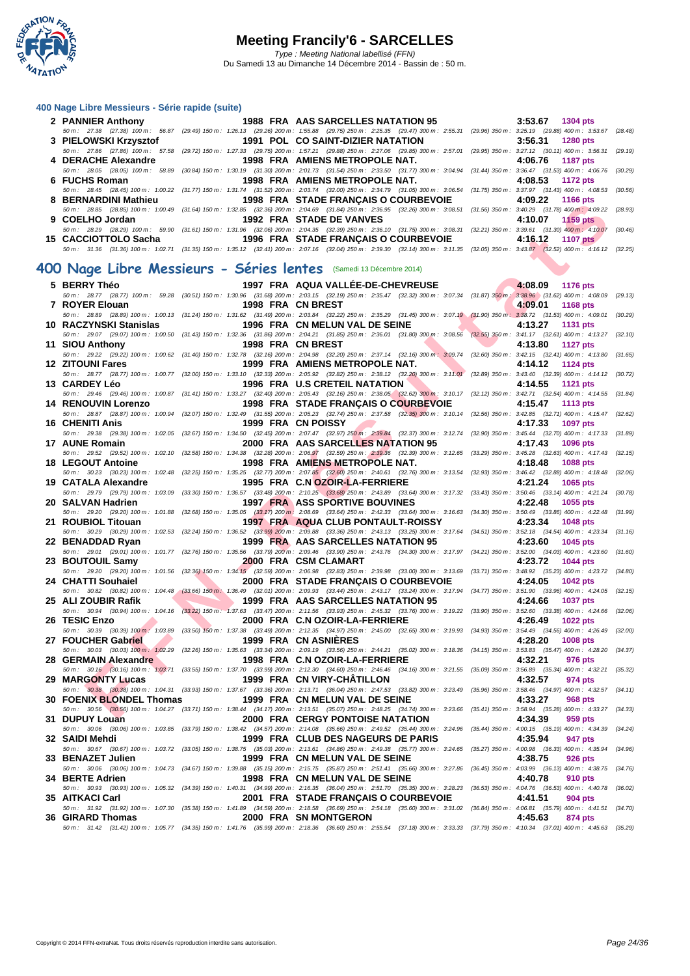

#### **[400 Nage](http://www.ffnatation.fr/webffn/index.php) Libre Messieurs - Série rapide (suite)**

| 2 PANNIER Anthony                                                                           | 1988 FRA AAS SARCELLES NATATION 95 |                                | $3:53.67$ 1304 pts                                                                                                                                                                           |
|---------------------------------------------------------------------------------------------|------------------------------------|--------------------------------|----------------------------------------------------------------------------------------------------------------------------------------------------------------------------------------------|
|                                                                                             |                                    |                                | 50 m : 27.38 (27.38) 100 m : 56.87 (29.49) 150 m : 1:26.13 (29.26) 200 m : 1:55.88 (29.75) 250 m : 2:25.35 (29.47) 300 m : 2:55.31 (29.96) 350 m : 3:25.19 (29.88) 400 m : 3:53.67 (28.48)   |
|                                                                                             |                                    |                                | $3:56.31$ 1280 pts                                                                                                                                                                           |
|                                                                                             |                                    |                                | 50 m: 27.86 (27.86) 100 m: 57.58 (29.72) 150 m: 1:27.33 (29.75) 200 m: 1:57.21 (29.88) 250 m: 2:27.06 (29.85) 300 m: 2:57.01 (29.95) 350 m: 3:27.12 (30.11) 400 m: 3:56.31 (29.19)           |
| 4 DERACHE Alexandre                                                                         |                                    | 1998 FRA AMIENS METROPOLE NAT. | 4:06.76 1187 pts                                                                                                                                                                             |
|                                                                                             |                                    |                                | 50 m: 28.05 (28.05) 100 m: 58.89 (30.84) 150 m: 1:30.19 (31.30) 200 m: 2:01.73 (31.54) 250 m: 2:33.50 (31.77) 300 m: 3:04.94 (31.44) 350 m: 3:36.47 (31.53) 400 m: 4:06.76 (30.29)           |
| 6 FUCHS Roman                                                                               |                                    | 1998 FRA AMIENS METROPOLE NAT. | 4:08.53 1172 pts                                                                                                                                                                             |
|                                                                                             |                                    |                                | 50 m: 28.45 (28.45) 100 m: 1:00.22 (31.77) 150 m: 1:31.74 (31.52) 200 m: 2:03.74 (32.00) 250 m: 2:34.79 (31.05) 300 m: 3:06.54 (31.75) 350 m: 3:37.97 (31.43) 400 m: 4:08.53 (30.56)         |
| 8 BERNARDINI Mathieu 1998 FRA STADE FRANCAIS O COURBEVOIE 4:09.22 1166 pts                  |                                    |                                |                                                                                                                                                                                              |
|                                                                                             |                                    |                                | 50 m : 28.85 (28.85) 100 m : 1:00.49 (31.64) 150 m : 1:32.85 (32.36) 200 m : 2:04.69 (31.84) 250 m : 2:36.95 (32.26) 300 m : 3:08.51 (31.56) 350 m : 3:40.29 (31.78) 400 m : 4:09.22 (28.93) |
| 9 COELHO Jordan <b>San American</b> Studies                                                 | 1992 FRA STADE DE VANVES           |                                | $4:10.07$ 1159 pts                                                                                                                                                                           |
|                                                                                             |                                    |                                | 50 m: 28.29 (28.29) 100 m: 59.90 (31.61) 150 m: 1:31.96 (32.06) 200 m: 2:04.35 (32.39) 250 m: 2:36.10 (31.75) 300 m: 3:08.31 (32.21) 350 m: 3:39.61 (31.30) 400 m: 4:10.07 (30.46)           |
| 15 CACCIOTTOLO Sacha         1996 FRA STADE FRANCAIS O COURBEVOIE       4:16.12  1107 pts / |                                    |                                |                                                                                                                                                                                              |
|                                                                                             |                                    |                                | 50 m; 31.36 (31.36) 100 m; 1:02.71 (31.35) 150 m; 1:35.12 (32.41) 200 m; 2:07.16 (32.04) 250 m; 2:39.30 (32.14) 300 m; 3:11.35 (32.05) 350 m; 3:43.87 (32.52) 400 m; 4:16.12 (32.25)         |

#### $(31.36) 100 \text{ m}: 1:02.71$   $(31.35) 150 \text{ m}: 1:35.12$   $(32.41) 200 \text{ m}: 2:07.16$   $(32.04) 250 \text{ m}: 2:39.30$   $(32.14) 300 \text{ m}: 3:11.35$   $(32.05) 350 \text{ m}: 3:43.87$   $(32.52)$ **400 Nage Libre Messieurs - Séries lentes** (Samedi 13 Décembre 2014)

| <b>DEIVIAU/DINI MANIICA</b>                                                                                                                                                          |                               | <b>1990 TIVA STADET IVANGAIS O COUNDEVOIL</b>                                                                                                                                                                                        |                                                        |                          | 7.VJ.ZZ<br>כוע טטוו        |         |
|--------------------------------------------------------------------------------------------------------------------------------------------------------------------------------------|-------------------------------|--------------------------------------------------------------------------------------------------------------------------------------------------------------------------------------------------------------------------------------|--------------------------------------------------------|--------------------------|----------------------------|---------|
|                                                                                                                                                                                      |                               | 50 m: 28.85 (28.85) 100 m: 1:00.49 (31.64) 150 m: 1:32.85 (32.36) 200 m: 2:04.69 (31.84) 250 m: 2:36.95 (32.26) 300 m: 3:08.51 (31.56) 350 m: 3:40.29 (31.78) 400 m: 4:09.22 (28.93)                                                 |                                                        |                          |                            |         |
| 9 COELHO Jordan                                                                                                                                                                      |                               | 1992 FRA STADE DE VANVES<br>50 m: 28.29 (28.29) 100 m: 59.90 (31.61) 150 m: 1:31.96 (32.06) 200 m: 2:04.35 (32.39) 250 m: 2:36.10 (31.75) 300 m: 3:08.31 (32.21) 350 m: 3:39.61 (31.30) 400 m: 4:10.07 (30.46)                       |                                                        |                          | 4:10.07<br>1159 $pts$      |         |
| 15 CACCIOTTOLO Sacha                                                                                                                                                                 |                               | <b>1996 FRA STADE FRANCAIS O COURBEVOIE</b>                                                                                                                                                                                          |                                                        |                          | 4:16.12<br><b>1107 pts</b> |         |
|                                                                                                                                                                                      |                               | 50 m: 31.36 (31.36) 100 m: 1:02.71 (31.35) 150 m: 1:35.12 (32.41) 200 m: 2:07.16 (32.04) 250 m: 2:39.30 (32.14) 300 m: 3:11.35 (32.05) 350 m: 3:43.87 (32.52) 400 m: 4:16.12 (32.25)                                                 |                                                        |                          |                            |         |
|                                                                                                                                                                                      |                               |                                                                                                                                                                                                                                      |                                                        |                          |                            |         |
| 00 Nage Libre Messieurs - Séries lentes (Samedi 13 Décembre 2014)                                                                                                                    |                               |                                                                                                                                                                                                                                      |                                                        |                          |                            |         |
| 5 BERRY Théo                                                                                                                                                                         |                               | 1997 FRA AQUA VALLÉE-DE-CHEVREUSE                                                                                                                                                                                                    |                                                        |                          | 4:08.09 1176 pts           |         |
|                                                                                                                                                                                      |                               | 50 m : 28.77 (28.77) 100 m : 59.28 (30.51) 150 m : 1:30.96 (31.68) 200 m : 2:03.15 (32.19) 250 m : 2:35.47 (32.32) 300 m : 3:07.34 (31.87) 350 m : 3:38.96 (31.62) 400 m : 4:08.09 (29.13)                                           |                                                        |                          |                            |         |
| 7 ROYER Elouan                                                                                                                                                                       |                               | 1998 FRA CN BREST                                                                                                                                                                                                                    |                                                        |                          | 4:09.01<br><b>1168 pts</b> |         |
|                                                                                                                                                                                      |                               | 50 m: 28.89 (28.89) 100 m: 1:00.13 (31.24) 150 m: 1:31.62 (31.49) 200 m: 2:03.84 (32.22) 250 m: 2:35.29 (31.45) 300 m: 3:07.19 (31.90) 350 m: 3:38.72 (31.53) 400 m: 4:09.01 (30.29)                                                 |                                                        |                          |                            |         |
|                                                                                                                                                                                      |                               | 50 m : 29.07 (29.07) 100 m : 1:00.50 (31.43) 150 m : 1:32.36 (31.86) 200 m : 2:04.21 (31.85) 250 m : 3:36.01 (31.80) 300 m : 3:08.56 (32.55) 350 m : 3:41.17 (32.61) 400 m : 4:13.27 (32.10)                                         |                                                        |                          | 4:13.27<br><b>1131 pts</b> |         |
| 11 SIOU Anthony                                                                                                                                                                      |                               | 1998 FRA CN BREST                                                                                                                                                                                                                    | <b>Contract Contract Contract Contract</b>             | $\overline{\phantom{a}}$ | 4:13.80<br>1127 pts        |         |
|                                                                                                                                                                                      |                               | 50 m: 29.22 (29.22) 100 m: 1:00.62 (31.40) 150 m: 1:32.78 (32.16) 200 m: 2:04.98 (32.20) 250 m: 2:37.14 (32.16) 300 m: 3:09.74 (32.60) 350 m: 3:42.15 (32.41) 400 m: 4:13.80 (31.65)                                                 |                                                        |                          |                            |         |
| 12 ZITOUNI Fares                                                                                                                                                                     |                               | 1999 FRA AMIENS METROPOLE NAT.                                                                                                                                                                                                       |                                                        |                          | 4:14.12<br>1124 pts        |         |
|                                                                                                                                                                                      |                               | 50 m : 28.77 (28.77) 100 m : 1:00.77 (32.00) 150 m : 1:33.10 (32.33) 200 m : 2:05.92 (32.82) 250 m : 2:38.12 (32.20) 300 m : 3:11.01 (32.89) 350 m : 3:43.40 (32.39) 400 m : 4:14.12 (30.72)                                         |                                                        |                          |                            |         |
| 13   CARDEY Léo                                                                                                                                                                      |                               | 1996 FRA U.S CRETEIL NATATION                                                                                                                                                                                                        | <b>The Committee of the Committee of the Committee</b> |                          | 4:14.55<br><b>1121 pts</b> |         |
| 14 RENOUVIN Lorenzo                                                                                                                                                                  |                               | 50 m: 29.46 (29.46) 100 m: 1:00.87 (31.41) 150 m: 1:33.27 (32.40) 200 m: 2:05.43 (32.16) 250 m: 2:38.05 (32.62) 300 m: 3:10.17 (32.12) 350 m: 3:42.71 (32.54) 400 m: 4:14.55 (31.84)                                                 |                                                        |                          | 4:15.47                    |         |
|                                                                                                                                                                                      |                               | 1998 FRA STADE FRANÇAIS O COURBEVOIE<br>50 m: 28.87 (28.87) 100 m: 1:00.94 (32.07) 150 m: 1:32.49 (31.55) 200 m: 2:05.23 (32.74) 250 m: 2:37.58 (32.35) 300 m: 3:10.14 (32.56) 350 m: 3:42.85 (32.71) 400 m: 4:15.47 (32.62)         |                                                        |                          | 1113 pts                   |         |
| 16   CHENITI Anis                                                                                                                                                                    |                               | 1999 FRA CN POISSY                                                                                                                                                                                                                   |                                                        |                          | 4:17.33<br><b>1097 pts</b> |         |
|                                                                                                                                                                                      |                               | 50 m : 29.38 (29.38) 100 m : 1:02.05 (32.67) 150 m : 1:34.50 (32.45) 200 m : 2:07.47 (32.97) 250 m : 2:39.84 (32.37) 300 m : 3:12.74 (32.90) 350 m : 3:45.44 (32.70) 400 m : 4:17.33 (31.89)                                         |                                                        |                          |                            |         |
| 17 AUNE Romain                                                                                                                                                                       |                               | 2000 FRA AAS SARCELLES NATATION 95                                                                                                                                                                                                   |                                                        |                          | 4:17.43<br>1096 pts        |         |
|                                                                                                                                                                                      |                               | 50 m : 29.52 (29.52) 100 m : 1:02.10 (32.58) 150 m : 1:34.38 (32.28) 200 m : 2:06.97 (32.59) 250 m : 2:39.36 (32.39) 300 m : 3:12.65 (33.29) 350 m : 3:45.28 (32.63) 400 m : 4:17.43 (32.15)                                         |                                                        |                          |                            |         |
| 18 LEGOUT Antoine                                                                                                                                                                    |                               | 1998 FRA AMIENS METROPOLE NAT.                                                                                                                                                                                                       |                                                        |                          | 4:18.48<br>1088 pts        |         |
| 19 CATALA Alexandre                                                                                                                                                                  |                               | 50 m : 30.23 (30.23) 100 m : 1:02.48 (32.25) 150 m : 1:35.25 (32.77) 200 m : 2:07.85 (32.60) 250 m : 2:40.61 (32.76) 300 m : 3:13.54 (32.93) 350 m : 3:46.42 (32.88) 400 m : 4:18.48 (32.06)<br>1995 FRA C.N OZOIR-LA-FERRIERE       |                                                        |                          | 4:21.24<br>1065 pts        |         |
|                                                                                                                                                                                      |                               | 50 m: 29.79 (29.79) 100 m: 1:03.09 (33.30) 150 m: 1:36.57 (33.48) 200 m: 2:10.25 (33.68) 250 m: 2:43.89 (33.64) 300 m: 3:17.32 (33.43) 350 m: 3:50.46 (33.14) 400 m: 4:21.24 (30.78)                                                 |                                                        |                          |                            |         |
| 20 SALVAN Hadrien                                                                                                                                                                    |                               | 1997 FRA ASS SPORTIVE BOUVINES                                                                                                                                                                                                       |                                                        |                          | 4:22.48<br>1055 pts        |         |
|                                                                                                                                                                                      |                               | 50 m : 29.20 (29.20) 100 m : 1:01.88 (32.68) 150 m : 1:35.05 (33.17) 200 m : 2:08.69 (33.64) 250 m : 2:42.33 (33.64) 300 m : 3:16.63 (34.30) 350 m : 3:50.49 (33.86) 400 m : 4:22.48 (31.99)                                         |                                                        |                          |                            |         |
| 21 ROUBIOL Titouan                                                                                                                                                                   |                               | 1997 FRA AQUA CLUB PONTAULT-ROISSY                                                                                                                                                                                                   |                                                        |                          | 4:23.34<br><b>1048 pts</b> |         |
|                                                                                                                                                                                      |                               | 50 m: 30.29 (30.29) 100 m: 1:02.53 (32.24) 150 m: 1:36.52 (33.99) 200 m: 2:09.88 (33.36) 250 m: 2:43.13 (33.25) 300 m: 3:17.64 (34.51) 350 m: 3:52.18 (34.54) 400 m: 4:23.34 (31.16)                                                 |                                                        |                          |                            |         |
| 22 BENADDAD Ryan                                                                                                                                                                     |                               | 1999 FRA AAS SARCELLES NATATION 95<br>50 m: 29.01 (29.01) 100 m: 1:01.77 (32.76) 150 m: 1:35.56 (33.79) 200 m: 2:09.46 (33.90) 250 m: 2:43.76 (34.30) 300 m: 3:17.97 (34.21) 350 m: 3:52.00 (34.03) 400 m: 4:23.60 (31.60)           |                                                        |                          | 4:23.60<br>1045 pts        |         |
| 23 BOUTOUIL Samy                                                                                                                                                                     |                               | <b>2000 FRA CSM CLAMART</b>                                                                                                                                                                                                          |                                                        |                          | 4:23.72<br>1044 pts        |         |
|                                                                                                                                                                                      |                               | 50 m : 29.20 (29.20) 100 m : 1:01.56 (32.36) 150 m : 1:34.15 (32.59) 200 m : 2:06.98 (32.83) 250 m : 2:39.98 (33.00) 300 m : 3:13.69 (33.71) 350 m : 3:48.92 (35.23) 400 m : 4:23.72 (34.80)                                         |                                                        |                          |                            |         |
| 24 CHATTI Souhaiel                                                                                                                                                                   | <b>The Contract of Street</b> | 2000 FRA STADE FRANÇAIS O COURBEVOIE                                                                                                                                                                                                 |                                                        |                          | 4:24.05<br><b>1042 pts</b> |         |
|                                                                                                                                                                                      |                               | 50 m : 30.82 (30.82) 100 m : 1:04.48 (33.66) 150 m : 1:36.49 (32.01) 200 m : 2:09.93 (33.44) 250 m : 2:43.17 (33.24) 300 m : 3:17.94 (34.77) 350 m : 3:51.90 (33.96) 400 m : 4:24.05 (32.15)                                         |                                                        |                          |                            |         |
| 25   ALI ZOUBIR Rafik                                                                                                                                                                |                               | 1999 FRA AAS SARCELLES NATATION 95                                                                                                                                                                                                   |                                                        |                          | 4:24.66<br><b>1037 pts</b> |         |
| 26 TESIC Enzo                                                                                                                                                                        |                               | 50 m : 30.94 (30.94) 100 m : 1:04.16 (33.22) 150 m : 1:37.63 (33.47) 200 m : 2:11.56 (33.93) 250 m : 2:45.32 (33.76) 300 m : 3:19.22 (33.90) 350 m : 3:52.60 (33.38) 400 m : 4:24.66 (32.06)<br>2000 FRA C.N OZOIR-LA-FERRIERE       |                                                        |                          | 4:26.49<br><b>1022 pts</b> |         |
|                                                                                                                                                                                      |                               | 50 m : 30.39 (30.39) 100 m : 1:03.89 (33.50) 150 m : 1:37.38 (33.49) 200 m : 2:12.35 (34.97) 250 m : 2:45.00 (32.65) 300 m : 3:19.93 (34.93) 350 m : 3:54.49 (34.56) 400 m : 4:26.49 (32.00)                                         |                                                        |                          |                            |         |
| 27 FOUCHER Gabriel                                                                                                                                                                   |                               | 1999 FRA CN ASNIERES                                                                                                                                                                                                                 |                                                        |                          | 4:28.20<br>1008 pts        |         |
|                                                                                                                                                                                      |                               | 50 m : 30.03 (30.03) 100 m : 1:02.29 (32.26) 150 m : 1:35.63 (33.34) 200 m : 2:09.19 (33.56) 250 m : 2:44.21 (35.02) 300 m : 3:18.36 (34.15) 350 m : 3:53.83 (35.47) 400 m : 4:28.20 (34.37)                                         |                                                        |                          |                            |         |
| 28 GERMAIN Alexandre                                                                                                                                                                 |                               | 1998 FRA C.N OZOIR-LA-FERRIERE                                                                                                                                                                                                       |                                                        |                          | 4:32.21<br>976 pts         |         |
| 29 MARGONTY Lucas                                                                                                                                                                    |                               | 50 m: 30.16 (30.16) 100 m: 1:03.71 (33.55) 150 m: 1:37.70 (33.99) 200 m: 2:12.30 (34.60) 250 m: 2:46.46 (34.16) 300 m: 321.55 (35.09) 350 m: 3:56.89 (35.34) 400 m: 4:32.21 (35.32)<br><b>1999 FRA CN VIRY-CHÂTILLON</b>             |                                                        |                          | 4:32.57<br>974 pts         |         |
| 50 m: 30.38 (30.38) 100 m: 1:04.31 (33.93) 150 m: 1:37.67 (33.36) 200 m: 2:13.71 (36.04) 250 m: 2:47.53 (33.82) 300 m: 3:23.49 (35.96) 350 m: 3:58.46 (34.97) 400 m: 4:32.57 (34.11) |                               |                                                                                                                                                                                                                                      |                                                        |                          |                            |         |
| 30 FOENIX BLONDEL Thomas                                                                                                                                                             |                               | 1999 FRA CN MELUN VAL DE SEINE                                                                                                                                                                                                       |                                                        |                          | 4:33.27<br>968 pts         |         |
|                                                                                                                                                                                      |                               | 50 m : 30.56 (30.56) 100 m : 1:04.27 (33.71) 150 m : 1:38.44 (34.17) 200 m : 2:13.51 (35.07) 250 m : 2:48.25 (34.74) 300 m : 3:23.66 (35.41) 350 m : 3:58.94 (35.28) 400 m : 4:33.27 (34.33)                                         |                                                        |                          |                            |         |
| 31 DUPUY Louan                                                                                                                                                                       |                               | 2000 FRA CERGY PONTOISE NATATION                                                                                                                                                                                                     |                                                        |                          | 4:34.39<br>959 pts         |         |
|                                                                                                                                                                                      |                               | 50 m : 30.06 (30.06) 100 m : 1:03.85 (33.79) 150 m : 1:38.42 (34.57) 200 m : 2:14.08 (35.66) 250 m : 2:49.52 (35.44) 300 m : 3:24.96 (35.44) 350 m : 4:00.15 (35.19) 400 m : 4:34.39 (34.24)<br>1999 FRA CLUB DES NAGEURS DE PARIS   |                                                        |                          | 4:35.94<br>947 pts         |         |
| 32   SAIDI Mehdi                                                                                                                                                                     |                               | 50 m : 30.67 (30.67) 100 m : 1:03.72 (33.05) 150 m : 1:38.75 (35.03) 200 m : 2:13.61 (34.86) 250 m : 2:49.38 (35.77) 300 m : 3:24.65 (35.27) 350 m : 4:00.98 (36.33) 400 m : 4:35.94                                                 |                                                        |                          |                            | (34.96) |
| 33 BENAZET Julien                                                                                                                                                                    |                               | 1999 FRA CN MELUN VAL DE SEINE                                                                                                                                                                                                       |                                                        |                          | 4:38.75<br><b>926 pts</b>  |         |
|                                                                                                                                                                                      |                               | 50 m: 30.06 (30.06) 100 m: 1:04.73 (34.67) 150 m: 1:39.88 (35.15) 200 m: 2:15.75 (35.87) 250 m: 2:51.41 (35.66) 300 m: 3:27.86 (36.45) 350 m: 4:03.99 (36.13) 400 m: 4:38.75                                                         |                                                        |                          |                            | (34.76) |
| 34   BERTE Adrien                                                                                                                                                                    |                               | 1998 FRA CN MELUN VAL DE SEINE                                                                                                                                                                                                       |                                                        |                          | 4:40.78<br>910 pts         |         |
|                                                                                                                                                                                      |                               | 50 m : 30.93 (30.93) 100 m : 1:05.32 (34.39) 150 m : 1:40.31 (34.99) 200 m : 2:16.35 (36.04) 250 m : 2:51.70 (35.35) 300 m : 3:28.23 (36.53) 350 m : 4:04.76 (36.53) 400 m : 4:40.78 (36.02)                                         |                                                        |                          |                            |         |
| 35 AITKACI Carl                                                                                                                                                                      |                               | 2001 FRA STADE FRANÇAIS O COURBEVOIE<br>50 m : 31.92 (31.92) 100 m : 1:07.30 (35.38) 150 m : 1:41.89 (34.59) 200 m : 2:18.58 (36.69) 250 m : 2:54.18 (35.60) 300 m : 3:31.02 (36.84) 350 m : 4:06.81 (35.79) 400 m : 4:41.51 (34.70) |                                                        |                          | 4:41.51<br>904 pts         |         |
| 36 GIRARD Thomas                                                                                                                                                                     |                               | 2000 FRA SN MONTGERON                                                                                                                                                                                                                |                                                        |                          | 4:45.63<br>874 pts         |         |
|                                                                                                                                                                                      |                               | 50 m: 31.42 (31.42) 100 m: 1:05.77 (34.35) 150 m: 1:41.76 (35.99) 200 m: 2:18.36 (36.60) 250 m: 2:55.54 (37.18) 300 m: 3:33.33 (37.79) 350 m: 4:10.34 (37.01) 400 m: 4:45.63 (35.29)                                                 |                                                        |                          |                            |         |
|                                                                                                                                                                                      |                               |                                                                                                                                                                                                                                      |                                                        |                          |                            |         |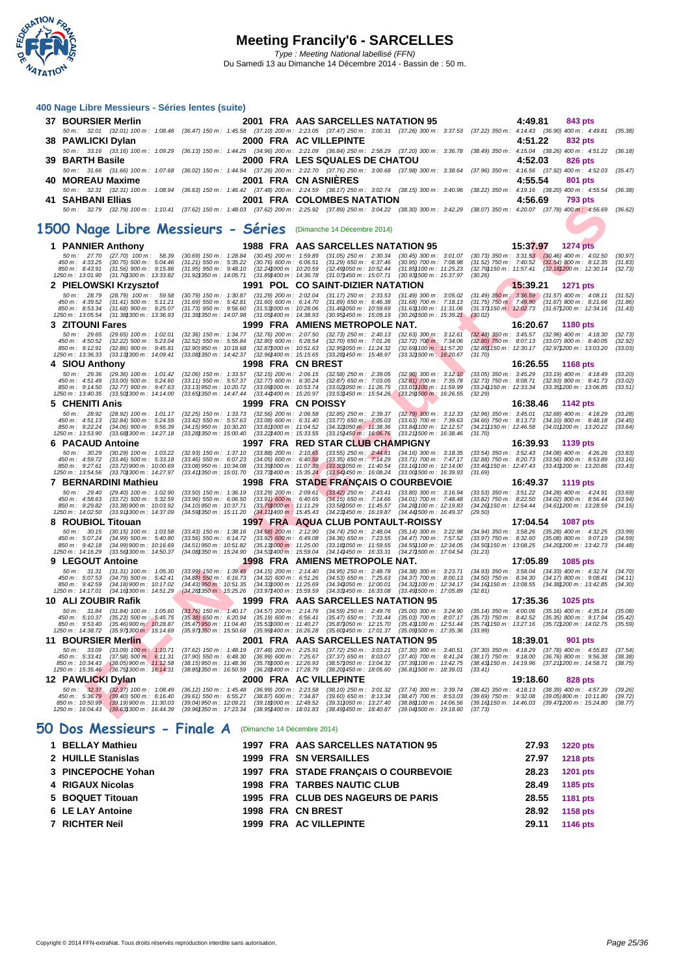

|     |                                            |                                                                        | 400 Nage Libre Messieurs - Séries lentes (suite)                                                |                                                                   |                                                                                  |                                                                                                                              |                             |          |                                                                                                                                                                                                                                                                                                                                                                                                 |                    |
|-----|--------------------------------------------|------------------------------------------------------------------------|-------------------------------------------------------------------------------------------------|-------------------------------------------------------------------|----------------------------------------------------------------------------------|------------------------------------------------------------------------------------------------------------------------------|-----------------------------|----------|-------------------------------------------------------------------------------------------------------------------------------------------------------------------------------------------------------------------------------------------------------------------------------------------------------------------------------------------------------------------------------------------------|--------------------|
|     | 37 BOURSIER Merlin                         |                                                                        |                                                                                                 |                                                                   | 2001 FRA AAS SARCELLES NATATION 95                                               |                                                                                                                              |                             | 4:49.81  | <b>843 pts</b>                                                                                                                                                                                                                                                                                                                                                                                  |                    |
|     |                                            |                                                                        |                                                                                                 |                                                                   |                                                                                  |                                                                                                                              |                             |          | 50 m : 32.01 (32.01) 100 m : 1:08.48 (36.47) 150 m : 1:45.58 (37.10) 200 m : 2:23.05 (37.47) 250 m : 3:00.31 (37.26) 300 m : 3:37.53 (37.22) 350 m : 4:14.43 (36.90) 400 m : 4:49.81                                                                                                                                                                                                            | (35.38)            |
|     | 38 PAWLICKI Dylan                          |                                                                        |                                                                                                 |                                                                   | 2000 FRA AC VILLEPINTE                                                           |                                                                                                                              |                             | 4:51.22  | 832 pts                                                                                                                                                                                                                                                                                                                                                                                         |                    |
|     |                                            |                                                                        |                                                                                                 |                                                                   |                                                                                  |                                                                                                                              |                             |          | 50 m: 33.16 (33.16) 100 m: 1:09.29 (36.13) 150 m: 1:44.25 (34.96) 200 m: 2:21.09 (36.84) 250 m: 2:58.29 (37.20) 300 m: 3:36.78 (38.49) 350 m: 4:15.04 (38.26) 400 m: 4:51.22 (36.18)                                                                                                                                                                                                            |                    |
|     | 39 BARTH Basile                            |                                                                        |                                                                                                 |                                                                   | 2000 FRA LES SQUALES DE CHATOU                                                   |                                                                                                                              |                             | 4:52.03  | 826 pts<br>50 m: 31.66 (31.66) 100 m: 1:07.68 (36.02) 150 m: 1:44.94 (37.26) 200 m: 2:22.70 (37.76) 250 m: 3:00.68 (37.98) 300 m: 3:38.64 (37.96) 350 m: 4:16.56 (37.92) 400 m: 4:52.03 (35.47)                                                                                                                                                                                                 |                    |
| 40. | <b>MOREAU Maxime</b>                       |                                                                        |                                                                                                 | 2001 FRA CN ASNIERES                                              |                                                                                  |                                                                                                                              |                             | 4:55.54  | 801 pts                                                                                                                                                                                                                                                                                                                                                                                         |                    |
|     |                                            |                                                                        |                                                                                                 |                                                                   |                                                                                  |                                                                                                                              |                             |          | 50 m: 32.31 (32.31) 100 m: 1:08.94 (36.63) 150 m: 1:46.42 (37.48) 200 m: 2:24.59 (38.17) 250 m: 3:02.74 (38.15) 300 m: 3:40.96 (38.22) 350 m: 4:19.16 (38.20) 400 m: 4:55.54 (36.38)                                                                                                                                                                                                            |                    |
|     | 41 SAHBANI Ellias                          |                                                                        |                                                                                                 |                                                                   | 2001 FRA COLOMBES NATATION                                                       |                                                                                                                              |                             | 4:56.69  | <b>793 pts</b>                                                                                                                                                                                                                                                                                                                                                                                  |                    |
|     |                                            |                                                                        |                                                                                                 |                                                                   |                                                                                  |                                                                                                                              |                             |          | 50 m: 32.79 (32.79) 100 m: 1:10.41 (37.62) 150 m: 1:48.03 (37.62) 200 m: 2:25.92 (37.89) 250 m: 3:04.22 (38.30) 300 m: 3:42.29 (38.07) 350 m: 4:20.07 (37.78) 400 m: 4:56.69 (36.62)                                                                                                                                                                                                            |                    |
|     |                                            |                                                                        | 1500 Nage Libre Messieurs - Séries (Dimanche 14 Décembre 2014)                                  |                                                                   |                                                                                  |                                                                                                                              |                             |          |                                                                                                                                                                                                                                                                                                                                                                                                 |                    |
|     |                                            |                                                                        |                                                                                                 |                                                                   |                                                                                  |                                                                                                                              |                             |          |                                                                                                                                                                                                                                                                                                                                                                                                 |                    |
|     | 1 PANNIER Anthony                          |                                                                        |                                                                                                 |                                                                   | 1988 FRA AAS SARCELLES NATATION 95                                               |                                                                                                                              |                             | 15:37.97 | 1274 pts                                                                                                                                                                                                                                                                                                                                                                                        |                    |
|     | 450 m : 4:33.25                            | 50 m: 27.70 (27.70) 100 m: 58.39<br>$(30.75)$ 500 m : 5:04.46          | $(30.69)$ 150 m : 1:28.84<br>$(31.21)$ 550 m : 5:35.22                                          | $(30.76)$ 600 m : 6:06.51                                         | $(30.45)$ 200 m : 1:59.89 $(31.05)$ 250 m : 2:30.34<br>$(31.29)$ 650 m : 6:37.46 | $(30.95)$ 700 m : 7:08.98                                                                                                    |                             |          | $(30.45)$ 300 m : 3:01.07 $(30.73)$ 350 m : 3:31.53 $(30.46)$ 400 m : 4:02.50<br>$(31.52)$ 750 m : 7:40.52 $(31.54)$ 800 m : 8:12.35                                                                                                                                                                                                                                                            | (30.97)<br>(31.83) |
|     | 850 m : 8:43.91<br>1250 m: 13:01.90        | $(31.56)$ 900 m : 9:15.86<br>(31.76) 300 m : 13:33.82                  | $(31.95)$ 950 m : 9:48.10<br>(31.92) 350 m : 14:05.71                                           | $(32.24)000 \text{ m}$ : 10:20.59                                 | (32.49) 050 m : 10:52.44<br>(31.89) 400 m : 14:36.78 (31.07) 450 m : 15:07.71    | (31.85) 100 m: 11:25.23<br>(30.93) 500 m : 15:37.97                                                                          | (30.26)                     |          | (32.79) 150 m : 11:57.41 (32.18) 200 m : 12:30.14                                                                                                                                                                                                                                                                                                                                               | (32.73)            |
|     |                                            | 2 PIELOWSKI Krzysztof                                                  |                                                                                                 |                                                                   | 1991 POL CO SAINT-DIZIER NATATION                                                |                                                                                                                              |                             | 15:39.21 | <b>1271 pts</b>                                                                                                                                                                                                                                                                                                                                                                                 |                    |
|     | 50 m: 28.79<br>450 m : 4:39.52             | $(28.79)$ 100 m : 59.58<br>$(31.41)$ 500 m : 5:11.21                   | $(31.69)$ 550 m : 5:42.81                                                                       | $(31.60)$ 600 m : 6:14.70                                         | $(31.89)$ 650 m : 6:46.38                                                        | (30.79) 150 m : 1:30.87 (31.29) 200 m : 2:02.04 (31.17) 250 m : 2:33.53 (31.49) 300 m : 3:05.02<br>$(31.68)$ 700 m : 7:18.13 |                             |          | (31.49) 350 m : 3:36.59 (31.57) 400 m : 4:08.11 (31.52)<br>(31.75) 750 m : 7:49.80 (31.67) 800 m : 8:21.66 (31.86)                                                                                                                                                                                                                                                                              | (31.86)            |
|     | 850 m : 8:53.34                            | $(31.68)$ 900 m : 9:25.07                                              | $(31.73)$ 950 m : 9:56.60                                                                       | $(31.53)000 \text{ m}$ : 10:28.06                                 | (31.46)050 m: 10:59.69                                                           | $(31.63)100 \text{ m}$ : 11:31.06                                                                                            |                             |          | $(31.37)$ 150 m : $12.02.73$ $(31.67)$ 200 m : 12:34.16 $(31.43)$                                                                                                                                                                                                                                                                                                                               |                    |
|     | 1250 m: 13:05.54<br><b>3 ZITOUNI Fares</b> | (31.38) 300 m : 13:36.93                                               | (31.39) 350 m : 14:07.98                                                                        | $(31.05)400 \text{ m}$ : 14:38.93                                 | (30.95) 450 m : 15:09.19<br>1999 FRA AMIENS METROPOLE NAT.                       | $(30.26)500 \; m: 15:39.21$                                                                                                  | (30.02)                     | 16:20.67 | <b>1180 pts</b>                                                                                                                                                                                                                                                                                                                                                                                 |                    |
|     | $50 m$ : 29.65                             | $(29.65)$ 100 m : 1:02.01                                              | $(32.36)$ 150 m : 1:34.77                                                                       | $(32.76)$ 200 m : 2:07.50                                         | $(32.73)$ 250 m : 2:40.13                                                        | $(32.63)$ 300 m : 3:12.61                                                                                                    |                             |          | $(32.48)$ 350 m : 3:45.57 $(32.96)$ 400 m : 4:18.30                                                                                                                                                                                                                                                                                                                                             | (32.73)            |
|     | 450 m: 4:50.52<br>850 m : 9:12.91          | $(32.22)$ 500 m : 5:23.04<br>$(32.86)$ 900 m : 9:45.81                 | $(32.52)$ 550 m : 5:55.84<br>$(32.90)$ 950 m : 10:18.68                                         | $(32.80)$ 600 m : 6:28.54<br>$(32.87)000 \text{ m}$ : 10:51.63    | $(32.70)$ 650 m : 7:01.26<br>(32.95) 050 m: 11:24.32                             | $(32.72)$ 700 m : 7:34.06<br>$(32.69)100 \text{ m}$ : 11:57.20                                                               | $(32.80)$ 750 m : 8:07.13   |          | $(33.07)$ 800 m : 8:40.05<br>(32.88) 150 m : 12:30.17 (32.97) 200 m : 13:03.20                                                                                                                                                                                                                                                                                                                  | (32.92)<br>(33.03) |
|     | 1250 m: 13:36.33                           | (33.13) 300 m : 14:09.41                                               | (33.08)350 m : 14:42.37                                                                         | $(32.96)400 m$ : 15:15.65                                         | (33.28) 450 m : 15:48.97                                                         | (33.32) 500 m: 16:20.67                                                                                                      | (31.70)                     |          |                                                                                                                                                                                                                                                                                                                                                                                                 |                    |
|     | 4 SIOU Anthony<br>50 m: 29.36              | $(29.36)$ 100 m : 1:01.42                                              | $(32.06)$ 150 m : 1:33.57                                                                       | 1998 FRA CN BREST<br>$(32.15)$ 200 m : 2:06.15                    | $(32.58)$ 250 m : 2:39.05                                                        | $(32.90)$ 300 m : 3:12.10                                                                                                    |                             | 16:26.55 | <b>1168 pts</b><br>$(33.05)$ 350 m : 3:45.29 $(33.19)$ 400 m : 4:18.49                                                                                                                                                                                                                                                                                                                          | (33.20)            |
|     | 450 m : 4:51.49                            | $(33.00)$ 500 m : 5:24.60                                              | $(33.11)$ 550 m : 5:57.37                                                                       | $(32.77)$ 600 m : 6:30.24                                         | $(32.87)$ 650 m : 7:03.05                                                        | $(32.81)$ 700 m : 7:35.78                                                                                                    |                             |          | (32.73) 750 m : 8:08.71 (32.93) 800 m : 8:41.73                                                                                                                                                                                                                                                                                                                                                 | (33.02)            |
|     | 850 m: 9:14.50<br>1250 m: 13:40.35         | $(32.77)$ 900 m : 9:47.63<br>(33.50) 300 m : 14:14.00                  | $(33.13)$ 950 m : 10:20.72<br>(33.65) 350 m : 14:47.44                                          | (33.09) 000 m : 10:53.74<br>(33.44) 400 m : 15:20.97              | (33.02)050 m : 11.26.75<br>(33.53)450 m : 15.54.26                               | $(33.01)100 \text{ m}$ : 11:59.99<br>$(33.29)500 \text{ m}$ : 16:26.55                                                       | (32.29)                     |          | $(33.24)150 \text{ m}: 12:33.34$ $(33.35)200 \text{ m}: 13:06.85$                                                                                                                                                                                                                                                                                                                               | (33.51)            |
|     | 5 CHENITI Anis                             |                                                                        |                                                                                                 | 1999 FRA CN POISSY                                                |                                                                                  |                                                                                                                              |                             | 16:38.46 | <b>1142 pts</b>                                                                                                                                                                                                                                                                                                                                                                                 |                    |
|     | $50 m$ : 28.92<br>450 m : 4:51.13          | $(28.92)$ 100 m : 1:01.17<br>$(32.84)$ 500 m : 5:24.55                 | $(32.25)$ 150 m : 1:33.73<br>$(33.42)$ 550 m : 5:57.63                                          | $(32.56)$ 200 m : 2:06.58<br>$(33.08)$ 600 m : 6:31.40            | $(32.85)$ 250 m : 2:39.37<br>$(33.77)$ 650 m : 7:05.03                           | $(32.79)$ 300 m : 3:12.33<br>$(33.63)$ 700 m : 7:39.63                                                                       |                             |          | $(32.96)$ 350 m : 3:45.01 $(32.68)$ 400 m : 4:18.29<br>$(34.60)$ 750 m : 8:13.73 $(34.10)$ 800 m : 8:48.18                                                                                                                                                                                                                                                                                      | (33.28)<br>(34.45) |
|     | 850 m : 9:22.24<br>1250 m: 13:53.90        | $(34.06)$ 900 m : 9:56.39<br>(33.68) 300 m : 14:27.18                  | $(34.15)$ 950 m : 10:30.20<br>(33.28) 350 m : 15:00.40                                          | $(33.81)000 \text{ m}$ : 11:04.52<br>$(33.221400 \, m: 15.33.55)$ | $(34.32)050 \text{ m}$ : 11:38.36<br>$(33.15)450 \text{ m}$ : 16:06.76           | (33.84) 100 m : 12:12.57<br>$(33.21)500 \text{ m}$ : 16:38.46                                                                | (31.70)                     |          | (34.21) 150 m : 12:46.58 (34.01) 200 m : 13:20.22                                                                                                                                                                                                                                                                                                                                               | (33.64)            |
|     | 6 PACAUD Antoine                           |                                                                        |                                                                                                 |                                                                   | 1997 FRA RED STAR CLUB CHAMPIGNY                                                 |                                                                                                                              |                             | 16:39.93 | 1139 pts                                                                                                                                                                                                                                                                                                                                                                                        |                    |
|     | 50 m: 30.29<br>450 m : 4:59.72             | $(30.29)$ 100 m : 1:03.22<br>$(33.46)$ 500 m : 5:33.18                 | $(32.93)$ 150 m : 1:37.10<br>$(33.46)$ 550 m : 6:07.23                                          | $(33.88)$ 200 m : 2:10.65<br>$(34.05)$ 600 m : 6:40.58            | $(33.55)$ 250 m : 2:44.81<br>$(33.35)$ 650 m : 7:14.29                           | $(34.16)$ 300 m : 3:18.35<br>$(33.71)$ 700 m : 7:47.17                                                                       | $(32.88)$ 750 m : 8:20.73   |          | $(33.54)$ 350 m : 3:52.43 $(34.08)$ 400 m : 4:26.26<br>$(33.56)$ 800 m : 8:53.89                                                                                                                                                                                                                                                                                                                | (33.83)<br>(33.16) |
|     | 850 m : 9:27.61                            | (33.72)900 m : 10:00.69                                                | $(33.08)$ 950 m : 10:34.08                                                                      | $(33.39)000 \text{ m}$ : 11:07.38                                 | (33.30)050 m : 11:40.54                                                          | $(33.16)100 \text{ m}$ : 12:14.00                                                                                            |                             |          | (33.46) 150 m : 12:47.43 (33.43) 200 m : 13:20.86                                                                                                                                                                                                                                                                                                                                               | (33.43)            |
|     | 1250 m: 13:54.56                           | (33.70) 300 m : 14:27.97<br>7 BERNARDINI Mathieu                       | $(33.41)350 \text{ m}$ : 15:01.70                                                               | $(33.73)400 \text{ m}$ : 15:35.24                                 | (33.54)450 m : 16:08.24                                                          | $(33.00)500 \text{ m}$ : 16:39.93<br>1998 FRA STADE FRANÇAIS O COURBEVOIE                                                    | (31.69)                     | 16:49.37 | <b>1119 pts</b>                                                                                                                                                                                                                                                                                                                                                                                 |                    |
|     | 50 m: 29.40                                | $(29.40)$ 100 m : 1:02.90                                              | $(33.50)$ 150 m : 1:36.19                                                                       |                                                                   | $(33.29)$ 200 m : 2:09.61 $(33.42)$ 250 m : 2:43.41                              | $(33.80)$ 300 m : 3:16.94                                                                                                    |                             |          | $(33.53)$ 350 m : 3:51.22 $(34.28)$ 400 m : 4:24.91                                                                                                                                                                                                                                                                                                                                             | (33.69)            |
|     | 450 m : 4:58.63<br>850 m: 9:29.82          | $(33.72)$ 500 m : 5:32.59<br>$(33.38)900 \text{ m}$ : 10:03.92         | $(33.96)$ 550 m : 6:06.50<br>(34.10)950 m : 10:37.71                                            | $(33.91)$ 600 m : 6:40.65<br>(33.79) 000 m: 11:11.29              | $(34.15)$ 650 m : 7:14.66<br>(33.58) 050 m: 11:45.57                             | $(34.01)$ 700 m : 7:48.48<br>(34.28) 100 m : 12:19.83                                                                        |                             |          | $(33.82)$ 750 m : 8:22.50 $(34.02)$ 800 m : 8:56.44<br>(34.26) 150 m : 12:54.44 (34.61) 200 m : 13:28.59                                                                                                                                                                                                                                                                                        | (33.94)<br>(34.15) |
|     | 1250 m: 14:02.50                           | (33.91) 300 m : 14:37.09                                               | (34.59) 350 m : 15:11.20                                                                        | $(34.11)400 \text{ m}$ : 15:45.43                                 | (34.23) 450 m : 16:19.87                                                         | (34.44) 500 m : 16:49.37                                                                                                     | (29.50)                     |          |                                                                                                                                                                                                                                                                                                                                                                                                 |                    |
|     | 8 ROUBIOL Titouan<br>$50 m$ : $30.15$      | $(30.15)$ 100 m : 1:03.58                                              | $(33.43)$ 150 m : 1:38.16                                                                       | $(34.58)$ 200 m : 2:12.90                                         | $(34.74)$ 250 m : 2:48.04                                                        | 1997 FRA AQUA CLUB PONTAULT-ROISSY<br>$(35.14)$ 300 m : 3:22.98                                                              |                             | 17:04.54 | <b>1087 pts</b><br>$(34.94)$ 350 m : 3:58.26 $(35.28)$ 400 m : 4:32.25                                                                                                                                                                                                                                                                                                                          | (33.99)            |
|     | 450 m : 5:07.24<br>850 m : 9:42.18         | $(34.99)$ 500 m : 5:40.80<br>$(34.99)900 \text{ m}$ : 10:16.69         | $(33.56)$ 550 m : 6:14.72<br>(34.51)950 m : 10:51.82                                            | $(33.92)$ 600 m : 6:49.08<br>$(35.13)000 \text{ m}$ : 11:25.00    | $(34.36)$ 650 m : 7:23.55<br>(33.18)050 m : 11:59.55                             | $(34.47)$ 700 m : 7:57.52<br>(34.55) 100 m : 12:34.05                                                                        |                             |          | (33.97) 750 m: 8:32.60 (35.08) 800 m: 9:07.19<br>(34.50) 150 m : 13:08.25 (34.20) 200 m : 13:42.73                                                                                                                                                                                                                                                                                              | (34.59)<br>(34.48) |
|     | 1250 m: 14:16.29                           | (33.56) 300 m : 14:50.37                                               | (34.08) 350 m : 15:24.90                                                                        | (34.53) 400 m : 15:59.04                                          | $(34.14)450 \text{ m}$ : 16:33.31                                                | (34.27) 500 m : 17:04.54                                                                                                     | (31.23)                     |          |                                                                                                                                                                                                                                                                                                                                                                                                 |                    |
|     | 9 LEGOUT Antoine                           |                                                                        |                                                                                                 |                                                                   | 1998 FRA AMIENS METROPOLE NAT.                                                   |                                                                                                                              |                             | 17:05.89 | <b>1085 pts</b>                                                                                                                                                                                                                                                                                                                                                                                 |                    |
|     | 50 m: 31.31<br>450 m : 5:07.53             | $(31.31)$ 100 m : 1:05.30<br>$(34.79)$ 500 m : 5:42.41                 | $(33.99)$ 150 m : 1:39.45 $(34.15)$ 200 m : 2:14.40<br>$(34.88)$ 550 m : 6:16.73                | $(34.32)$ 600 m : 6:51.26                                         | $(34.95)$ 250 m : 2:48.78<br>$(34.53)$ 650 m : 7:25.63                           | $(34.38)$ 300 m : 3:23.71<br>$(34.37)$ 700 m : 8:00.13                                                                       | $(34.50)$ 750 m : 8:34.30   |          | $(34.93)$ 350 m : 3:58.04 $(34.33)$ 400 m : 4:32.74<br>$(34.17)$ 800 m : 9:08.41                                                                                                                                                                                                                                                                                                                | (34.70)<br>(34.11) |
|     | 850 m : 9:42.59<br>1250 m : 14:17.01       | $(34.18)900 \text{ m}$ : 10:17.02                                      | $(34.43)$ 950 m : 10:51.35<br>$(34.16)300 \text{ m}: 14.51.29$ $(34.28)350 \text{ m}: 15.25.26$ | $(34.33)000 \text{ m}$ : 11:25.69<br>(33.97) 400 m : 15:59.59     | $(34.34)050 \text{ m}$ : 12:00.01<br>(34.33)450 m : 16.33.08                     | (34.32) 100 m : 12:34.17<br>(33.49) 500 m : 17:05.89                                                                         | (32.81)                     |          | (34.16) 150 m : 13:08.55 (34.38) 200 m : 13:42.85                                                                                                                                                                                                                                                                                                                                               | (34.30)            |
|     | 10 ALI ZOUBIR Rafik                        |                                                                        |                                                                                                 |                                                                   | 1999 FRA AAS SARCELLES NATATION 95                                               |                                                                                                                              |                             | 17:35.36 | <b>1025 pts</b>                                                                                                                                                                                                                                                                                                                                                                                 |                    |
|     |                                            |                                                                        |                                                                                                 |                                                                   |                                                                                  |                                                                                                                              |                             |          | 50 m : 31.84 (31.84) 100 m : 1:05.60 (33.76) 150 m : 1:40.17 (34.57) 200 m : 2:14.76 (34.59) 250 m : 2:49.76 (35.00) 300 m : 3:24.90 (35.14) 350 m : 4:00.06 (35.16) 400 m : 4:35.14 (35.08)<br>450 m : 5:10.37 (35.23) 500 m : 5:45.75 (35.38) 550 m : 6:20.94 (35.19) 600 m : 6:56.41 (35.47) 650 m : 7:31.44 (35.03) 700 m : 8:07.17 (35.73) 750 m : 8:42.52 (35.35) 800 m : 9:17.94 (35.42) |                    |
|     | 850 m : 9:53.40<br>1250 m : 14:38.72       | $(35.46)900 \text{ m}$ : 10:28.87<br>(35.97) 300 m : 15:14.69          | (35.47)950 m : 11:04.40<br>(35.97) 350 m : 15:50.68                                             | $(35.53)000 \text{ m}$ : 11:40.27                                 | (35.87) 050 m : 12:15.70                                                         | (35.43) 100 m : 12:51.44                                                                                                     | (33.99)                     |          | (35.74) 150 m : 13:27.16 (35.72) 200 m : 14:02.75 (35.59)                                                                                                                                                                                                                                                                                                                                       |                    |
|     | 11 BOURSIER Merlin                         |                                                                        |                                                                                                 | (35.99)/400 m: 16:26.28                                           | (35.60)/450 m: 17:01.37<br>2001 FRA AAS SARCELLES NATATION 95                    | (35.09) 500 m : 17:35.36                                                                                                     |                             | 18:39.01 | 901 pts                                                                                                                                                                                                                                                                                                                                                                                         |                    |
|     | $50 m$ : $33.09$                           | $(33.09)$ 100 m : 1:10.71                                              | (37.62) 150 m : 1:48.19                                                                         | $(37.48)$ 200 m : 2:25.91                                         | $(37.72)$ 250 m : 3:03.21                                                        | $(37.30)$ 300 m : 3:40.51                                                                                                    | $(37.30)$ 350 m : 4:18.29   |          | $(37.78)$ 400 m : 4:55.83                                                                                                                                                                                                                                                                                                                                                                       | (37.54)            |
|     | 450 m : 5:33.41                            | $(37.58)$ 500 m : 6:11.31<br>850 m : 10:34.43 (38.05) 900 m : 11:12.58 | $(37.90)$ 550 m : 6:48.30<br>$(38.15)950 \text{ m}$ : 11:48.36                                  | $(36.99)$ 600 m : 7:25.67<br>(35.78) 000 m : 12:26.93             | $(37.37)$ 650 m : 8:03.07<br>(38.57) 050 m : 13:04.32                            | $(37.40)$ 700 m : 8:41.24<br>(37.39) 100 m : 13:42.75                                                                        |                             |          | $(38.17)$ 750 m : $9:18.00$ $(36.76)$ 800 m : $9:56.38$<br>(38.43) 150 m : 14:19.96 (37.21) 200 m : 14:58.71                                                                                                                                                                                                                                                                                    | (38.38)<br>(38.75) |
|     |                                            | 1250 m: 15:35.46 (36.75) 300 m: 16:14.31                               | (38.85) 350 m : 16:50.59                                                                        | (36.28) 400 m : 17:28.79                                          | (38.20)450 m : 18.05.60                                                          | $(36.81)500 \text{ m}$ : 18:39.01                                                                                            | (33.41)                     |          |                                                                                                                                                                                                                                                                                                                                                                                                 |                    |
|     | 12 PAWLICKI Dylan                          | 50 m : 32.37 (32.37) 100 m : 1:08.49                                   | $(36.12)$ 150 m : 1:45.48                                                                       | $(36.99)$ 200 m : 2:23.58                                         | 2000 FRA AC VILLEPINTE<br>$(38.10)$ 250 m : 3:01.32                              | $(37.74)$ 300 m : 3:39.74                                                                                                    |                             | 19:18.60 | 828 pts<br>$(38.42)$ 350 m : 4:18.13 $(38.39)$ 400 m : 4:57.39                                                                                                                                                                                                                                                                                                                                  | (39.26)            |
|     | 450 m : 5:36.79<br>850 m : 10:50.99        | (39.40) 500 m : 6:16.40<br>$(39.19)900 \text{ m}$ : 11:30.03           | $(39.61)$ 550 m : 6:55.27<br>$(39.04)950 m$ : 12:09.21                                          | $(38.87)$ 600 m : 7:34.87<br>(39.181000 m : 12:48.52              | $(39.60)$ 650 m : 8:13.34<br>(39.31) 050 m: 13:27.40                             | $(38.47)$ 700 m : 8:53.03<br>(38.881100 m : 14:06.56)                                                                        | $(39.69)$ 750 m : $9:32.08$ |          | (39.05)800 m : 10:11.80<br>(39.16) 150 m : 14:46.03 (39.47) 200 m : 15:24.80                                                                                                                                                                                                                                                                                                                    | (39.72)<br>(38.77) |
|     | 1250 m : 16:04.43                          | $(39.63)300 \text{ m}$ : 16:44.39                                      | (39.96) 350 m : 17:23.34                                                                        | (38.95) 400 m : 18:01.83                                          | (38.49) 450 m : 18:40.87                                                         | (39.04) 500 m : 19:18.60                                                                                                     | (37.73)                     |          |                                                                                                                                                                                                                                                                                                                                                                                                 |                    |
|     |                                            |                                                                        |                                                                                                 |                                                                   |                                                                                  |                                                                                                                              |                             |          |                                                                                                                                                                                                                                                                                                                                                                                                 |                    |

### **50 Dos Messieurs - Finale A** (Dimanche 14 Décembre 2014)

| 1 BELLAY Mathieu   |  | 1997 FRA AAS SARCELLES NATATION 95   | 27.93 | 1220 pts        |
|--------------------|--|--------------------------------------|-------|-----------------|
| 2 HUILLE Stanislas |  | 1999 FRA SN VERSAILLES               | 27.97 | <b>1218 pts</b> |
| 3 PINCEPOCHE Yohan |  | 1997 FRA STADE FRANCAIS O COURBEVOIE | 28.23 | <b>1201 pts</b> |
| 4 RIGAUX Nicolas   |  | <b>1998 FRA TARBES NAUTIC CLUB</b>   | 28.49 | 1185 pts        |
| 5 BOQUET Titouan   |  | 1995 FRA CLUB DES NAGEURS DE PARIS   | 28.55 | 1181 pts        |
| 6 LE LAY Antoine   |  | 1998 FRA CN BREST                    | 28.92 | 1158 pts        |
| 7 RICHTER Neil     |  | 1999 FRA AC VILLEPINTE               | 29.11 | 1146 pts        |
|                    |  |                                      |       |                 |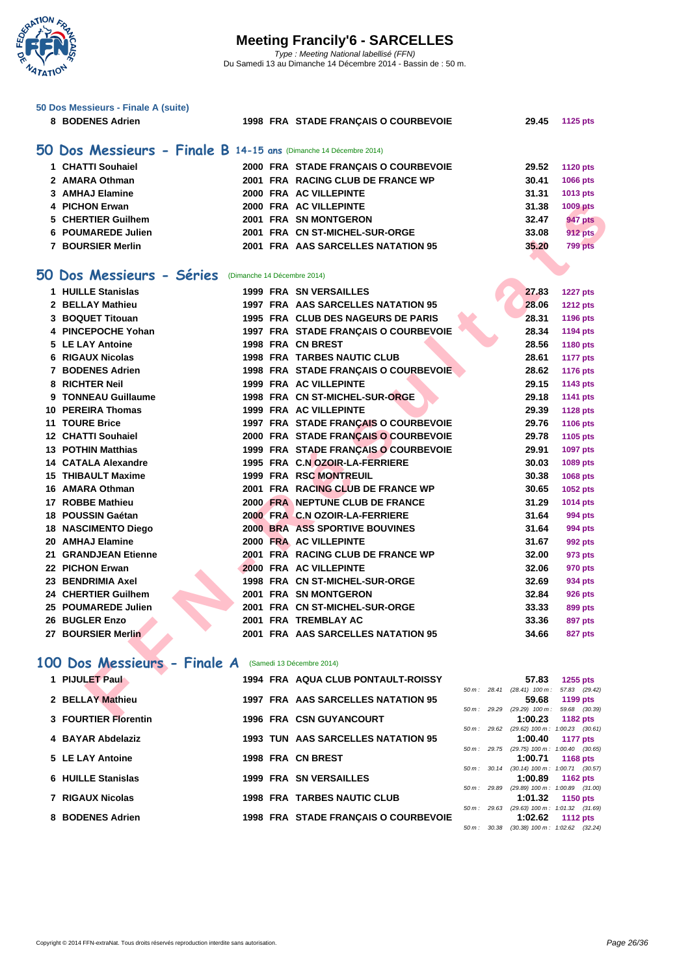

| 50 Dos Messieurs - Finale A (suite)                               |                                                                        |                                                     |                      |
|-------------------------------------------------------------------|------------------------------------------------------------------------|-----------------------------------------------------|----------------------|
| 8 BODENES Adrien                                                  | 1998 FRA STADE FRANÇAIS O COURBEVOIE                                   | 29.45                                               | 1125 pts             |
| 50 Dos Messieurs - Finale B 14-15 ans (Dimanche 14 Décembre 2014) |                                                                        |                                                     |                      |
| 1 CHATTI Souhaiel                                                 | 2000 FRA STADE FRANÇAIS O COURBEVOIE                                   | 29.52                                               | <b>1120 pts</b>      |
| 2 AMARA Othman                                                    | 2001 FRA RACING CLUB DE FRANCE WP                                      | 30.41                                               | 1066 pts             |
| 3 AMHAJ Elamine                                                   | 2000 FRA AC VILLEPINTE                                                 | 31.31                                               | 1013 pts             |
| 4 PICHON Erwan                                                    | 2000 FRA AC VILLEPINTE                                                 | 31.38                                               | <b>1009 pts</b>      |
| 5 CHERTIER Guilhem                                                | 2001 FRA SN MONTGERON                                                  | 32.47                                               | <b>947 pts</b>       |
| 6 POUMAREDE Julien                                                | 2001 FRA CN ST-MICHEL-SUR-ORGE                                         | 33.08                                               | <b>912 pts</b>       |
| <b>7 BOURSIER Merlin</b>                                          | 2001 FRA AAS SARCELLES NATATION 95                                     | 35.20                                               | 799 pts              |
|                                                                   |                                                                        |                                                     |                      |
| 50 Dos Messieurs - Séries (Dimanche 14 Décembre 2014)             |                                                                        |                                                     |                      |
| 1 HUILLE Stanislas                                                | <b>1999 FRA SN VERSAILLES</b>                                          | 27.83                                               | <b>1227 pts</b>      |
| 2 BELLAY Mathieu                                                  | 1997 FRA AAS SARCELLES NATATION 95                                     | 28.06                                               | <b>1212 pts</b>      |
| 3 BOQUET Titouan                                                  | 1995 FRA CLUB DES NAGEURS DE PARIS                                     | 28.31                                               | 1196 pts             |
| 4 PINCEPOCHE Yohan                                                | 1997 FRA STADE FRANÇAIS O COURBEVOIE                                   | 28.34                                               | 1194 pts             |
| 5 LE LAY Antoine                                                  | 1998 FRA CN BREST                                                      | 28.56                                               | 1180 pts             |
| 6 RIGAUX Nicolas                                                  | <b>1998 FRA TARBES NAUTIC CLUB</b>                                     | 28.61                                               | <b>1177 pts</b>      |
| 7 BODENES Adrien                                                  | 1998 FRA STADE FRANÇAIS O COURBEVOIE                                   | 28.62                                               | <b>1176 pts</b>      |
| 8 RICHTER Neil                                                    | <b>1999 FRA AC VILLEPINTE</b>                                          | 29.15                                               | 1143 pts             |
| 9 TONNEAU Guillaume                                               | 1998 FRA CN ST-MICHEL-SUR-ORGE                                         | 29.18                                               | <b>1141 pts</b>      |
| 10 PEREIRA Thomas                                                 | 1999 FRA AC VILLEPINTE                                                 | 29.39                                               | <b>1128 pts</b>      |
| <b>11 TOURE Brice</b>                                             | 1997 FRA STADE FRANÇAIS O COURBEVOIE                                   | 29.76                                               | <b>1106 pts</b>      |
| <b>12 CHATTI Souhaiel</b>                                         | 2000 FRA STADE FRANCAIS O COURBEVOIE                                   | 29.78                                               | 1105 pts             |
| <b>13 POTHIN Matthias</b><br><b>14 CATALA Alexandre</b>           | 1999 FRA STADE FRANÇAIS O COURBEVOIE<br>1995 FRA C.N OZOIR-LA-FERRIERE | 29.91<br>30.03                                      | <b>1097 pts</b>      |
| <b>15 THIBAULT Maxime</b>                                         | <b>1999 FRA RSC MONTREUIL</b>                                          | 30.38                                               | 1089 pts             |
| 16 AMARA Othman                                                   | 2001 FRA RACING CLUB DE FRANCE WP                                      | 30.65                                               | 1068 pts             |
| 17 ROBBE Mathieu                                                  | 2000 FRA NEPTUNE CLUB DE FRANCE                                        | 31.29                                               | 1052 pts<br>1014 pts |
| 18 POUSSIN Gaétan                                                 | 2000 FRA C.N OZOIR-LA-FERRIERE                                         | 31.64                                               | 994 pts              |
| <b>18 NASCIMENTO Diego</b>                                        | <b>2000 BRA ASS SPORTIVE BOUVINES</b>                                  | 31.64                                               | 994 pts              |
| 20 AMHAJ Elamine                                                  | 2000 FRA AC VILLEPINTE                                                 | 31.67                                               | 992 pts              |
| 21 GRANDJEAN Etienne                                              | 2001 FRA RACING CLUB DE FRANCE WP                                      | 32.00                                               | 973 pts              |
| 22 PICHON Erwan                                                   | 2000 FRA AC VILLEPINTE                                                 | 32.06                                               | 970 pts              |
| 23 BENDRIMIA Axel                                                 | 1998 FRA CN ST-MICHEL-SUR-ORGE                                         | 32.69                                               | 934 pts              |
| 24 CHERTIER Guilhem                                               | 2001 FRA SN MONTGERON                                                  | 32.84                                               | 926 pts              |
| 25 POUMAREDE Julien                                               | 2001 FRA CN ST-MICHEL-SUR-ORGE                                         | 33.33                                               | 899 pts              |
| 26 BUGLER Enzo                                                    | 2001 FRA TREMBLAYAC                                                    | 33.36                                               | 897 pts              |
| 27 BOURSIER Merlin                                                | 2001 FRA AAS SARCELLES NATATION 95                                     | 34.66                                               | 827 pts              |
|                                                                   |                                                                        |                                                     |                      |
| 100 Dos Messieurs - Finale A (Samedi 13 Décembre 2014)            |                                                                        |                                                     |                      |
| 1 PIJULET Paul                                                    | 1994 FRA AQUA CLUB PONTAULT-ROISSY                                     | 57.83<br>50 m: 28.41 (28.41) 100 m: 57.83 (29.42)   | 1255 pts             |
| 2 BELLAY Mathieu                                                  | 1997 FRA AAS SARCELLES NATATION 95                                     | 59.68                                               | 1199 pts             |
| 2. COUDTIED Flavantin                                             | 4000 FBA CON OUVANCOURT                                                | 50 m: 29.29 (29.29) 100 m: 59.68 (30.39)<br>1.00.22 | $4400 -$             |

### **100 Dos Messieurs - Finale A** (Samedi 13 Décembre 2014)

|  |                                                                                                                                                                                                                                                                                             | 57.83                                                                                                                                                            | 1255 pts                                               |
|--|---------------------------------------------------------------------------------------------------------------------------------------------------------------------------------------------------------------------------------------------------------------------------------------------|------------------------------------------------------------------------------------------------------------------------------------------------------------------|--------------------------------------------------------|
|  |                                                                                                                                                                                                                                                                                             |                                                                                                                                                                  | 57.83 (29.42)                                          |
|  |                                                                                                                                                                                                                                                                                             | 59.68                                                                                                                                                            | 1199 pts                                               |
|  |                                                                                                                                                                                                                                                                                             |                                                                                                                                                                  | 59.68 (30.39)                                          |
|  |                                                                                                                                                                                                                                                                                             | 1:00.23                                                                                                                                                          | 1182 pts                                               |
|  |                                                                                                                                                                                                                                                                                             |                                                                                                                                                                  | $(29.62)$ 100 m : 1:00.23 $(30.61)$                    |
|  |                                                                                                                                                                                                                                                                                             | 1:00.40                                                                                                                                                          | <b>1177 pts</b>                                        |
|  |                                                                                                                                                                                                                                                                                             |                                                                                                                                                                  | $(29.75)$ 100 m : 1:00.40 $(30.65)$                    |
|  |                                                                                                                                                                                                                                                                                             | 1:00.71                                                                                                                                                          | <b>1168 pts</b>                                        |
|  |                                                                                                                                                                                                                                                                                             |                                                                                                                                                                  | $(30.14)$ 100 m : 1:00.71 $(30.57)$                    |
|  |                                                                                                                                                                                                                                                                                             | 1:00.89                                                                                                                                                          | 1162 $pts$                                             |
|  |                                                                                                                                                                                                                                                                                             |                                                                                                                                                                  | $(29.89)$ 100 m : 1:00.89 $(31.00)$                    |
|  |                                                                                                                                                                                                                                                                                             | 1:01.32                                                                                                                                                          | <b>1150 pts</b>                                        |
|  |                                                                                                                                                                                                                                                                                             |                                                                                                                                                                  | $(29.63)$ 100 m : 1:01.32 $(31.69)$                    |
|  |                                                                                                                                                                                                                                                                                             | 1:02.62                                                                                                                                                          | 1112 pts                                               |
|  |                                                                                                                                                                                                                                                                                             |                                                                                                                                                                  | $(30.38)$ 100 m : 1:02.62 $(32.24)$                    |
|  | 1994 FRA AQUA CLUB PONTAULT-ROISSY<br>1997 FRA AAS SARCELLES NATATION 95<br><b>1996 FRA CSN GUYANCOURT</b><br><b>1993 TUN AAS SARCELLES NATATION 95</b><br>1998 FRA CN BREST<br><b>1999 FRA SN VERSAILLES</b><br><b>1998 FRA TARBES NAUTIC CLUB</b><br>1998 FRA STADE FRANCAIS O COURBEVOIE | $50 \text{ m}$ : 28.41<br>50 m: 29.29<br>$50 \text{ m}$ : 29.62<br>50 m: 30.14<br>$50 \text{ m}$ : 29.89<br>$50 \text{ m}$ : 29.63<br>$50 \, \text{m}$ : $30.38$ | $(28.41)$ 100 m :<br>$(29.29)$ 100 m :<br>50 m : 29.75 |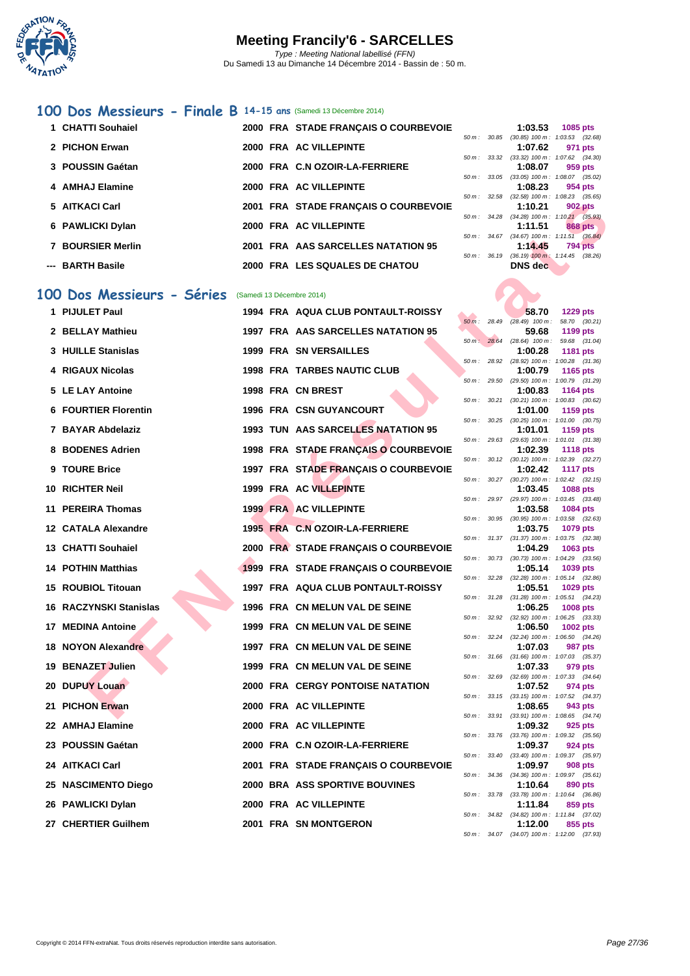

#### **[100 D](http://www.ffnatation.fr/webffn/index.php)os Messieurs - Finale B 14-15 ans** (Samedi 13 Décembre 2014)

| 1 CHATTI Souhaiel |  | 2000 FRA STADE FRANCAIS O COURBEVOIE |                          | 1:03.53                                  | 1085 pts |         |
|-------------------|--|--------------------------------------|--------------------------|------------------------------------------|----------|---------|
|                   |  |                                      | $50 \text{ m}$ : $30.85$ | $(30.85)$ 100 m : 1:03.53 $(32.1)$       |          |         |
| 2 PICHON Erwan    |  | 2000 FRA AC VILLEPINTE               |                          | 1:07.62                                  |          | 971 pts |
|                   |  |                                      | $50 m$ : 33.32           | $(33.32)$ 100 m : 1:07.62 $(34.$         |          |         |
| 3 POUSSIN Gaétan  |  | 2000 FRA C.N OZOIR-LA-FERRIERE       |                          | 1:08.07                                  |          | 959 pts |
|                   |  |                                      |                          | 50 m: 33.05 (33.05) 100 m: 1:08.07 (35.  |          |         |
| 4 AMHAJ Elamine   |  | 2000 FRA AC VILLEPINTE               |                          | 1:08.23                                  |          | 954 pts |
|                   |  |                                      |                          | 50 m: 32.58 (32.58) 100 m: 1:08.23 (35.  |          |         |
| 5 AITKACI Carl    |  | 2001 FRA STADE FRANÇAIS O COURBEVOIE |                          | 1:10.21                                  |          | 902 pts |
|                   |  |                                      |                          | 50 m: 34.28 (34.28) 100 m: 1:10.21 (35.9 |          |         |
| 6 PAWLICKI Dylan  |  | 2000 FRA AC VILLEPINTE               |                          | 1:11.51                                  |          | 868 pts |
|                   |  |                                      | $50 \text{ m}$ : 34.67   | $(34.67)$ 100 m : 1:11.51 $(36.1)$       |          |         |
| 7 BOURSIER Merlin |  | 2001 FRA AAS SARCELLES NATATION 95   |                          | 1:14.45                                  |          | 794 pts |
|                   |  |                                      | $50 \text{ m}$ : 36.19   | $(36.19)$ 100 m : 1:14.45 $(38.1)$       |          |         |
| --- BARTH Basile  |  | 2000 FRA LES SQUALES DE CHATOU       |                          | DNS dec                                  |          |         |
|                   |  |                                      |                          |                                          |          |         |

#### **100 Dos Messieurs - Séries** (Samedi 13 Décembre 2014)

| 5 AITKACI Carl              |  | 2001 FRA STADE FRANÇAIS O COURBEVOIE    |             |              | 1:10.21                                | <b>902 pts</b>                                                |
|-----------------------------|--|-----------------------------------------|-------------|--------------|----------------------------------------|---------------------------------------------------------------|
| 6 PAWLICKI Dylan            |  | 2000 FRA AC VILLEPINTE                  |             |              | 1:11.51                                | 50 m: 34.28 (34.28) 100 m: 1:10.21 (35.93)<br>868 pts         |
| 7 BOURSIER Merlin           |  | 2001 FRA AAS SARCELLES NATATION 95      |             | 50 m: 34.67  | 1:14.45                                | $(34.67)$ 100 m : 1:11.51 $(36.84)$<br><b>794 pts</b>         |
|                             |  |                                         | 50 m: 36.19 |              |                                        | $(36.19)$ 100 m : 1:14.45 $(38.26)$                           |
| --- BARTH Basile            |  | 2000 FRA LES SQUALES DE CHATOU          |             |              | DNS dec                                |                                                               |
| 00 Dos Messieurs - Séries   |  | (Samedi 13 Décembre 2014)               |             |              |                                        |                                                               |
| 1 PIJULET Paul              |  | 1994 FRA AQUA CLUB PONTAULT-ROISSY      |             |              | 58.70                                  | <b>1229 pts</b>                                               |
|                             |  |                                         |             |              | $50 \text{ m}$ : 28.49 (28.49) 100 m : | 58.70 (30.21)                                                 |
| 2 BELLAY Mathieu            |  | 1997 FRA AAS SARCELLES NATATION 95      |             |              | 59.68                                  | 1199 pts                                                      |
| 3 HUILLE Stanislas          |  | 1999 FRA SN VERSAILLES                  |             | 50 m: 28.64  | $(28.64)$ 100 m :<br>1:00.28           | 59.68 (31.04)<br>1181 pts                                     |
|                             |  |                                         |             |              |                                        | 50 m: 28.92 (28.92) 100 m: 1:00.28 (31.36)                    |
| 4 RIGAUX Nicolas            |  | <b>1998 FRA TARBES NAUTIC CLUB</b>      | 50 m: 29.50 |              | 1:00.79                                | 1165 pts<br>(29.50) 100 m: 1:00.79 (31.29)                    |
| 5 LE LAY Antoine            |  | 1998 FRA CN BREST                       |             |              | 1:00.83                                | 1164 pts                                                      |
|                             |  |                                         |             | 50 m : 30.21 |                                        | $(30.21)$ 100 m : 1:00.83 $(30.62)$                           |
| <b>6 FOURTIER Florentin</b> |  | 1996 FRA CSN GUYANCOURT                 |             |              | 1:01.00                                | 1159 pts<br>50 m: 30.25 (30.25) 100 m: 1:01.00 (30.75)        |
| 7 BAYAR Abdelaziz           |  | 1993 TUN AAS SARCELLES NATATION 95      |             |              | 1:01.01                                | 1159 pts                                                      |
|                             |  | 1998 FRA STADE FRANÇAIS O COURBEVOIE    |             | 50 m: 29.63  |                                        | (29.63) 100 m: 1:01.01 (31.38)                                |
| 8 BODENES Adrien            |  |                                         |             |              | 1:02.39                                | <b>1118 pts</b><br>50 m: 30.12 (30.12) 100 m: 1:02.39 (32.27) |
| 9 TOURE Brice               |  | 1997 FRA STADE FRANÇAIS O COURBEVOIE    |             |              | 1:02.42                                | <b>1117 pts</b>                                               |
| 10 RICHTER Neil             |  | 1999 FRA AC VILLEPINTE                  |             |              | 1:03.45                                | 50 m: 30.27 (30.27) 100 m: 1:02.42 (32.15)<br>1088 pts        |
|                             |  |                                         |             | 50 m : 29.97 |                                        | (29.97) 100 m: 1:03.45 (33.48)                                |
| 11 PEREIRA Thomas           |  | <b>1999 FRA AC VILLEPINTE</b>           |             |              | 1:03.58                                | 1084 pts                                                      |
| 12 CATALA Alexandre         |  | 1995 FRA C.N OZOIR-LA-FERRIERE          |             | 50 m : 30.95 | 1:03.75                                | $(30.95)$ 100 m : 1:03.58 $(32.63)$<br>1079 pts               |
|                             |  |                                         |             |              |                                        | 50 m: 31.37 (31.37) 100 m: 1:03.75 (32.38)                    |
| <b>13 CHATTI Souhaiel</b>   |  | 2000 FRA STADE FRANÇAIS O COURBEVOIE    |             |              | 1:04.29                                | 1063 pts                                                      |
| <b>14 POTHIN Matthias</b>   |  | 1999 FRA STADE FRANÇAIS O COURBEVOIE    |             |              | 1:05.14                                | 50 m: 30.73 (30.73) 100 m: 1:04.29 (33.56)<br>1039 pts        |
|                             |  |                                         |             |              |                                        | 50 m: 32.28 (32.28) 100 m: 1:05.14 (32.86)                    |
| 15 ROUBIOL Titouan          |  | 1997 FRA AQUA CLUB PONTAULT-ROISSY      |             |              | 1:05.51                                | 1029 pts<br>50 m: 31.28 (31.28) 100 m: 1:05.51 (34.23)        |
| 16 RACZYNSKI Stanislas      |  | 1996 FRA CN MELUN VAL DE SEINE          |             |              | 1:06.25                                | 1008 pts                                                      |
|                             |  |                                         |             | 50 m: 32.92  |                                        | $(32.92)$ 100 m : 1:06.25 $(33.33)$                           |
| 17 MEDINA Antoine           |  | 1999 FRA CN MELUN VAL DE SEINE          |             |              | 1:06.50                                | 1002 pts<br>50 m: 32.24 (32.24) 100 m: 1:06.50 (34.26)        |
| 18 NOYON Alexandre          |  | 1997 FRA CN MELUN VAL DE SEINE          |             |              | 1:07.03                                | 987 pts                                                       |
|                             |  |                                         |             |              |                                        | 50 m: 31.66 (31.66) 100 m: 1:07.03 (35.37)                    |
| 19 BENAZET Julien           |  | 1999 FRA CN MELUN VAL DE SEINE          |             | 50 m: 32.69  | 1:07.33                                | 979 pts<br>$(32.69)$ 100 m : 1:07.33 $(34.64)$                |
| 20 DUPUY Louan              |  | <b>2000 FRA CERGY PONTOISE NATATION</b> |             |              | 1:07.52                                | 974 pts                                                       |
| 21 PICHON Erwan             |  | 2000 FRA AC VILLEPINTE                  |             |              | 1:08.65                                | 50 m: 33.15 (33.15) 100 m: 1:07.52 (34.37)                    |
|                             |  |                                         |             |              |                                        | 943 pts<br>50 m: 33.91 (33.91) 100 m: 1:08.65 (34.74)         |
| 22 AMHAJ Elamine            |  | 2000 FRA AC VILLEPINTE                  |             |              | 1:09.32                                | 925 pts                                                       |
| 23 POUSSIN Gaétan           |  | 2000 FRA C.N OZOIR-LA-FERRIERE          |             | 50 m: 33.76  | 1:09.37                                | $(33.76)$ 100 m : 1:09.32 $(35.56)$<br>924 pts                |
|                             |  |                                         |             | 50 m : 33.40 |                                        | $(33.40)$ 100 m : 1:09.37 $(35.97)$                           |
| 24 AITKACI Carl             |  | 2001 FRA STADE FRANÇAIS O COURBEVOIE    |             |              | 1:09.97                                | 908 pts                                                       |
| 25 NASCIMENTO Diego         |  | 2000 BRA ASS SPORTIVE BOUVINES          |             |              | 1:10.64                                | 50 m: 34.36 (34.36) 100 m: 1:09.97 (35.61)<br>890 pts         |
|                             |  |                                         |             |              |                                        | 50 m: 33.78 (33.78) 100 m: 1:10.64 (36.86)                    |
| 26 PAWLICKI Dylan           |  | 2000 FRA AC VILLEPINTE                  |             |              | 1:11.84                                | 859 pts<br>50 m: 34.82 (34.82) 100 m: 1:11.84 (37.02)         |
| 27 CHERTIER Guilhem         |  | 2001 FRA SN MONTGERON                   |             |              | 1:12.00                                | 855 pts                                                       |
|                             |  |                                         |             |              |                                        |                                                               |

|                          |                  | 1:03.53                                       | 1085 pts            |  |
|--------------------------|------------------|-----------------------------------------------|---------------------|--|
| $50 m$ :                 | 30.85            | $(30.85)$ 100 m :                             | 1:03.53 (32.68)     |  |
|                          |                  | 1:07.62                                       | 971 pts             |  |
| $50 m$ :                 | 33.32            | $(33.32)$ 100 m :                             | 1:07.62 (34.30)     |  |
|                          |                  | 1:08.07 959 pts                               |                     |  |
| $50 m$ :                 | 33.05            | $(33.05)$ 100 m :                             | 1:08.07 (35.02)     |  |
|                          |                  | $1:08.23$ 954 pts                             |                     |  |
| $50 \, \text{m}$ : 32.58 |                  | $(32.58)$ 100 m :                             | $1:08.23$ $(35.65)$ |  |
|                          |                  | 1:10.21                                       | <b>902 pts</b>      |  |
|                          | $50 m$ : $34.28$ | $(34.28)$ 100 m : 1:10.21 $(35.93)$           |                     |  |
|                          |                  | $1:11.51$ 868 pts                             |                     |  |
| $50 m$ : 34.67           |                  | (34.67) 100 m: 1:11.51 (36.84)                |                     |  |
|                          |                  | $1:14.45$ 794 pts                             |                     |  |
| $50 m$ :                 | 36.19            | $(36.19)$ $100 \text{ m}$ : 1:14.45 $(38.26)$ |                     |  |
|                          |                  | DNS dec                                       |                     |  |

|          |       | 58.70             | 1229 pts           |
|----------|-------|-------------------|--------------------|
| $50 m$ : | 28.49 | $(28.49)$ 100 m : | 58.70 (30.21)      |
|          |       | 59.68             | 1199 pts           |
| $50 m$ : | 28.64 | $(28.64)$ 100 m : | 59.68 (31.04)      |
|          |       | 1:00.28           | 1181 pts           |
| $50 m$ : | 28.92 | $(28.92) 100 m$ : | 1:00.28<br>(31.36) |
|          |       | 1:00.79           | 1165 pts           |
| $50 m$ : | 29.50 | (29.50) 100 m :   | 1:00.79<br>(31.29) |
|          |       | 1:00.83           | <b>1164 pts</b>    |
| $50 m$ : | 30.21 | $(30.21)$ 100 m : | 1:00.83<br>(30.62) |
|          |       | 1:01.00           | 1159 pts           |
| $50 m$ : | 30.25 | $(30.25)$ 100 m : | 1:01.00<br>(30.75) |
|          |       | 1:01.01           | 1159 pts           |
| $50 m$ : | 29.63 | $(29.63) 100 m$ : | 1:01.01<br>(31.38) |
|          |       | 1:02.39           | <b>1118 pts</b>    |
| $50 m$ : | 30.12 | $(30.12)$ 100 m : | 1:02.39<br>(32.27) |
|          |       | 1:02.42           | <b>1117 pts</b>    |
| $50 m$ : | 30.27 | $(30.27)$ 100 m : | (32.15)<br>1:02.42 |
|          |       | 1:03.45           | 1088 pts           |
| $50 m$ : | 29.97 | (29.97) 100 m :   | 1:03.45<br>(33.48) |
|          |       | 1:03.58           | 1084 pts           |
| $50 m$ : | 30.95 | $(30.95)$ 100 m : | 1:03.58<br>(32.63) |
|          |       | 1:03.75           | 1079 pts           |
| $50 m$ : | 31.37 | $(31.37) 100 m$ : | 1:03.75<br>(32.38) |
|          |       | 1:04.29           | 1063 pts           |
| $50 m$ : | 30.73 | $(30.73) 100 m$ : | 1:04.29<br>(33.56) |
|          |       | 1:05.14           | 1039 pts           |
| $50 m$ : | 32.28 | $(32.28) 100 m$ : | 1:05.14<br>(32.86) |
|          |       | 1:05.51           | 1029 pts           |
| $50 m$ : | 31.28 | $(31.28) 100 m$ : | 1:05.51<br>(34.23) |
|          |       | 1:06.25           | 1008 pts           |
| $50 m$ : | 32.92 | $(32.92)$ 100 m : | 1:06.25<br>(33.33) |
|          |       | 1:06.50           | 1002 pts           |
| $50 m$ : | 32.24 | $(32.24) 100 m$ : | (34.26)<br>1:06.50 |
|          |       | 1:07.03           | 987 pts            |
| $50 m$ : | 31.66 | $(31.66) 100 m$ : | 1:07.03<br>(35.37) |
|          |       | 1:07.33           | 979 pts            |
| $50 m$ : | 32.69 | $(32.69)$ 100 m : | 1:07.33 (34.64)    |
|          |       | 1:07.52           | 974 pts            |
| $50 m$ : | 33.15 | $(33.15) 100 m$ : | 1:07.52<br>(34.37) |
|          |       | 1:08.65           | 943 pts            |
| $50 m$ : | 33.91 | $(33.91)$ 100 m : | 1:08.65<br>(34.74) |
|          |       | 1:09.32           | 925 pts            |
| $50 m$ : | 33.76 | $(33.76) 100 m$ : | 1:09.32<br>(35.56) |
|          |       | 1:09.37           | 924 pts            |
| $50 m$ : | 33.40 |                   |                    |
|          |       | $(33.40) 100 m$ : | 1:09.37 (35.97)    |
|          |       | 1:09.97           | <b>908 pts</b>     |
| $50 m$ : | 34.36 | $(34.36) 100 m$ : | 1:09.97 (35.61)    |
|          |       | 1:10.64           | <b>890 pts</b>     |
| $50 m$ : | 33.78 | $(33.78) 100 m$ : | 1:10.64<br>(36.86) |
|          |       | 1:11.84           | 859 pts            |
| $50 m$ : | 34.82 | $(34.82) 100 m$ : | 1:11.84<br>(37.02) |
|          |       | 1:12.00           | 855 pts            |
| $50 m$ : | 34.07 | $(34.07)$ 100 m : | 1:12.00<br>(37.93) |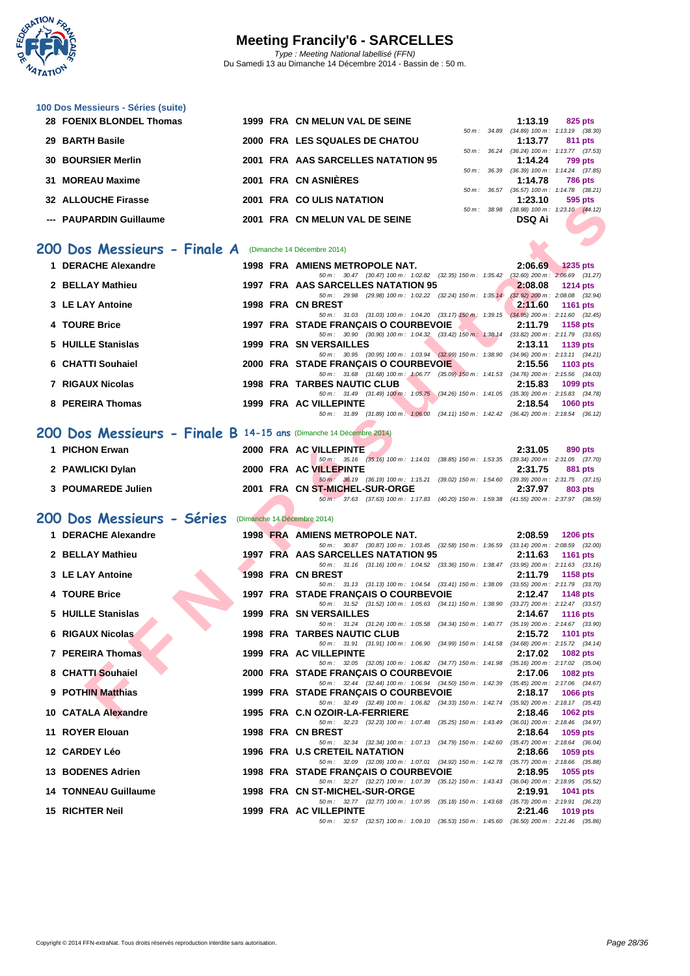

| 100 Dos Messieurs - Séries (suite)                                 |  |                                                                                                                                      |                                                                  |
|--------------------------------------------------------------------|--|--------------------------------------------------------------------------------------------------------------------------------------|------------------------------------------------------------------|
| 28 FOENIX BLONDEL Thomas                                           |  | 1999 FRA CN MELUN VAL DE SEINE                                                                                                       | 1:13.19<br>825 pts<br>50 m: 34.89 (34.89) 100 m: 1:13.19 (38.30) |
| 29 BARTH Basile                                                    |  | 2000 FRA LES SQUALES DE CHATOU                                                                                                       | 1:13.77<br>811 pts<br>50 m: 36.24 (36.24) 100 m: 1:13.77 (37.53) |
| <b>30 BOURSIER Merlin</b>                                          |  | 2001 FRA AAS SARCELLES NATATION 95                                                                                                   | 1:14.24<br><b>799 pts</b>                                        |
| 31 MOREAU Maxime                                                   |  | 2001 FRA CN ASNIERES                                                                                                                 | 50 m: 36.39 (36.39) 100 m: 1:14.24 (37.85)<br>1:14.78<br>786 pts |
| 32 ALLOUCHE Firasse                                                |  | 2001 FRA COULIS NATATION                                                                                                             | 50 m: 36.57 (36.57) 100 m: 1:14.78 (38.21)<br>1:23.10<br>595 pts |
|                                                                    |  |                                                                                                                                      | 50 m: 38.98 (38.98) 100 m: 1:23.10 (44.12)                       |
| --- PAUPARDIN Guillaume                                            |  | 2001 FRA CN MELUN VAL DE SEINE                                                                                                       | <b>DSQ Ai</b>                                                    |
| 200 Dos Messieurs - Finale A (Dimanche 14 Décembre 2014)           |  |                                                                                                                                      |                                                                  |
| 1 DERACHE Alexandre                                                |  | 1998 FRA AMIENS METROPOLE NAT.                                                                                                       | 2:06.69<br><b>1235 pts</b>                                       |
|                                                                    |  | 50 m: 30.47 (30.47) 100 m: 1:02.82 (32.35) 150 m: 1:35.42 (32.60) 200 m: 2:06.69 (31.27)                                             |                                                                  |
| 2 BELLAY Mathieu                                                   |  | 1997 FRA AAS SARCELLES NATATION 95<br>50 m: 29.98 (29.98) 100 m: 1:02.22 (32.24) 150 m: 1:35.14 (32.92) 200 m: 2:08.08 (32.94)       | 2:08.08<br><b>1214 pts</b>                                       |
| 3 LE LAY Antoine                                                   |  | 1998 FRA CN BREST<br>50 m: 31.03 (31.03) 100 m: 1:04.20 (33.17) 150 m: 1:39.15 (34.95) 200 m: 2:11.60 (32.45)                        | 2:11.60<br><b>1161 pts</b>                                       |
| 4 TOURE Brice                                                      |  | 1997 FRA STADE FRANÇAIS O COURBEVOIE                                                                                                 | 2:11.79<br>1158 pts                                              |
| 5 HUILLE Stanislas                                                 |  | 50 m: 30.90 (30.90) 100 m: 1:04.32 (33.42) 150 m: 1:38.14 (33.82) 200 m: 2:11.79 (33.65)<br><b>1999 FRA SN VERSAILLES</b>            | 2:13.11<br>1139 pts                                              |
| 6 CHATTI Souhaiel                                                  |  | 50 m: 30.95 (30.95) 100 m: 1:03.94 (32.99) 150 m: 1:38.90 (34.96) 200 m: 2:13.11 (34.21)                                             | 2:15.56                                                          |
|                                                                    |  | 2000 FRA STADE FRANCAIS O COURBEVOIE<br>50 m: 31.68 (31.68) 100 m: 1:06.77 (35.09) 150 m: 1:41.53 (34.76) 200 m: 2:15.56 (34.03)     | 1103 pts                                                         |
| 7 RIGAUX Nicolas                                                   |  | <b>1998 FRA TARBES NAUTIC CLUB</b><br>50 m: 31.49 (31.49) 100 m: 1:05.75 (34.26) 150 m: 1:41.05 (35.30) 200 m: 2:15.83 (34.78)       | 2:15.83<br>1099 pts                                              |
| 8 PEREIRA Thomas                                                   |  | 1999 FRA AC VILLEPINTE                                                                                                               | 2:18.54<br><b>1060 pts</b>                                       |
|                                                                    |  | 50 m: 31.89 (31.89) 100 m: 1:06.00 (34.11) 150 m: 1:42.42 (36.42) 200 m: 2:18.54 (36.12)                                             |                                                                  |
| 200 Dos Messieurs - Finale B 14-15 ans (Dimanche 14 Décembre 2014) |  |                                                                                                                                      |                                                                  |
| 1 PICHON Erwan                                                     |  | 2000 FRA AC VILLEPINTE<br>50 m: 35.16 (35.16) 100 m: 1:14.01 (38.85) 150 m: 1:53.35 (39.34) 200 m: 2:31.05 (37.70)                   | 2:31.05<br>890 pts                                               |
| 2 PAWLICKI Dylan                                                   |  | 2000 FRA AC VILLEPINTE                                                                                                               | 2:31.75<br>881 pts                                               |
| 3 POUMAREDE Julien                                                 |  | 50 m : 36.19 (36.19) 100 m : 1:15.21 (39.02) 150 m : 1:54.60 (39.39) 200 m : 2:31.75 (37.15)<br>2001 FRA CN ST-MICHEL-SUR-ORGE       | 2:37.97<br>803 pts                                               |
|                                                                    |  | 50 m: 37.63 (37.63) 100 m: 1:17.83 (40.20) 150 m: 1:59.38 (41.55) 200 m: 2:37.97 (38.59)                                             |                                                                  |
| 200 Dos Messieurs - Séries                                         |  | (Dimanche 14 Décembre 2014)                                                                                                          |                                                                  |
| 1 DERACHE Alexandre                                                |  | 1998 FRA AMIENS METROPOLE NAT.                                                                                                       | 2:08.59<br><b>1206 pts</b>                                       |
| 2 BELLAY Mathieu                                                   |  | 50 m: 30.87 (30.87) 100 m: 1:03.45 (32.58) 150 m: 1:36.59 (33.14) 200 m: 2:08.59 (32.00)<br>1997 FRA AAS SARCELLES NATATION 95       | 2:11.63<br><b>1161 pts</b>                                       |
| 3 LE LAY Antoine                                                   |  | 50 m: 31.16 (31.16) 100 m: 1:04.52 (33.36) 150 m: 1:38.47 (33.95) 200 m: 2:11.63 (33.16)<br>1998 FRA CN BREST                        | 2:11.79                                                          |
|                                                                    |  | 50 m: 31.13 (31.13) 100 m: 1:04.54 (33.41) 150 m: 1:38.09 (33.55) 200 m: 2:11.79 (33.70)                                             | 1158 pts                                                         |
| 4 TOURE Brice                                                      |  | 1997 FRA STADE FRANÇAIS O COURBEVOIE<br>50 m: 31.52 (31.52) 100 m: 1:05.63 (34.11) 150 m: 1:38.90 (33.27) 200 m: 2:12.47 (33.57)     | 2:12.47<br><b>1148 pts</b>                                       |
| 5 HUILLE Stanislas                                                 |  | <b>1999 FRA SN VERSAILLES</b>                                                                                                        | 2:14.67<br><b>1116 pts</b>                                       |
| 6 RIGAUX Nicolas                                                   |  | 50 m: 31.24 (31.24) 100 m: 1:05.58 (34.34) 150 m: 1:40.77 (35.19) 200 m: 2:14.67 (33.90)<br><b>1998 FRA TARBES NAUTIC CLUB</b>       | 2:15.72 1101 pts                                                 |
| 7 PEREIRA Thomas                                                   |  | 50 m: 31.91 (31.91) 100 m: 1:06.90 (34.99) 150 m: 1:41.58 (34.68) 200 m: 2:15.72 (34.14)<br>1999 FRA AC VILLEPINTE                   | 2:17.02<br>1082 pts                                              |
|                                                                    |  | 50 m: 32.05 (32.05) 100 m: 1:06.82 (34.77) 150 m: 1:41.98 (35.16) 200 m: 2:17.02 (35.04)                                             |                                                                  |
| 8 CHATTI Souhaiel                                                  |  | 2000 FRA STADE FRANCAIS O COURBEVOIE<br>50 m : 32.44 (32.44) 100 m : 1:06.94 (34.50) 150 m : 1:42.39 (35.45) 200 m : 2:17.06 (34.67) | 2:17.06<br>1082 pts                                              |
| 9 POTHIN Matthias                                                  |  | 1999 FRA STADE FRANÇAIS O COURBEVOIE<br>50 m: 32.49 (32.49) 100 m: 1:06.82 (34.33) 150 m: 1:42.74 (35.92) 200 m: 2:18.17 (35.43)     | 2:18.17<br><b>1066 pts</b>                                       |
| 10 CATALA Alexandre                                                |  | 1995 FRA C.N OZOIR-LA-FERRIERE                                                                                                       | 2:18.46<br>1062 pts                                              |
| 11 ROYER Elouan                                                    |  | 50 m : 32.23 (32.23) 100 m : 1:07.48 (35.25) 150 m : 1:43.49 (36.01) 200 m : 2:18.46 (34.97)<br>1998 FRA CN BREST                    | 2:18.64<br>1059 pts                                              |
| 12 CARDEY Léo                                                      |  | 50 m : 32.34 (32.34) 100 m : 1:07.13 (34.79) 150 m : 1:42.60 (35.47) 200 m : 2:18.64 (36.04)<br><b>1996 FRA U.S CRETEIL NATATION</b> | 2:18.66<br>1059 pts                                              |
|                                                                    |  | 50 m : 32.09 (32.09) 100 m : 1:07.01 (34.92) 150 m : 1:42.78 (35.77) 200 m : 2:18.66 (35.88)                                         |                                                                  |
| 13 BODENES Adrien                                                  |  | 1998 FRA STADE FRANÇAIS O COURBEVOIE<br>50 m : 32.27 (32.27) 100 m : 1:07.39 (35.12) 150 m : 1:43.43 (36.04) 200 m : 2:18.95 (35.52) | 2:18.95<br>1055 pts                                              |
| <b>14 TONNEAU Guillaume</b>                                        |  | 1998 FRA CN ST-MICHEL-SUR-ORGE                                                                                                       | 2:19.91<br><b>1041 pts</b>                                       |
| 15 RICHTER Neil                                                    |  | 50 m: 32.77 (32.77) 100 m: 1:07.95 (35.18) 150 m: 1:43.68 (35.73) 200 m: 2:19.91 (36.23)<br>1999 FRA AC VILLEPINTE                   | 2:21.46<br><b>1019 pts</b>                                       |
|                                                                    |  | 50 m: 32.57 (32.57) 100 m: 1:09.10 (36.53) 150 m: 1:45.60 (36.50) 200 m: 2:21.46 (35.86)                                             |                                                                  |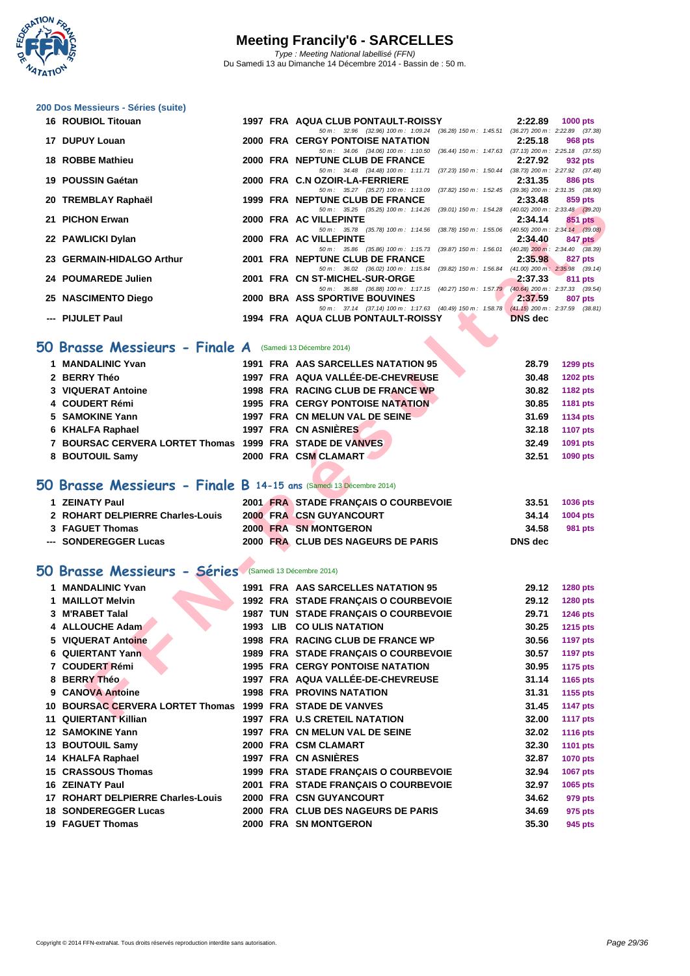

| 16 ROUBIOL Titouan        |  | 1997 FRA AQUA CLUB PONTAULT-ROISSY                                                                    | 2:22.89        | 1000 $pts$ |  |
|---------------------------|--|-------------------------------------------------------------------------------------------------------|----------------|------------|--|
|                           |  | $(36.28)$ 150 m : 1:45.51 $(36.27)$ 200 m : 2:22.89 $(37.38)$<br>50 m : 32.96 (32.96) 100 m : 1:09.24 |                |            |  |
| 17 DUPUY Louan            |  | 2000 FRA CERGY PONTOISE NATATION                                                                      | 2:25.18        | 968 pts    |  |
|                           |  | 50 m : 34.06 (34.06) 100 m : 1:10.50<br>$(36.44)$ 150 m : 1:47.63 $(37.13)$ 200 m : 2:25.18 $(37.55)$ |                |            |  |
| 18 ROBBE Mathieu          |  | 2000 FRA NEPTUNE CLUB DE FRANCE                                                                       | 2:27.92        | 932 pts    |  |
|                           |  | 50 m: 34.48 (34.48) 100 m: 1:11.71 (37.23) 150 m: 1:50.44 (38.73) 200 m: 2:27.92 (37.48)              |                |            |  |
| 19 POUSSIN Gaétan         |  | 2000 FRA C.N OZOIR-LA-FERRIERE                                                                        | 2:31.35        | 886 pts    |  |
|                           |  | 50 m: 35.27 (35.27) 100 m: 1:13.09 (37.82) 150 m: 1:52.45 (39.36) 200 m: 2:31.35 (38.90)              |                |            |  |
| 20 TREMBLAY Raphaël       |  | 1999 FRA NEPTUNE CLUB DE FRANCE                                                                       | 2:33.48        | 859 pts    |  |
|                           |  | 50 m: 35.25 (35.25) 100 m: 1:14.26 (39.01) 150 m: 1:54.28 (40.02) 200 m: 2:33.48 (39.20)              |                |            |  |
| 21 PICHON Erwan           |  | 2000 FRA AC VILLEPINTE                                                                                | 2:34.14        | 851 pts    |  |
|                           |  | 50 m: 35.78 (35.78) 100 m: 1:14.56 (38.78) 150 m: 1:55.06 (40.50) 200 m: 2:34.14 (39.08)              |                |            |  |
| 22 PAWLICKI Dylan         |  | 2000 FRA AC VILLEPINTE                                                                                | 2:34.40        | 847 pts    |  |
|                           |  | 50 m : 35.86 (35.86) 100 m : 1:15.73 (39.87) 150 m : 1:56.01 (40.28) 200 m : 2:34.40 (38.39)          |                |            |  |
| 23 GERMAIN-HIDALGO Arthur |  | 2001 FRA NEPTUNE CLUB DE FRANCE                                                                       | 2:35.98        | 827 pts    |  |
|                           |  | 50 m: 36.02 (36.02) 100 m: 1:15.84 (39.82) 150 m: 1:56.84 (41.00) 200 m: 2:35.98 (39.14)              |                |            |  |
| 24 POUMAREDE Julien       |  | 2001 FRA CN ST-MICHEL-SUR-ORGE                                                                        | 2:37.33        | 811 pts    |  |
|                           |  | 50 m: 36.88 (36.88) 100 m: 1:17.15 (40.27) 150 m: 1:57.79 (40.64) 200 m: 2:37.33 (39.54)              |                |            |  |
| 25 NASCIMENTO Diego       |  | 2000 BRA ASS SPORTIVE BOUVINES                                                                        | 2:37.59        | 807 pts    |  |
|                           |  | 50 m: 37.14 (37.14) 100 m: 1:17.63 (40.49) 150 m: 1:58.78 (41.15) 200 m: 2:37.59 (38.81)              |                |            |  |
| --- PIJULET Paul          |  | 1994 FRA AQUA CLUB PONTAULT-ROISSY                                                                    | <b>DNS</b> dec |            |  |
|                           |  |                                                                                                       |                |            |  |

#### **50 Brasse Messieurs - Finale A** (Samedi 13 Décembre 2014)

| 1 MANDALINIC Yvan                                        |  | 1991 FRA AAS SARCELLES NATATION 95      | 28.79 | 1299 pts        |
|----------------------------------------------------------|--|-----------------------------------------|-------|-----------------|
| 2 BERRY Théo                                             |  | 1997 FRA AQUA VALLÉE-DE-CHEVREUSE       | 30.48 | <b>1202 pts</b> |
| 3 VIQUERAT Antoine                                       |  | 1998 FRA RACING CLUB DE FRANCE WP       | 30.82 | 1182 pts        |
| 4 COUDERT Rémi                                           |  | <b>1995 FRA CERGY PONTOISE NATATION</b> | 30.85 | 1181 pts        |
| 5 SAMOKINE Yann                                          |  | 1997 FRA CN MELUN VAL DE SEINE          | 31.69 | 1134 pts        |
| 6 KHALFA Raphael                                         |  | 1997 FRA CN ASNIÈRES                    | 32.18 | 1107 pts        |
| 7 BOURSAC CERVERA LORTET Thomas 1999 FRA STADE DE VANVES |  |                                         | 32.49 | 1091 pts        |
| 8 BOUTOUIL Samy                                          |  | 2000 FRA CSM CLAMART                    | 32.51 | 1090 pts        |

#### **50 Brasse Messieurs - Finale B 14-15 ans** (Samedi 13 Décembre 2014)

| 1 ZEINATY Paul                   |  | 2001 FRA STADE FRANÇAIS O COURBEVOIE | 33.51          | <b>1036 pts</b> |
|----------------------------------|--|--------------------------------------|----------------|-----------------|
| 2 ROHART DELPIERRE Charles-Louis |  | 2000 FRA CSN GUYANCOURT              | 34.14          | 1004 pts        |
| 3 FAGUET Thomas                  |  | 2000 FRA SN MONTGERON                | 34.58          | 981 pts         |
| --- SONDEREGGER Lucas            |  | 2000 FRA CLUB DES NAGEURS DE PARIS   | <b>DNS</b> dec |                 |

### **50 Brasse Messieurs - Séries** (Samedi 13 Décembre 2014)

| LU INLINDLAI RAPHATI                                              |  | 1999 TIM NET TUNE CEUP DE LIMINGE                                                                                              | 2.JJ.TU        | oas hrs         |
|-------------------------------------------------------------------|--|--------------------------------------------------------------------------------------------------------------------------------|----------------|-----------------|
| 21 PICHON Erwan                                                   |  | 50 m: 35.25 (35.25) 100 m: 1:14.26 (39.01) 150 m: 1:54.28 (40.02) 200 m: 2:33.48 (39.20)<br>2000 FRA AC VILLEPINTE             | 2:34.14        | 851 pts         |
| 22 PAWLICKI Dylan                                                 |  | 50 m: 35.78 (35.78) 100 m: 1:14.56 (38.78) 150 m: 1:55.06 (40.50) 200 m: 2:34.14 (39.08)<br>2000 FRA AC VILLEPINTE             | 2:34.40        | 847 pts         |
|                                                                   |  | 50 m: 35.86 (35.86) 100 m: 1:15.73 (39.87) 150 m: 1:56.01 (40.28) 200 m: 2:34.40 (38.39)                                       |                |                 |
| 23 GERMAIN-HIDALGO Arthur                                         |  | 2001 FRA NEPTUNE CLUB DE FRANCE                                                                                                | 2:35.98        | 827 pts         |
| 24 POUMAREDE Julien                                               |  | 50 m: 36.02 (36.02) 100 m: 1:15.84 (39.82) 150 m: 1:56.84 (41.00) 200 m: 2:35.98 (39.14)<br>2001 FRA CN ST-MICHEL-SUR-ORGE     | 2:37.33        | 811 pts         |
| 25 NASCIMENTO Diego                                               |  | 50 m: 36.88 (36.88) 100 m: 1:17.15 (40.27) 150 m: 1:57.79 (40.64) 200 m: 2:37.33 (39.54)<br>2000 BRA ASS SPORTIVE BOUVINES     | 2:37.59        | 807 pts         |
| --- PIJULET Paul                                                  |  | 50 m: 37.14 (37.14) 100 m: 1:17.63 (40.49) 150 m: 1:58.78 (41.15) 200 m: 2:37.59 (38.81)<br>1994 FRA AQUA CLUB PONTAULT-ROISSY | <b>DNS</b> dec |                 |
|                                                                   |  |                                                                                                                                |                |                 |
| O Brasse Messieurs - Finale A (Samedi 13 Décembre 2014)           |  |                                                                                                                                |                |                 |
| 1 MANDALINIC Yvan                                                 |  | 1991 FRA AAS SARCELLES NATATION 95                                                                                             | 28.79          | 1299 pts        |
| 2 BERRY Théo                                                      |  | 1997 FRA AQUA VALLÉE-DE-CHEVREUSE                                                                                              | 30.48          | <b>1202 pts</b> |
| 3 VIQUERAT Antoine                                                |  | 1998 FRA RACING CLUB DE FRANCE WP                                                                                              | 30.82          | <b>1182 pts</b> |
| 4 COUDERT Rémi                                                    |  | 1995 FRA CERGY PONTOISE NATATION                                                                                               | 30.85          | 1181 pts        |
| 5 SAMOKINE Yann                                                   |  | 1997 FRA CN MELUN VAL DE SEINE                                                                                                 | 31.69          | <b>1134 pts</b> |
| 6 KHALFA Raphael                                                  |  | 1997 FRA CN ASNIÈRES                                                                                                           | 32.18          | <b>1107 pts</b> |
| 7 BOURSAC CERVERA LORTET Thomas 1999 FRA STADE DE VANVES          |  |                                                                                                                                | 32.49          | 1091 pts        |
| 8 BOUTOUIL Samy                                                   |  | 2000 FRA CSM CLAMART                                                                                                           | 32.51          | 1090 pts        |
|                                                                   |  |                                                                                                                                |                |                 |
| O Brasse Messieurs - Finale B 14-15 ans (Samedi 13 Décembre 2014) |  |                                                                                                                                |                |                 |
| 1 ZEINATY Paul                                                    |  | 2001 FRA STADE FRANÇAIS O COURBEVOIE                                                                                           | 33.51          | <b>1036 pts</b> |
| 2 ROHART DELPIERRE Charles-Louis                                  |  | 2000 FRA CSN GUYANCOURT                                                                                                        | 34.14          | <b>1004 pts</b> |
| 3 FAGUET Thomas                                                   |  | 2000 FRA SN MONTGERON                                                                                                          | 34.58          | 981 pts         |
| --- SONDEREGGER Lucas                                             |  | 2000 FRA CLUB DES NAGEURS DE PARIS                                                                                             | DNS dec        |                 |
|                                                                   |  |                                                                                                                                |                |                 |
| O Brasse Messieurs - Séries (Samedi 13 Décembre 2014)             |  |                                                                                                                                |                |                 |
| 1 MANDALINIC Yvan                                                 |  | 1991 FRA AAS SARCELLES NATATION 95                                                                                             | 29.12          | <b>1280 pts</b> |
| 1 MAILLOT Melvin                                                  |  | 1992 FRA STADE FRANÇAIS O COURBEVOIE                                                                                           | 29.12          | <b>1280 pts</b> |
| 3 M'RABET Talal                                                   |  | 1987 TUN STADE FRANÇAIS O COURBEVOIE                                                                                           | 29.71          | <b>1246 pts</b> |
| 4 ALLOUCHE Adam                                                   |  | 1993 LIB COULIS NATATION                                                                                                       | 30.25          | <b>1215 pts</b> |
| 5 VIQUERAT Antoine                                                |  | 1998 FRA RACING CLUB DE FRANCE WP                                                                                              | 30.56          | <b>1197 pts</b> |
| 6 QUIERTANT Yann                                                  |  | 1989 FRA STADE FRANÇAIS O COURBEVOIE                                                                                           | 30.57          | <b>1197 pts</b> |
| 7 COUDERT Rémi                                                    |  | 1995 FRA CERGY PONTOISE NATATION                                                                                               | 30.95          | <b>1175 pts</b> |
| 8 BERRY Théo                                                      |  | 1997 FRA AQUA VALLÉE-DE-CHEVREUSE                                                                                              | 31.14          | <b>1165 pts</b> |
| 9 CANOVA Antoine                                                  |  | <b>1998 FRA PROVINS NATATION</b>                                                                                               | 31.31          | 1155 pts        |
| 10 BOURSAC CERVERA LORTET Thomas 1999 FRA STADE DE VANVES         |  |                                                                                                                                | 31.45          | <b>1147 pts</b> |
| 11 QUIERTANT Killian                                              |  | <b>1997 FRA U.S CRETEIL NATATION</b>                                                                                           |                | 32.00 1117 pts  |
| 12 SAMOKINE Yann                                                  |  | 1997 FRA CN MELUN VAL DE SEINE                                                                                                 | 32.02          | <b>1116 pts</b> |
| 13 BOUTOUIL Samy                                                  |  | 2000 FRA CSM CLAMART                                                                                                           | 32.30          | <b>1101 pts</b> |
| 14 KHALFA Raphael                                                 |  | 1997 FRA CN ASNIÈRES                                                                                                           | 32.87          | <b>1070 pts</b> |
| 15 CRASSOUS Thomas                                                |  | 1999 FRA STADE FRANÇAIS O COURBEVOIE                                                                                           | 32.94          | 1067 pts        |
| 16 ZEINATY Paul                                                   |  | 2001 FRA STADE FRANÇAIS O COURBEVOIE                                                                                           | 32.97          | 1065 pts        |
| 17 ROHART DELPIERRE Charles-Louis                                 |  | 2000 FRA CSN GUYANCOURT                                                                                                        | 34.62          |                 |
|                                                                   |  | 2000 FRA CLUB DES NAGEURS DE PARIS                                                                                             | 34.69          | 979 pts         |
| <b>18 SONDEREGGER Lucas</b>                                       |  |                                                                                                                                |                | 975 pts         |
| <b>19 FAGUET Thomas</b>                                           |  | 2000 FRA SN MONTGERON                                                                                                          | 35.30          | 945 pts         |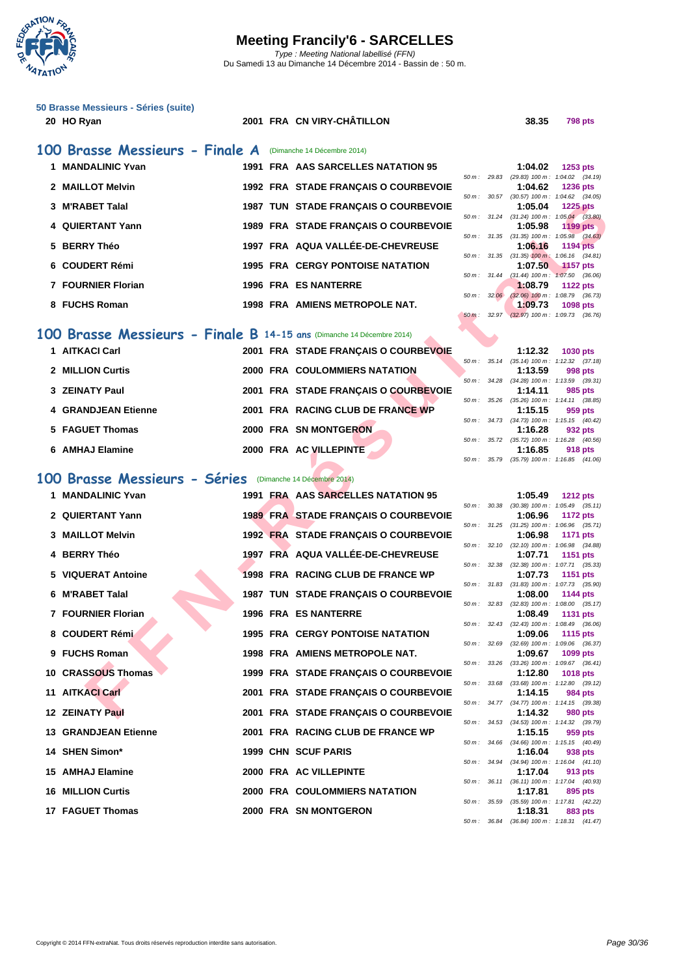

| 50 Brasse Messieurs - Séries (suite)<br>20 HO Ryan | 2001 FRA CN VIRY-CHÂTILLON                                            | 38.35                                                              | <b>798 pts</b>  |
|----------------------------------------------------|-----------------------------------------------------------------------|--------------------------------------------------------------------|-----------------|
| 100 Brasse Messieurs - Finale A                    | (Dimanche 14 Décembre 2014)                                           |                                                                    |                 |
| 1 MANDALINIC Yvan                                  | 1991 FRA AAS SARCELLES NATATION 95                                    | 1:04.02                                                            | 1253 $pts$      |
| 2 MAILLOT Melvin                                   | 1992 FRA STADE FRANÇAIS O COURBEVOIE                                  | 50 m: 29.83 (29.83) 100 m: 1:04.02 (34.19)<br>1:04.62              | <b>1236 pts</b> |
| 3 M'RABET Talal                                    | 1987 TUN STADE FRANÇAIS O COURBEVOIE                                  | 50 m: 30.57 (30.57) 100 m: 1:04.62 (34.05)<br>1:05.04              | <b>1225 pts</b> |
|                                                    |                                                                       | 50 m: 31.24 (31.24) 100 m: 1:05.04 (33.80)                         |                 |
| 4 QUIERTANT Yann                                   | 1989 FRA STADE FRANÇAIS O COURBEVOIE                                  | 1:05.98<br>50 m: 31.35 (31.35) 100 m: 1:05.98 (34.63)              | 1199 pts        |
| 5 BERRY Théo                                       | 1997 FRA AQUA VALLÉE-DE-CHEVREUSE                                     | 1:06.16<br>50 m: 31.35 (31.35) 100 m: 1:06.16 (34.81)              | <b>1194 pts</b> |
| 6 COUDERT Rémi                                     | <b>1995 FRA CERGY PONTOISE NATATION</b>                               | 1:07.50                                                            | <b>1157 pts</b> |
| 7 FOURNIER Florian                                 | <b>1996 FRA ES NANTERRE</b>                                           | $(31.44)$ 100 m : 1:07.50 $(36.06)$<br>$50 m$ : $31.44$<br>1:08.79 | 1122 pts        |
| 8 FUCHS Roman                                      | 1998 FRA AMIENS METROPOLE NAT.                                        | 50 m: 32.06<br>$(32.06)$ 100 m : 1:08.79 $(36.73)$<br>1:09.73      | 1098 pts        |
|                                                    |                                                                       | $50 m$ : 32.97<br>$(32.97)$ 100 m : 1:09.73 $(36.76)$              |                 |
|                                                    | 100 Brasse Messieurs - Finale B 14-15 ans (Dimanche 14 Décembre 2014) |                                                                    |                 |
| 1 AITKACI Carl                                     | 2001 FRA STADE FRANÇAIS O COURBEVOIE                                  | 1:12.32                                                            | 1030 pts        |
| 2 MILLION Curtis                                   | <b>2000 FRA COULOMMIERS NATATION</b>                                  | 50 m: 35.14 (35.14) 100 m: 1:12.32 (37.18)<br>1:13.59              | 998 pts         |
|                                                    |                                                                       | (34.28) 100 m: 1:13.59 (39.31)<br>50 m :<br>34.28                  |                 |
| 3 ZEINATY Paul                                     | 2001 FRA STADE FRANÇAIS O COURBEVOIE                                  | 1:14.11<br>50 m: 35.26<br>(35.26) 100 m: 1:14.11 (38.85)           | 985 pts         |
| <b>4 GRANDJEAN Etienne</b>                         | 2001 FRA RACING CLUB DE FRANCE WP                                     | 1:15.15<br>50 m: 34.73 (34.73) 100 m: 1:15.15 (40.42)              | 959 pts         |
| 5 FAGUET Thomas                                    | 2000 FRA SN MONTGERON                                                 | 1:16.28                                                            | 932 pts         |
| 6 AMHAJ Elamine                                    | 2000 FRA AC VILLEPINTE                                                | 35.72 (35.72) 100 m : 1:16.28 (40.56)<br>50 m :<br>1:16.85         | 918 pts         |
|                                                    |                                                                       | 50 m: 35.79 (35.79) 100 m: 1:16.85 (41.06)                         |                 |
| 100 Brasse Messieurs - Séries                      | (Dimanche 14 Décembre 2014)                                           |                                                                    |                 |
| 1 MANDALINIC Yvan                                  | 1991 FRA AAS SARCELLES NATATION 95                                    | 1:05.49                                                            | <b>1212 pts</b> |
| 2 QUIERTANT Yann                                   | <b>1989 FRA STADE FRANÇAIS O COURBEVOIE</b>                           | $(30.38)$ 100 m : 1:05.49 $(35.11)$<br>50 m: 30.38<br>1:06.96      | 1172 pts        |
| 3 MAILLOT Melvin                                   | 1992 FRA STADE FRANÇAIS O COURBEVOIE                                  | 50 m: 31.25 (31.25) 100 m: 1:06.96 (35.71)<br>1:06.98              | 1171 pts        |
| <b>BERRY Théo</b>                                  | 1997 FRA AQUA VALLÉE-DE-CHEVREUSE                                     | 50 m: 32.10 (32.10) 100 m: 1:06.98 (34.88)                         |                 |
| 4                                                  |                                                                       | 1:07.71<br>50 m: 32.38 (32.38) 100 m: 1:07.71 (35.33)              | 1151 pts        |
| <b>VIQUERAT Antoine</b><br>5                       | 1998 FRA RACING CLUB DE FRANCE WP                                     | 1:07.73<br>50 m: 31.83 (31.83) 100 m: 1:07.73 (35.90)              | 1151 pts        |
| <b>M'RABET Talal</b><br>6                          | 1987 TUN STADE FRANÇAIS O COURBEVOIE                                  | 1:08.00                                                            | 1144 pts        |
| 7 FOURNIER Florian                                 | <b>1996 FRA ES NANTERRE</b>                                           | 50 m: 32.83 (32.83) 100 m: 1:08.00 (35.17)<br>1:08.49              | 1131 pts        |
| 8 COUDERT Rémi                                     | <b>1995 FRA CERGY PONTOISE NATATION</b>                               | 50 m : 32.43 (32.43) 100 m : 1:08.49 (36.06)<br>1:09.06            | <b>1115 pts</b> |
|                                                    |                                                                       | (32.69) 100 m: 1:09.06 (36.37)<br>50 m: 32.69                      |                 |
| 9 FUCHS Roman                                      | 1998 FRA AMIENS METROPOLE NAT.                                        | 1:09.67<br>50 m: 33.26 (33.26) 100 m: 1:09.67 (36.41)              | 1099 pts        |
| 10 CRASSOUS Thomas                                 | 1999 FRA STADE FRANÇAIS O COURBEVOIE                                  | 1:12.80<br>50 m: 33.68 (33.68) 100 m: 1:12.80 (39.12)              | 1018 pts        |
| 11 AITKACI Carl                                    | 2001 FRA STADE FRANÇAIS O COURBEVOIE                                  | 1:14.15                                                            | 984 pts         |
| 12 ZEINATY Paul                                    | 2001 FRA STADE FRANÇAIS O COURBEVOIE                                  | 50 m: 34.77 (34.77) 100 m: 1:14.15 (39.38)<br>1:14.32              | 980 pts         |

|                     |                                      |  | 50 m : 34.28 (34.28) 100 m : 1:13.59 (39.       |
|---------------------|--------------------------------------|--|-------------------------------------------------|
| 3 ZEINATY Paul      | 2001 FRA STADE FRANCAIS O COURBEVOIE |  | 1:14.11<br>985 pts                              |
|                     |                                      |  | 50 m: 35.26 (35.26) 100 m: 1:14.11 (38.8        |
| 4 GRANDJEAN Etienne | 2001 FRA RACING CLUB DE FRANCE WP    |  | 1:15.15<br>959 pts                              |
|                     |                                      |  | 50 m: 34.73 (34.73) 100 m: 1:15.15 (40.         |
| 5 FAGUET Thomas     | 2000 FRA SN MONTGERON                |  | 1:16.28<br>932 pts                              |
|                     |                                      |  | 50 m: 35.72 (35.72) 100 m: 1:16.28 (40.         |
| 6 AMHAJ Elamine     | 2000 FRA AC VILLEPINTE               |  | 1:16.85<br>918 pts                              |
|                     |                                      |  | $50 m$ $25 70$ $(25 70) 100 m$ $1.16 85$ $(41)$ |

# **100 Brasse Messieurs - Séries** (Dimanche 14 Décembre 2014)

| 1 MANDALINIC Yvan           |  | 1991 FRA AAS SARCELLES NATATION 95          |  | 1:05.49                                            | <b>1212 pts</b> |  |
|-----------------------------|--|---------------------------------------------|--|----------------------------------------------------|-----------------|--|
| 2 QUIERTANT Yann            |  | <b>1989 FRA STADE FRANÇAIS O COURBEVOIE</b> |  | 50 m: 30.38 (30.38) 100 m: 1:05.49 (35.<br>1:06.96 | 1172 pts        |  |
|                             |  |                                             |  | 50 m: 31.25 (31.25) 100 m: 1:06.96 (35.            |                 |  |
| 3 MAILLOT Melvin            |  | 1992 FRA STADE FRANÇAIS O COURBEVOIE        |  | 1:06.98                                            | 1171 pts        |  |
| 4 BERRY Théo                |  | 1997 FRA AQUA VALLÉE-DE-CHEVREUSE           |  | 50 m: 32.10 (32.10) 100 m: 1:06.98 (34.<br>1:07.71 | 1151 pts        |  |
|                             |  |                                             |  | 50 m: 32.38 (32.38) 100 m: 1:07.71 (35.            |                 |  |
| 5 VIQUERAT Antoine          |  | 1998 FRA RACING CLUB DE FRANCE WP           |  | 1:07.73                                            | 1151 pts        |  |
|                             |  |                                             |  | 50 m: 31.83 (31.83) 100 m: 1:07.73 (35.9           |                 |  |
| 6 M'RABET Talal             |  | 1987 TUN STADE FRANÇAIS O COURBEVOIE        |  | 1:08.00                                            | 1144 pts        |  |
|                             |  |                                             |  | 50 m: 32.83 (32.83) 100 m: 1:08.00 (35.            |                 |  |
| 7 FOURNIER Florian          |  | <b>1996 FRA ES NANTERRE</b>                 |  | 1:08.49                                            | 1131 pts        |  |
| 8 COUDERT Rémi              |  | <b>1995 FRA CERGY PONTOISE NATATION</b>     |  | 50 m: 32.43 (32.43) 100 m: 1:08.49 (36.<br>1:09.06 | 1115 pts        |  |
|                             |  |                                             |  | 50 m: 32.69 (32.69) 100 m: 1:09.06 (36.            |                 |  |
| 9 FUCHS Roman               |  | 1998 FRA AMIENS METROPOLE NAT.              |  | 1:09.67                                            | 1099 pts        |  |
|                             |  |                                             |  | 50 m: 33.26 (33.26) 100 m: 1:09.67 (36.            |                 |  |
| 10 CRASSOUS Thomas          |  | 1999 FRA STADE FRANÇAIS O COURBEVOIE        |  | 1:12.80                                            | <b>1018 pts</b> |  |
|                             |  |                                             |  | 50 m: 33.68 (33.68) 100 m: 1:12.80 (39.            |                 |  |
| 11 AITKACI Carl             |  | 2001 FRA STADE FRANÇAIS O COURBEVOIE        |  | 1:14.15                                            | 984 pts         |  |
| 12 ZEINATY Paul             |  | 2001 FRA STADE FRANÇAIS O COURBEVOIE        |  | 50 m: 34.77 (34.77) 100 m: 1:14.15 (39.<br>1:14.32 | <b>980 pts</b>  |  |
|                             |  |                                             |  | 50 m: 34.53 (34.53) 100 m: 1:14.32 (39.            |                 |  |
| <b>13 GRANDJEAN Etienne</b> |  | 2001 FRA RACING CLUB DE FRANCE WP           |  | 1:15.15                                            | 959 pts         |  |
|                             |  |                                             |  | 50 m: 34.66 (34.66) 100 m: 1:15.15 (40.            |                 |  |
| 14 SHEN Simon*              |  | 1999 CHN SCUF PARIS                         |  | 1:16.04                                            | 938 pts         |  |
|                             |  |                                             |  | 50 m: 34.94 (34.94) 100 m: 1:16.04 (41.            |                 |  |
| 15 AMHAJ Elamine            |  | 2000 FRA AC VILLEPINTE                      |  | 1:17.04<br>50 m: 36.11 (36.11) 100 m: 1:17.04 (40. | 913 pts         |  |
| <b>16 MILLION Curtis</b>    |  | 2000 FRA COULOMMIERS NATATION               |  | 1:17.81                                            | 895 pts         |  |
|                             |  |                                             |  | 50 m: 35.59 (35.59) 100 m: 1:17.81 (42.            |                 |  |
| 17 FAGUET Thomas            |  | 2000 FRA SN MONTGERON                       |  | 1:18.31                                            | 883 pts         |  |

|          |       | 1:04.02                             | <b>1253 pts</b>     |  |
|----------|-------|-------------------------------------|---------------------|--|
| $50 m$ : | 29.83 | $(29.83)$ 100 m :                   | $1:04.02$ $(34.19)$ |  |
|          |       | 1:04.62 1236 pts                    |                     |  |
| $50 m$ : | 30.57 | $(30.57)$ 100 m :                   | $1:04.62$ $(34.05)$ |  |
|          |       | $1:05.04$ 1225 pts                  |                     |  |
| 50 m :   | 31.24 | $(31.24)$ 100 m :                   | $1:05.04$ $(33.80)$ |  |
|          |       | $1:05.98$ 1199 pts                  |                     |  |
| $50 m$ : | 31.35 | $(31.35)$ 100 m :                   | $1:05.98$ (34.63)   |  |
|          |       | $1:06.16$ 1194 pts                  |                     |  |
| $50 m$ : | 31.35 | $(31.35)$ 100 m:                    | $1:06.16$ $(34.81)$ |  |
|          |       | $1:07.50$ 1157 pts                  |                     |  |
| $50 m$ : | 31.44 | $(31.44) 100 m$ :                   | $1:07.50$ $(36.06)$ |  |
|          |       | $1:08.79$ 1122 pts                  |                     |  |
| $50 m$ : | 32.06 | $(32.06)$ 100 m :                   | 1:08.79 (36.73)     |  |
|          |       | 1:09.73 1098 pts                    |                     |  |
| $50m$ :  | 32.97 | $(32.97)$ 100 m : 1:09.73 $(36.76)$ |                     |  |
|          |       |                                     |                     |  |

|          |                        |         | $1:12.32$ 1030 pts                         |
|----------|------------------------|---------|--------------------------------------------|
|          |                        |         | 50 m: 35.14 (35.14) 100 m: 1:12.32 (37.18) |
|          |                        | 1:13.59 | 998 pts                                    |
| $50 m$ : | 34.28                  |         | $(34.28)$ 100 m : 1:13.59 $(39.31)$        |
|          |                        |         | $1:14.11$ 985 pts                          |
|          | 50 m : 35.26           |         | $(35.26)$ 100 m : 1:14.11 $(38.85)$        |
|          |                        |         | $1:15.15$ 959 pts                          |
|          | $50 \text{ m}$ : 34.73 |         | $(34.73)$ 100 m : 1:15.15 $(40.42)$        |
|          |                        |         | $1:16.28$ 932 pts                          |
| $50 m$ : | 35.72                  |         | $(35.72)$ 100 m : 1:16.28 $(40.56)$        |
|          |                        |         | $1:16.85$ 918 pts                          |
| $50 m$ : | 35.79                  |         | $(35.79)$ 100 m : 1:16.85 $(41.06)$        |

|          |       | 1:05.49           | <b>1212 pts</b>     |
|----------|-------|-------------------|---------------------|
| $50 m$ : | 30.38 | $(30.38) 100 m$ : | $1:05.49$ $(35.11)$ |
|          |       | 1:06.96           | <b>1172 pts</b>     |
| $50 m$ : | 31.25 | $(31.25)$ 100 m : | (35.71)<br>1:06.96  |
|          |       | 1:06.98           | <b>1171 pts</b>     |
| 50 m :   | 32.10 | $(32.10)$ 100 m : | 1:06.98 (34.88)     |
|          |       | 1:07.71           | 1151<br>pts         |
| 50 m :   | 32.38 | $(32.38) 100 m$ : | (35.33)<br>1:07.71  |
|          |       | 1:07.73           | 1151 pts            |
| $50m$ :  | 31.83 | $(31.83) 100 m$ : | 1:07.73<br>(35.90)  |
|          |       | 1:08.00           | 1144 pts            |
| 50 m :   | 32.83 | $(32.83) 100 m$ : | $1:08.00$ $(35.17)$ |
|          |       | 1:08.49           | 1131 pts            |
| 50 m :   | 32.43 | $(32.43)$ 100 m : | (36.06)<br>1:08.49  |
|          |       | 1:09.06           | 1115 pts            |
| 50 m :   | 32.69 | $(32.69)$ 100 m : | 1:09.06<br>(36.37)  |
|          |       | 1:09.67           | 1099 pts            |
| 50 m :   | 33.26 | $(33.26)$ 100 m : | $1:09.67$ $(36.41)$ |
|          |       | 1:12.80           | <b>1018 pts</b>     |
| 50 m :   | 33.68 | $(33.68) 100 m$ : | 1:12.80<br>(39.12)  |
|          |       | 1:14.15           | 984 pts             |
| 50 m :   | 34.77 | $(34.77) 100 m$ : | 1:14.15 (39.38)     |
|          |       | 1:14.32           | 980 pts             |
| 50 m :   | 34.53 | $(34.53) 100 m$ : | $1:14.32$ $(39.79)$ |
|          |       | 1:15.15           | 959 pts             |
| 50 m :   | 34.66 | $(34.66)$ 100 m : | (40.49)<br>1:15.15  |
|          |       | 1:16.04           | 938 pts             |
| 50 m :   | 34.94 | $(34.94)$ 100 m : | (41.10)<br>1:16.04  |
|          |       | 1:17.04           | 913 pts             |
| $50 m$ : | 36.11 | $(36.11)$ 100 m : | 1:17.04 (40.93)     |
|          |       | 1:17.81           | 895 pts             |
| $50 m$ : | 35.59 | $(35.59) 100 m$ : | 1:17.81<br>(42.22)  |
|          |       | 1:18.31           | 883 pts             |
| $50 m$ : | 36.84 | $(36.84) 100 m$ : | $1:18.31$ $(41.47)$ |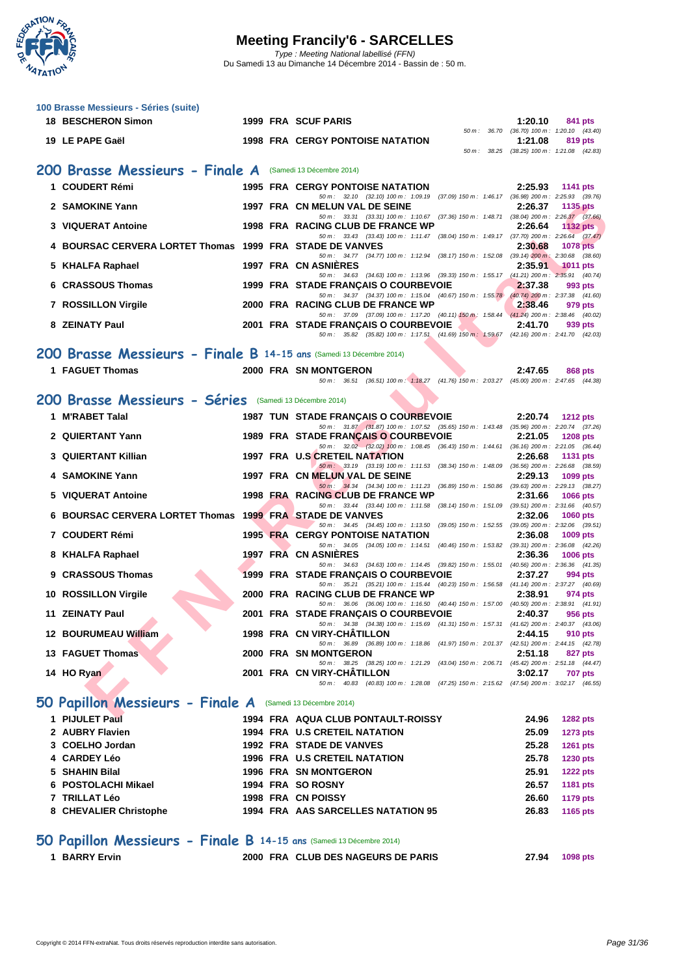

| 100 Brasse Messieurs - Séries (suite)<br><b>18 BESCHERON Simon</b>   |  | 1999 FRA SCUF PARIS                                                                                                                 | 1:20.10        | 841 pts                                               |
|----------------------------------------------------------------------|--|-------------------------------------------------------------------------------------------------------------------------------------|----------------|-------------------------------------------------------|
| 19 LE PAPE Gaël                                                      |  | <b>1998 FRA CERGY PONTOISE NATATION</b>                                                                                             |                | 50 m: 36.70 (36.70) 100 m: 1:20.10 (43.40)            |
|                                                                      |  |                                                                                                                                     | 1:21.08        | 819 pts<br>50 m: 38.25 (38.25) 100 m: 1:21.08 (42.83) |
| 200 Brasse Messieurs - Finale A (Samedi 13 Décembre 2014)            |  |                                                                                                                                     |                |                                                       |
| 1 COUDERT Rémi                                                       |  | <b>1995 FRA CERGY PONTOISE NATATION</b>                                                                                             | 2:25.93        | <b>1141 pts</b>                                       |
| 2 SAMOKINE Yann                                                      |  | 50 m: 32.10 (32.10) 100 m: 1:09.19 (37.09) 150 m: 1:46.17 (36.98) 200 m: 2:25.93 (39.76)<br>1997 FRA CN MELUN VAL DE SEINE          | 2:26.37        | 1135 pts                                              |
| 3 VIQUERAT Antoine                                                   |  | 50 m: 33.31 (33.31) 100 m: 1:10.67 (37.36) 150 m: 1:48.71 (38.04) 200 m: 2:26.37 (37.66)<br>1998 FRA RACING CLUB DE FRANCE WP       |                |                                                       |
|                                                                      |  | 50 m: 33.43 (33.43) 100 m: 1:11.47 (38.04) 150 m: 1:49.17 (37.70) 200 m: 2:26.64 (37.47)                                            | 2:26.64        | 1132 pts                                              |
| 4 BOURSAC CERVERA LORTET Thomas 1999 FRA STADE DE VANVES             |  | 50 m: 34.77 (34.77) 100 m: 1:12.94 (38.17) 150 m: 1:52.08 (39.14) 200 m: 2:30.68 (38.60)                                            | 2:30.68        | <b>1078 pts</b>                                       |
| 5 KHALFA Raphael                                                     |  | 1997 FRA CN ASNIERES<br>50 m: 34.63 (34.63) 100 m: 1:13.96 (39.33) 150 m: 1:55.17 (41.21) 200 m: 2:35.91 (40.74)                    | 2:35.91        | <b>1011 pts</b>                                       |
| 6 CRASSOUS Thomas                                                    |  | 1999 FRA STADE FRANÇAIS O COURBEVOIE                                                                                                | 2:37.38        | 993 pts                                               |
| 7 ROSSILLON Virgile                                                  |  | 50 m: 34.37 (34.37) 100 m: 1:15.04 (40.67) 150 m: 1:55.78 (40.74) 200 m: 2:37.38 (41.60)<br>2000 FRA RACING CLUB DE FRANCE WP       | 2:38.46        | 979 pts                                               |
| 8 ZEINATY Paul                                                       |  | 50 m: 37.09 (37.09) 100 m: 1:17.20 (40.11) 150 m: 1:58.44 (41.24) 200 m: 2:38.46 (40.02)<br>2001 FRA STADE FRANÇAIS O COURBEVOIE    | 2:41.70        | 939 pts                                               |
|                                                                      |  | 50 m: 35.82 (35.82) 100 m: 1:17.51 (41.69) 150 m: 1:59.67 (42.16) 200 m: 2:41.70 (42.03)                                            |                |                                                       |
| 200 Brasse Messieurs - Finale B 14-15 ans (Samedi 13 Décembre 2014)  |  |                                                                                                                                     |                |                                                       |
| 1 FAGUET Thomas                                                      |  | 2000 FRA SN MONTGERON                                                                                                               | 2:47.65        | 868 pts                                               |
|                                                                      |  | 50 m: 36.51 (36.51) 100 m: 1:18.27 (41.76) 150 m: 2:03.27 (45.00) 200 m: 2:47.65 (44.38)                                            |                |                                                       |
| 200 Brasse Messieurs - Séries (Samedi 13 Décembre 2014)              |  |                                                                                                                                     |                |                                                       |
| 1 M'RABET Talal                                                      |  | 1987 TUN STADE FRANÇAIS O COURBEVOIE<br>50 m: 31.87 (31.87) 100 m: 1:07.52 (35.65) 150 m: 1:43.48 (35.96) 200 m: 2:20.74 (37.26)    | 2:20.74        | <b>1212 pts</b>                                       |
| 2 QUIERTANT Yann                                                     |  | 1989 FRA STADE FRANÇAIS O COURBEVOIE<br>50 m: 32.02 (32.02) 100 m: 1:08.45 (36.43) 150 m: 1:44.61 (36.16) 200 m: 2:21.05 (36.44)    | 2:21.05        | <b>1208 pts</b>                                       |
| 3 QUIERTANT Killian                                                  |  | 1997 FRA U.S CRETEIL NATATION<br>50 m: 33.19 (33.19) 100 m: 1:11.53 (38.34) 150 m: 1:48.09 (36.56) 200 m: 2:26.68 (38.59)           | 2:26.68        | <b>1131 pts</b>                                       |
| 4 SAMOKINE Yann                                                      |  | 1997 FRA CN MELUN VAL DE SEINE                                                                                                      | 2:29.13        | 1099 pts                                              |
| <b>VIQUERAT Antoine</b><br>5                                         |  | 50 m: 34.34 (34.34) 100 m: 1:11.23 (36.89) 150 m: 1:50.86 (39.63) 200 m: 2:29.13 (38.27)<br>1998 FRA RACING CLUB DE FRANCE WP       | 2:31.66        | <b>1066 pts</b>                                       |
| 6 BOURSAC CERVERA LORTET Thomas 1999 FRA STADE DE VANVES             |  | 50 m: 33.44 (33.44) 100 m: 1:11.58 (38.14) 150 m: 1:51.09 (39.51) 200 m: 2:31.66 (40.57)                                            | 2:32.06        | <b>1060 pts</b>                                       |
| 7 COUDERT Rémi                                                       |  | 50 m: 34.45 (34.45) 100 m: 1:13.50 (39.05) 150 m: 1:52.55 (39.05) 200 m: 2:32.06 (39.51)<br><b>1995 FRA CERGY PONTOISE NATATION</b> | 2:36.08        | 1009 pts                                              |
|                                                                      |  | 50 m: 34.05 (34.05) 100 m: 1:14.51 (40.46) 150 m: 1:53.82 (39.31) 200 m: 2:36.08 (42.26)                                            |                |                                                       |
| 8 KHALFA Raphael                                                     |  | 1997 FRA CN ASNIERES<br>50 m : 34.63 (34.63) 100 m : 1:14.45 (39.82) 150 m : 1:55.01 (40.56) 200 m : 2:36.36 (41.35)                | 2:36.36        | 1006 pts                                              |
| 9 CRASSOUS Thomas                                                    |  | 1999 FRA STADE FRANÇAIS O COURBEVOIE<br>50 m: 35.21 (35.21) 100 m: 1:15.44 (40.23) 150 m: 1:56.58 (41.14) 200 m: 2:37.27 (40.69)    | 2:37.27        | 994 pts                                               |
| 10 ROSSILLON Virgile                                                 |  | 2000 FRA RACING CLUB DE FRANCE WP<br>50 m: 36.06 (36.06) 100 m: 1:16.50 (40.44) 150 m: 1:57.00 (40.50) 200 m: 2:38.91 (41.91)       | 2:38.91        | 974 pts                                               |
| 11 ZEINATY Paul                                                      |  | 2001 FRA STADE FRANÇAIS O COURBEVOIE 2:40.37                                                                                        |                | 956 pts                                               |
| 12 BOURUMEAU William                                                 |  | 50 m: 34.38 (34.38) 100 m: 1:15.69 (41.31) 150 m: 1:57.31 (41.62) 200 m: 2:40.37 (43.06)<br>1998 FRA CN VIRY-CHATILLON              | 2:44.15        | 910 pts                                               |
| 13 FAGUET Thomas                                                     |  | 50 m: 36.89 (36.89) 100 m: 1:18.86 (41.97) 150 m: 2:01.37 (42.51) 200 m: 2:44.15 (42.78)<br>2000 FRA SN MONTGERON                   | 2:51.18        | 827 pts                                               |
|                                                                      |  | 50 m: 38.25 (38.25) 100 m: 1:21.29 (43.04) 150 m: 2:06.71 (45.42) 200 m: 2:51.18 (44.47)                                            |                |                                                       |
| 14 HO Ryan                                                           |  | 2001 FRA CN VIRY-CHATILLON<br>50 m: 40.83 (40.83) 100 m: 1:28.08 (47.25) 150 m: 2:15.62 (47.54) 200 m: 3:02.17 (46.55)              | 3:02.17        | <b>707 pts</b>                                        |
| 50 Papillon Messieurs - Finale A (Samedi 13 Décembre 2014)           |  |                                                                                                                                     |                |                                                       |
| 1 PIJULET Paul                                                       |  | 1994 FRA AQUA CLUB PONTAULT-ROISSY                                                                                                  | 24.96          | <b>1282 pts</b>                                       |
| 2 AUBRY Flavien                                                      |  | 1994 FRA U.S CRETEIL NATATION                                                                                                       | 25.09          | <b>1273 pts</b>                                       |
| 3 COELHO Jordan                                                      |  | 1992 FRA STADE DE VANVES                                                                                                            | 25.28          | <b>1261 pts</b>                                       |
| 4 CARDEY Léo<br>5 SHAHIN Bilal                                       |  | 1996 FRA U.S CRETEIL NATATION<br>1996 FRA SN MONTGERON                                                                              | 25.78<br>25.91 | <b>1230 pts</b><br><b>1222 pts</b>                    |
| 6 POSTOLACHI Mikael                                                  |  | 1994 FRA SO ROSNY                                                                                                                   | 26.57          | <b>1181 pts</b>                                       |
| 7 TRILLAT Léo                                                        |  | 1998 FRA CN POISSY                                                                                                                  | 26.60          | <b>1179 pts</b>                                       |
| 8 CHEVALIER Christophe                                               |  | 1994 FRA AAS SARCELLES NATATION 95                                                                                                  | 26.83          | 1165 pts                                              |
| 50 Papillon Messieurs - Finale B 14-15 ans (Samedi 13 Décembre 2014) |  |                                                                                                                                     |                |                                                       |
| 1 BARRY Ervin                                                        |  | 2000 FRA CLUB DES NAGEURS DE PARIS                                                                                                  | 27.94          | 1098 pts                                              |
|                                                                      |  |                                                                                                                                     |                |                                                       |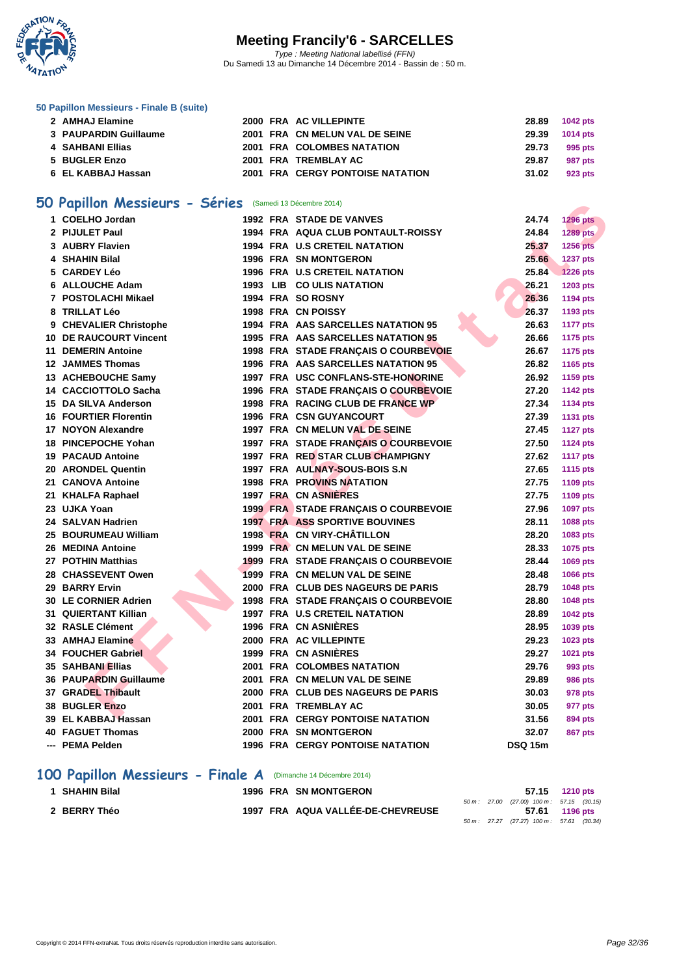

#### **[50 Papillo](http://www.ffnatation.fr/webffn/index.php)n Messieurs - Finale B (suite)**

| 2 AMHAJ Elamine       |  | 2000 FRA AC VILLEPINTE                  |                | 28.89 1042 pts |
|-----------------------|--|-----------------------------------------|----------------|----------------|
| 3 PAUPARDIN Guillaume |  | 2001 FRA CN MELUN VAL DE SEINE          | 29.39 1014 pts |                |
| 4   SAHBANI Ellias    |  | 2001 FRA COLOMBES NATATION              | 29.73          | 995 pts        |
| 5 BUGLER Enzo         |  | 2001 FRA TREMBLAY AC                    | 29.87          | 987 pts        |
| 6 EL KABBAJ Hassan    |  | <b>2001 FRA CERGY PONTOISE NATATION</b> | 31.02          | 923 pts        |

#### **50 Papillon Messieurs - Séries** (Samedi 13 Décembre 2014)

| U Papillon Messieurs - Series (Samedi 13 Décembre 2014) |  |                                         |                |                 |
|---------------------------------------------------------|--|-----------------------------------------|----------------|-----------------|
| 1 COELHO Jordan                                         |  | 1992 FRA STADE DE VANVES                | 24.74          | <b>1296 pts</b> |
| 2 PIJULET Paul                                          |  | 1994 FRA AQUA CLUB PONTAULT-ROISSY      | 24.84          | <b>1289 pts</b> |
| 3 AUBRY Flavien                                         |  | <b>1994 FRA U.S CRETEIL NATATION</b>    | 25.37          | <b>1256 pts</b> |
| 4 SHAHIN Bilal                                          |  | <b>1996 FRA SN MONTGERON</b>            | 25.66          | <b>1237 pts</b> |
| 5 CARDEY Léo                                            |  | <b>1996 FRA U.S CRETEIL NATATION</b>    | 25.84          | <b>1226 pts</b> |
| 6 ALLOUCHE Adam                                         |  | 1993 LIB COULIS NATATION                | 26.21          | 1203 pts        |
| 7 POSTOLACHI Mikael                                     |  | 1994 FRA SO ROSNY                       | 26.36          | 1194 pts        |
| 8 TRILLAT Léo                                           |  | 1998 FRA CN POISSY                      | 26.37          | 1193 pts        |
| 9 CHEVALIER Christophe                                  |  | 1994 FRA AAS SARCELLES NATATION 95      | 26.63          | <b>1177 pts</b> |
| 10 DE RAUCOURT Vincent                                  |  | 1995 FRA AAS SARCELLES NATATION 95      | 26.66          | 1175 pts        |
| 11 DEMERIN Antoine                                      |  | 1998 FRA STADE FRANCAIS O COURBEVOIE    | 26.67          | 1175 pts        |
| <b>12 JAMMES Thomas</b>                                 |  | 1996 FRA AAS SARCELLES NATATION 95      | 26.82          | 1165 pts        |
| 13 ACHEBOUCHE Samy                                      |  | 1997 FRA USC CONFLANS-STE-HONORINE      | 26.92          | 1159 pts        |
| 14 CACCIOTTOLO Sacha                                    |  | 1996 FRA STADE FRANÇAIS O COURBEVOIE    | 27.20          | <b>1142 pts</b> |
| 15 DA SILVA Anderson                                    |  | 1998 FRA RACING CLUB DE FRANCE WP       | 27.34          | 1134 pts        |
| <b>16 FOURTIER Florentin</b>                            |  | <b>1996 FRA CSN GUYANCOURT</b>          | 27.39          | <b>1131 pts</b> |
| 17 NOYON Alexandre                                      |  | 1997 FRA CN MELUN VAL DE SEINE          | 27.45          | <b>1127 pts</b> |
| 18 PINCEPOCHE Yohan                                     |  | 1997 FRA STADE FRANÇAIS O COURBEVOIE    | 27.50          | <b>1124 pts</b> |
| <b>19 PACAUD Antoine</b>                                |  | 1997 FRA RED STAR CLUB CHAMPIGNY        | 27.62          | <b>1117 pts</b> |
| 20 ARONDEL Quentin                                      |  | 1997 FRA AULNAY-SOUS-BOIS S.N           | 27.65          | 1115 pts        |
| 21 CANOVA Antoine                                       |  | <b>1998 FRA PROVINS NATATION</b>        | 27.75          | 1109 pts        |
| 21 KHALFA Raphael                                       |  | 1997 FRA CN ASNIERES                    | 27.75          | 1109 pts        |
| 23 UJKA Yoan                                            |  | 1999 FRA STADE FRANÇAIS O COURBEVOIE    | 27.96          | <b>1097 pts</b> |
| 24 SALVAN Hadrien                                       |  | <b>1997 FRA ASS SPORTIVE BOUVINES</b>   | 28.11          | 1088 pts        |
| 25 BOURUMEAU William                                    |  | 1998 FRA CN VIRY-CHÂTILLON              | 28.20          | 1083 pts        |
| 26 MEDINA Antoine                                       |  | 1999 FRA CN MELUN VAL DE SEINE          | 28.33          | 1075 pts        |
| 27 POTHIN Matthias                                      |  | 1999 FRA STADE FRANÇAIS O COURBEVOIE    | 28.44          | <b>1069 pts</b> |
| 28 CHASSEVENT Owen                                      |  | 1999 FRA CN MELUN VAL DE SEINE          | 28.48          | 1066 pts        |
| 29 BARRY Ervin                                          |  | 2000 FRA CLUB DES NAGEURS DE PARIS      | 28.79          | 1048 pts        |
| 30 LE CORNIER Adrien                                    |  | 1998 FRA STADE FRANÇAIS O COURBEVOIE    | 28.80          | 1048 pts        |
| 31 QUIERTANT Killian                                    |  | <b>1997 FRA U.S CRETEIL NATATION</b>    | 28.89          | 1042 pts        |
| 32 RASLE Clément                                        |  | 1996 FRA CN ASNIÈRES                    | 28.95          | 1039 pts        |
| 33 AMHAJ Elamine                                        |  | 2000 FRA AC VILLEPINTE                  | 29.23          | 1023 pts        |
| <b>34 FOUCHER Gabriel</b>                               |  | 1999 FRA CN ASNIERES                    | 29.27          | <b>1021 pts</b> |
| 35 SAHBANI Ellias                                       |  | 2001 FRA COLOMBES NATATION              | 29.76          | 993 pts         |
| 36 PAUPARDIN Guillaume                                  |  | 2001 FRA CN MELUN VAL DE SEINE          | 29.89          | <b>986 pts</b>  |
| 37 GRADEL Thibault                                      |  | 2000 FRA CLUB DES NAGEURS DE PARIS      | 30.03          | 978 pts         |
| 38 BUGLER Enzo                                          |  | 2001 FRA TREMBLAY AC                    | 30.05          | 977 pts         |
| 39 EL KABBAJ Hassan                                     |  | <b>2001 FRA CERGY PONTOISE NATATION</b> | 31.56          | 894 pts         |
| <b>40 FAGUET Thomas</b>                                 |  | 2000 FRA SN MONTGERON                   | 32.07          | <b>867 pts</b>  |
| --- PEMA Pelden                                         |  | <b>1996 FRA CERGY PONTOISE NATATION</b> | <b>DSQ 15m</b> |                 |
|                                                         |  |                                         |                |                 |

### **100 Papillon Messieurs - Finale A** (Dimanche 14 Décembre 2014)

| 1 SHAHIN Bilal |  | <b>1996 FRA SN MONTGERON</b>      |  | 57.15 1210 pts                           |  |
|----------------|--|-----------------------------------|--|------------------------------------------|--|
|                |  |                                   |  | 50 m: 27.00 (27.00) 100 m: 57.15 (30.15) |  |
| 2 BERRY Théo   |  | 1997 FRA AQUA VALLÉE-DE-CHEVREUSE |  | 57.61 1196 pts                           |  |
|                |  |                                   |  | 50 m: 27.27 (27.27) 100 m: 57.61 (30.34) |  |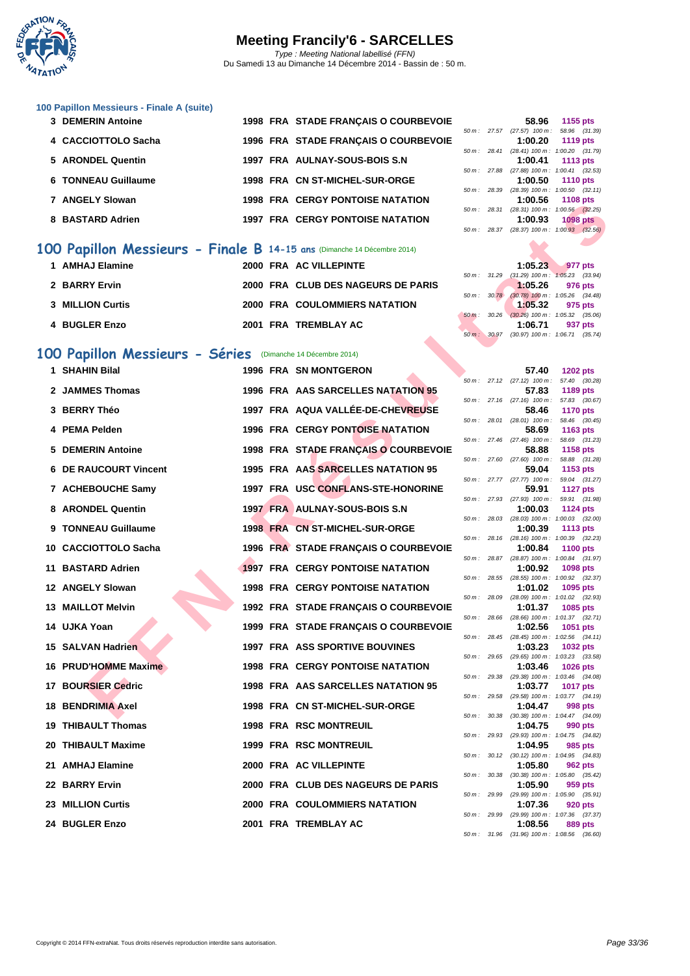

|  |  | 100 Papillon Messieurs - Finale A (suite) |  |  |  |  |
|--|--|-------------------------------------------|--|--|--|--|
|--|--|-------------------------------------------|--|--|--|--|

| 3 DEMERIN Antoine   |  | 1998 FRA STADE FRANCAIS O COURBEVOIE    |                |                          | 58.96                                                             | 1155 pts        |
|---------------------|--|-----------------------------------------|----------------|--------------------------|-------------------------------------------------------------------|-----------------|
|                     |  |                                         |                | $50 \text{ m}$ : 27.57   | $(27.57)$ 100 m : 58.96 $(31.5)$                                  |                 |
| 4 CACCIOTTOLO Sacha |  | 1996 FRA STADE FRANCAIS O COURBEVOIE    |                |                          | 1:00.20                                                           | <b>1119 pts</b> |
|                     |  |                                         |                | $50 \text{ m}$ : 28.41   | $(28.41)$ 100 m : 1:00.20 $(31.$                                  |                 |
| 5 ARONDEL Quentin   |  | 1997 FRA AULNAY-SOUS-BOIS S.N           |                |                          | 1:00.41                                                           | 1113 pts        |
|                     |  |                                         | $50 m$ : 27.88 |                          | $(27.88)$ 100 m : 1:00.41 $(32.8)$                                |                 |
| 6 TONNEAU Guillaume |  | 1998 FRA CN ST-MICHEL-SUR-ORGE          |                |                          | 1:00.50                                                           | 1110 pts        |
|                     |  |                                         |                | $50 \, \text{m}$ : 28.39 | $(28.39)$ 100 m : 1:00.50 $(32.$                                  |                 |
| 7 ANGELY Slowan     |  | <b>1998 FRA CERGY PONTOISE NATATION</b> |                |                          | 1:00.56                                                           | 1108 pts        |
|                     |  |                                         | $50 m$ :       | 28.31                    | $(28.31)$ 100 m : 1:00.56 $(32.3)$                                |                 |
| 8 BASTARD Adrien    |  | <b>1997 FRA CERGY PONTOISE NATATION</b> |                |                          | 1:00.93                                                           | <b>1098 pts</b> |
|                     |  |                                         |                |                          | $50 \text{ m}$ : $28.37$ (28.37) $100 \text{ m}$ : $1:00.93$ (32) |                 |

#### **100 Papillon Messieurs - Finale B 14-15 ans** (Dimanche 14 Décembre 2014)

| 1 AMHAJ Elamine         |  | 2000 FRA AC VILLEPINTE               |  | 1:05.23                                               | 977 pts |  |
|-------------------------|--|--------------------------------------|--|-------------------------------------------------------|---------|--|
| 2 BARRY Ervin           |  | 2000 FRA CLUB DES NAGEURS DE PARIS   |  | 50 m: 31.29 (31.29) 100 m: 1:05.23 (33.<br>1:05.26    | 976 pts |  |
| <b>3 MILLION Curtis</b> |  | <b>2000 FRA COULOMMIERS NATATION</b> |  | 50 m: 30.78 (30.78) 100 m: 1:05.26 (34.4)<br>1:05.32  | 975 pts |  |
| 4 BUGLER Enzo           |  | 2001 FRA TREMBLAY AC                 |  | 50 m : 30.26 (30.26) 100 m : 1:05.32 (35.0<br>1:06.71 | 937 pts |  |

### **100 Papillon Messieurs - Séries** (Dimanche 14 Décembre 2014)

|                                                                        |  |                                         |                |                | 1.00.00                                               | <b>TIVO PLS</b>                  |  |
|------------------------------------------------------------------------|--|-----------------------------------------|----------------|----------------|-------------------------------------------------------|----------------------------------|--|
| 8 BASTARD Adrien                                                       |  | <b>1997 FRA CERGY PONTOISE NATATION</b> |                |                | 50 m: 28.31 (28.31) 100 m: 1:00.56 (32.25)<br>1:00.93 | <b>1098 pts</b>                  |  |
|                                                                        |  |                                         |                | $50 m$ : 28.37 | $(28.37)$ 100 m : 1:00.93 $(32.56)$                   |                                  |  |
| 00 Papillon Messieurs - Finale B 14-15 ans (Dimanche 14 Décembre 2014) |  |                                         |                |                |                                                       |                                  |  |
| 1 AMHAJ Elamine                                                        |  | 2000 FRA AC VILLEPINTE                  |                |                | 1:05.23                                               | 977 pts                          |  |
| 2 BARRY Ervin                                                          |  | 2000 FRA CLUB DES NAGEURS DE PARIS      |                |                | 50 m: 31.29 (31.29) 100 m: 1:05.23 (33.94)<br>1:05.26 | 976 pts                          |  |
|                                                                        |  |                                         | 50 m: 30.78    |                | $(30.78)$ 100 m : 1:05.26 $(34.48)$                   |                                  |  |
| 3 MILLION Curtis                                                       |  | <b>2000 FRA COULOMMIERS NATATION</b>    | $50 m$ :       | 30.26          | 1:05.32<br>$(30.26)$ 100 m : 1:05.32 $(35.06)$        | 975 pts                          |  |
| 4 BUGLER Enzo                                                          |  | 2001 FRA TREMBLAY AC                    |                |                | 1:06.71                                               | 937 pts                          |  |
|                                                                        |  |                                         |                |                | 50 m: 30.97 (30.97) 100 m: 1:06.71 (35.74)            |                                  |  |
| 00 Papillon Messieurs - Séries (Dimanche 14 Décembre 2014)             |  |                                         |                |                |                                                       |                                  |  |
| 1 SHAHIN Bilal                                                         |  | <b>1996 FRA SN MONTGERON</b>            |                |                | 57.40                                                 | <b>1202 pts</b>                  |  |
| 2 JAMMES Thomas                                                        |  | 1996 FRA AAS SARCELLES NATATION 95      |                |                | $50 m$ : 27.12 (27.12) 100 m:<br>57.83                | 57.40 (30.28)<br>1189 pts        |  |
|                                                                        |  |                                         |                |                | 50 m: 27.16 (27.16) 100 m: 57.83 (30.67)              |                                  |  |
| 3 BERRY Théo                                                           |  | 1997 FRA AQUA VALLÉE-DE-CHEVREUSE       |                |                | 58.46<br>$50 m$ : 28.01 (28.01) 100 m :               | <b>1170 pts</b><br>58.46 (30.45) |  |
| 4 PEMA Pelden                                                          |  | <b>1996 FRA CERGY PONTOISE NATATION</b> |                |                | 58.69                                                 | 1163 pts                         |  |
| 5 DEMERIN Antoine                                                      |  | 1998 FRA STADE FRANÇAIS O COURBEVOIE    |                |                | 50 m: 27.46 (27.46) 100 m:<br>58.88                   | 58.69 (31.23)<br><b>1158 pts</b> |  |
|                                                                        |  |                                         |                |                | $50 m$ : 27.60 (27.60) $100 m$ :                      | 58.88 (31.28)                    |  |
| 6 DE RAUCOURT Vincent                                                  |  | 1995 FRA AAS SARCELLES NATATION 95      |                |                | 59.04<br>$50 m$ : 27.77 (27.77) $100 m$ :             | 1153 pts<br>59.04 (31.27)        |  |
| 7 ACHEBOUCHE Samy                                                      |  | 1997 FRA USC CONFLANS-STE-HONORINE      |                |                | 59.91                                                 | <b>1127 pts</b>                  |  |
| 8 ARONDEL Quentin                                                      |  | 1997 FRA AULNAY-SOUS-BOIS S.N           |                |                | 50 m: 27.93 (27.93) 100 m:                            | 59.91 (31.98)                    |  |
|                                                                        |  |                                         |                | 50 m: 28.03    | 1:00.03<br>$(28.03)$ 100 m : 1:00.03 $(32.00)$        | <b>1124 pts</b>                  |  |
| 9 TONNEAU Guillaume                                                    |  | 1998 FRA CN ST-MICHEL-SUR-ORGE          |                |                | 1:00.39                                               | 1113 pts                         |  |
| 10 CACCIOTTOLO Sacha                                                   |  | 1996 FRA STADE FRANÇAIS O COURBEVOIE    |                |                | 50 m: 28.16 (28.16) 100 m: 1:00.39 (32.23)<br>1:00.84 | <b>1100 pts</b>                  |  |
|                                                                        |  |                                         |                |                | 50 m: 28.87 (28.87) 100 m: 1:00.84 (31.97)            |                                  |  |
| 11 BASTARD Adrien                                                      |  | <b>1997 FRA CERGY PONTOISE NATATION</b> |                | 50 m : 28.55   | 1:00.92<br>(28.55) 100 m: 1:00.92 (32.37)             | 1098 pts                         |  |
| 12 ANGELY Slowan                                                       |  | 1998 FRA CERGY PONTOISE NATATION        |                |                | 1:01.02                                               | 1095 pts                         |  |
| 13 MAILLOT Melvin                                                      |  | 1992 FRA STADE FRANÇAIS O COURBEVOIE    | 50 m: 28.09    |                | (28.09) 100 m: 1:01.02 (32.93)<br>1:01.37             | 1085 pts                         |  |
|                                                                        |  |                                         | 50 m: 28.66    |                | (28.66) 100 m: 1:01.37 (32.71)                        |                                  |  |
| 14 UJKA Yoan                                                           |  | 1999 FRA STADE FRANÇAIS O COURBEVOIE    |                | 50 m: 28.45    | 1:02.56<br>(28.45) 100 m: 1:02.56 (34.11)             | 1051 pts                         |  |
| 15 SALVAN Hadrien                                                      |  | <b>1997 FRA ASS SPORTIVE BOUVINES</b>   |                |                | 1:03.23                                               | 1032 pts                         |  |
| 16 PRUD'HOMME Maxime                                                   |  | <b>1998 FRA CERGY PONTOISE NATATION</b> |                |                | 50 m: 29.65 (29.65) 100 m: 1:03.23 (33.58)<br>1:03.46 | <b>1026 pts</b>                  |  |
|                                                                        |  |                                         |                | 50 m : 29.38   | (29.38) 100 m: 1:03.46 (34.08)                        |                                  |  |
| <b>17 BOURSIER Cedric</b>                                              |  | 1998 FRA AAS SARCELLES NATATION 95      |                |                | 1:03.77<br>50 m: 29.58 (29.58) 100 m: 1:03.77 (34.19) | <b>1017 pts</b>                  |  |
| <b>18 BENDRIMIA Axel</b>                                               |  | 1998 FRA CN ST-MICHEL-SUR-ORGE          |                |                | 1:04.47                                               | 998 pts                          |  |
| 19 THIBAULT Thomas                                                     |  | <b>1998 FRA RSC MONTREUIL</b>           |                |                | 50 m: 30.38 (30.38) 100 m: 1:04.47 (34.09)<br>1:04.75 | 990 pts                          |  |
|                                                                        |  |                                         | $50 m$ : 29.93 |                | (29.93) 100 m : 1:04.75 (34.82)                       |                                  |  |
| 20 THIBAULT Maxime                                                     |  | <b>1999 FRA RSC MONTREUIL</b>           |                |                | 1:04.95<br>50 m: 30.12 (30.12) 100 m: 1:04.95 (34.83) | 985 pts                          |  |
| 21 AMHAJ Elamine                                                       |  | 2000 FRA AC VILLEPINTE                  |                |                | 1:05.80                                               | 962 pts                          |  |
| 22 BARRY Ervin                                                         |  | 2000 FRA CLUB DES NAGEURS DE PARIS      |                | 50 m : 30.38   | $(30.38)$ 100 m : 1:05.80 $(35.42)$<br>1:05.90        | 959 pts                          |  |
|                                                                        |  |                                         | 50 m : 29.99   |                | (29.99) 100 m : 1:05.90 (35.91)                       |                                  |  |
| 23 MILLION Curtis                                                      |  | <b>2000 FRA COULOMMIERS NATATION</b>    |                | 50 m : 29.99   | 1:07.36<br>(29.99) 100 m: 1:07.36 (37.37)             | 920 pts                          |  |
| 24 BUGLER Enzo                                                         |  | 2001 FRA TREMBLAY AC                    |                |                | 1:08.56                                               | 889 pts                          |  |

|                        |                          | 58.96                               | 1155 pts          |  |
|------------------------|--------------------------|-------------------------------------|-------------------|--|
|                        | $50 \, \text{m}$ : 27.57 | $(27.57)$ 100 m :                   | 58.96 (31.39)     |  |
|                        |                          | 1:00.20                             | 1119 pts          |  |
|                        | $50 \text{ m}$ : 28.41   | $(28.41)$ 100 m :                   | 1:00.20 (31.79)   |  |
|                        |                          | $1:00.41$ 1113 pts                  |                   |  |
| 50 m: 27.88            |                          | $(27.88) 100 m$ :                   | $1:00.41$ (32.53) |  |
|                        |                          | $1:00.50$ 1110 pts                  |                   |  |
| $50 \text{ m}$ : 28.39 |                          | $(28.39)$ 100 m : 1:00.50 $(32.11)$ |                   |  |
|                        |                          | 1:00.56 1108 pts                    |                   |  |
| $50 m$ :               | 28.31                    | (28.31) 100 m: 1:00.56 (32.25)      |                   |  |
|                        |                          | $1:00.93$ 1098 pts                  |                   |  |
|                        | 50 m : 28.37             | $(28.37)$ 100 m : 1:00.93 $(32.56)$ |                   |  |
|                        |                          |                                     |                   |  |

|  | 1:05.23 977 pts                                                      |  |
|--|----------------------------------------------------------------------|--|
|  | 50 m: 31.29 (31.29) 100 m: 1:05.23 (33.94)                           |  |
|  | $1:05.26$ 976 pts                                                    |  |
|  | 50 m: 30.78 (30.78) 100 m: 1:05.26 (34.48)                           |  |
|  | $1:05.32$ 975 pts                                                    |  |
|  | $50 \text{ m}$ : $30.26$ (30.26) $100 \text{ m}$ : $1:05.32$ (35.06) |  |
|  | 1:06.71 937 pts                                                      |  |
|  | 50 m: 30.97 (30.97) 100 m: 1:06.71 (35.74)                           |  |

|               |             |       | . .                                 | $\sim$ $\sim$ $\sim$     |         |
|---------------|-------------|-------|-------------------------------------|--------------------------|---------|
|               | $50 m$ :    | 30.97 | $(30.97)$ 100 m : 1:06.71 $(35.74)$ |                          |         |
|               |             |       |                                     |                          |         |
|               |             |       |                                     |                          |         |
|               |             |       | 57.40                               | 1202 pts                 |         |
|               | $50 m$ :    | 27.12 | $(27.12)$ 100 m :                   | 57.40                    | (30.28) |
| 95 ا          |             |       | 57.83                               | 1189 pts                 |         |
|               | $50 m$ :    | 27.16 | $(27.16)$ 100 m :                   | 57.83                    | (30.67) |
| USE           |             |       | 58.46                               | <b>1170 pts</b>          |         |
|               | $50 m$ :    | 28.01 | $(28.01)$ 100 m :                   | 58.46                    | (30.45) |
| ۱N            |             |       | 58.69                               | 1163 pts                 |         |
|               | $50 m$ :    | 27.46 | $(27.46)$ 100 m :                   | 58.69                    | (31.23) |
| <b>BEVOIE</b> |             |       | 58.88                               | 1158 pts                 |         |
|               | $50 m$ :    | 27.60 | $(27.60)$ 100 m :                   | 58.88                    | (31.28) |
| 95 ا          |             |       | 59.04                               | 1153 pts                 |         |
|               | $50 m$ :    | 27.77 | $(27.77)$ 100 m :                   | 59.04                    | (31.27) |
| RINE          |             |       | 59.91                               |                          |         |
|               | $50 m$ :    | 27.93 | $(27.93)$ 100 m :                   | <b>1127 pts</b><br>59.91 | (31.98) |
|               |             |       | 1:00.03                             |                          |         |
|               | $50 m$ :    | 28.03 | (28.03) 100 m :                     | 1124 pts<br>1:00.03      |         |
|               |             |       | 1:00.39                             |                          | (32.00) |
|               |             |       |                                     | 1113 pts                 |         |
|               | $50 m$ :    | 28.16 | $(28.16) 100 m$ :                   | 1:00.39                  | (32.23) |
| <b>BEVOIE</b> |             |       | 1:00.84                             | <b>1100 pts</b>          |         |
|               | $50 m$ :    | 28.87 | (28.87) 100 m :                     | 1:00.84                  | (31.97) |
| ۱N            |             |       | 1:00.92                             | 1098 pts                 |         |
|               | $50 m$ :    | 28.55 | $(28.55) 100 m$ :                   | 1:00.92                  | (32.37) |
| ۱N            |             |       | 1:01.02                             | 1095 pts                 |         |
|               | $50 m$ :    | 28.09 | $(28.09)$ 100 m :                   | 1:01.02                  | (32.93) |
| <b>BEVOIE</b> |             |       | 1:01.37                             | 1085 pts                 |         |
|               | $50 m$ :    | 28.66 | $(28.66)$ 100 m :                   | 1:01.37                  | (32.71) |
| <b>BEVOIE</b> |             |       | 1:02.56                             | 1051 pts                 |         |
|               | $50 m$ :    | 28.45 | $(28.45)$ 100 m :                   | 1:02.56                  | (34.11) |
|               |             |       | 1:03.23                             | 1032 pts                 |         |
|               | $50 m$ :    | 29.65 | (29.65) 100 m :                     | 1:03.23                  | (33.58) |
| ۱N            |             |       | 1:03.46                             | <b>1026 pts</b>          |         |
|               | $50 m$ :    | 29.38 | (29.38) 100 m :                     | 1:03.46                  | (34.08) |
| 95 ا          |             |       | 1:03.77                             | <b>1017 pts</b>          |         |
|               | $50 m$ :    | 29.58 | (29.58) 100 m :                     | 1:03.77                  | (34.19) |
|               |             |       | 1:04.47                             | <b>998 pts</b>           |         |
|               | $50 m$ :    | 30.38 | $(30.38)$ 100 m :                   | 1:04.47                  | (34.09) |
|               |             |       | 1:04.75                             | 990 pts                  |         |
|               | $50 m$ :    | 29.93 | (29.93) 100 m :                     | 1:04.75                  | (34.82) |
|               |             |       | 1:04.95                             | 985 pts                  |         |
|               | $50 m$ :    | 30.12 | $(30.12)$ 100 m :                   | 1:04.95                  | (34.83) |
|               |             |       | 1:05.80                             | <b>962 pts</b>           |         |
|               | $50 m$ :    | 30.38 | $(30.38) 100 m$ :                   | 1:05.80                  | (35.42) |
| <b>RIS</b>    |             |       | 1:05.90                             | 959 pts                  |         |
|               | $50 m$ :    | 29.99 | $(29.99)$ 100 m :                   | 1:05.90                  | (35.91) |
|               |             |       | 1:07.36                             | <b>920 pts</b>           |         |
|               | $50 m$ :    | 29.99 | $(29.99)$ 100 m :                   | 1:07.36                  | (37.37) |
|               |             |       | 1:08.56                             | 889 pts                  |         |
|               | 50 m: 31.96 |       | (31.96) 100 m :                     | 1:08.56 (36.60)          |         |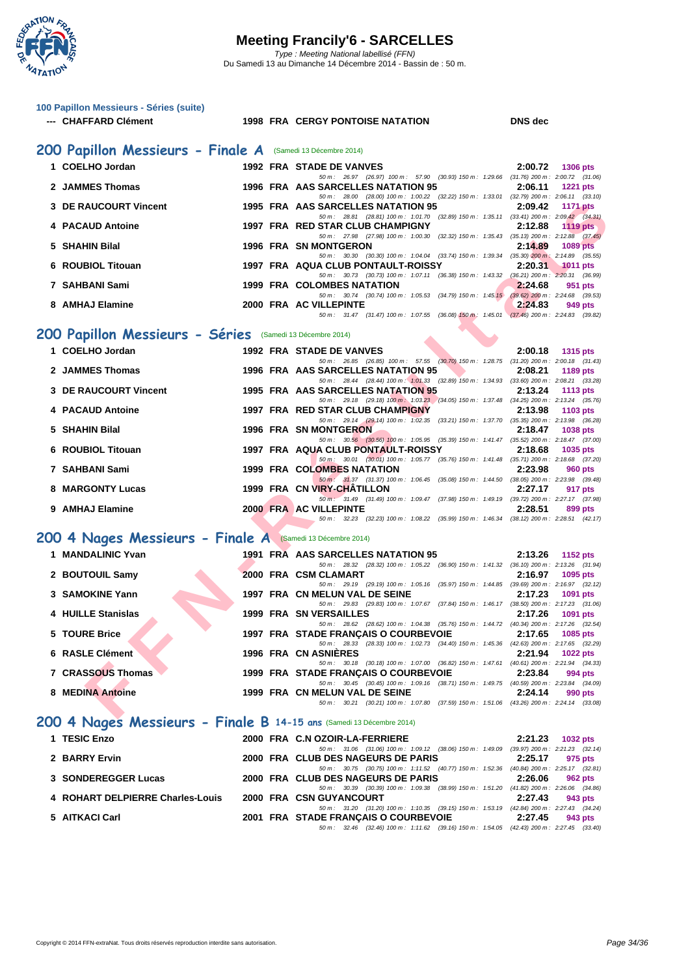

| 100 Papillon Messieurs - Séries (suite)                              |                                                                                                                                      |                            |
|----------------------------------------------------------------------|--------------------------------------------------------------------------------------------------------------------------------------|----------------------------|
| --- CHAFFARD Clément                                                 | <b>1998 FRA CERGY PONTOISE NATATION</b>                                                                                              | <b>DNS</b> dec             |
| 200 Papillon Messieurs - Finale A (Samedi 13 Décembre 2014)          |                                                                                                                                      |                            |
| 1 COELHO Jordan                                                      | 1992 FRA STADE DE VANVES                                                                                                             | 2:00.72<br>1306 pts        |
| 2 JAMMES Thomas                                                      | 50 m : 26.97 (26.97) 100 m : 57.90 (30.93) 150 m : 1:29.66 (31.76) 200 m : 2:00.72 (31.06)<br>1996 FRA AAS SARCELLES NATATION 95     | 2:06.11<br><b>1221 pts</b> |
| 3 DE RAUCOURT Vincent                                                | 50 m: 28.00 (28.00) 100 m: 1:00.22 (32.22) 150 m: 1:33.01 (32.79) 200 m: 2:06.11 (33.10)<br>1995 FRA AAS SARCELLES NATATION 95       | 2:09.42<br><b>1171 pts</b> |
| 4 PACAUD Antoine                                                     | 50 m: 28.81 (28.81) 100 m: 1:01.70 (32.89) 150 m: 1:35.11 (33.41) 200 m: 2:09.42 (34.31)<br>1997 FRA RED STAR CLUB CHAMPIGNY         | 2:12.88<br><b>1119 pts</b> |
| 5 SHAHIN Bilal                                                       | 50 m : 27.98 (27.98) 100 m : 1:00.30 (32.32) 150 m : 1:35.43 (35.13) 200 m : 2:12.88 (37.45)<br><b>1996 FRA SN MONTGERON</b>         | 2:14.89<br><b>1089 pts</b> |
|                                                                      | 50 m: 30.30 (30.30) 100 m: 1:04.04 (33.74) 150 m: 1:39.34 (35.30) 200 m: 2:14.89 (35.55)                                             |                            |
| 6 ROUBIOL Titouan                                                    | 1997 FRA AQUA CLUB PONTAULT-ROISSY<br>50 m: 30.73 (30.73) 100 m: 1:07.11 (36.38) 150 m: 1:43.32 (36.21) 200 m: 2:20.31 (36.99)       | 2:20.31<br>$1011$ pts      |
| 7 SAHBANI Sami                                                       | 1999 FRA COLOMBES NATATION<br>50 m: 30.74 (30.74) 100 m: 1:05.53 (34.79) 150 m: 1:45.15 (39.62) 200 m: 2:24.68 (39.53)               | 2:24.68<br>951 pts         |
| 8 AMHAJ Elamine                                                      | 2000 FRA AC VILLEPINTE<br>50 m: 31.47 (31.47) 100 m: 1:07.55 (36.08) 150 m: 1:45.01 (37.46) 200 m: 2:24.83 (39.82)                   | 2:24.83<br>949 pts         |
| 200 Papillon Messieurs - Séries (Samedi 13 Décembre 2014)            |                                                                                                                                      |                            |
| 1 COELHO Jordan                                                      | <b>1992 FRA STADE DE VANVES</b>                                                                                                      | 2:00.18<br>1315 pts        |
| 2 JAMMES Thomas                                                      | 50 m: 26.85 (26.85) 100 m: 57.55 (30.70) 150 m: 1:28.75 (31.20) 200 m: 2:00.18 (31.43)<br>1996 FRA AAS SARCELLES NATATION 95         | 2:08.21<br>1189 pts        |
| 3 DE RAUCOURT Vincent                                                | 50 m: 28.44 (28.44) 100 m: 1:01.33 (32.89) 150 m: 1:34.93 (33.60) 200 m: 2:08.21 (33.28)<br>1995 FRA AAS SARCELLES NATATION 95       | 2:13.24<br>1113 $pts$      |
| 4 PACAUD Antoine                                                     | 50 m: 29.18 (29.18) 100 m: 1:03.23 (34.05) 150 m: 1:37.48 (34.25) 200 m: 2:13.24 (35.76)<br>1997 FRA RED STAR CLUB CHAMPIGNY         | 2:13.98<br>1103 pts        |
| 5 SHAHIN Bilal                                                       | 50 m: 29.14 (29.14) 100 m: 1:02.35 (33.21) 150 m: 1:37.70 (35.35) 200 m: 2:13.98 (36.28)<br><b>1996 FRA SN MONTGERON</b>             | 2:18.47<br>1038 pts        |
|                                                                      | 50 m: 30.56 (30.56) 100 m: 1:05.95 (35.39) 150 m: 1:41.47 (35.52) 200 m: 2:18.47 (37.00)                                             |                            |
| 6 ROUBIOL Titouan                                                    | 1997 FRA AQUA CLUB PONTAULT-ROISSY<br>50 m: 30.01 (30.01) 100 m: 1:05.77 (35.76) 150 m: 1:41.48 (35.71) 200 m: 2:18.68 (37.20)       | 2:18.68<br>1035 pts        |
| 7 SAHBANI Sami                                                       | 1999 FRA COLOMBES NATATION<br>50 m: 31.37 (31.37) 100 m: 1:06.45 (35.08) 150 m: 1:44.50 (38.05) 200 m: 2:23.98 (39.48)               | 2:23.98<br>960 pts         |
| <b>8 MARGONTY Lucas</b>                                              | 1999 FRA CN VIRY-CHATILLON<br>50 m : 31.49 (31.49) 100 m : 1:09.47 (37.98) 150 m : 1:49.19 (39.72) 200 m : 2:27.17 (37.98)           | 2:27.17<br>917 pts         |
| 9 AMHAJ Elamine                                                      | 2000 FRA AC VILLEPINTE<br>50 m: 32.23 (32.23) 100 m: 1:08.22 (35.99) 150 m: 1:46.34 (38.12) 200 m: 2:28.51 (42.17)                   | 2:28.51<br>899 pts         |
| 200 4 Nages Messieurs - Finale A (Samedi 13 Décembre 2014)           |                                                                                                                                      |                            |
| 1 MANDALINIC Yvan                                                    | 1991 FRA AAS SARCELLES NATATION 95                                                                                                   | 2:13.26<br>1152 pts        |
| 2 BOUTOUIL Samy                                                      | 50 m: 28.32 (28.32) 100 m: 1:05.22 (36.90) 150 m: 1:41.32 (36.10) 200 m: 2:13.26 (31.94)<br>2000 FRA CSM CLAMART                     | 2:16.97<br>1095 pts        |
| 3 SAMOKINE Yann                                                      | 50 m: 29.19 (29.19) 100 m: 1:05.16 (35.97) 150 m: 1:44.85 (39.69) 200 m: 2:16.97 (32.12)<br>1997 FRA CN MELUN VAL DE SEINE           | 2:17.23<br>1091 pts        |
| 4 HUILLE Stanislas                                                   | 50 m: 29.83 (29.83) 100 m: 1:07.67 (37.84) 150 m: 1:46.17 (38.50) 200 m: 2:17.23 (31.06)<br>1999 FRA SN VERSAILLES                   | 2:17.26<br>1091 pts        |
| 5 TOURE Brice                                                        | 50 m : 28.62 (28.62) 100 m : 1:04.38 (35.76) 150 m : 1:44.72 (40.34) 200 m : 2:17.26 (32.54)                                         |                            |
|                                                                      | 1997 FRA STADE FRANÇAIS O COURBEVOIE<br>50 m: 28.33 (28.33) 100 m: 1:02.73 (34.40) 150 m: 1:45.36 (42.63) 200 m: 2:17.65 (32.29)     | 2:17.65<br>1085 pts        |
| 6 RASLE Clément                                                      | <b>1996 FRA CN ASNIERES</b><br>50 m: 30.18 (30.18) 100 m: 1:07.00 (36.82) 150 m: 1:47.61 (40.61) 200 m: 2:21.94 (34.33)              | 2:21.94<br>1022 pts        |
| 7 CRASSOUS Thomas                                                    | 1999 FRA STADE FRANÇAIS O COURBEVOIE<br>50 m : 30.45 (30.45) 100 m : 1:09.16 (38.71) 150 m : 1:49.75 (40.59) 200 m : 2:23.84 (34.09) | 2:23.84<br>994 pts         |
| 8 MEDINA Antoine                                                     | 1999 FRA CN MELUN VAL DE SEINE<br>50 m: 30.21 (30.21) 100 m: 1:07.80 (37.59) 150 m: 1:51.06 (43.26) 200 m: 2:24.14 (33.08)           | 2:24.14<br>990 pts         |
| 200 4 Nages Messieurs - Finale B 14-15 ans (Samedi 13 Décembre 2014) |                                                                                                                                      |                            |
| 1 TESIC Enzo                                                         | 2000 FRA C.N OZOIR-LA-FERRIERE                                                                                                       | 2:21.23<br>1032 pts        |
| 2 BARRY Ervin                                                        | 50 m : 31.06 (31.06) 100 m : 1:09.12 (38.06) 150 m : 1:49.09 (39.97) 200 m : 2:21.23 (32.14)<br>2000 FRA CLUB DES NAGEURS DE PARIS   | 2:25.17<br>975 pts         |
| 3 SONDEREGGER Lucas                                                  | 50 m : 30.75 (30.75) 100 m : 1:11.52 (40.77) 150 m : 1:52.36 (40.84) 200 m : 2:25.17 (32.81)<br>2000 FRA CLUB DES NAGEURS DE PARIS   | 2:26.06<br><b>962 pts</b>  |
| 4 ROHART DELPIERRE Charles-Louis                                     | 50 m : 30.39 (30.39) 100 m : 1:09.38 (38.99) 150 m : 1:51.20 (41.82) 200 m : 2:26.06 (34.86)<br>2000 FRA CSN GUYANCOURT              | 2:27.43<br>943 pts         |
|                                                                      | 50 m: 31.20 (31.20) 100 m: 1:10.35 (39.15) 150 m: 1:53.19 (42.84) 200 m: 2:27.43 (34.24)                                             |                            |
| 5 AITKACI Carl                                                       | 2001 FRA STADE FRANÇAIS O COURBEVOIE<br>50 m : 32.46 (32.46) 100 m : 1:11.62 (39.16) 150 m : 1:54.05 (42.43) 200 m : 2:27.45 (33.40) | 2:27.45<br>943 pts         |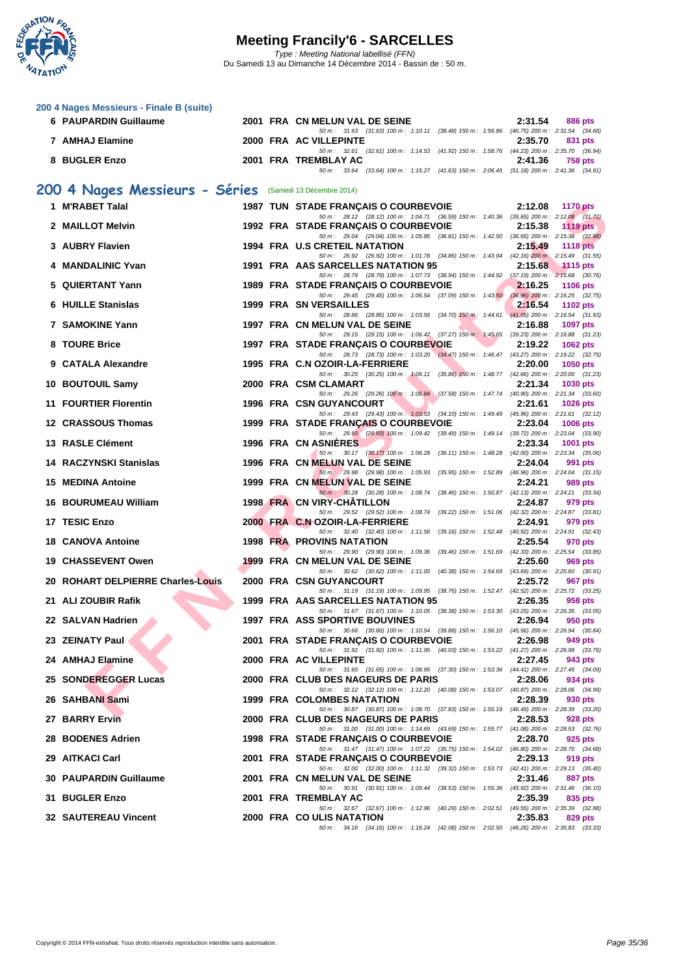

**[200 4 Nag](http://www.ffnatation.fr/webffn/index.php)es Messieurs - Finale B (suite)**

| 6 PAUPARDIN Guillaume                                    |  | 2001 FRA CN MELUN VAL DE SEINE                                                                                                                                                                                                 | 2:31.54<br>886 pts         |
|----------------------------------------------------------|--|--------------------------------------------------------------------------------------------------------------------------------------------------------------------------------------------------------------------------------|----------------------------|
| 7 AMHAJ Elamine                                          |  | 50 m: 31.63 (31.63) 100 m: 1:10.11 (38.48) 150 m: 1:56.86 (46.75) 200 m: 2:31.54 (34.68)<br>2000 FRA AC VILLEPINTE                                                                                                             | 2:35.70<br>831 pts         |
| 8 BUGLER Enzo                                            |  | 50 m: 32.61 (32.61) 100 m: 1:14.53 (41.92) 150 m: 1:58.76 (44.23) 200 m: 2:35.70 (36.94)<br>2001 FRA TREMBLAY AC                                                                                                               | 2:41.36<br>758 pts         |
|                                                          |  | 50 m: 33.64 (33.64) 100 m: 1:15.27 (41.63) 150 m: 2:06.45 (51.18) 200 m: 2:41.36 (34.91)                                                                                                                                       |                            |
| 200 4 Nages Messieurs - Séries (Samedi 13 Décembre 2014) |  |                                                                                                                                                                                                                                |                            |
| 1 M'RABET Talal                                          |  | <b>1987 TUN STADE FRANÇAIS O COURBEVOIE</b><br>50 m: 28.12 (28.12) 100 m: 1:04.71 (36.59) 150 m: 1:40.36 (35.65) 200 m: 2:12.08 (31.72)                                                                                        | 2:12.08<br><b>1170 pts</b> |
| 2 MAILLOT Melvin                                         |  | 1992 FRA STADE FRANÇAIS O COURBEVOIE<br>50 m: 29.04 (29.04) 100 m: 1:05.85 (36.81) 150 m: 1:42.50 (36.65) 200 m: 2:15.38 (32.88)                                                                                               | 2:15.38<br>1119 pts        |
| 3 AUBRY Flavien                                          |  | 1994 FRA U.S CRETEIL NATATION                                                                                                                                                                                                  | 2:15.49<br><b>1118 pts</b> |
| 4 MANDALINIC Yvan                                        |  | 50 m: 26.92 (26.92) 100 m: 1.01.78 (34.86) 150 m: 1.43.94 (42.16) 200 m: 2:15.49 (31.55)<br>1991 FRA AAS SARCELLES NATATION 95<br>50 m : 28.79 (28.79) 100 m : 1:07.73 (38.94) 150 m : 1:44.92 (37.19) 200 m : 2:15.68 (30.76) | 2:15.68<br>$1115$ pts      |
| 5 QUIERTANT Yann                                         |  | 1989 FRA STADE FRANÇAIS O COURBEVOIE                                                                                                                                                                                           | 2:16.25<br><b>1106 pts</b> |
| <b>6 HUILLE Stanislas</b>                                |  | 50 m: 29.45 (29.45) 100 m: 1:06.54 (37.09) 150 m: 1:43.50 (36.96) 200 m: 2:16.25 (32.75)<br><b>1999 FRA SN VERSAILLES</b>                                                                                                      | 2:16.54<br>1102 pts        |
| 7 SAMOKINE Yann                                          |  | 50 m: 28.86 (28.86) 100 m: 1:03.56 (34.70) 150 m: 1:44.61 (41.05) 200 m: 2:16.54 (31.93)<br>1997 FRA CN MELUN VAL DE SEINE                                                                                                     | 2:16.88<br><b>1097 pts</b> |
| 8 TOURE Brice                                            |  | 50 m : 29.15 (29.15) 100 m : 1:06.42 (37.27) 150 m : 1:45.65 (39.23) 200 m : 2:16.88 (31.23)<br>1997 FRA STADE FRANÇAIS O COURBEVOIE                                                                                           | 2:19.22<br>1062 pts        |
|                                                          |  | 50 m: 28.73 (28.73) 100 m: 1:03.20 (34.47) 150 m: 1:46.47 (43.27) 200 m: 2:19.22 (32.75)                                                                                                                                       |                            |
| 9 CATALA Alexandre                                       |  | 1995 FRA C.N OZOIR-LA-FERRIERE<br>50 m: 30.25 (30.25) 100 m: 1:06.11 (35.86) 150 m: 1:48.77 (42.66) 200 m: 2:20.00 (31.23)                                                                                                     | 2:20.00<br>1050 pts        |
| 10 BOUTOUIL Samy                                         |  | 2000 FRA CSM CLAMART<br>50 m: 29.26 (29.26) 100 m: 1:06.84 (37.58) 150 m: 1:47.74 (40.90) 200 m: 2:21.34 (33.60)                                                                                                               | 2:21.34<br>1030 pts        |
| 11 FOURTIER Florentin                                    |  | 1996 FRA CSN GUYANCOURT                                                                                                                                                                                                        | 2:21.61<br>1026 pts        |
| 12 CRASSOUS Thomas                                       |  | 50 m: 29.43 (29.43) 100 m: 1:03.53 (34.10) 150 m: 1:49.49 (45.96) 200 m: 2:21.61 (32.12)<br>1999 FRA STADE FRANÇAIS O COURBEVOIE                                                                                               | 2:23.04<br><b>1006 pts</b> |
| 13 RASLE Clément                                         |  | 50 m: 29.93 (29.93) 100 m: 1:09.42 (39.49) 150 m: 1:49.14 (39.72) 200 m: 2:23.04 (33.90)<br>1996 FRA CN ASNIERES                                                                                                               | 2:23.34<br><b>1001 pts</b> |
| 14 RACZYNSKI Stanislas                                   |  | 50 m: 30.17 (30.17) 100 m: 1:06.28 (36.11) 150 m: 1:48.28 (42.00) 200 m: 2:23.34 (35.06)<br>1996 FRA CN MELUN VAL DE SEINE                                                                                                     | 2:24.04<br>991 pts         |
|                                                          |  | 50 m: 29.98 (29.98) 100 m: 1:05.93 (35.95) 150 m: 1:52.89 (46.96) 200 m: 2:24.04 (31.15)                                                                                                                                       |                            |
| 15 MEDINA Antoine                                        |  | 1999 FRA CN MELUN VAL DE SEINE<br>50 m: 30.28 (30.28) 100 m: 1:08.74 (38.46) 150 m: 1:50.87 (42.13) 200 m: 2:24.21 (33.34)                                                                                                     | 2:24.21<br>989 pts         |
| <b>16 BOURUMEAU William</b>                              |  | 1998 FRA CN VIRY-CHATILLON<br>50 m: 29.52 (29.52) 100 m: 1:08.74 (39.22) 150 m: 1:51.06 (42.32) 200 m: 2:24.87 (33.81)                                                                                                         | 2:24.87<br>979 pts         |
| 17 TESIC Enzo                                            |  | 2000 FRA C.N OZOIR-LA-FERRIERE<br>50 m: 32.40 (32.40) 100 m: 1:11.56 (39.16) 150 m: 1:52.48 (40.92) 200 m: 2:24.91 (32.43)                                                                                                     | 2:24.91<br>979 pts         |
| 18 CANOVA Antoine                                        |  | <b>1998 FRA PROVINS NATATION</b><br>50 m: 29.90 (29.90) 100 m: 1:09.36 (39.46) 150 m: 1:51.69 (42.33) 200 m: 2:25.54 (33.85)                                                                                                   | 2:25.54<br>970 pts         |
| <b>19 CHASSEVENT Owen</b>                                |  | 1999 FRA CN MELUN VAL DE SEINE                                                                                                                                                                                                 | 2:25.60<br>969 pts         |
| 20 ROHART DELPIERRE Charles-Louis                        |  | 50 m: 30.62 (30.62) 100 m: 1:11.00 (40.38) 150 m: 1:54.69 (43.69) 200 m: 2:25.60 (30.91)<br>2000 FRA CSN GUYANCOURT                                                                                                            | 2:25.72<br>967 pts         |
| 21 ALI ZOUBIR Rafik                                      |  | 50 m: 31.19 (31.19) 100 m: 1:09.95 (38.76) 150 m: 1:52.47 (42.52) 200 m: 2:25.72 (33.25)<br>1999 FRA AAS SARCELLES NATATION 95                                                                                                 | 2:26.35<br>958 pts         |
| 22 SALVAN Hadrien                                        |  | 50 m: 31.67 (31.67) 100 m: 1:10.05 (38.38) 150 m: 1:53.30 (43.25) 200 m: 2:26.35 (33.05)<br><b>1997 FRA ASS SPORTIVE BOUVINES</b>                                                                                              | 2:26.94<br>950 pts         |
|                                                          |  | 50 m : 30.66 (30.66) 100 m : 1:10.54 (39.88) 150 m : 1:56.10 (45.56) 200 m : 2:26.94 (30.84)                                                                                                                                   |                            |
| 23 ZEINATY Paul                                          |  | 2001 FRA STADE FRANÇAIS O COURBEVOIE<br>50 m: 31.92 (31.92) 100 m: 1:11.95 (40.03) 150 m: 1:53.22 (41.27) 200 m: 2:26.98 (33.76)                                                                                               | 2:26.98<br>949 pts         |
| 24 AMHAJ Elamine                                         |  | 2000 FRA AC VILLEPINTE<br>50 m: 31.65 (31.65) 100 m: 1:08.95 (37.30) 150 m: 1:53.36 (44.41) 200 m: 2:27.45 (34.09)                                                                                                             | 2:27.45<br>943 pts         |
| 25 SONDEREGGER Lucas                                     |  | 2000 FRA CLUB DES NAGEURS DE PARIS<br>50 m: 32.12 (32.12) 100 m: 1:12.20 (40.08) 150 m: 1:53.07 (40.87) 200 m: 2:28.06 (34.99)                                                                                                 | 2:28.06<br>934 pts         |
| 26 SAHBANI Sami                                          |  | <b>1999 FRA COLOMBES NATATION</b>                                                                                                                                                                                              | 2:28.39<br>930 pts         |
| 27 BARRY Ervin                                           |  | 50 m: 30.87 (30.87) 100 m: 1:08.70 (37.83) 150 m: 1:55.19 (46.49) 200 m: 2:28.39 (33.20)<br>2000 FRA CLUB DES NAGEURS DE PARIS                                                                                                 | 2:28.53<br>928 pts         |
| 28 BODENES Adrien                                        |  | 50 m: 31.00 (31.00) 100 m: 1:14.69 (43.69) 150 m: 1:55.77 (41.08) 200 m: 2:28.53 (32.76)<br>1998 FRA STADE FRANÇAIS O COURBEVOIE                                                                                               | 2:28.70<br>925 pts         |
| 29 AITKACI Carl                                          |  | 50 m: 31.47 (31.47) 100 m: 1:07.22 (35.75) 150 m: 1:54.02 (46.80) 200 m: 2:28.70 (34.68)<br>2001 FRA STADE FRANÇAIS O COURBEVOIE                                                                                               | 2:29.13<br>919 pts         |
| 30 PAUPARDIN Guillaume                                   |  | 50 m: 32.00 (32.00) 100 m: 1:11.32 (39.32) 150 m: 1:53.73 (42.41) 200 m: 2:29.13 (35.40)<br>2001 FRA CN MELUN VAL DE SEINE                                                                                                     | 2:31.46<br>887 pts         |
|                                                          |  | 50 m: 30.91 (30.91) 100 m: 1:09.44 (38.53) 150 m: 1:55.36 (45.92) 200 m: 2:31.46 (36.10)                                                                                                                                       |                            |
| 31 BUGLER Enzo                                           |  | 2001 FRA TREMBLAY AC<br>50 m : 32.67 (32.67) 100 m : 1:12.96 (40.29) 150 m : 2:02.51 (49.55) 200 m : 2:35.39 (32.88)                                                                                                           | 2:35.39<br>835 pts         |
| 32 SAUTEREAU Vincent                                     |  | 2000 FRA COULIS NATATION<br>50 m: 34.16 (34.16) 100 m: 1:16.24 (42.08) 150 m: 2:02.50 (46.26) 200 m: 2:35.83 (33.33)                                                                                                           | 2:35.83<br>829 pts         |
|                                                          |  |                                                                                                                                                                                                                                |                            |